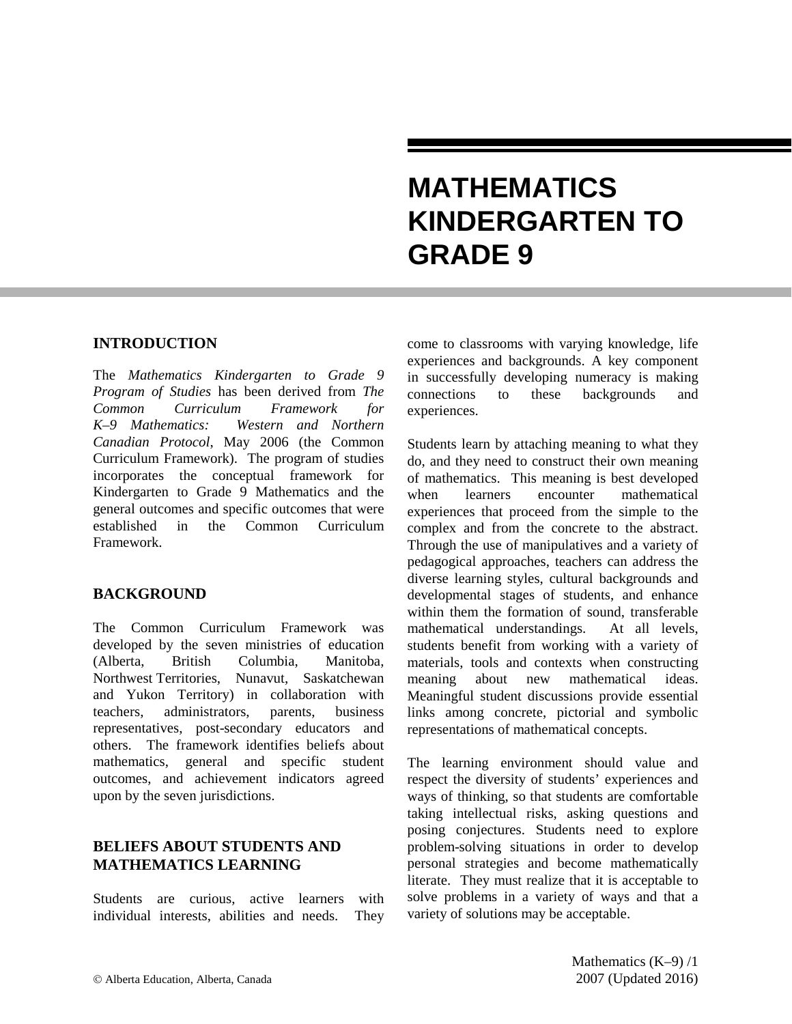# **MATHEMATICS KINDERGARTEN TO GRADE 9**

### **INTRODUCTION**

The *Mathematics Kindergarten to Grade 9 Program of Studies* has been derived from *The Common Curriculum Framework for K–9 Mathematics: Western and Northern Canadian Protocol*, May 2006 (the Common Curriculum Framework). The program of studies incorporates the conceptual framework for Kindergarten to Grade 9 Mathematics and the general outcomes and specific outcomes that were established in the Common Curriculum Framework.

### **BACKGROUND**

The Common Curriculum Framework was developed by the seven ministries of education (Alberta, British Columbia, Manitoba, Northwest Territories, Nunavut, Saskatchewan and Yukon Territory) in collaboration with teachers, administrators, parents, business representatives, post-secondary educators and others. The framework identifies beliefs about mathematics, general and specific student outcomes, and achievement indicators agreed upon by the seven jurisdictions.

### **BELIEFS ABOUT STUDENTS AND MATHEMATICS LEARNING**

Students are curious, active learners with individual interests, abilities and needs. They come to classrooms with varying knowledge, life experiences and backgrounds. A key component in successfully developing numeracy is making connections to these backgrounds and experiences.

Students learn by attaching meaning to what they do, and they need to construct their own meaning of mathematics. This meaning is best developed when learners encounter mathematical experiences that proceed from the simple to the complex and from the concrete to the abstract. Through the use of manipulatives and a variety of pedagogical approaches, teachers can address the diverse learning styles, cultural backgrounds and developmental stages of students, and enhance within them the formation of sound, transferable mathematical understandings. At all levels, students benefit from working with a variety of materials, tools and contexts when constructing meaning about new mathematical ideas. Meaningful student discussions provide essential links among concrete, pictorial and symbolic representations of mathematical concepts.

The learning environment should value and respect the diversity of students' experiences and ways of thinking, so that students are comfortable taking intellectual risks, asking questions and posing conjectures. Students need to explore problem-solving situations in order to develop personal strategies and become mathematically literate. They must realize that it is acceptable to solve problems in a variety of ways and that a variety of solutions may be acceptable.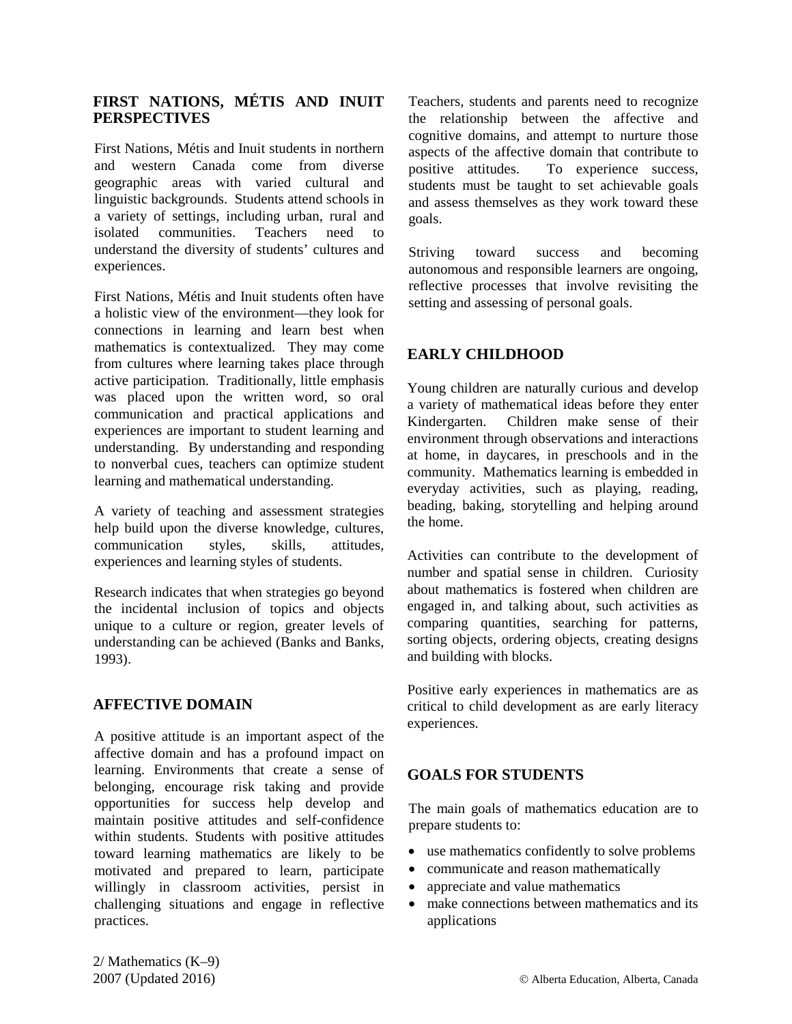### **FIRST NATIONS, MÉTIS AND INUIT PERSPECTIVES**

First Nations, Métis and Inuit students in northern and western Canada come from diverse geographic areas with varied cultural and linguistic backgrounds. Students attend schools in a variety of settings, including urban, rural and isolated communities. Teachers need to understand the diversity of students' cultures and experiences.

First Nations, Métis and Inuit students often have a holistic view of the environment—they look for connections in learning and learn best when mathematics is contextualized. They may come from cultures where learning takes place through active participation. Traditionally, little emphasis was placed upon the written word, so oral communication and practical applications and experiences are important to student learning and understanding. By understanding and responding to nonverbal cues, teachers can optimize student learning and mathematical understanding.

A variety of teaching and assessment strategies help build upon the diverse knowledge, cultures, communication styles, skills, attitudes, experiences and learning styles of students.

Research indicates that when strategies go beyond the incidental inclusion of topics and objects unique to a culture or region, greater levels of understanding can be achieved (Banks and Banks, 1993).

### **AFFECTIVE DOMAIN**

A positive attitude is an important aspect of the affective domain and has a profound impact on learning. Environments that create a sense of belonging, encourage risk taking and provide opportunities for success help develop and maintain positive attitudes and self-confidence within students. Students with positive attitudes toward learning mathematics are likely to be motivated and prepared to learn, participate willingly in classroom activities, persist in challenging situations and engage in reflective practices.

Teachers, students and parents need to recognize the relationship between the affective and cognitive domains, and attempt to nurture those aspects of the affective domain that contribute to positive attitudes. To experience success, students must be taught to set achievable goals and assess themselves as they work toward these goals.

Striving toward success and becoming autonomous and responsible learners are ongoing, reflective processes that involve revisiting the setting and assessing of personal goals.

### **EARLY CHILDHOOD**

Young children are naturally curious and develop a variety of mathematical ideas before they enter Kindergarten. Children make sense of their environment through observations and interactions at home, in daycares, in preschools and in the community. Mathematics learning is embedded in everyday activities, such as playing, reading, beading, baking, storytelling and helping around the home.

Activities can contribute to the development of number and spatial sense in children. Curiosity about mathematics is fostered when children are engaged in, and talking about, such activities as comparing quantities, searching for patterns, sorting objects, ordering objects, creating designs and building with blocks.

Positive early experiences in mathematics are as critical to child development as are early literacy experiences.

### **GOALS FOR STUDENTS**

The main goals of mathematics education are to prepare students to:

- use mathematics confidently to solve problems
- communicate and reason mathematically
- appreciate and value mathematics
- make connections between mathematics and its applications

2/ Mathematics (K–9)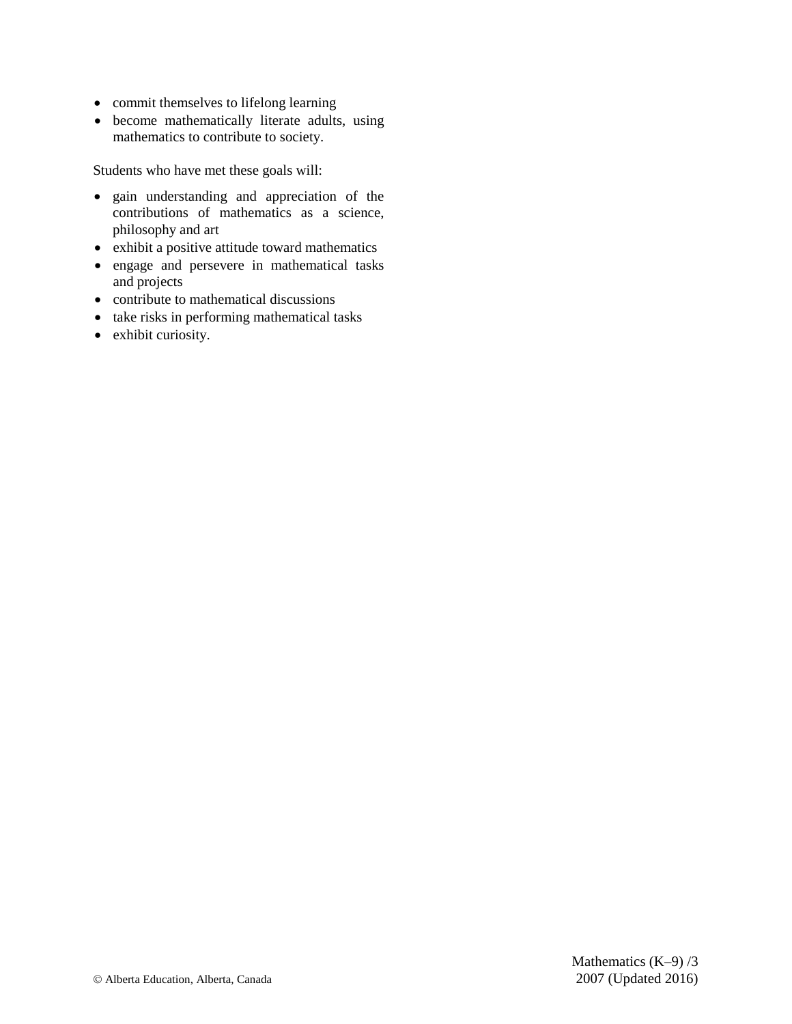- commit themselves to lifelong learning
- become mathematically literate adults, using mathematics to contribute to society.

Students who have met these goals will:

- gain understanding and appreciation of the contributions of mathematics as a science, philosophy and art
- exhibit a positive attitude toward mathematics
- engage and persevere in mathematical tasks and projects
- contribute to mathematical discussions
- take risks in performing mathematical tasks
- exhibit curiosity.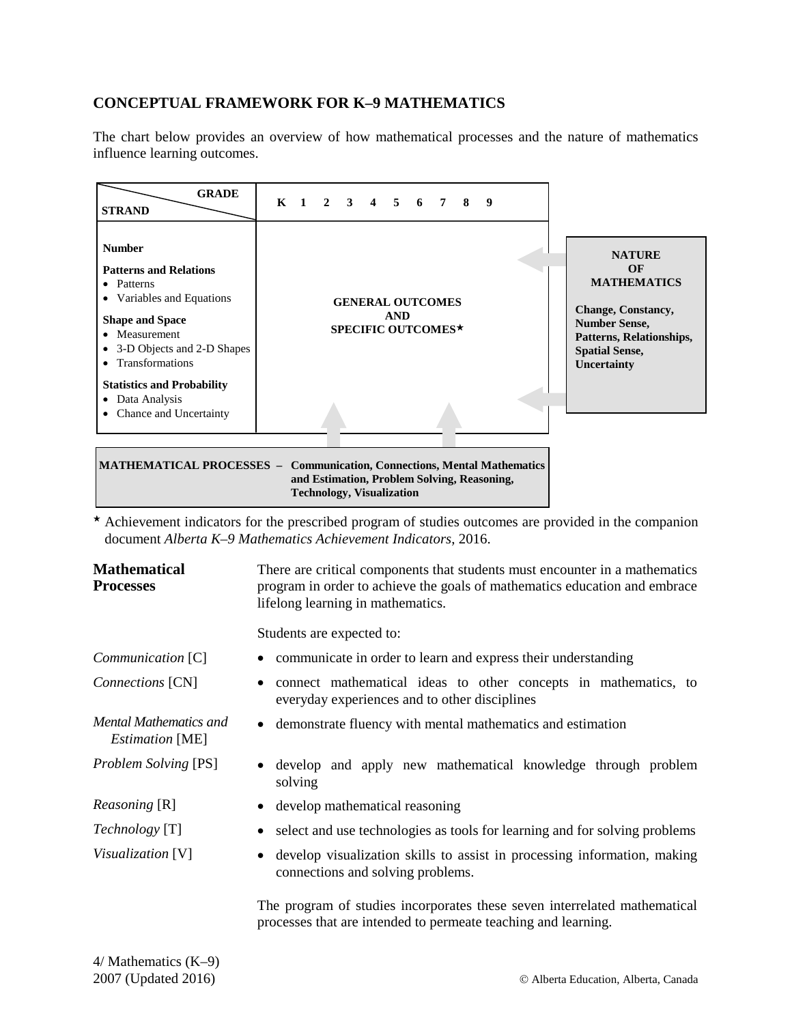### **CONCEPTUAL FRAMEWORK FOR K–9 MATHEMATICS**

The chart below provides an overview of how mathematical processes and the nature of mathematics influence learning outcomes.



 $\star$  Achievement indicators for the prescribed program of studies outcomes are provided in the companion document *Alberta K–9 Mathematics Achievement Indicators*, 2016.

| <b>Mathematical</b><br><b>Processes</b>          | There are critical components that students must encounter in a mathematics<br>program in order to achieve the goals of mathematics education and embrace<br>lifelong learning in mathematics. |
|--------------------------------------------------|------------------------------------------------------------------------------------------------------------------------------------------------------------------------------------------------|
|                                                  | Students are expected to:                                                                                                                                                                      |
| Communication [C]                                | • communicate in order to learn and express their understanding                                                                                                                                |
| Connections [CN]                                 | connect mathematical ideas to other concepts in mathematics, to<br>٠<br>everyday experiences and to other disciplines                                                                          |
| Mental Mathematics and<br><i>Estimation</i> [ME] | • demonstrate fluency with mental mathematics and estimation                                                                                                                                   |
| <b>Problem Solving [PS]</b>                      | develop and apply new mathematical knowledge through problem<br>solving                                                                                                                        |
| <i>Reasoning</i> [R]                             | develop mathematical reasoning                                                                                                                                                                 |
| <i>Technology</i> [T]                            | select and use technologies as tools for learning and for solving problems                                                                                                                     |
| <i>Visualization</i> [V]                         | develop visualization skills to assist in processing information, making<br>$\bullet$<br>connections and solving problems.                                                                     |
|                                                  | The program of studies incorporates these seven interrelated mathematical<br>processes that are intended to permeate teaching and learning.                                                    |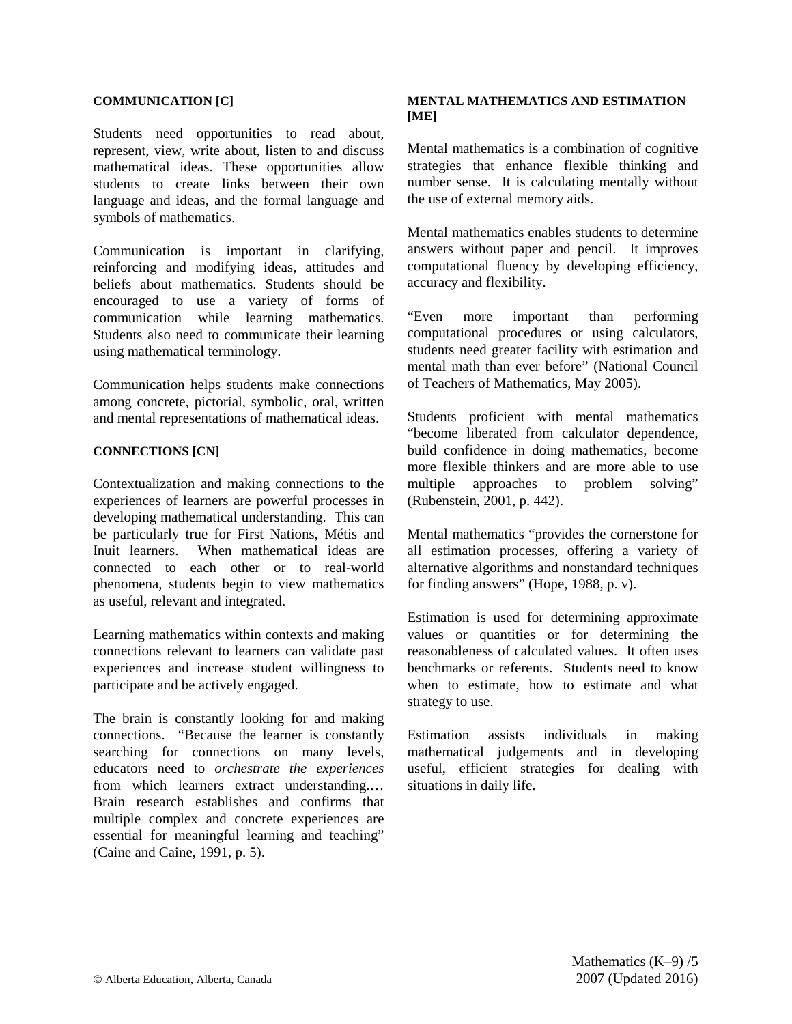#### **COMMUNICATION [C]**

Students need opportunities to read about, represent, view, write about, listen to and discuss mathematical ideas. These opportunities allow students to create links between their own language and ideas, and the formal language and symbols of mathematics.

Communication is important in clarifying, reinforcing and modifying ideas, attitudes and beliefs about mathematics. Students should be encouraged to use a variety of forms of communication while learning mathematics. Students also need to communicate their learning using mathematical terminology.

Communication helps students make connections among concrete, pictorial, symbolic, oral, written and mental representations of mathematical ideas.

#### **CONNECTIONS [CN]**

Contextualization and making connections to the experiences of learners are powerful processes in developing mathematical understanding. This can be particularly true for First Nations, Métis and Inuit learners. When mathematical ideas are connected to each other or to real-world phenomena, students begin to view mathematics as useful, relevant and integrated.

Learning mathematics within contexts and making connections relevant to learners can validate past experiences and increase student willingness to participate and be actively engaged.

The brain is constantly looking for and making connections. "Because the learner is constantly searching for connections on many levels, educators need to *orchestrate the experiences* from which learners extract understanding.… Brain research establishes and confirms that multiple complex and concrete experiences are essential for meaningful learning and teaching" (Caine and Caine, 1991, p. 5).

#### **MENTAL MATHEMATICS AND ESTIMATION [ME]**

Mental mathematics is a combination of cognitive strategies that enhance flexible thinking and number sense. It is calculating mentally without the use of external memory aids.

Mental mathematics enables students to determine answers without paper and pencil. It improves computational fluency by developing efficiency, accuracy and flexibility.

"Even more important than performing computational procedures or using calculators, students need greater facility with estimation and mental math than ever before" (National Council of Teachers of Mathematics, May 2005).

Students proficient with mental mathematics "become liberated from calculator dependence, build confidence in doing mathematics, become more flexible thinkers and are more able to use multiple approaches to problem solving" (Rubenstein, 2001, p. 442).

Mental mathematics "provides the cornerstone for all estimation processes, offering a variety of alternative algorithms and nonstandard techniques for finding answers" (Hope, 1988, p. v).

Estimation is used for determining approximate values or quantities or for determining the reasonableness of calculated values. It often uses benchmarks or referents. Students need to know when to estimate, how to estimate and what strategy to use.

Estimation assists individuals in making mathematical judgements and in developing useful, efficient strategies for dealing with situations in daily life.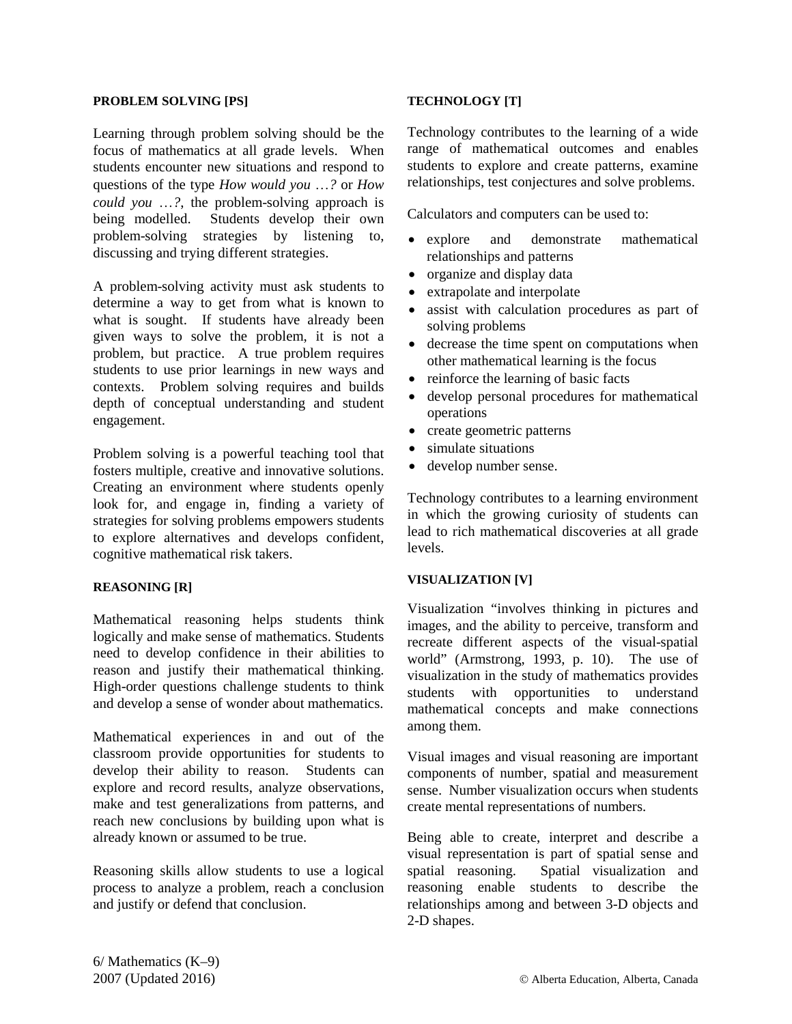#### **PROBLEM SOLVING [PS]**

Learning through problem solving should be the focus of mathematics at all grade levels. When students encounter new situations and respond to questions of the type *How would you* …*?* or *How could you* …*?*, the problem-solving approach is being modelled. Students develop their own problem-solving strategies by listening to, discussing and trying different strategies.

A problem-solving activity must ask students to determine a way to get from what is known to what is sought. If students have already been given ways to solve the problem, it is not a problem, but practice. A true problem requires students to use prior learnings in new ways and contexts. Problem solving requires and builds depth of conceptual understanding and student engagement.

Problem solving is a powerful teaching tool that fosters multiple, creative and innovative solutions. Creating an environment where students openly look for, and engage in, finding a variety of strategies for solving problems empowers students to explore alternatives and develops confident, cognitive mathematical risk takers.

#### **REASONING [R]**

Mathematical reasoning helps students think logically and make sense of mathematics. Students need to develop confidence in their abilities to reason and justify their mathematical thinking. High-order questions challenge students to think and develop a sense of wonder about mathematics.

Mathematical experiences in and out of the classroom provide opportunities for students to develop their ability to reason. Students can explore and record results, analyze observations, make and test generalizations from patterns, and reach new conclusions by building upon what is already known or assumed to be true.

Reasoning skills allow students to use a logical process to analyze a problem, reach a conclusion and justify or defend that conclusion.

### **TECHNOLOGY [T]**

Technology contributes to the learning of a wide range of mathematical outcomes and enables students to explore and create patterns, examine relationships, test conjectures and solve problems.

Calculators and computers can be used to:

- explore and demonstrate mathematical relationships and patterns
- organize and display data
- extrapolate and interpolate
- assist with calculation procedures as part of solving problems
- decrease the time spent on computations when other mathematical learning is the focus
- reinforce the learning of basic facts
- develop personal procedures for mathematical operations
- create geometric patterns
- simulate situations
- develop number sense.

Technology contributes to a learning environment in which the growing curiosity of students can lead to rich mathematical discoveries at all grade levels.

#### **VISUALIZATION [V]**

Visualization "involves thinking in pictures and images, and the ability to perceive, transform and recreate different aspects of the visual-spatial world" (Armstrong, 1993, p. 10). The use of visualization in the study of mathematics provides students with opportunities to understand mathematical concepts and make connections among them.

Visual images and visual reasoning are important components of number, spatial and measurement sense. Number visualization occurs when students create mental representations of numbers.

Being able to create, interpret and describe a visual representation is part of spatial sense and spatial reasoning. Spatial visualization and reasoning enable students to describe the relationships among and between 3-D objects and 2-D shapes.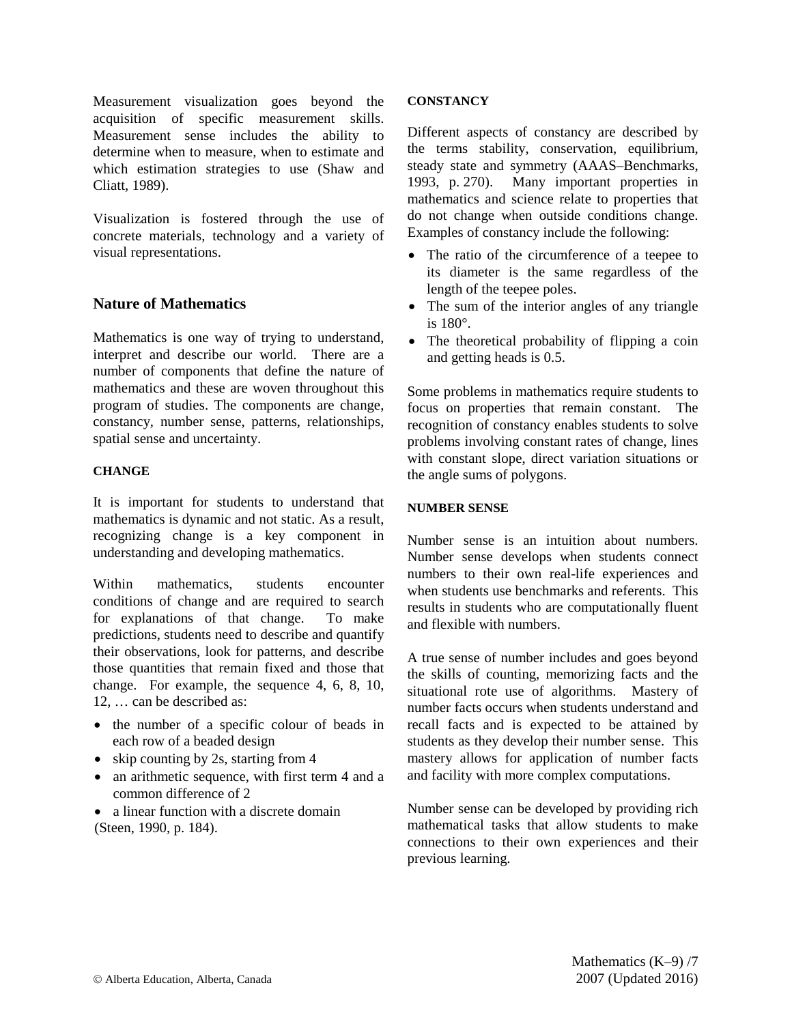Measurement visualization goes beyond the acquisition of specific measurement skills. Measurement sense includes the ability to determine when to measure, when to estimate and which estimation strategies to use (Shaw and Cliatt, 1989).

Visualization is fostered through the use of concrete materials, technology and a variety of visual representations.

### **Nature of Mathematics**

Mathematics is one way of trying to understand, interpret and describe our world. There are a number of components that define the nature of mathematics and these are woven throughout this program of studies. The components are change, constancy, number sense, patterns, relationships, spatial sense and uncertainty.

### **CHANGE**

It is important for students to understand that mathematics is dynamic and not static. As a result, recognizing change is a key component in understanding and developing mathematics.

Within mathematics, students encounter conditions of change and are required to search for explanations of that change. To make predictions, students need to describe and quantify their observations, look for patterns, and describe those quantities that remain fixed and those that change. For example, the sequence 4, 6, 8, 10, 12, … can be described as:

- the number of a specific colour of beads in each row of a beaded design
- skip counting by 2s, starting from 4
- an arithmetic sequence, with first term 4 and a common difference of 2
- a linear function with a discrete domain (Steen, 1990, p. 184).

### **CONSTANCY**

Different aspects of constancy are described by the terms stability, conservation, equilibrium, steady state and symmetry (AAAS–Benchmarks, 1993, p. 270). Many important properties in mathematics and science relate to properties that do not change when outside conditions change. Examples of constancy include the following:

- The ratio of the circumference of a teepee to its diameter is the same regardless of the length of the teepee poles.
- The sum of the interior angles of any triangle is 180°.
- The theoretical probability of flipping a coin and getting heads is 0.5.

Some problems in mathematics require students to focus on properties that remain constant. The recognition of constancy enables students to solve problems involving constant rates of change, lines with constant slope, direct variation situations or the angle sums of polygons.

### **NUMBER SENSE**

Number sense is an intuition about numbers. Number sense develops when students connect numbers to their own real-life experiences and when students use benchmarks and referents. This results in students who are computationally fluent and flexible with numbers.

A true sense of number includes and goes beyond the skills of counting, memorizing facts and the situational rote use of algorithms. Mastery of number facts occurs when students understand and recall facts and is expected to be attained by students as they develop their number sense. This mastery allows for application of number facts and facility with more complex computations.

Number sense can be developed by providing rich mathematical tasks that allow students to make connections to their own experiences and their previous learning.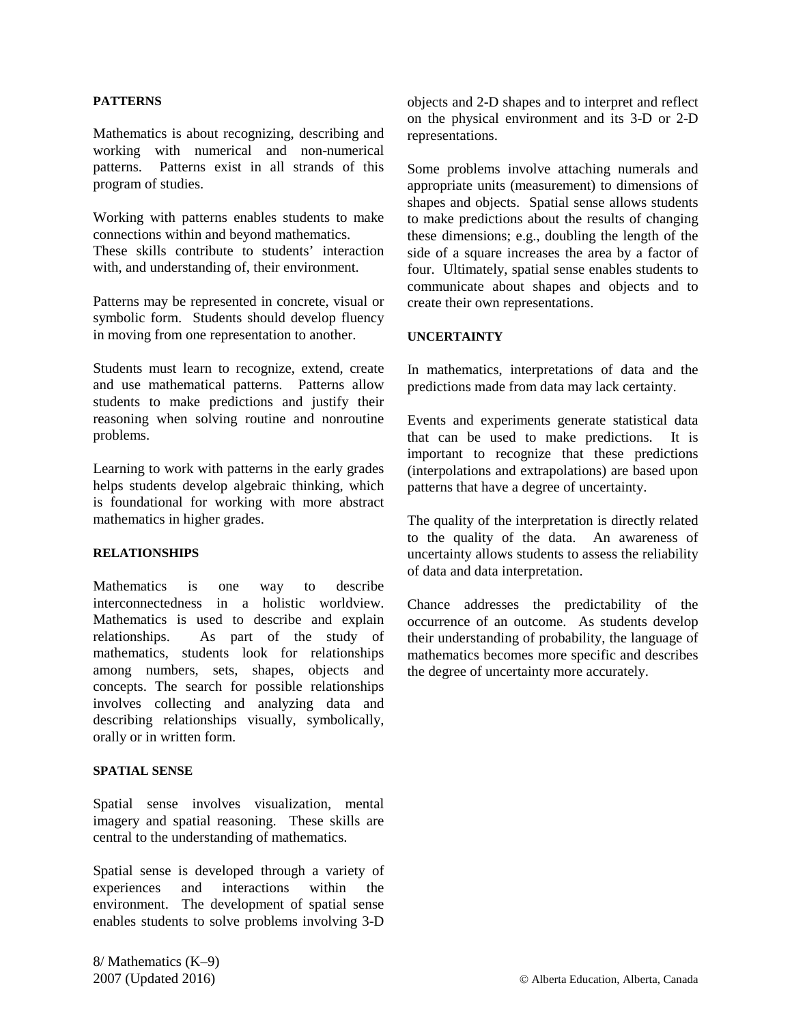#### **PATTERNS**

Mathematics is about recognizing, describing and working with numerical and non-numerical patterns. Patterns exist in all strands of this program of studies.

Working with patterns enables students to make connections within and beyond mathematics. These skills contribute to students' interaction with, and understanding of, their environment.

Patterns may be represented in concrete, visual or symbolic form. Students should develop fluency in moving from one representation to another.

Students must learn to recognize, extend, create and use mathematical patterns. Patterns allow students to make predictions and justify their reasoning when solving routine and nonroutine problems.

Learning to work with patterns in the early grades helps students develop algebraic thinking, which is foundational for working with more abstract mathematics in higher grades.

#### **RELATIONSHIPS**

Mathematics is one way to describe interconnectedness in a holistic worldview. Mathematics is used to describe and explain relationships. As part of the study of mathematics, students look for relationships among numbers, sets, shapes, objects and concepts. The search for possible relationships involves collecting and analyzing data and describing relationships visually, symbolically, orally or in written form.

#### **SPATIAL SENSE**

Spatial sense involves visualization, mental imagery and spatial reasoning. These skills are central to the understanding of mathematics.

Spatial sense is developed through a variety of experiences and interactions within the environment. The development of spatial sense enables students to solve problems involving 3-D objects and 2-D shapes and to interpret and reflect on the physical environment and its 3-D or 2-D representations.

Some problems involve attaching numerals and appropriate units (measurement) to dimensions of shapes and objects. Spatial sense allows students to make predictions about the results of changing these dimensions; e.g., doubling the length of the side of a square increases the area by a factor of four. Ultimately, spatial sense enables students to communicate about shapes and objects and to create their own representations.

#### **UNCERTAINTY**

In mathematics, interpretations of data and the predictions made from data may lack certainty.

Events and experiments generate statistical data that can be used to make predictions. It is important to recognize that these predictions (interpolations and extrapolations) are based upon patterns that have a degree of uncertainty.

The quality of the interpretation is directly related to the quality of the data. An awareness of uncertainty allows students to assess the reliability of data and data interpretation.

Chance addresses the predictability of the occurrence of an outcome. As students develop their understanding of probability, the language of mathematics becomes more specific and describes the degree of uncertainty more accurately.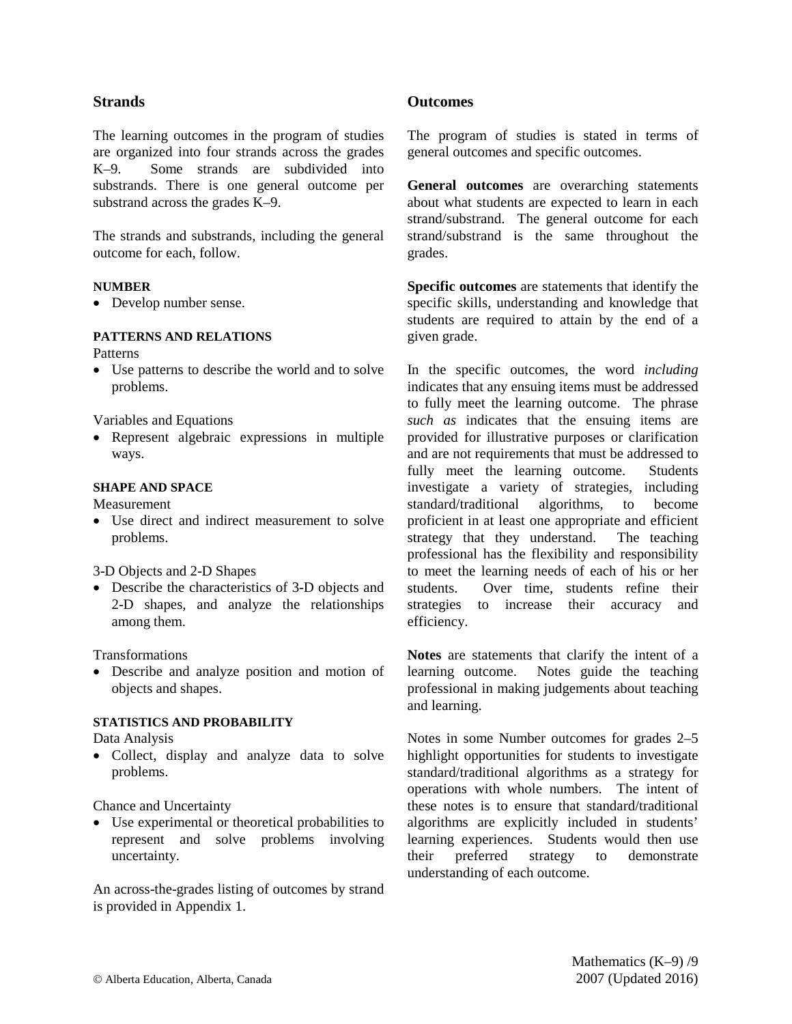### **Strands**

The learning outcomes in the program of studies are organized into four strands across the grades K–9. Some strands are subdivided into substrands. There is one general outcome per substrand across the grades K–9.

The strands and substrands, including the general outcome for each, follow.

### **NUMBER**

• Develop number sense.

### **PATTERNS AND RELATIONS**

Patterns

• Use patterns to describe the world and to solve problems.

Variables and Equations

• Represent algebraic expressions in multiple ways.

### **SHAPE AND SPACE**

Measurement

• Use direct and indirect measurement to solve problems.

3-D Objects and 2-D Shapes

• Describe the characteristics of 3-D objects and 2-D shapes, and analyze the relationships among them.

Transformations

• Describe and analyze position and motion of objects and shapes.

### **STATISTICS AND PROBABILITY**

Data Analysis

• Collect, display and analyze data to solve problems.

Chance and Uncertainty

• Use experimental or theoretical probabilities to represent and solve problems involving uncertainty.

An across-the-grades listing of outcomes by strand is provided in Appendix 1.

### **Outcomes**

The program of studies is stated in terms of general outcomes and specific outcomes.

**General outcomes** are overarching statements about what students are expected to learn in each strand/substrand. The general outcome for each strand/substrand is the same throughout the grades.

**Specific outcomes** are statements that identify the specific skills, understanding and knowledge that students are required to attain by the end of a given grade.

In the specific outcomes, the word *including* indicates that any ensuing items must be addressed to fully meet the learning outcome. The phrase *such as* indicates that the ensuing items are provided for illustrative purposes or clarification and are not requirements that must be addressed to fully meet the learning outcome. Students investigate a variety of strategies, including standard/traditional algorithms, to become proficient in at least one appropriate and efficient strategy that they understand. The teaching professional has the flexibility and responsibility to meet the learning needs of each of his or her students. Over time, students refine their strategies to increase their accuracy and efficiency.

**Notes** are statements that clarify the intent of a learning outcome. Notes guide the teaching professional in making judgements about teaching and learning.

Notes in some Number outcomes for grades 2–5 highlight opportunities for students to investigate standard/traditional algorithms as a strategy for operations with whole numbers. The intent of these notes is to ensure that standard/traditional algorithms are explicitly included in students' learning experiences. Students would then use their preferred strategy to demonstrate understanding of each outcome.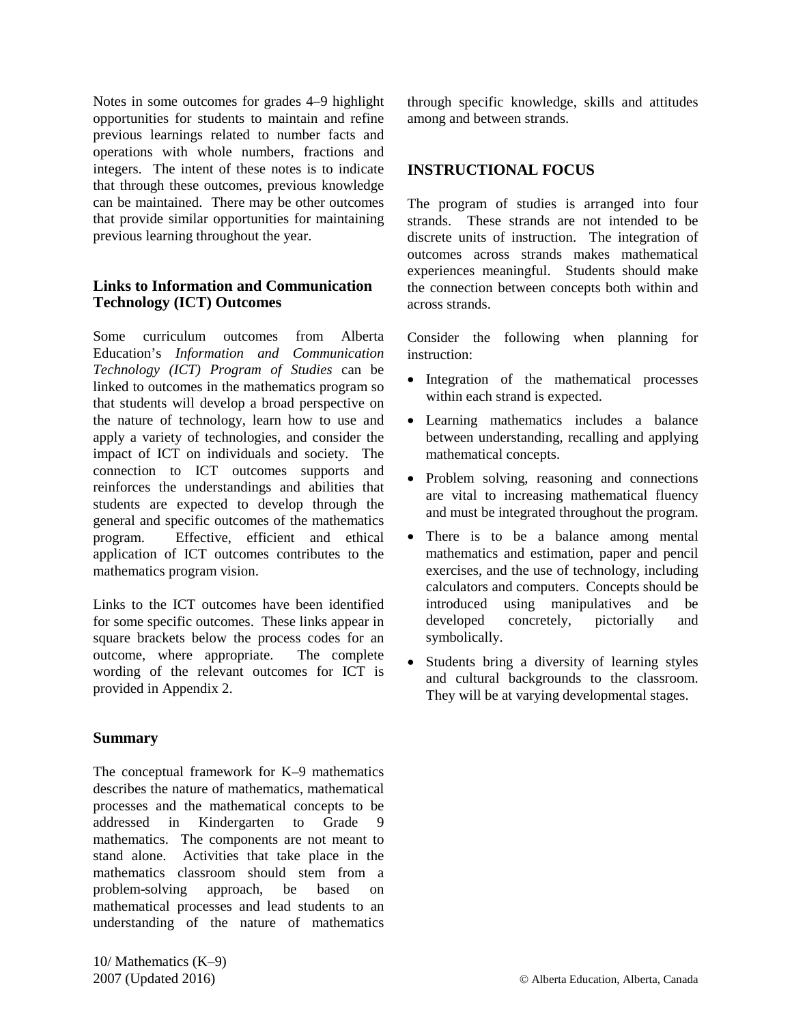Notes in some outcomes for grades 4–9 highlight opportunities for students to maintain and refine previous learnings related to number facts and operations with whole numbers, fractions and integers. The intent of these notes is to indicate that through these outcomes, previous knowledge can be maintained. There may be other outcomes that provide similar opportunities for maintaining previous learning throughout the year.

### **Links to Information and Communication Technology (ICT) Outcomes**

Some curriculum outcomes from Alberta Education's *Information and Communication Technology (ICT) Program of Studies* can be linked to outcomes in the mathematics program so that students will develop a broad perspective on the nature of technology, learn how to use and apply a variety of technologies, and consider the impact of ICT on individuals and society. The connection to ICT outcomes supports and reinforces the understandings and abilities that students are expected to develop through the general and specific outcomes of the mathematics program. Effective, efficient and ethical application of ICT outcomes contributes to the mathematics program vision.

Links to the ICT outcomes have been identified for some specific outcomes. These links appear in square brackets below the process codes for an outcome, where appropriate. The complete wording of the relevant outcomes for ICT is provided in Appendix 2.

### **Summary**

The conceptual framework for K–9 mathematics describes the nature of mathematics, mathematical processes and the mathematical concepts to be addressed in Kindergarten to Grade 9 mathematics. The components are not meant to stand alone. Activities that take place in the mathematics classroom should stem from a problem-solving approach, be based on mathematical processes and lead students to an understanding of the nature of mathematics

through specific knowledge, skills and attitudes among and between strands.

### **INSTRUCTIONAL FOCUS**

The program of studies is arranged into four strands. These strands are not intended to be discrete units of instruction. The integration of outcomes across strands makes mathematical experiences meaningful. Students should make the connection between concepts both within and across strands.

Consider the following when planning for instruction:

- Integration of the mathematical processes within each strand is expected.
- Learning mathematics includes a balance between understanding, recalling and applying mathematical concepts.
- Problem solving, reasoning and connections are vital to increasing mathematical fluency and must be integrated throughout the program.
- There is to be a balance among mental mathematics and estimation, paper and pencil exercises, and the use of technology, including calculators and computers. Concepts should be introduced using manipulatives and be developed concretely, pictorially and symbolically.
- Students bring a diversity of learning styles and cultural backgrounds to the classroom. They will be at varying developmental stages.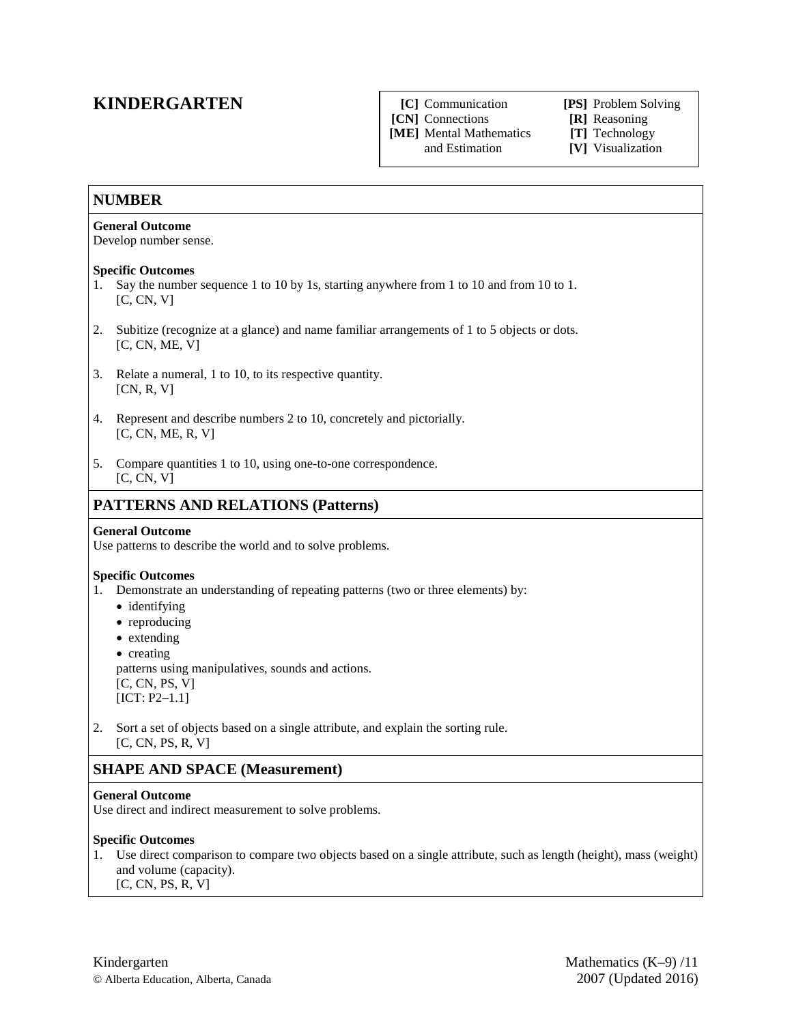## **KINDERGARTEN**

#### **[C]** Communication **[PS]** Problem Solving

**[CN]** Connections **[R]** Reasoning

**[ME]** Mental Mathematics **[T]** Technology

[V] Visualization

### **NUMBER**

### **General Outcome**

Develop number sense.

### **Specific Outcomes**

- 1. Say the number sequence 1 to 10 by 1s, starting anywhere from 1 to 10 and from 10 to 1. [C, CN, V]
- 2. Subitize (recognize at a glance) and name familiar arrangements of 1 to 5 objects or dots.  $[C, CN, ME, V]$
- 3. Relate a numeral, 1 to 10, to its respective quantity. [CN, R, V]
- 4. Represent and describe numbers 2 to 10, concretely and pictorially. [C, CN, ME, R, V]
- 5. Compare quantities 1 to 10, using one-to-one correspondence.  $[C, CN, V]$

### **PATTERNS AND RELATIONS (Patterns)**

### **General Outcome**

Use patterns to describe the world and to solve problems.

### **Specific Outcomes**

- 1. Demonstrate an understanding of repeating patterns (two or three elements) by:
	- identifying
	- reproducing
	- extending
	- creating

patterns using manipulatives, sounds and actions. [C, CN, PS, V]  $[ICT: P2-1.1]$ 

2. Sort a set of objects based on a single attribute, and explain the sorting rule. [C, CN, PS, R, V]

### **SHAPE AND SPACE (Measurement)**

### **General Outcome**

Use direct and indirect measurement to solve problems.

### **Specific Outcomes**

1. Use direct comparison to compare two objects based on a single attribute, such as length (height), mass (weight) and volume (capacity). [C, CN, PS, R, V]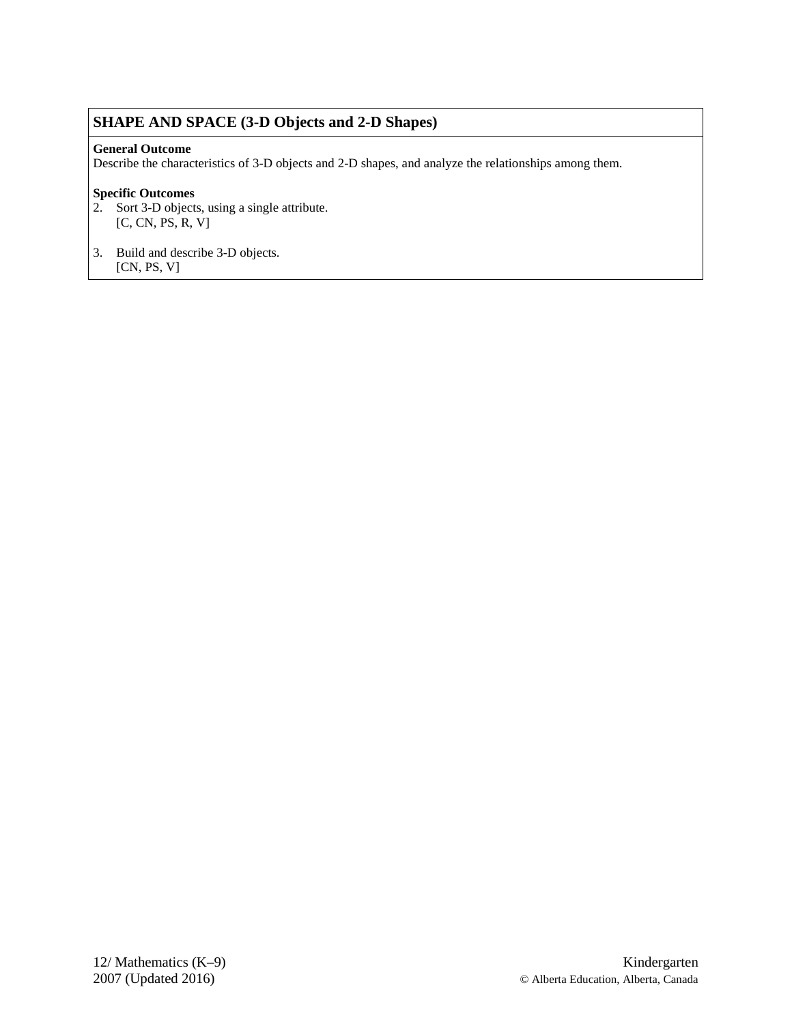### **SHAPE AND SPACE (3-D Objects and 2-D Shapes)**

### **General Outcome**

Describe the characteristics of 3-D objects and 2-D shapes, and analyze the relationships among them.

- 2. Sort 3-D objects, using a single attribute. [C, CN, PS, R, V]
- 3. Build and describe 3-D objects.
- [CN, PS, V]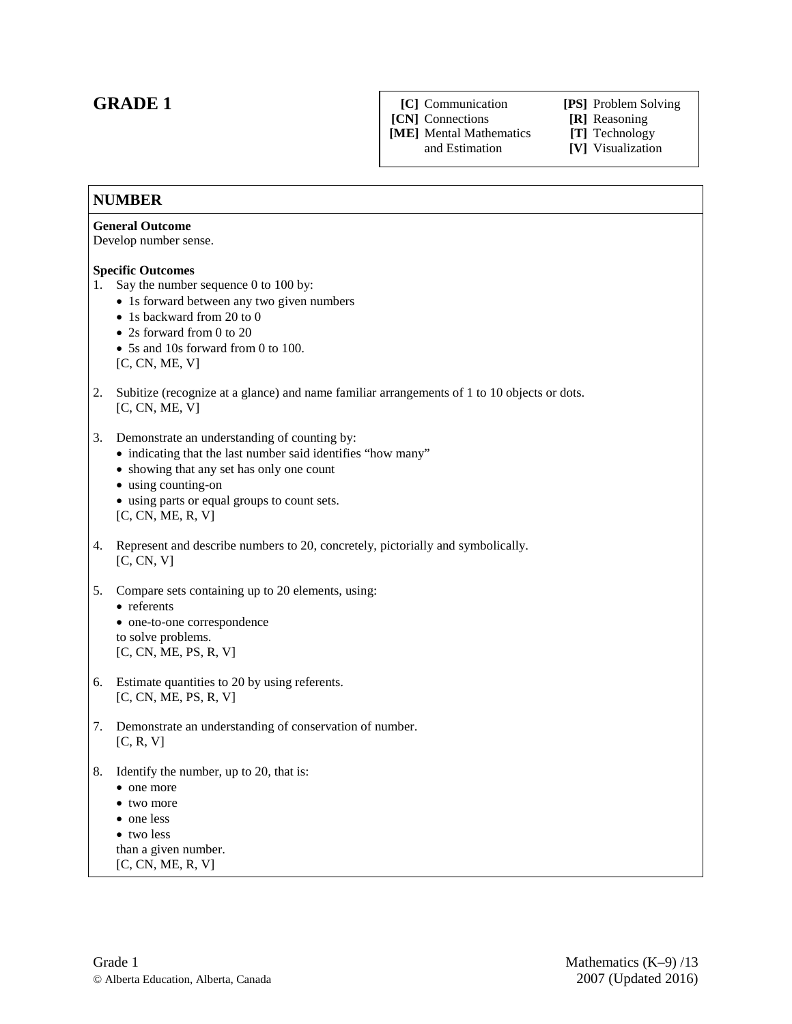### **GRADE 1**

**[C]** Communication **[PS]** Problem Solving

**[CN]** Connections **[R]** Reasoning

**[ME]** Mental Mathematics **[T]** Technology

[V] Visualization

### **NUMBER**

#### **General Outcome**

Develop number sense.

#### **Specific Outcomes**

- 1. Say the number sequence 0 to 100 by:
	- 1s forward between any two given numbers
	- 1s backward from 20 to 0
	- 2s forward from 0 to 20
	- 5s and 10s forward from 0 to 100.
	- [C, CN, ME, V]
- 2. Subitize (recognize at a glance) and name familiar arrangements of 1 to 10 objects or dots. [C, CN, ME, V]
- 3. Demonstrate an understanding of counting by:
	- indicating that the last number said identifies "how many"
	- showing that any set has only one count
	- using counting-on
	- using parts or equal groups to count sets. [C, CN, ME, R, V]
- 4. Represent and describe numbers to 20, concretely, pictorially and symbolically. [C, CN, V]
- 5. Compare sets containing up to 20 elements, using:

#### • referents • one-to-one correspondence to solve problems.

[C, CN, ME, PS, R, V]

- 6. Estimate quantities to 20 by using referents. [C, CN, ME, PS, R, V]
- 7. Demonstrate an understanding of conservation of number.  $[C, R, V]$
- 8. Identify the number, up to 20, that is:
	- one more
	- two more
	- one less
	- two less
	- than a given number.
	- [C, CN, ME, R, V]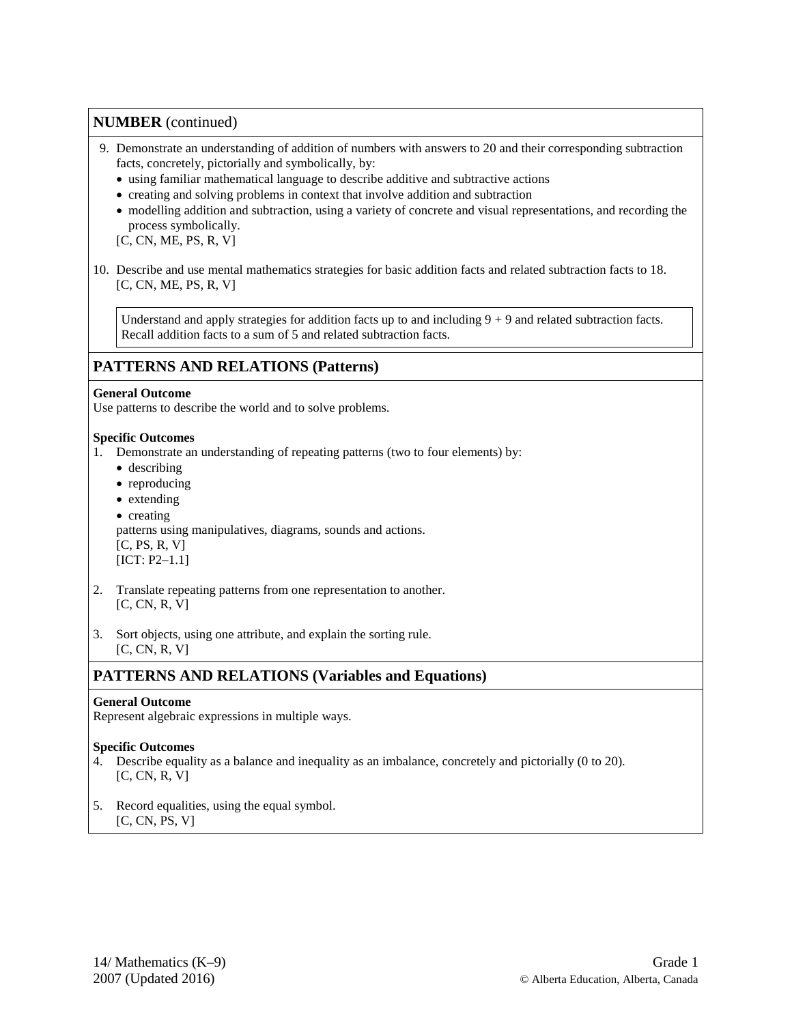- 9. Demonstrate an understanding of addition of numbers with answers to 20 and their corresponding subtraction facts, concretely, pictorially and symbolically, by:
	- using familiar mathematical language to describe additive and subtractive actions
	- creating and solving problems in context that involve addition and subtraction
	- modelling addition and subtraction, using a variety of concrete and visual representations, and recording the process symbolically.
	- [C, CN, ME, PS, R, V]
- 10. Describe and use mental mathematics strategies for basic addition facts and related subtraction facts to 18. [C, CN, ME, PS, R, V]

Understand and apply strategies for addition facts up to and including  $9 + 9$  and related subtraction facts. Recall addition facts to a sum of 5 and related subtraction facts.

### **PATTERNS AND RELATIONS (Patterns)**

#### **General Outcome**

Use patterns to describe the world and to solve problems.

### **Specific Outcomes**

- 1. Demonstrate an understanding of repeating patterns (two to four elements) by:
	- describing
	- reproducing
	- extending
	- creating patterns using manipulatives, diagrams, sounds and actions.  $[C, PS, R, V]$ [ICT: P2-1.1]
- 2. Translate repeating patterns from one representation to another. [C, CN, R, V]
- 3. Sort objects, using one attribute, and explain the sorting rule. [C, CN, R, V]

### **PATTERNS AND RELATIONS (Variables and Equations)**

### **General Outcome**

Represent algebraic expressions in multiple ways.

- 4. Describe equality as a balance and inequality as an imbalance, concretely and pictorially (0 to 20). [C, CN, R, V]
- 5. Record equalities, using the equal symbol.  $[C, CN, PS, V]$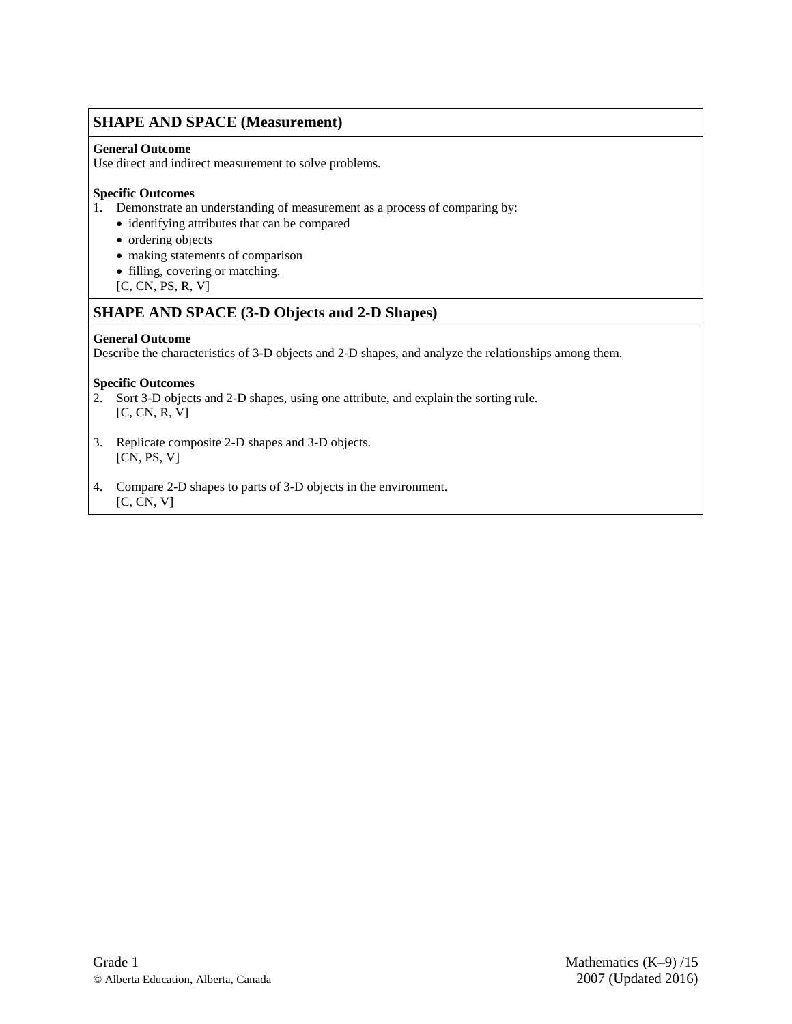### **SHAPE AND SPACE (Measurement)**

### **General Outcome**

Use direct and indirect measurement to solve problems.

### **Specific Outcomes**

- 1. Demonstrate an understanding of measurement as a process of comparing by:
	- identifying attributes that can be compared
	- ordering objects
	- making statements of comparison
	- filling, covering or matching.
	- [C, CN, PS, R, V]

### **SHAPE AND SPACE (3-D Objects and 2-D Shapes)**

### **General Outcome**

Describe the characteristics of 3-D objects and 2-D shapes, and analyze the relationships among them.

- 2. Sort 3-D objects and 2-D shapes, using one attribute, and explain the sorting rule. [C, CN, R, V]
- 3. Replicate composite 2-D shapes and 3-D objects. [CN, PS, V]
- 4. Compare 2-D shapes to parts of 3-D objects in the environment.  $[C, CN, V]$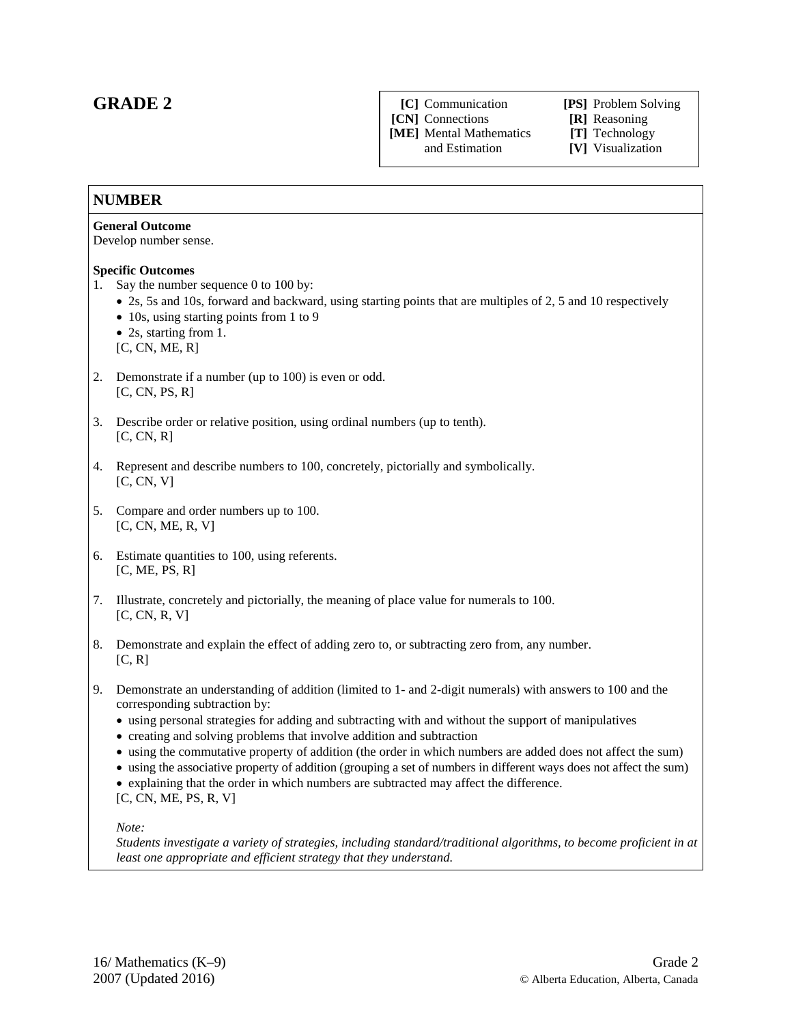### **GRADE 2**

**[C]** Communication **[PS]** Problem Solving **[CN]** Connections **[R]** Reasoning

**[ME]** Mental Mathematics **[T]** Technology

[V] Visualization

### **NUMBER**

#### **General Outcome**

Develop number sense.

### **Specific Outcomes**

- 1. Say the number sequence 0 to 100 by:
	- 2s, 5s and 10s, forward and backward, using starting points that are multiples of 2, 5 and 10 respectively
	- 10s, using starting points from 1 to 9
	- 2s, starting from 1.
	- [C, CN, ME, R]
- 2. Demonstrate if a number (up to 100) is even or odd.  $[C, CN, PS, R]$
- 3. Describe order or relative position, using ordinal numbers (up to tenth).  $[C, CN, R]$
- 4. Represent and describe numbers to 100, concretely, pictorially and symbolically.  $[C, CN, V]$
- 5. Compare and order numbers up to 100.  $[C, CN, ME, R, V]$
- 6. Estimate quantities to 100, using referents.  $[C, ME, PS, R]$
- 7. Illustrate, concretely and pictorially, the meaning of place value for numerals to 100.  $[C, CN, R, V]$
- 8. Demonstrate and explain the effect of adding zero to, or subtracting zero from, any number. [C, R]
- 9. Demonstrate an understanding of addition (limited to 1- and 2-digit numerals) with answers to 100 and the corresponding subtraction by:
	- using personal strategies for adding and subtracting with and without the support of manipulatives
	- creating and solving problems that involve addition and subtraction
	- using the commutative property of addition (the order in which numbers are added does not affect the sum)
	- using the associative property of addition (grouping a set of numbers in different ways does not affect the sum)
	- explaining that the order in which numbers are subtracted may affect the difference.

[C, CN, ME, PS, R, V]

*Note:* 

*Students investigate a variety of strategies, including standard/traditional algorithms, to become proficient in at least one appropriate and efficient strategy that they understand.*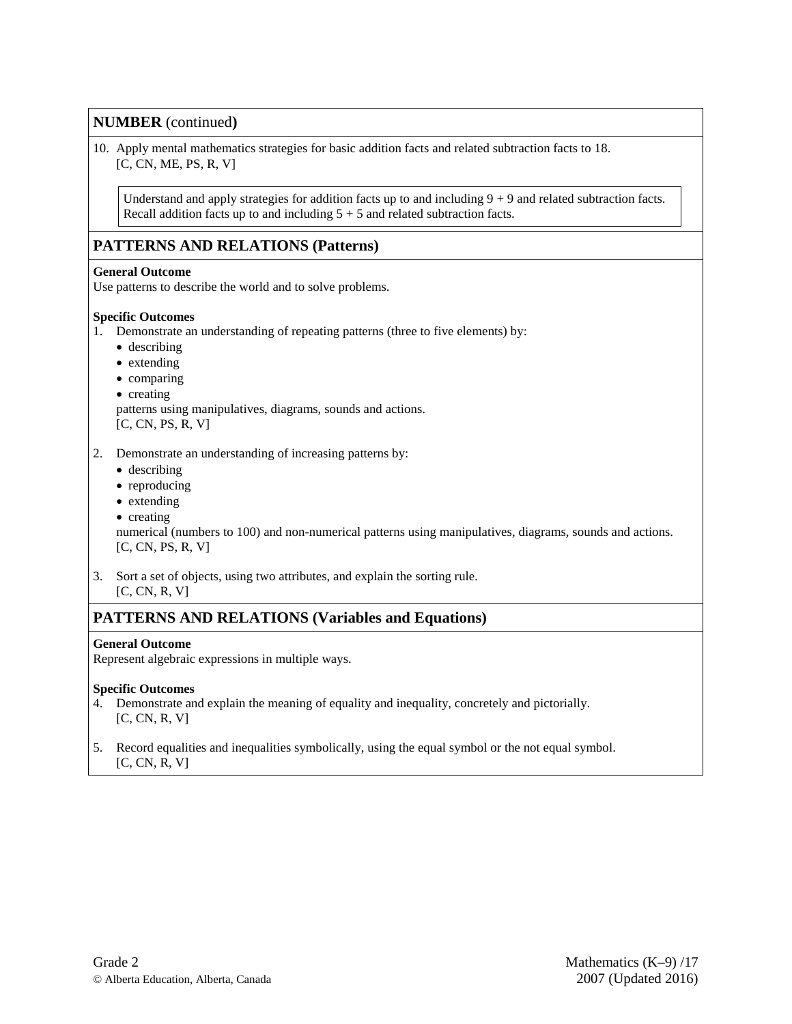10. Apply mental mathematics strategies for basic addition facts and related subtraction facts to 18. [C, CN, ME, PS, R, V]

Understand and apply strategies for addition facts up to and including  $9 + 9$  and related subtraction facts. Recall addition facts up to and including  $5 + 5$  and related subtraction facts.

### **PATTERNS AND RELATIONS (Patterns)**

#### **General Outcome**

Use patterns to describe the world and to solve problems.

#### **Specific Outcomes**

- 1. Demonstrate an understanding of repeating patterns (three to five elements) by:
	- describing
	- extending
	- comparing
	- creating

patterns using manipulatives, diagrams, sounds and actions.

[C, CN, PS, R, V]

2. Demonstrate an understanding of increasing patterns by:

- describing
- reproducing
- extending
- creating

numerical (numbers to 100) and non-numerical patterns using manipulatives, diagrams, sounds and actions. [C, CN, PS, R, V]

3. Sort a set of objects, using two attributes, and explain the sorting rule. [C, CN, R, V]

### **PATTERNS AND RELATIONS (Variables and Equations)**

#### **General Outcome**

Represent algebraic expressions in multiple ways.

- 4. Demonstrate and explain the meaning of equality and inequality, concretely and pictorially. [C, CN, R, V]
- 5. Record equalities and inequalities symbolically, using the equal symbol or the not equal symbol. [C, CN, R, V]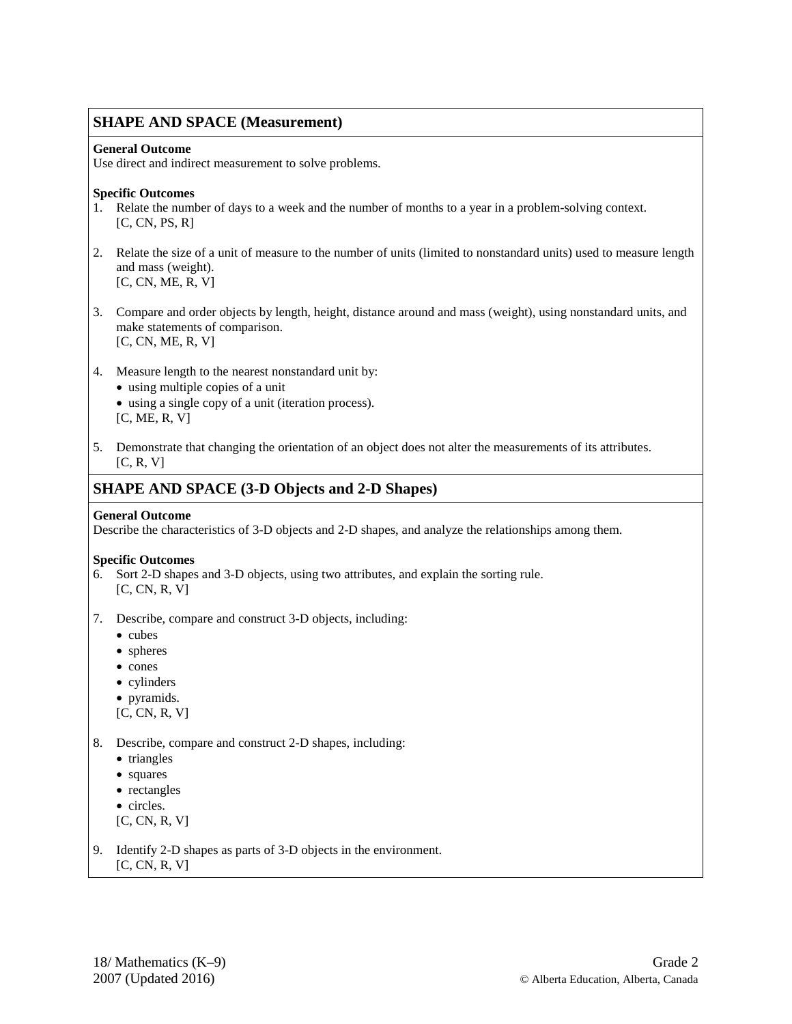### **SHAPE AND SPACE (Measurement)**

#### **General Outcome**

Use direct and indirect measurement to solve problems.

#### **Specific Outcomes**

- 1. Relate the number of days to a week and the number of months to a year in a problem-solving context.  $[C, CN, PS, R]$
- 2. Relate the size of a unit of measure to the number of units (limited to nonstandard units) used to measure length and mass (weight).  $[C, CN, ME, R, V]$
- 3. Compare and order objects by length, height, distance around and mass (weight), using nonstandard units, and make statements of comparison. [C, CN, ME, R, V]
- 4. Measure length to the nearest nonstandard unit by:
	- using multiple copies of a unit
	- using a single copy of a unit (iteration process).  $[C, ME, R, V]$
- 5. Demonstrate that changing the orientation of an object does not alter the measurements of its attributes. [C, R, V]

### **SHAPE AND SPACE (3-D Objects and 2-D Shapes)**

#### **General Outcome**

Describe the characteristics of 3-D objects and 2-D shapes, and analyze the relationships among them.

- 6. Sort 2-D shapes and 3-D objects, using two attributes, and explain the sorting rule. [C, CN, R, V]
- 7. Describe, compare and construct 3-D objects, including:
	- cubes
	- spheres
	- cones
	- cylinders
	- pyramids.
	- $[C, CN, R, V]$
- 8. Describe, compare and construct 2-D shapes, including:
	- triangles
	- squares
	- rectangles
	- circles.
	- [C, CN, R, V]
- 9. Identify 2-D shapes as parts of 3-D objects in the environment. [C, CN, R, V]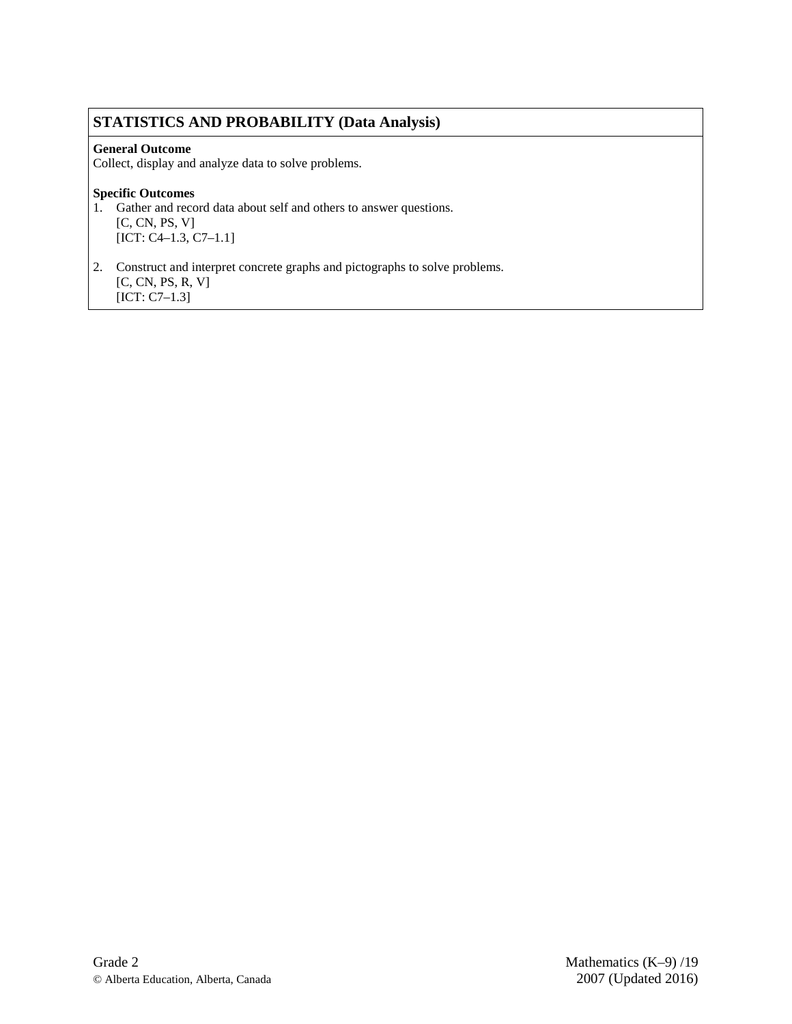### **STATISTICS AND PROBABILITY (Data Analysis)**

### **General Outcome**

Collect, display and analyze data to solve problems.

- 1. Gather and record data about self and others to answer questions. [C, CN, PS, V] [ICT: C4–1.3, C7–1.1]
- 2. Construct and interpret concrete graphs and pictographs to solve problems. [C, CN, PS, R, V] [ICT: C7–1.3]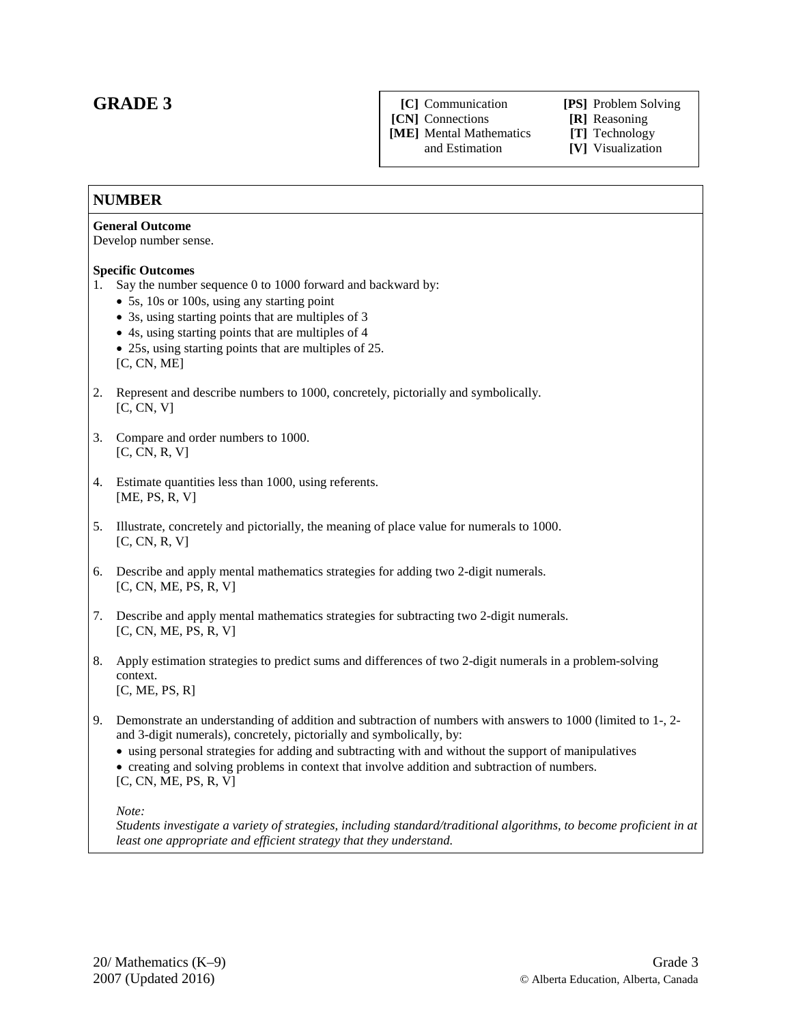### **GRADE 3**

**[C]** Communication **[PS]** Problem Solving

**[CN]** Connections **[R]** Reasoning

**[ME]** Mental Mathematics **[T]** Technology

[V] Visualization

### **NUMBER**

#### **General Outcome**

Develop number sense.

#### **Specific Outcomes**

- 1. Say the number sequence 0 to 1000 forward and backward by:
	- 5s, 10s or 100s, using any starting point
	- 3s, using starting points that are multiples of 3
	- 4s, using starting points that are multiples of 4
	- 25s, using starting points that are multiples of 25. [C, CN, ME]
- 2. Represent and describe numbers to 1000, concretely, pictorially and symbolically. [C, CN, V]
- 3. Compare and order numbers to 1000. [C, CN, R, V]
- 4. Estimate quantities less than 1000, using referents. [ME, PS, R, V]
- 5. Illustrate, concretely and pictorially, the meaning of place value for numerals to 1000.  $[C, CN, R, V]$
- 6. Describe and apply mental mathematics strategies for adding two 2-digit numerals. [C, CN, ME, PS, R, V]
- 7. Describe and apply mental mathematics strategies for subtracting two 2-digit numerals. [C, CN, ME, PS, R, V]
- 8. Apply estimation strategies to predict sums and differences of two 2-digit numerals in a problem-solving context. [C, ME, PS, R]
- 9. Demonstrate an understanding of addition and subtraction of numbers with answers to 1000 (limited to 1-, 2 and 3-digit numerals), concretely, pictorially and symbolically, by:
	- using personal strategies for adding and subtracting with and without the support of manipulatives • creating and solving problems in context that involve addition and subtraction of numbers. [C, CN, ME, PS, R, V]

*Note:*

*Students investigate a variety of strategies, including standard/traditional algorithms, to become proficient in at least one appropriate and efficient strategy that they understand.*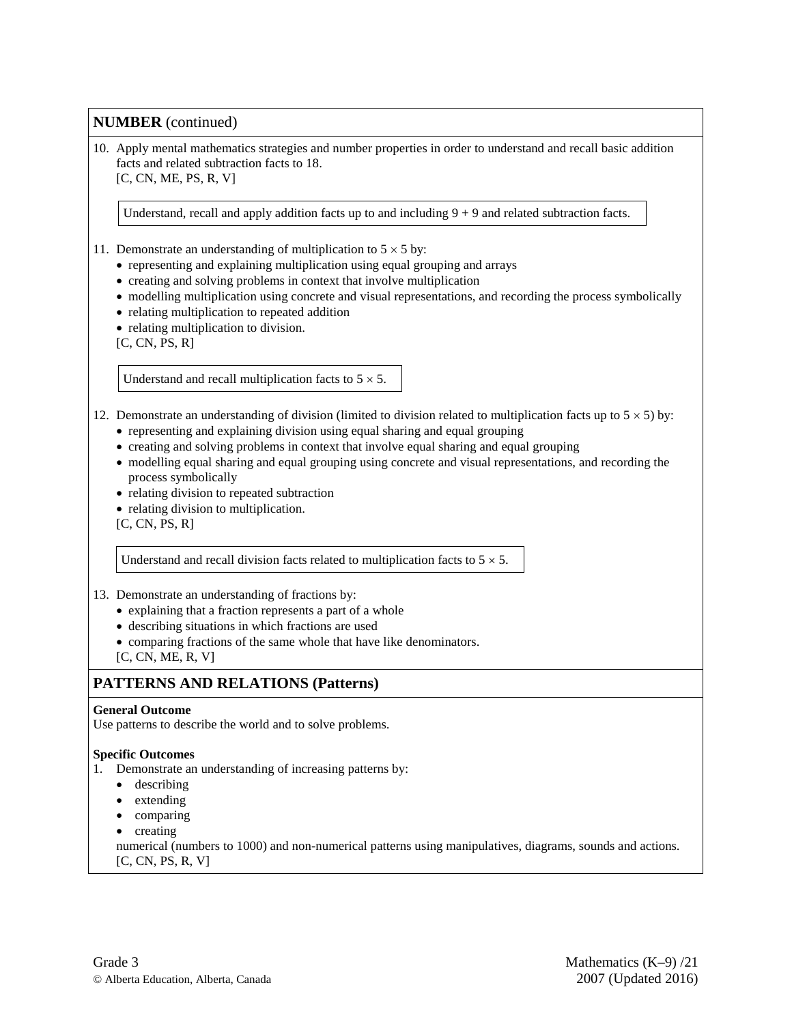10. Apply mental mathematics strategies and number properties in order to understand and recall basic addition facts and related subtraction facts to 18. [C, CN, ME, PS, R, V]

Understand, recall and apply addition facts up to and including  $9 + 9$  and related subtraction facts.

- 11. Demonstrate an understanding of multiplication to  $5 \times 5$  by:
	- representing and explaining multiplication using equal grouping and arrays
	- creating and solving problems in context that involve multiplication
	- modelling multiplication using concrete and visual representations, and recording the process symbolically
	- relating multiplication to repeated addition
	- relating multiplication to division.

 $[C, CN, PS, R]$ 

Understand and recall multiplication facts to  $5 \times 5$ .

### 12. Demonstrate an understanding of division (limited to division related to multiplication facts up to  $5 \times 5$ ) by:

- representing and explaining division using equal sharing and equal grouping
- creating and solving problems in context that involve equal sharing and equal grouping
- modelling equal sharing and equal grouping using concrete and visual representations, and recording the process symbolically
- relating division to repeated subtraction
- relating division to multiplication.
- $[C, CN, PS, R]$

Understand and recall division facts related to multiplication facts to  $5 \times 5$ .

#### 13. Demonstrate an understanding of fractions by:

- explaining that a fraction represents a part of a whole
- describing situations in which fractions are used
- comparing fractions of the same whole that have like denominators.
- $[C, CN, ME, R, V]$

### **PATTERNS AND RELATIONS (Patterns)**

#### **General Outcome**

Use patterns to describe the world and to solve problems.

- 1. Demonstrate an understanding of increasing patterns by:
	- describing
	- extending
	- comparing
	- creating
	- numerical (numbers to 1000) and non-numerical patterns using manipulatives, diagrams, sounds and actions. [C, CN, PS, R, V]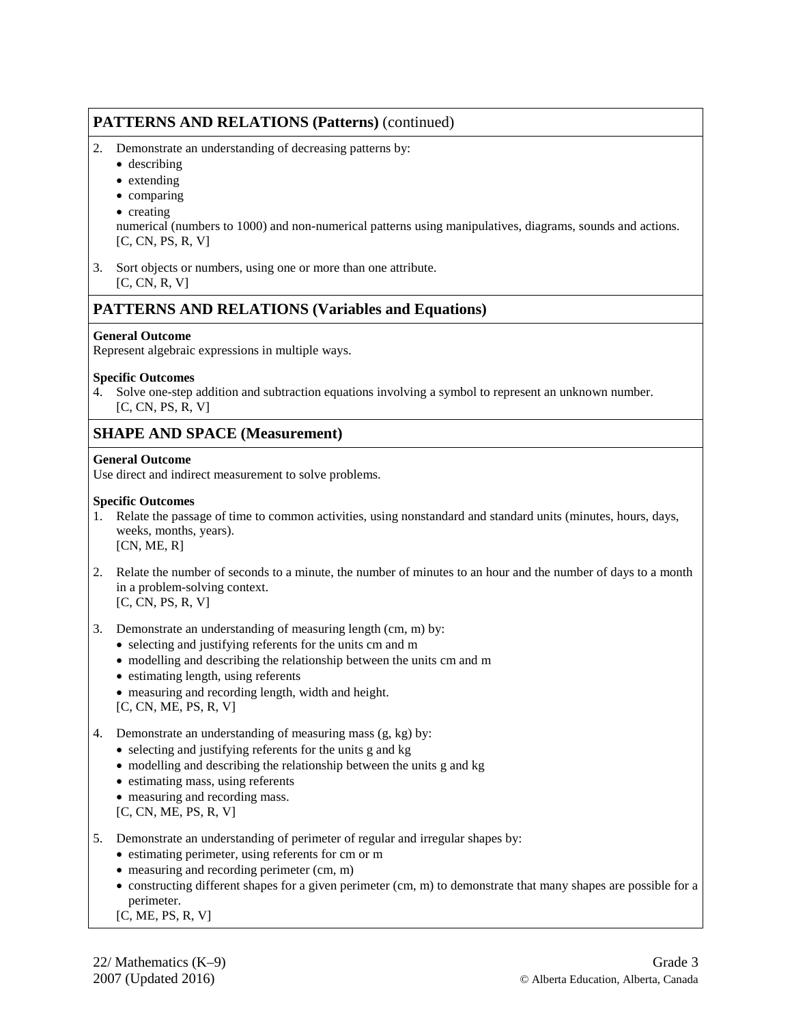### **PATTERNS AND RELATIONS (Patterns)** (continued)

- 2. Demonstrate an understanding of decreasing patterns by:
	- describing
	- extending
	- comparing
	- creating

numerical (numbers to 1000) and non-numerical patterns using manipulatives, diagrams, sounds and actions. [C, CN, PS, R, V]

3. Sort objects or numbers, using one or more than one attribute. [C, CN, R, V]

### **PATTERNS AND RELATIONS (Variables and Equations)**

#### **General Outcome**

Represent algebraic expressions in multiple ways.

#### **Specific Outcomes**

4. Solve one-step addition and subtraction equations involving a symbol to represent an unknown number. [C, CN, PS, R, V]

### **SHAPE AND SPACE (Measurement)**

#### **General Outcome**

Use direct and indirect measurement to solve problems.

#### **Specific Outcomes**

- 1. Relate the passage of time to common activities, using nonstandard and standard units (minutes, hours, days, weeks, months, years).  $[CN, ME, R]$
- 2. Relate the number of seconds to a minute, the number of minutes to an hour and the number of days to a month in a problem-solving context. [C, CN, PS, R, V]
- 3. Demonstrate an understanding of measuring length (cm, m) by:
	- selecting and justifying referents for the units cm and m
	- modelling and describing the relationship between the units cm and m
	- estimating length, using referents
	- measuring and recording length, width and height.
	- [C, CN, ME, PS, R, V]
- 4. Demonstrate an understanding of measuring mass (g, kg) by:
	- selecting and justifying referents for the units g and kg
	- modelling and describing the relationship between the units g and kg
	- estimating mass, using referents
	- measuring and recording mass.
	- [C, CN, ME, PS, R, V]
- 5. Demonstrate an understanding of perimeter of regular and irregular shapes by:
	- estimating perimeter, using referents for cm or m
	- measuring and recording perimeter (cm, m)
	- constructing different shapes for a given perimeter (cm, m) to demonstrate that many shapes are possible for a perimeter.

### [C, ME, PS, R, V]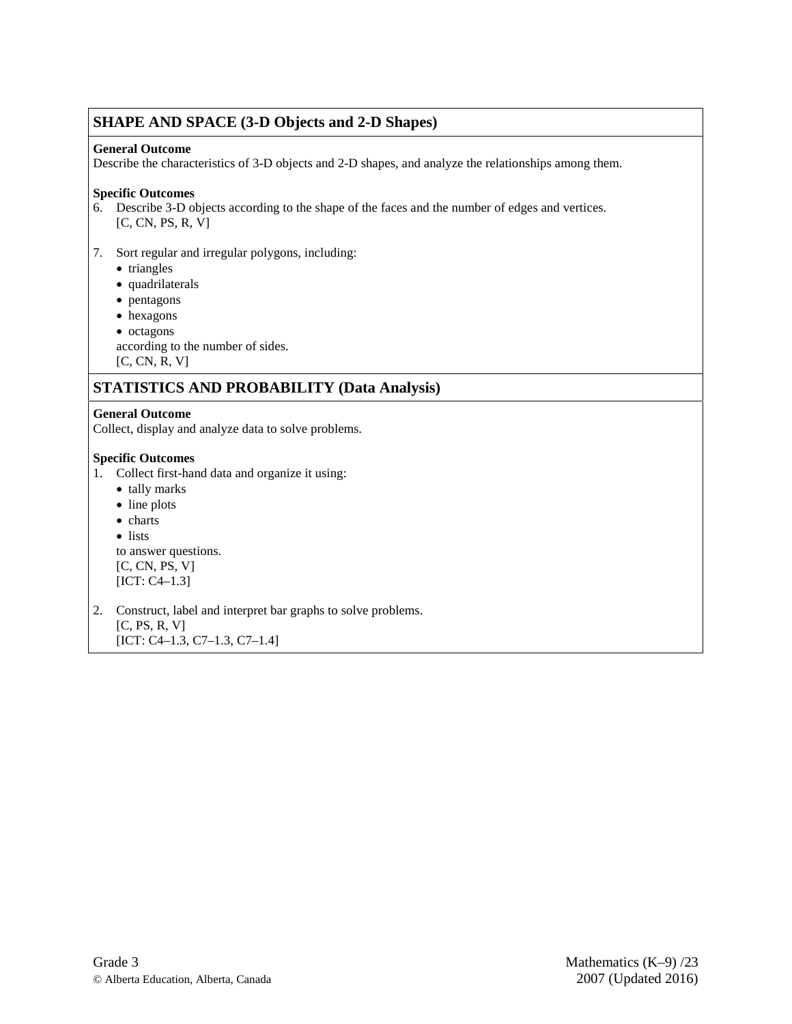### **SHAPE AND SPACE (3-D Objects and 2-D Shapes)**

#### **General Outcome**

Describe the characteristics of 3-D objects and 2-D shapes, and analyze the relationships among them.

### **Specific Outcomes**

6. Describe 3-D objects according to the shape of the faces and the number of edges and vertices. [C, CN, PS, R, V]

### 7. Sort regular and irregular polygons, including:

- triangles
- quadrilaterals
- pentagons
- hexagons
- octagons

according to the number of sides.

[C, CN, R, V]

### **STATISTICS AND PROBABILITY (Data Analysis)**

### **General Outcome**

Collect, display and analyze data to solve problems.

### **Specific Outcomes**

- 1. Collect first-hand data and organize it using:
	- tally marks
	- line plots
	- charts
	- lists

to answer questions.  $[C, CN, PS, V]$ [ICT: C4–1.3]

2. Construct, label and interpret bar graphs to solve problems. [C, PS, R, V] [ICT: C4–1.3, C7–1.3, C7–1.4]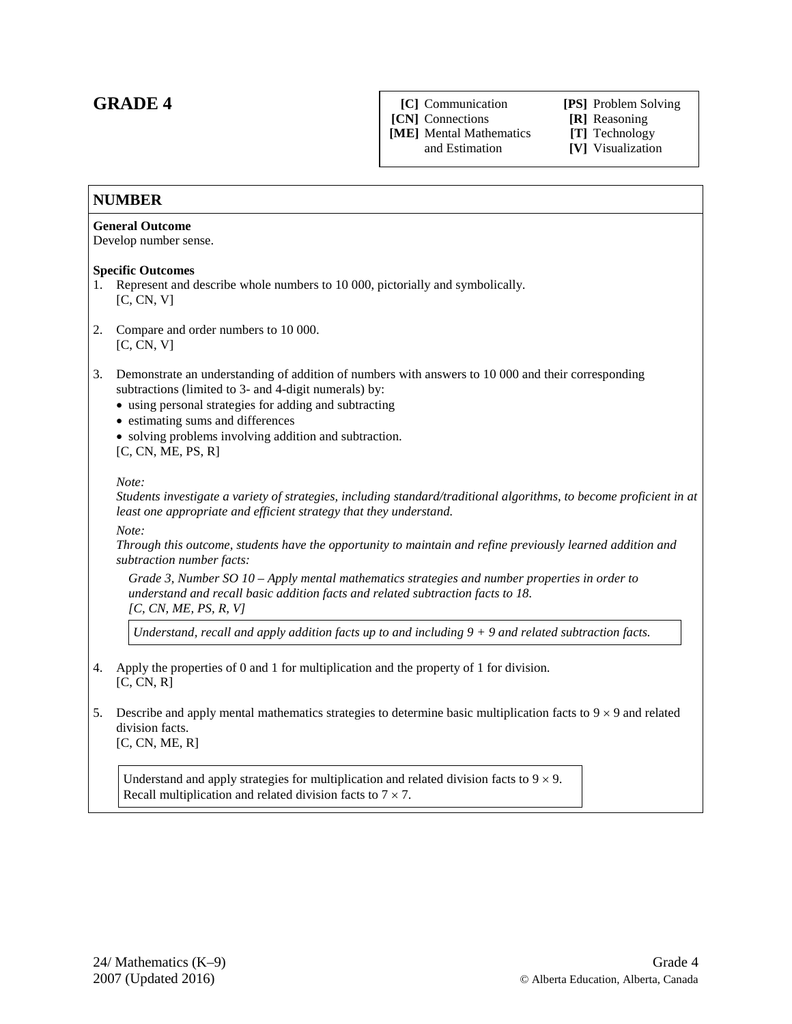### **GRADE 4**

**[C]** Communication **[PS]** Problem Solving **[CN]** Connections **[R]** Reasoning

**[ME]** Mental Mathematics and Estimation

[V] Visualization

### **NUMBER**

### **General Outcome**

Develop number sense.

### **Specific Outcomes**

- 1. Represent and describe whole numbers to 10 000, pictorially and symbolically. [C, CN, V]
- 2. Compare and order numbers to 10 000.  $[C, CN, V]$
- 3. Demonstrate an understanding of addition of numbers with answers to 10 000 and their corresponding subtractions (limited to 3- and 4-digit numerals) by:
	- using personal strategies for adding and subtracting
	- estimating sums and differences
	- solving problems involving addition and subtraction. [C, CN, ME, PS, R]

#### *Note:*

*Students investigate a variety of strategies, including standard/traditional algorithms, to become proficient in at least one appropriate and efficient strategy that they understand.*

*Note:*

*Through this outcome, students have the opportunity to maintain and refine previously learned addition and subtraction number facts:* 

*Grade 3, Number SO 10 – Apply mental mathematics strategies and number properties in order to understand and recall basic addition facts and related subtraction facts to 18. [C, CN, ME, PS, R, V]*

*Understand, recall and apply addition facts up to and including 9 + 9 and related subtraction facts.*

- 4. Apply the properties of 0 and 1 for multiplication and the property of 1 for division. [C, CN, R]
- 5. Describe and apply mental mathematics strategies to determine basic multiplication facts to  $9 \times 9$  and related division facts. [C, CN, ME, R]

Understand and apply strategies for multiplication and related division facts to  $9 \times 9$ . Recall multiplication and related division facts to  $7 \times 7$ .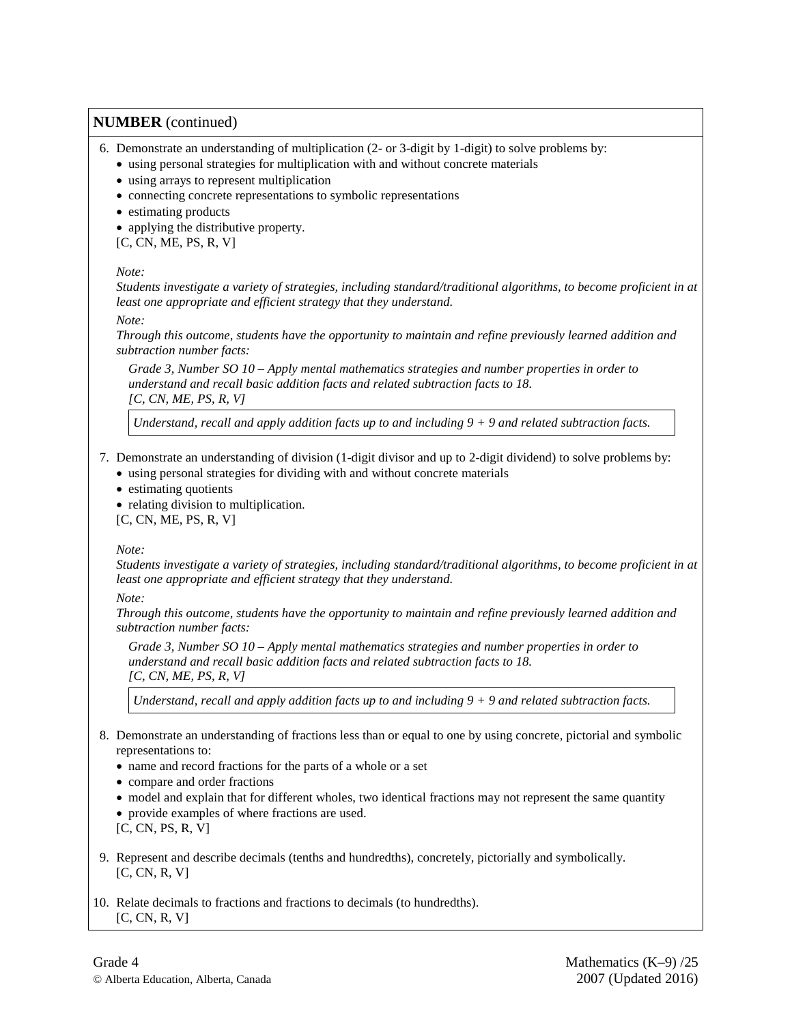6. Demonstrate an understanding of multiplication (2- or 3-digit by 1-digit) to solve problems by:

- using personal strategies for multiplication with and without concrete materials
- using arrays to represent multiplication
- connecting concrete representations to symbolic representations
- estimating products
- applying the distributive property.
- [C, CN, ME, PS, R, V]

#### *Note:*

*Students investigate a variety of strategies, including standard/traditional algorithms, to become proficient in at least one appropriate and efficient strategy that they understand.*

#### *Note:*

*Through this outcome, students have the opportunity to maintain and refine previously learned addition and subtraction number facts:* 

*Grade 3, Number SO 10 – Apply mental mathematics strategies and number properties in order to understand and recall basic addition facts and related subtraction facts to 18. [C, CN, ME, PS, R, V]*

*Understand, recall and apply addition facts up to and including 9 + 9 and related subtraction facts.*

### 7. Demonstrate an understanding of division (1-digit divisor and up to 2-digit dividend) to solve problems by:

- using personal strategies for dividing with and without concrete materials
- estimating quotients
- relating division to multiplication.

[C, CN, ME, PS, R, V]

#### *Note:*

*Students investigate a variety of strategies, including standard/traditional algorithms, to become proficient in at least one appropriate and efficient strategy that they understand.*

*Note:*

*Through this outcome, students have the opportunity to maintain and refine previously learned addition and subtraction number facts:* 

*Grade 3, Number SO 10 – Apply mental mathematics strategies and number properties in order to understand and recall basic addition facts and related subtraction facts to 18. [C, CN, ME, PS, R, V]*

*Understand, recall and apply addition facts up to and including 9 + 9 and related subtraction facts.*

- 8. Demonstrate an understanding of fractions less than or equal to one by using concrete, pictorial and symbolic representations to:
	- name and record fractions for the parts of a whole or a set
	- compare and order fractions
	- model and explain that for different wholes, two identical fractions may not represent the same quantity • provide examples of where fractions are used.
	- [C, CN, PS, R, V]
- 9. Represent and describe decimals (tenths and hundredths), concretely, pictorially and symbolically.  $[C, CN, R, V]$
- 10. Relate decimals to fractions and fractions to decimals (to hundredths). [C, CN, R, V]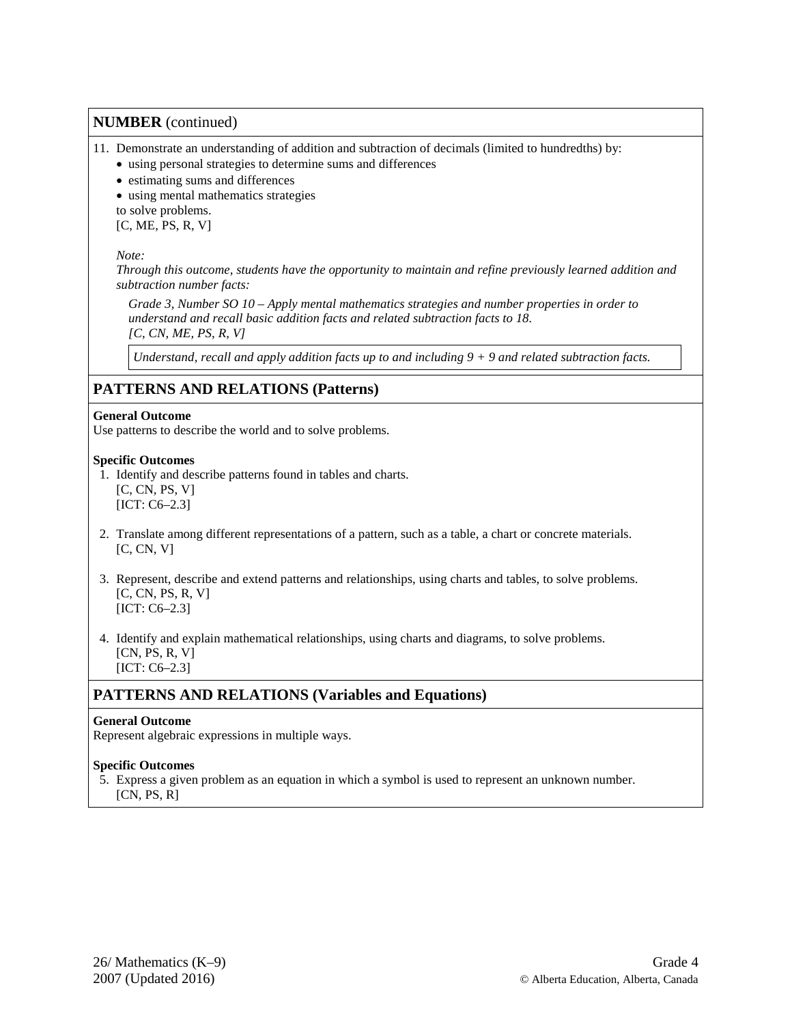### 11. Demonstrate an understanding of addition and subtraction of decimals (limited to hundredths) by:

• using personal strategies to determine sums and differences

- estimating sums and differences
- using mental mathematics strategies

to solve problems.

 $[C, ME, PS, R, V]$ 

#### *Note:*

*Through this outcome, students have the opportunity to maintain and refine previously learned addition and subtraction number facts:* 

*Grade 3, Number SO 10 – Apply mental mathematics strategies and number properties in order to understand and recall basic addition facts and related subtraction facts to 18. [C, CN, ME, PS, R, V]*

*Understand, recall and apply addition facts up to and including 9 + 9 and related subtraction facts.*

### **PATTERNS AND RELATIONS (Patterns)**

#### **General Outcome**

Use patterns to describe the world and to solve problems.

#### **Specific Outcomes**

- 1. Identify and describe patterns found in tables and charts.  $[C, CN, PS, V]$ [ICT: C6–2.3]
- 2. Translate among different representations of a pattern, such as a table, a chart or concrete materials.  $[C, CN, V]$
- 3. Represent, describe and extend patterns and relationships, using charts and tables, to solve problems.  $[C, CN, PS, R, V]$ [ICT: C6–2.3]
- 4. Identify and explain mathematical relationships, using charts and diagrams, to solve problems. [CN, PS, R, V] [ICT: C6–2.3]

### **PATTERNS AND RELATIONS (Variables and Equations)**

### **General Outcome**

Represent algebraic expressions in multiple ways.

#### **Specific Outcomes**

 5. Express a given problem as an equation in which a symbol is used to represent an unknown number.  $[CN, PS, R]$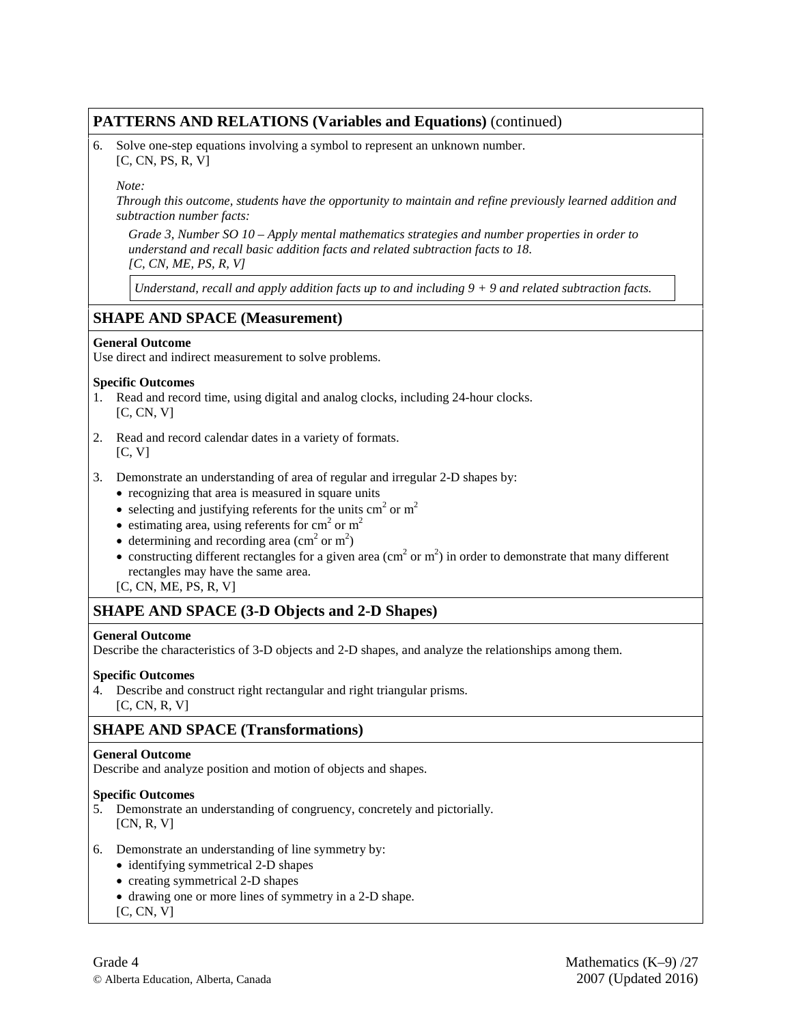### **PATTERNS AND RELATIONS (Variables and Equations)** (continued)

6. Solve one-step equations involving a symbol to represent an unknown number. [C, CN, PS, R, V]

#### *Note:*

*Through this outcome, students have the opportunity to maintain and refine previously learned addition and subtraction number facts:* 

*Grade 3, Number SO 10 – Apply mental mathematics strategies and number properties in order to understand and recall basic addition facts and related subtraction facts to 18. [C, CN, ME, PS, R, V]*

*Understand, recall and apply addition facts up to and including 9 + 9 and related subtraction facts.*

### **SHAPE AND SPACE (Measurement)**

#### **General Outcome**

Use direct and indirect measurement to solve problems.

#### **Specific Outcomes**

- 1. Read and record time, using digital and analog clocks, including 24-hour clocks. [C, CN, V]
- 2. Read and record calendar dates in a variety of formats.  $[C, V]$
- 3. Demonstrate an understanding of area of regular and irregular 2-D shapes by:
	- recognizing that area is measured in square units
	- selecting and justifying referents for the units  $cm<sup>2</sup>$  or  $m<sup>2</sup>$
	- estimating area, using referents for  $cm<sup>2</sup>$  or  $m<sup>2</sup>$
	- determining and recording area  $\text{ (cm}^2 \text{ or m}^2\text{)}$
	- constructing different rectangles for a given area (cm<sup>2</sup> or m<sup>2</sup>) in order to demonstrate that many different rectangles may have the same area.
	- [C, CN, ME, PS, R, V]

### **SHAPE AND SPACE (3-D Objects and 2-D Shapes)**

#### **General Outcome**

Describe the characteristics of 3-D objects and 2-D shapes, and analyze the relationships among them.

#### **Specific Outcomes**

4. Describe and construct right rectangular and right triangular prisms.  $[C, CN, R, V]$ 

### **SHAPE AND SPACE (Transformations)**

#### **General Outcome**

Describe and analyze position and motion of objects and shapes.

- 5. Demonstrate an understanding of congruency, concretely and pictorially. [CN, R, V]
- 6. Demonstrate an understanding of line symmetry by:
	- identifying symmetrical 2-D shapes
	- creating symmetrical 2-D shapes
	- drawing one or more lines of symmetry in a 2-D shape.
	- [C, CN, V]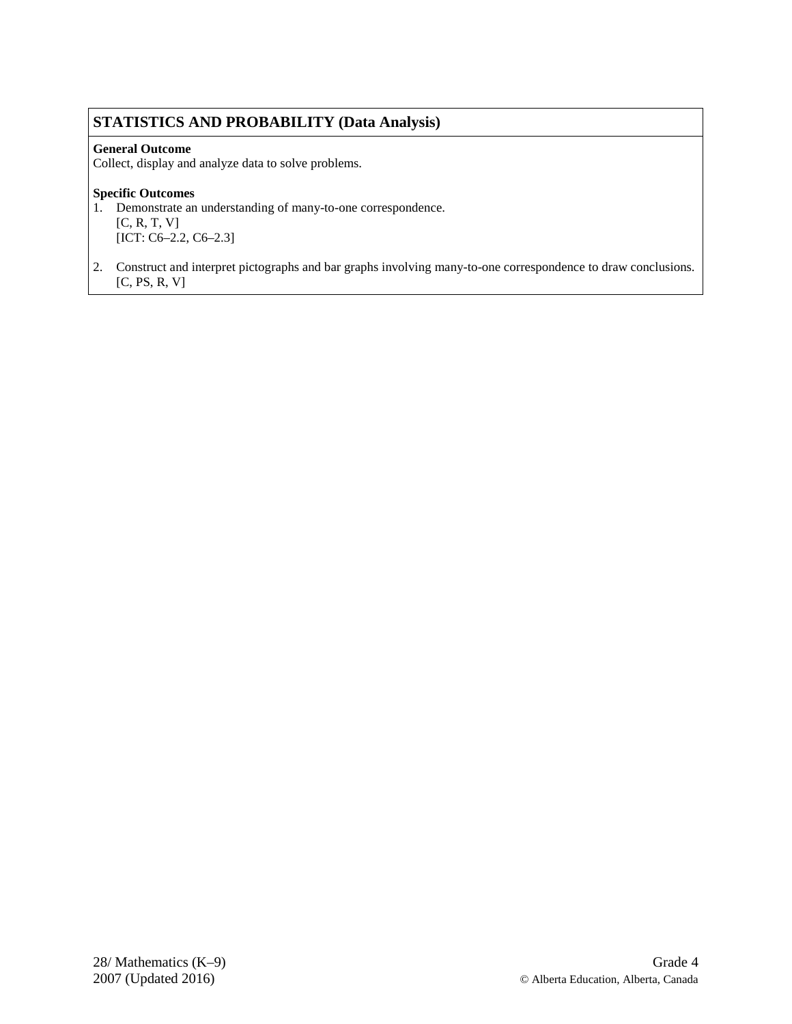### **STATISTICS AND PROBABILITY (Data Analysis)**

### **General Outcome**

Collect, display and analyze data to solve problems.

### **Specific Outcomes**

1. Demonstrate an understanding of many-to-one correspondence.

- [C, R, T, V] [ICT: C6–2.2, C6–2.3]
- 2. Construct and interpret pictographs and bar graphs involving many-to-one correspondence to draw conclusions.  $[C, PS, R, V]$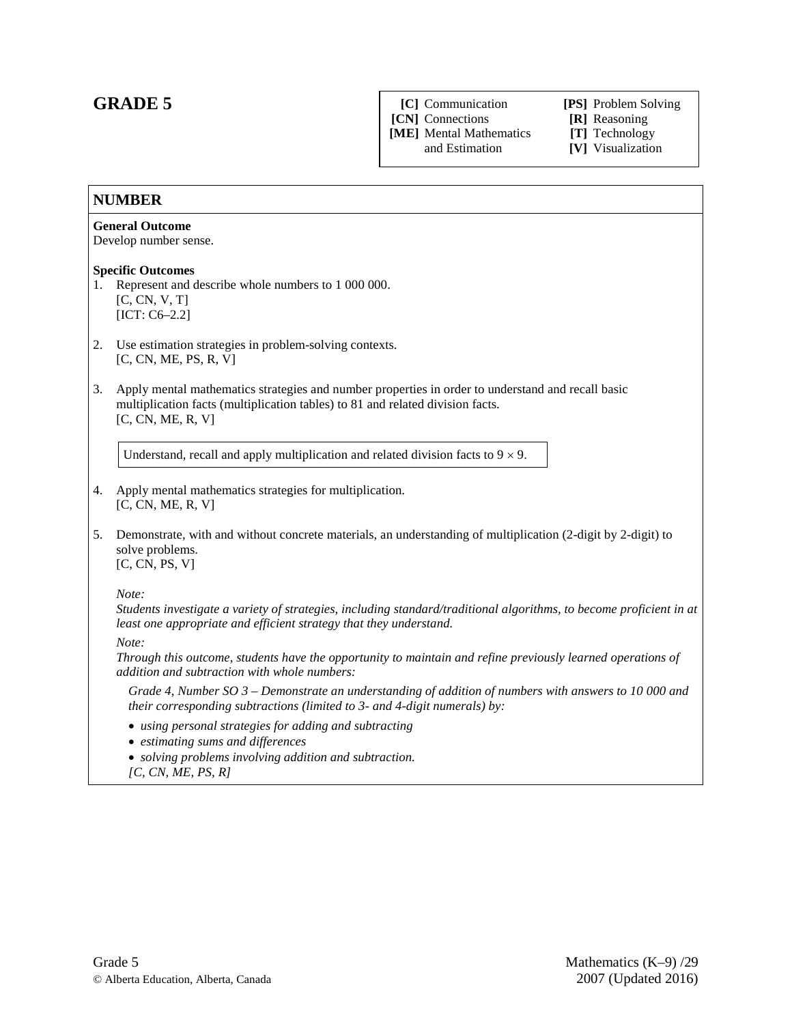### **GRADE 5**

**[C]** Communication **[PS]** Problem Solving

**[CN]** Connections **[R]** Reasoning

**[ME]** Mental Mathematics **[T]** Technology

[V] Visualization

### **NUMBER**

#### **General Outcome**

Develop number sense.

#### **Specific Outcomes**

- 1. Represent and describe whole numbers to 1 000 000. [C, CN, V, T] [ICT: C6–2.2]
- 2. Use estimation strategies in problem-solving contexts. [C, CN, ME, PS, R, V]
- 3. Apply mental mathematics strategies and number properties in order to understand and recall basic multiplication facts (multiplication tables) to 81 and related division facts.  $[C, CN, ME, R, V]$

Understand, recall and apply multiplication and related division facts to  $9 \times 9$ .

- 4. Apply mental mathematics strategies for multiplication. [C, CN, ME, R, V]
- 5. Demonstrate, with and without concrete materials, an understanding of multiplication (2-digit by 2-digit) to solve problems. [C, CN, PS, V]

*Note:*

*Students investigate a variety of strategies, including standard/traditional algorithms, to become proficient in at least one appropriate and efficient strategy that they understand.*

*Note:*

*Through this outcome, students have the opportunity to maintain and refine previously learned operations of addition and subtraction with whole numbers:*

*Grade 4, Number SO 3 – Demonstrate an understanding of addition of numbers with answers to 10 000 and their corresponding subtractions (limited to 3- and 4-digit numerals) by:*

- *using personal strategies for adding and subtracting*
- *estimating sums and differences*
- *solving problems involving addition and subtraction.*
- *[C, CN, ME, PS, R]*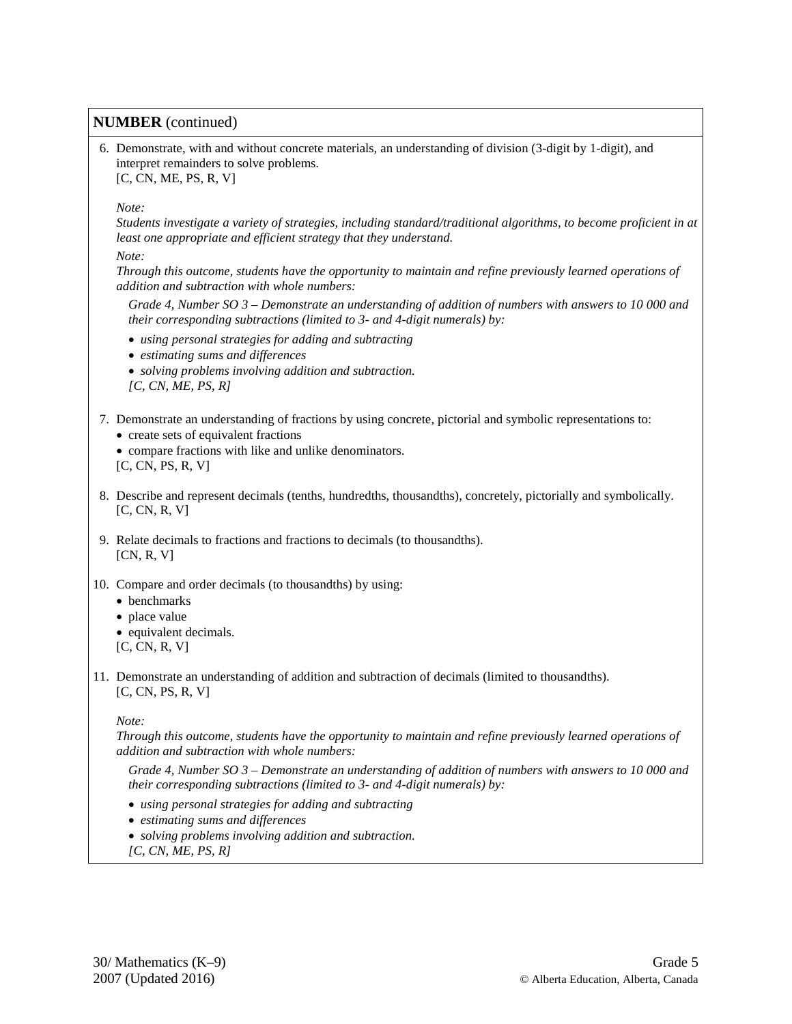6. Demonstrate, with and without concrete materials, an understanding of division (3-digit by 1-digit), and interpret remainders to solve problems. [C, CN, ME, PS, R, V]

*Note:*

*Students investigate a variety of strategies, including standard/traditional algorithms, to become proficient in at least one appropriate and efficient strategy that they understand.*

*Note:*

*Through this outcome, students have the opportunity to maintain and refine previously learned operations of addition and subtraction with whole numbers:*

*Grade 4, Number SO 3 – Demonstrate an understanding of addition of numbers with answers to 10 000 and their corresponding subtractions (limited to 3- and 4-digit numerals) by:*

- *using personal strategies for adding and subtracting*
- *estimating sums and differences*
- *solving problems involving addition and subtraction.*
- *[C, CN, ME, PS, R]*
- 7. Demonstrate an understanding of fractions by using concrete, pictorial and symbolic representations to: • create sets of equivalent fractions
	- compare fractions with like and unlike denominators.

[C, CN, PS, R, V]

- 8. Describe and represent decimals (tenths, hundredths, thousandths), concretely, pictorially and symbolically. [C, CN, R, V]
- 9. Relate decimals to fractions and fractions to decimals (to thousandths).  $[CN, R, V]$
- 10. Compare and order decimals (to thousandths) by using:
	- benchmarks
	- place value
	- equivalent decimals.

[C, CN, R, V]

11. Demonstrate an understanding of addition and subtraction of decimals (limited to thousandths). [C, CN, PS, R, V]

#### *Note:*

*Through this outcome, students have the opportunity to maintain and refine previously learned operations of addition and subtraction with whole numbers:*

*Grade 4, Number SO 3 – Demonstrate an understanding of addition of numbers with answers to 10 000 and their corresponding subtractions (limited to 3- and 4-digit numerals) by:*

- *using personal strategies for adding and subtracting*
- *estimating sums and differences*
- *solving problems involving addition and subtraction.*
- *[C, CN, ME, PS, R]*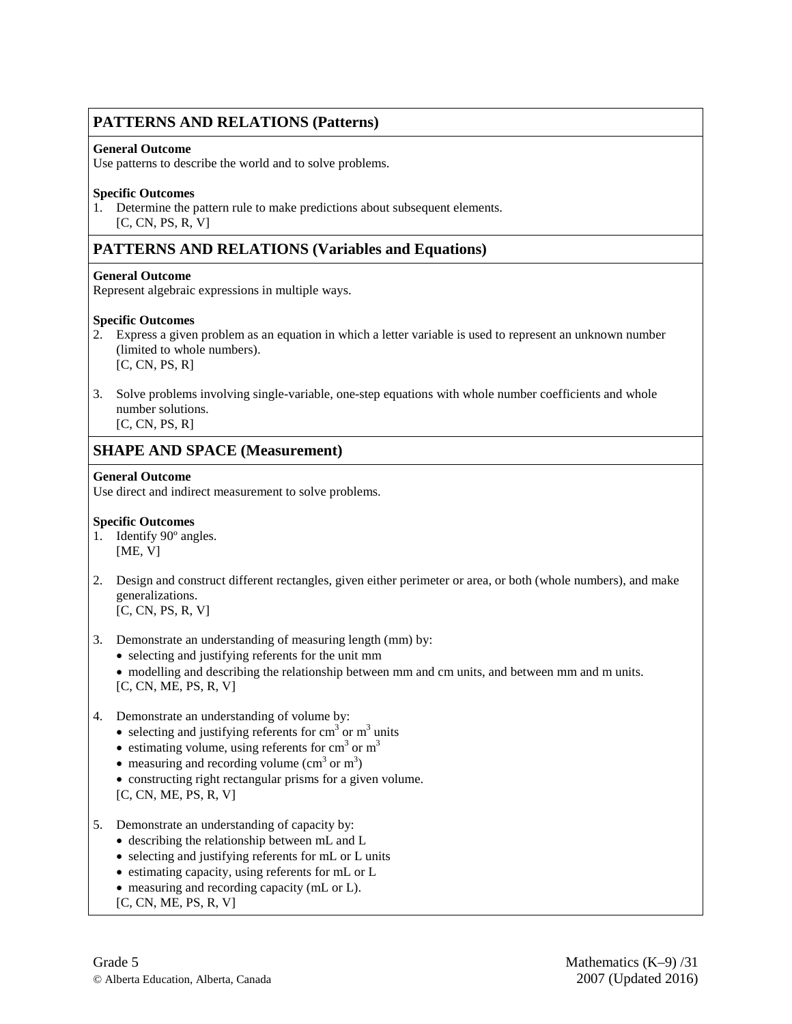### **PATTERNS AND RELATIONS (Patterns)**

#### **General Outcome**

Use patterns to describe the world and to solve problems.

#### **Specific Outcomes**

1. Determine the pattern rule to make predictions about subsequent elements. [C, CN, PS, R, V]

### **PATTERNS AND RELATIONS (Variables and Equations)**

### **General Outcome**

Represent algebraic expressions in multiple ways.

### **Specific Outcomes**

- 2. Express a given problem as an equation in which a letter variable is used to represent an unknown number (limited to whole numbers). [C, CN, PS, R]
- 3. Solve problems involving single-variable, one-step equations with whole number coefficients and whole number solutions.

 $[C, CN, PS, R]$ 

### **SHAPE AND SPACE (Measurement)**

### **General Outcome**

Use direct and indirect measurement to solve problems.

- 1. Identify 90º angles. [ME, V]
- 2. Design and construct different rectangles, given either perimeter or area, or both (whole numbers), and make generalizations. [C, CN, PS, R, V]
- 3. Demonstrate an understanding of measuring length (mm) by:
	- selecting and justifying referents for the unit mm
	- modelling and describing the relationship between mm and cm units, and between mm and m units. [C, CN, ME, PS, R, V]
- 4. Demonstrate an understanding of volume by:
	- selecting and justifying referents for  $cm<sup>3</sup>$  or  $m<sup>3</sup>$  units
	- estimating volume, using referents for  $cm<sup>3</sup>$  or  $m<sup>3</sup>$
	- measuring and recording volume  $(cm<sup>3</sup> or m<sup>3</sup>)$
	- constructing right rectangular prisms for a given volume. [C, CN, ME, PS, R, V]
- 5. Demonstrate an understanding of capacity by:
	- describing the relationship between mL and L
	- selecting and justifying referents for mL or L units
	- estimating capacity, using referents for mL or L
	- measuring and recording capacity (mL or L).
	- [C, CN, ME, PS, R, V]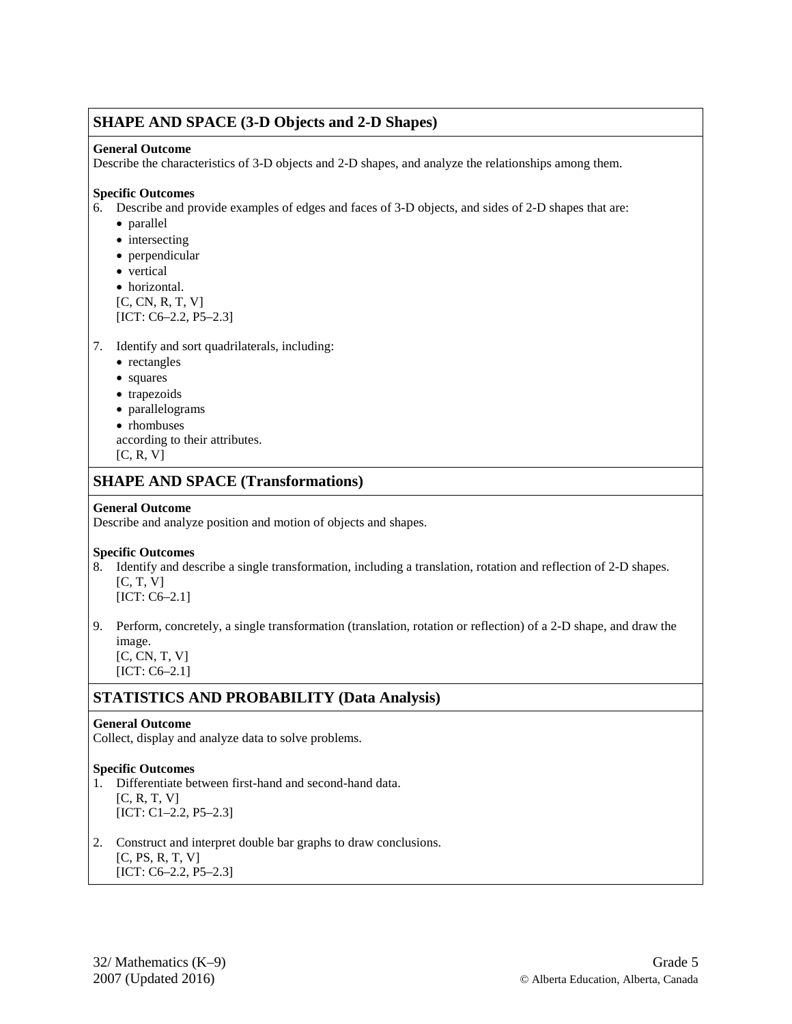### **SHAPE AND SPACE (3-D Objects and 2-D Shapes)**

#### **General Outcome**

Describe the characteristics of 3-D objects and 2-D shapes, and analyze the relationships among them.

#### **Specific Outcomes**

6. Describe and provide examples of edges and faces of 3-D objects, and sides of 2-D shapes that are:

- parallel
- intersecting
- perpendicular
- vertical
- horizontal.

[C, CN, R, T, V] [ICT: C6–2.2, P5–2.3]

- 7. Identify and sort quadrilaterals, including:
	- rectangles
	- squares
	- trapezoids
	- parallelograms
	- rhombuses
	- according to their attributes.
	- [C, R, V]

### **SHAPE AND SPACE (Transformations)**

#### **General Outcome**

Describe and analyze position and motion of objects and shapes.

#### **Specific Outcomes**

- 8. Identify and describe a single transformation, including a translation, rotation and reflection of 2-D shapes.  $[C, T, V]$ [ICT: C6–2.1]
- 9. Perform, concretely, a single transformation (translation, rotation or reflection) of a 2-D shape, and draw the image.
	- [C, CN, T, V] [ICT: C6–2.1]

### **STATISTICS AND PROBABILITY (Data Analysis)**

#### **General Outcome**

Collect, display and analyze data to solve problems.

- 1. Differentiate between first-hand and second-hand data.  $[C, R, T, V]$ [ICT: C1–2.2, P5–2.3]
- 2. Construct and interpret double bar graphs to draw conclusions. [C, PS, R, T, V] [ICT: C6–2.2, P5–2.3]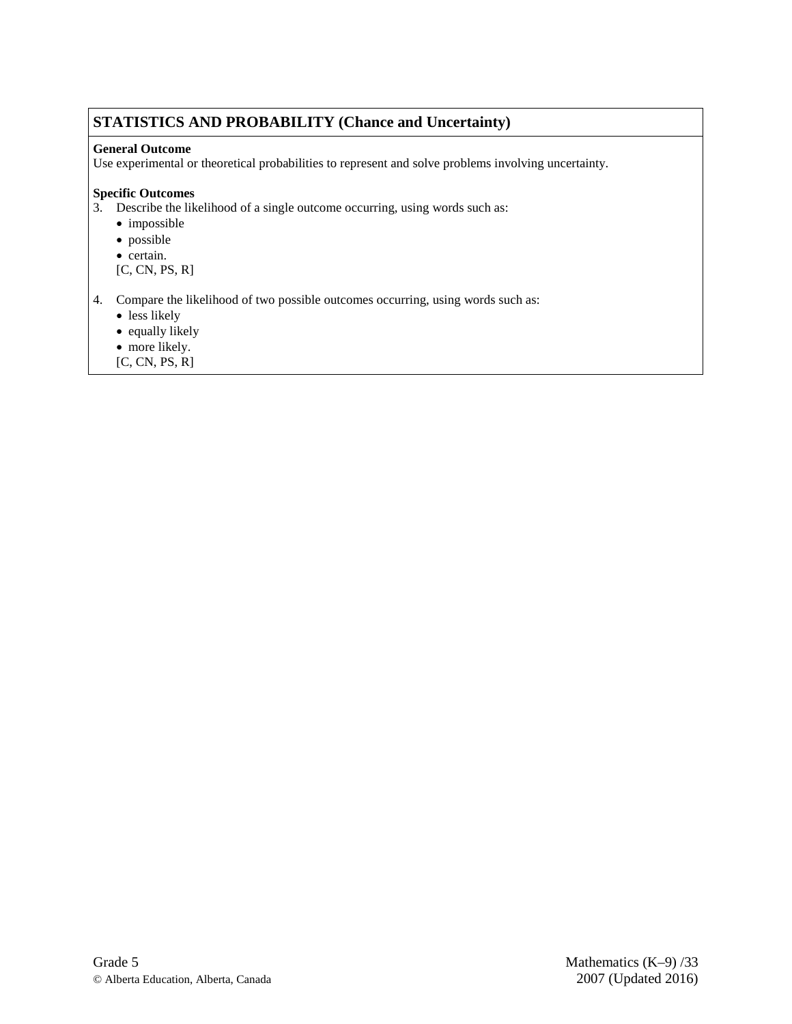### **STATISTICS AND PROBABILITY (Chance and Uncertainty)**

### **General Outcome**

Use experimental or theoretical probabilities to represent and solve problems involving uncertainty.

### **Specific Outcomes**

3. Describe the likelihood of a single outcome occurring, using words such as:

- impossible
- possible
- certain.

[C, CN, PS, R]

4. Compare the likelihood of two possible outcomes occurring, using words such as:

- less likely
- equally likely
- more likely.
- [C, CN, PS, R]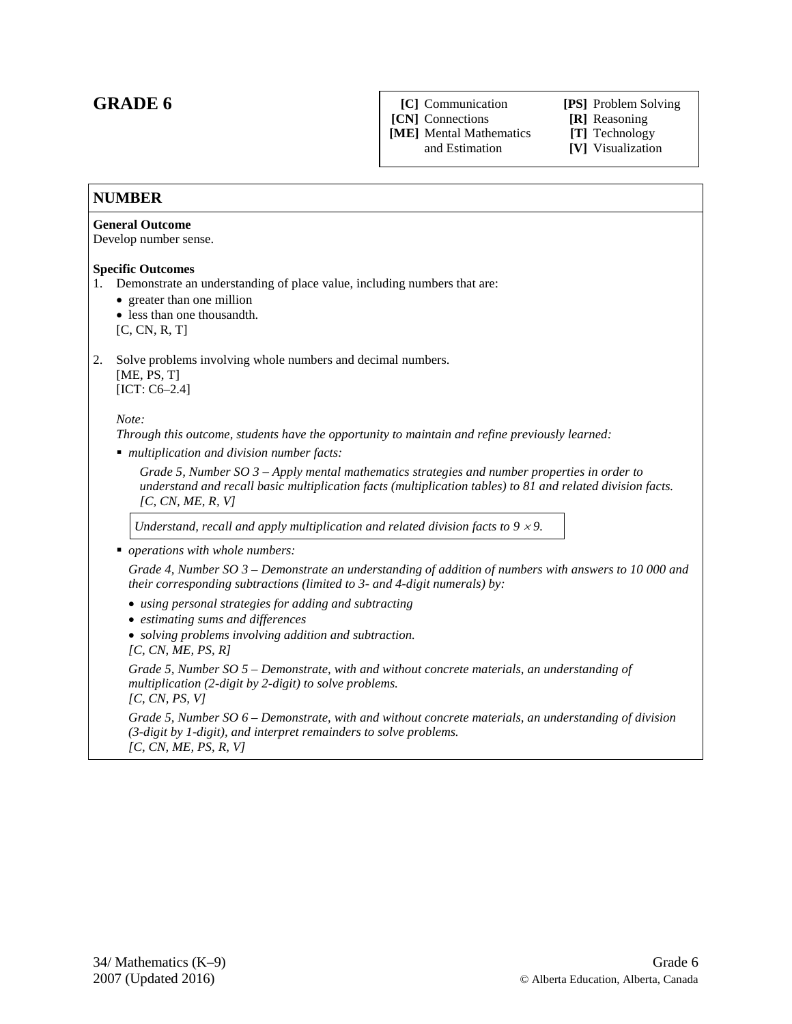### **GRADE 6**

**[C]** Communication **[PS]** Problem Solving

**[CN]** Connections **[R]** Reasoning

**[ME]** Mental Mathematics **[T]** Technology

[V] Visualization

### **NUMBER General Outcome** Develop number sense. **Specific Outcomes** 1. Demonstrate an understanding of place value, including numbers that are: • greater than one million • less than one thousandth. [C, CN, R, T] 2. Solve problems involving whole numbers and decimal numbers. [ME, PS, T] [ICT: C6–2.4] *Note: Through this outcome, students have the opportunity to maintain and refine previously learned: multiplication and division number facts: Grade 5, Number SO 3 – Apply mental mathematics strategies and number properties in order to understand and recall basic multiplication facts (multiplication tables) to 81 and related division facts. [C, CN, ME, R, V] Understand, recall and apply multiplication and related division facts to*  $9 \times 9$ . *operations with whole numbers: Grade 4, Number SO 3 – Demonstrate an understanding of addition of numbers with answers to 10 000 and their corresponding subtractions (limited to 3- and 4-digit numerals) by:* • *using personal strategies for adding and subtracting* • *estimating sums and differences*  • *solving problems involving addition and subtraction. [C, CN, ME, PS, R] Grade 5, Number SO 5 – Demonstrate, with and without concrete materials, an understanding of multiplication (2-digit by 2-digit) to solve problems. [C, CN, PS, V] Grade 5, Number SO 6 – Demonstrate, with and without concrete materials, an understanding of division (3-digit by 1-digit), and interpret remainders to solve problems. [C, CN, ME, PS, R, V]*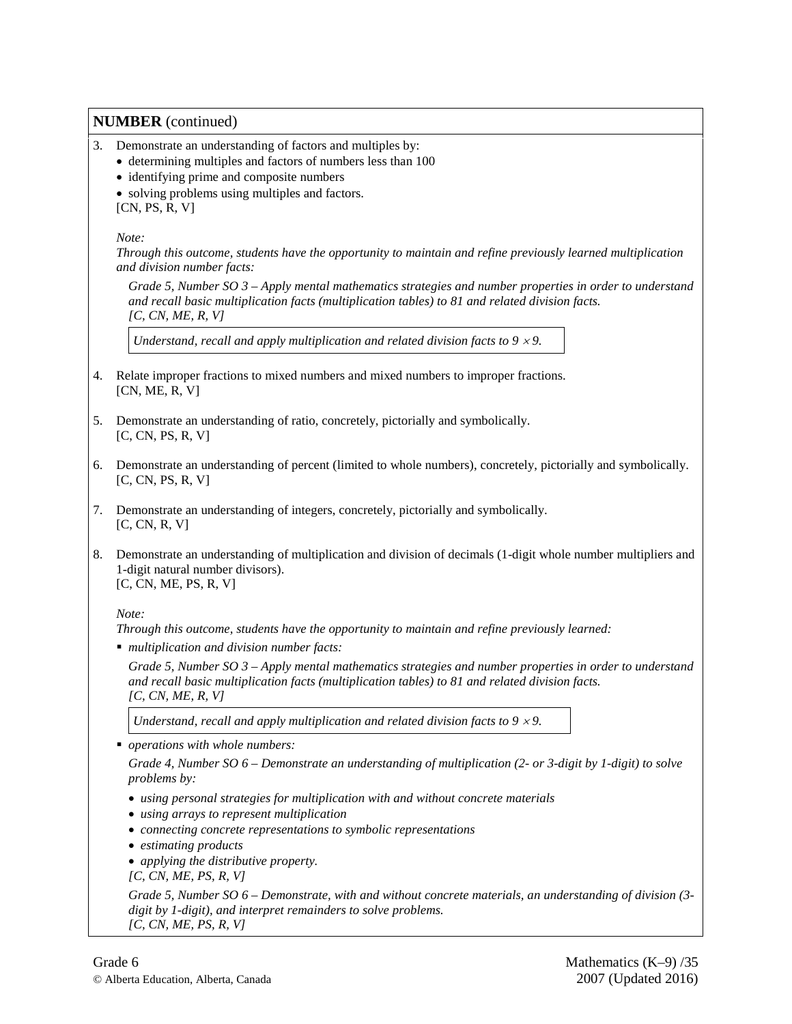- 3. Demonstrate an understanding of factors and multiples by:
	- determining multiples and factors of numbers less than 100
	- identifying prime and composite numbers
	- solving problems using multiples and factors. [CN, PS, R, V]

*Note:* 

*Through this outcome, students have the opportunity to maintain and refine previously learned multiplication and division number facts:* 

*Grade 5, Number SO 3 – Apply mental mathematics strategies and number properties in order to understand and recall basic multiplication facts (multiplication tables) to 81 and related division facts. [C, CN, ME, R, V]*

*Understand, recall and apply multiplication and related division facts to 9*  $\times$  *9.* 

- 4. Relate improper fractions to mixed numbers and mixed numbers to improper fractions. [CN, ME, R, V]
- 5. Demonstrate an understanding of ratio, concretely, pictorially and symbolically. [C, CN, PS, R, V]
- 6. Demonstrate an understanding of percent (limited to whole numbers), concretely, pictorially and symbolically. [C, CN, PS, R, V]
- 7. Demonstrate an understanding of integers, concretely, pictorially and symbolically. [C, CN, R, V]
- 8. Demonstrate an understanding of multiplication and division of decimals (1-digit whole number multipliers and 1-digit natural number divisors). [C, CN, ME, PS, R, V]

*Note:* 

*Through this outcome, students have the opportunity to maintain and refine previously learned:*

*multiplication and division number facts:* 

*Grade 5, Number SO 3 – Apply mental mathematics strategies and number properties in order to understand and recall basic multiplication facts (multiplication tables) to 81 and related division facts. [C, CN, ME, R, V]*

*Understand, recall and apply multiplication and related division facts to 9*  $\times$  *9.* 

*operations with whole numbers:* 

*Grade 4, Number SO 6 – Demonstrate an understanding of multiplication (2- or 3-digit by 1-digit) to solve problems by:*

- *using personal strategies for multiplication with and without concrete materials*
- *using arrays to represent multiplication*
- *connecting concrete representations to symbolic representations*
- *estimating products*
- *applying the distributive property.*

*[C, CN, ME, PS, R, V]*

*Grade 5, Number SO 6 – Demonstrate, with and without concrete materials, an understanding of division (3 digit by 1-digit), and interpret remainders to solve problems. [C, CN, ME, PS, R, V]*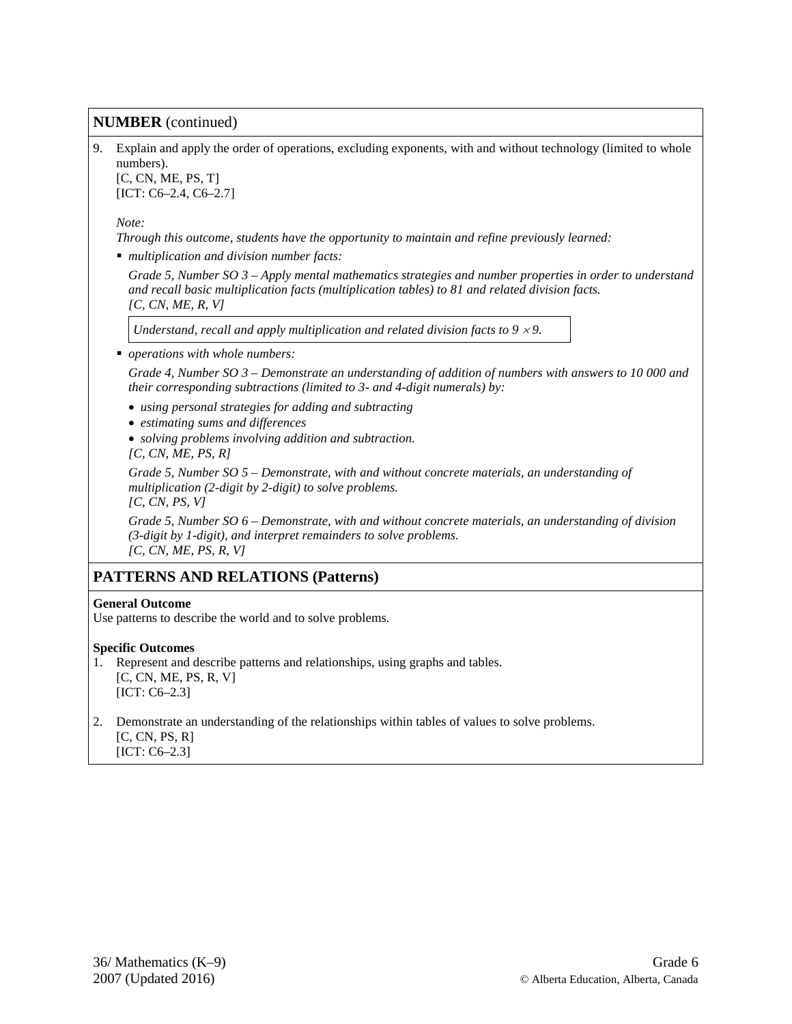9. Explain and apply the order of operations, excluding exponents, with and without technology (limited to whole numbers). [C, CN, ME, PS, T]

[ICT: C6–2.4, C6–2.7]

*Note:* 

*Through this outcome, students have the opportunity to maintain and refine previously learned:*

*multiplication and division number facts:* 

*Grade 5, Number SO 3 – Apply mental mathematics strategies and number properties in order to understand and recall basic multiplication facts (multiplication tables) to 81 and related division facts. [C, CN, ME, R, V]*

*Understand, recall and apply multiplication and related division facts to 9*  $\times$  *9.* 

*operations with whole numbers:* 

*Grade 4, Number SO 3 – Demonstrate an understanding of addition of numbers with answers to 10 000 and their corresponding subtractions (limited to 3- and 4-digit numerals) by:*

- *using personal strategies for adding and subtracting*
- *estimating sums and differences*
- *solving problems involving addition and subtraction.*
- *[C, CN, ME, PS, R]*

*Grade 5, Number SO 5 – Demonstrate, with and without concrete materials, an understanding of multiplication (2-digit by 2-digit) to solve problems.*

*[C, CN, PS, V]*

*Grade 5, Number SO 6 – Demonstrate, with and without concrete materials, an understanding of division (3-digit by 1-digit), and interpret remainders to solve problems. [C, CN, ME, PS, R, V]*

### **PATTERNS AND RELATIONS (Patterns)**

#### **General Outcome**

Use patterns to describe the world and to solve problems.

- 1. Represent and describe patterns and relationships, using graphs and tables. [C, CN, ME, PS, R, V] [ICT: C6–2.3]
- 2. Demonstrate an understanding of the relationships within tables of values to solve problems. [C, CN, PS, R]
	- [ICT: C6–2.3]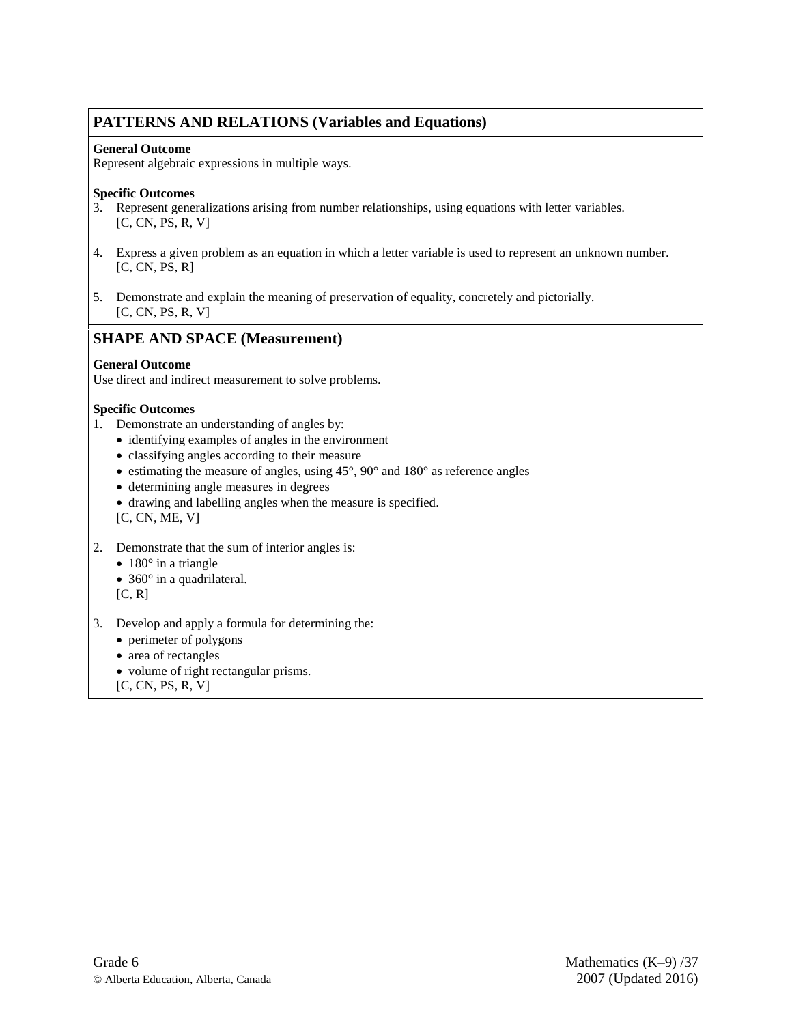# **PATTERNS AND RELATIONS (Variables and Equations)**

### **General Outcome**

Represent algebraic expressions in multiple ways.

### **Specific Outcomes**

- 3. Represent generalizations arising from number relationships, using equations with letter variables. [C, CN, PS, R, V]
- 4. Express a given problem as an equation in which a letter variable is used to represent an unknown number. [C, CN, PS, R]
- 5. Demonstrate and explain the meaning of preservation of equality, concretely and pictorially. [C, CN, PS, R, V]

## **SHAPE AND SPACE (Measurement)**

### **General Outcome**

Use direct and indirect measurement to solve problems.

### **Specific Outcomes**

- 1. Demonstrate an understanding of angles by:
	- identifying examples of angles in the environment
	- classifying angles according to their measure
	- estimating the measure of angles, using  $45^{\circ}$ ,  $90^{\circ}$  and  $180^{\circ}$  as reference angles
	- determining angle measures in degrees
	- drawing and labelling angles when the measure is specified. [C, CN, ME, V]
- 2. Demonstrate that the sum of interior angles is:
	- $180^\circ$  in a triangle
	- 360° in a quadrilateral.
	- [C, R]
- 3. Develop and apply a formula for determining the:
	- perimeter of polygons
	- area of rectangles
	- volume of right rectangular prisms.
	- [C, CN, PS, R, V]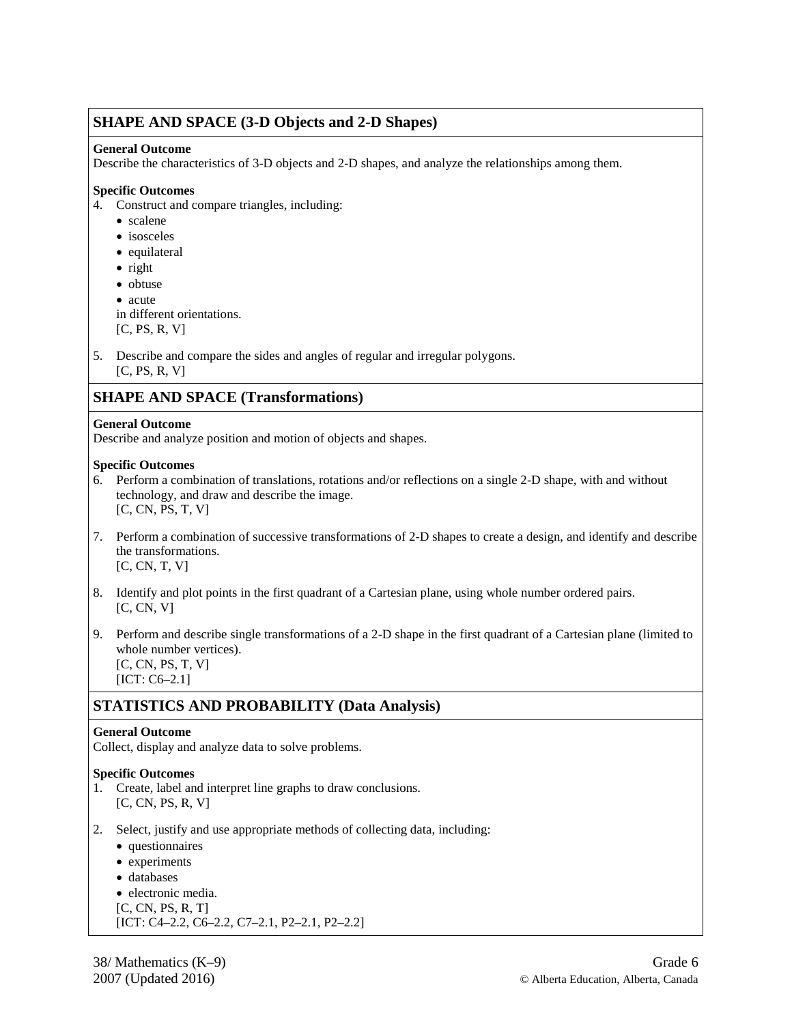### **SHAPE AND SPACE (3-D Objects and 2-D Shapes)**

### **General Outcome**

Describe the characteristics of 3-D objects and 2-D shapes, and analyze the relationships among them.

### **Specific Outcomes**

- 4. Construct and compare triangles, including:
	- scalene
	- isosceles
	- equilateral
	- right
	- obtuse
	- acute

in different orientations.

- $[C, PS, R, V]$
- 5. Describe and compare the sides and angles of regular and irregular polygons.  $[C, PS, R, V]$

# **SHAPE AND SPACE (Transformations)**

### **General Outcome**

Describe and analyze position and motion of objects and shapes.

### **Specific Outcomes**

- 6. Perform a combination of translations, rotations and/or reflections on a single 2-D shape, with and without technology, and draw and describe the image. [C, CN, PS, T, V]
- 7. Perform a combination of successive transformations of 2-D shapes to create a design, and identify and describe the transformations. [C, CN, T, V]
- 8. Identify and plot points in the first quadrant of a Cartesian plane, using whole number ordered pairs. [C, CN, V]
- 9. Perform and describe single transformations of a 2-D shape in the first quadrant of a Cartesian plane (limited to whole number vertices). [C, CN, PS, T, V]

[ICT: C6–2.1]

# **STATISTICS AND PROBABILITY (Data Analysis)**

### **General Outcome**

Collect, display and analyze data to solve problems.

### **Specific Outcomes**

- 1. Create, label and interpret line graphs to draw conclusions. [C, CN, PS, R, V]
- 2. Select, justify and use appropriate methods of collecting data, including:
	- questionnaires
	- experiments
	- databases
	- electronic media.
	- [C, CN, PS, R, T]

```
[ICT: C4–2.2, C6–2.2, C7–2.1, P2–2.1, P2–2.2]
```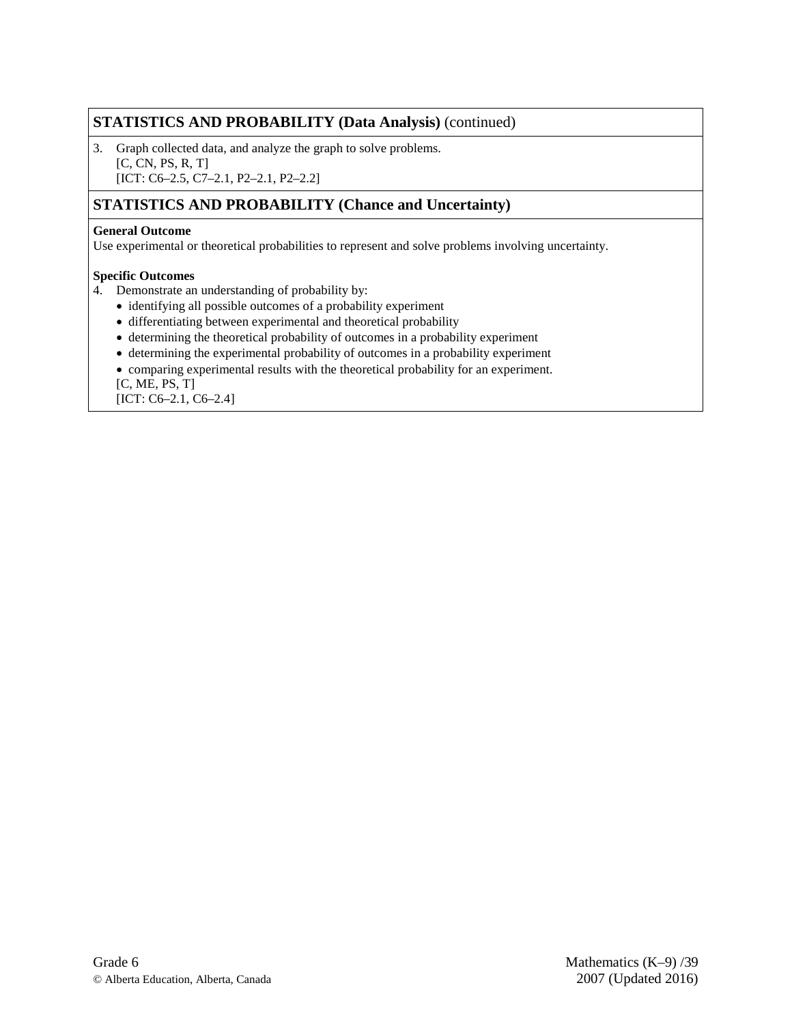# **STATISTICS AND PROBABILITY (Data Analysis)** (continued)

3. Graph collected data, and analyze the graph to solve problems. [C, CN, PS, R, T] [ICT: C6-2.5, C7-2.1, P2-2.1, P2-2.2]

# **STATISTICS AND PROBABILITY (Chance and Uncertainty)**

### **General Outcome**

Use experimental or theoretical probabilities to represent and solve problems involving uncertainty.

### **Specific Outcomes**

- 4. Demonstrate an understanding of probability by:
	- identifying all possible outcomes of a probability experiment
	- differentiating between experimental and theoretical probability
	- determining the theoretical probability of outcomes in a probability experiment
	- determining the experimental probability of outcomes in a probability experiment
	- comparing experimental results with the theoretical probability for an experiment.

[C, ME, PS, T]

[ICT: C6–2.1, C6–2.4]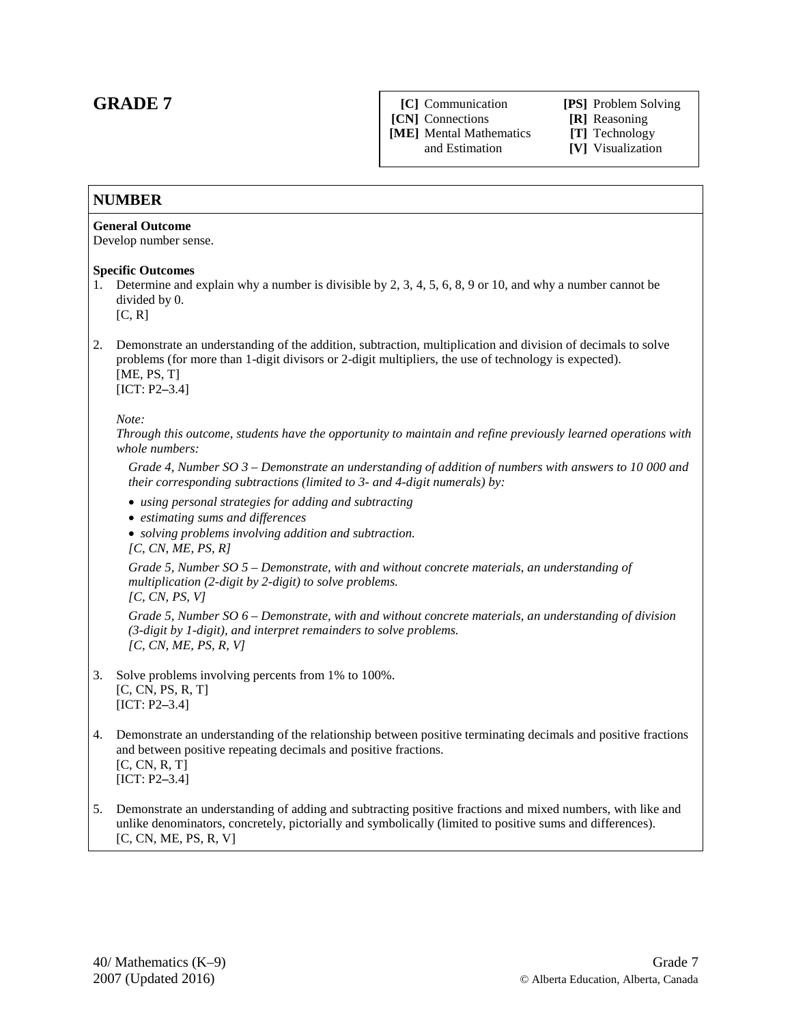# **GRADE 7**

**[CN]** Connections **[R]** Reasoning **[ME]** Mental Mathematics **[T]** Technology

**[C]** Communication **[PS]** Problem Solving

[V] Visualization

### **NUMBER**

#### **General Outcome**

Develop number sense.

#### **Specific Outcomes**

- 1. Determine and explain why a number is divisible by 2, 3, 4, 5, 6, 8, 9 or 10, and why a number cannot be divided by 0.
	- $[C, R]$
- 2. Demonstrate an understanding of the addition, subtraction, multiplication and division of decimals to solve problems (for more than 1-digit divisors or 2-digit multipliers, the use of technology is expected). [ME, PS, T]

[ICT: P2**–**3.4]

#### *Note:*

*Through this outcome, students have the opportunity to maintain and refine previously learned operations with whole numbers:* 

*Grade 4, Number SO 3 – Demonstrate an understanding of addition of numbers with answers to 10 000 and their corresponding subtractions (limited to 3- and 4-digit numerals) by:*

- *using personal strategies for adding and subtracting*
- *estimating sums and differences*
- *solving problems involving addition and subtraction.*

*[C, CN, ME, PS, R]* 

*Grade 5, Number SO 5 – Demonstrate, with and without concrete materials, an understanding of multiplication (2-digit by 2-digit) to solve problems.*

*[C, CN, PS, V]*

*Grade 5, Number SO 6 – Demonstrate, with and without concrete materials, an understanding of division (3-digit by 1-digit), and interpret remainders to solve problems. [C, CN, ME, PS, R, V]*

- 3. Solve problems involving percents from 1% to 100%. [C, CN, PS, R, T] [ICT: P2**–**3.4]
- 4. Demonstrate an understanding of the relationship between positive terminating decimals and positive fractions and between positive repeating decimals and positive fractions. [C, CN, R, T] [ICT: P2**–**3.4]
- 5. Demonstrate an understanding of adding and subtracting positive fractions and mixed numbers, with like and unlike denominators, concretely, pictorially and symbolically (limited to positive sums and differences). [C, CN, ME, PS, R, V]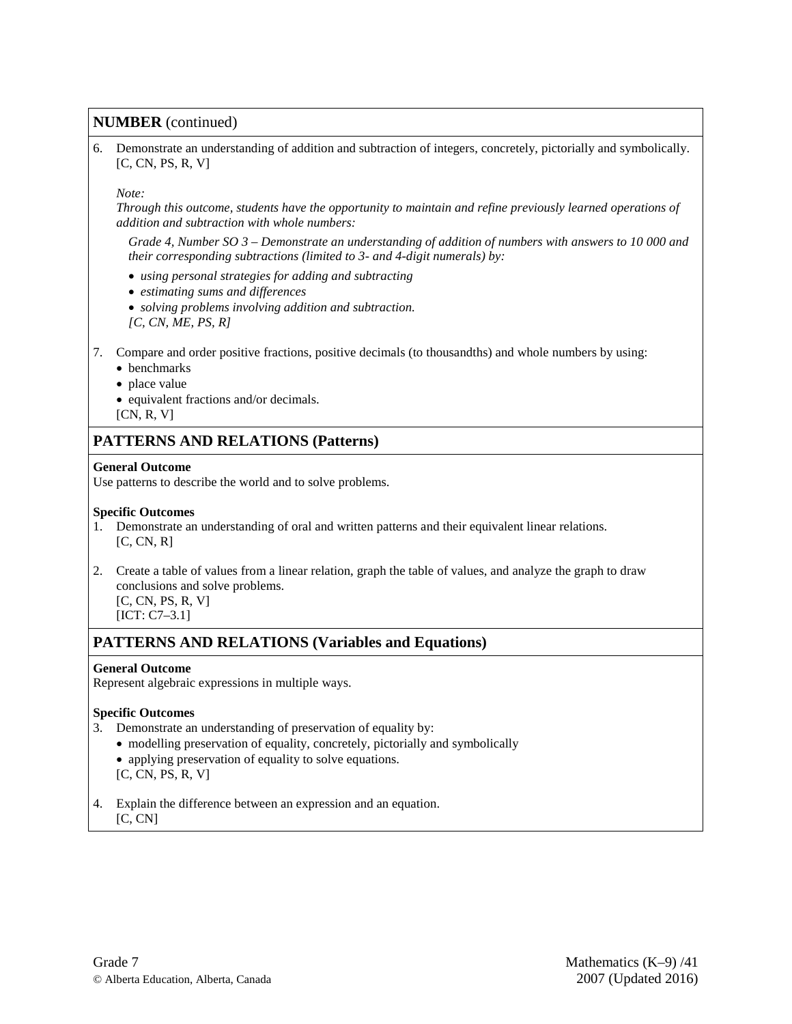### **NUMBER** (continued)

6. Demonstrate an understanding of addition and subtraction of integers, concretely, pictorially and symbolically. [C, CN, PS, R, V]

#### *Note:*

*Through this outcome, students have the opportunity to maintain and refine previously learned operations of addition and subtraction with whole numbers:* 

*Grade 4, Number SO 3 – Demonstrate an understanding of addition of numbers with answers to 10 000 and their corresponding subtractions (limited to 3- and 4-digit numerals) by:*

- *using personal strategies for adding and subtracting*
- *estimating sums and differences*
- *solving problems involving addition and subtraction.*
- *[C, CN, ME, PS, R]*
- 7. Compare and order positive fractions, positive decimals (to thousandths) and whole numbers by using:
	- benchmarks
	- place value
	- equivalent fractions and/or decimals.
	- [CN, R, V]

### **PATTERNS AND RELATIONS (Patterns)**

#### **General Outcome**

Use patterns to describe the world and to solve problems.

#### **Specific Outcomes**

- 1. Demonstrate an understanding of oral and written patterns and their equivalent linear relations.  $[C, CN, R]$
- 2. Create a table of values from a linear relation, graph the table of values, and analyze the graph to draw conclusions and solve problems. [C, CN, PS, R, V]
	- [ICT: C7–3.1]

# **PATTERNS AND RELATIONS (Variables and Equations)**

#### **General Outcome**

Represent algebraic expressions in multiple ways.

#### **Specific Outcomes**

- 3. Demonstrate an understanding of preservation of equality by:
	- modelling preservation of equality, concretely, pictorially and symbolically
	- applying preservation of equality to solve equations.
	- [C, CN, PS, R, V]
- 4. Explain the difference between an expression and an equation.  $[C, CN]$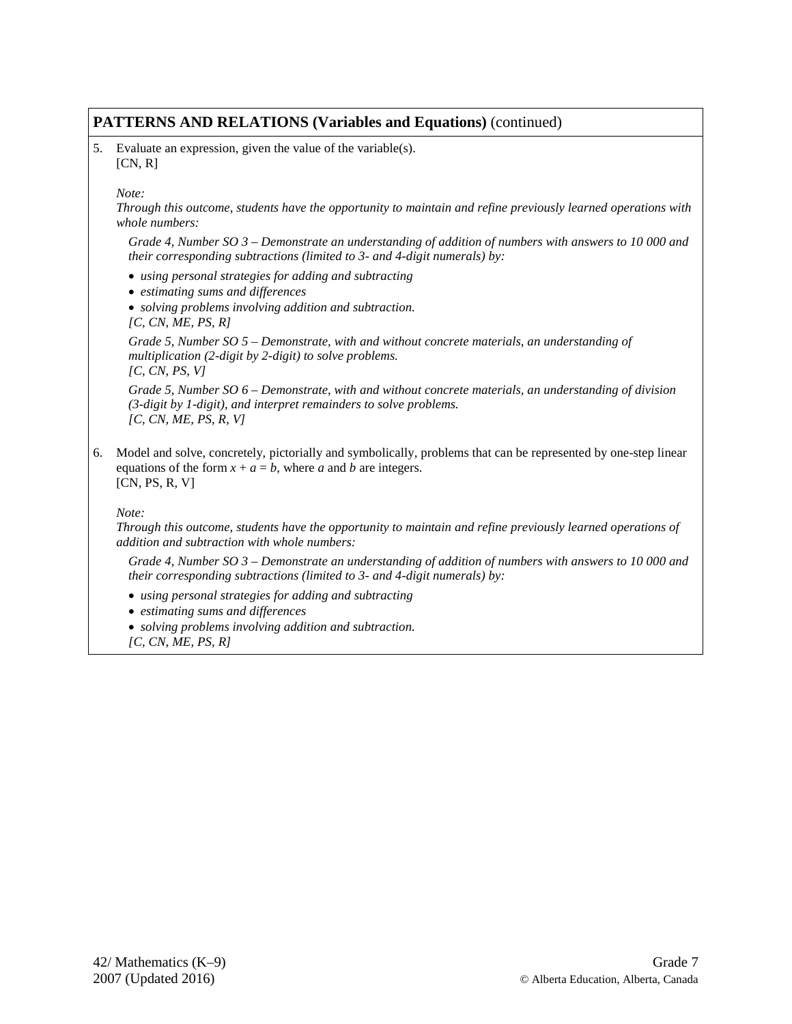## **PATTERNS AND RELATIONS (Variables and Equations)** (continued)

5. Evaluate an expression, given the value of the variable(s).  $[CN, R]$ 

*Note:* 

*Through this outcome, students have the opportunity to maintain and refine previously learned operations with whole numbers:* 

*Grade 4, Number SO 3 – Demonstrate an understanding of addition of numbers with answers to 10 000 and their corresponding subtractions (limited to 3- and 4-digit numerals) by:*

- *using personal strategies for adding and subtracting*
- *estimating sums and differences*
- *solving problems involving addition and subtraction.*

*[C, CN, ME, PS, R]* 

*Grade 5, Number SO 5 – Demonstrate, with and without concrete materials, an understanding of multiplication (2-digit by 2-digit) to solve problems.*

*[C, CN, PS, V]*

*Grade 5, Number SO 6 – Demonstrate, with and without concrete materials, an understanding of division (3-digit by 1-digit), and interpret remainders to solve problems. [C, CN, ME, PS, R, V]*

6. Model and solve, concretely, pictorially and symbolically, problems that can be represented by one-step linear equations of the form  $x + a = b$ , where *a* and *b* are integers. [CN, PS, R, V]

*Note:* 

*Through this outcome, students have the opportunity to maintain and refine previously learned operations of addition and subtraction with whole numbers:* 

*Grade 4, Number SO 3 – Demonstrate an understanding of addition of numbers with answers to 10 000 and their corresponding subtractions (limited to 3- and 4-digit numerals) by:*

- *using personal strategies for adding and subtracting*
- *estimating sums and differences*
- *solving problems involving addition and subtraction.*
- *[C, CN, ME, PS, R]*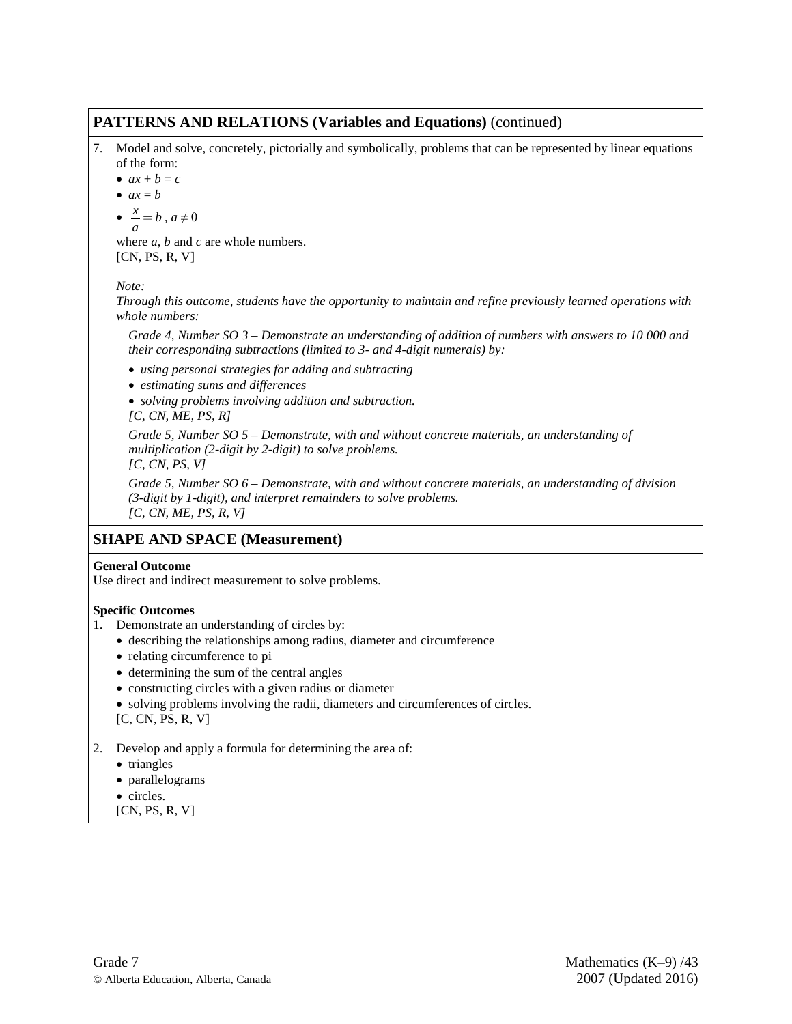## **PATTERNS AND RELATIONS (Variables and Equations)** (continued)

7. Model and solve, concretely, pictorially and symbolically, problems that can be represented by linear equations of the form:

•  $ax + b = c$ 

$$
\bullet \ \ ax = b
$$

$$
\bullet \ \frac{x}{a} = b \ , a \neq 0
$$

where *a*, *b* and *c* are whole numbers. [CN, PS, R, V]

### *Note:*

*Through this outcome, students have the opportunity to maintain and refine previously learned operations with whole numbers:* 

*Grade 4, Number SO 3 – Demonstrate an understanding of addition of numbers with answers to 10 000 and their corresponding subtractions (limited to 3- and 4-digit numerals) by:*

- *using personal strategies for adding and subtracting*
- *estimating sums and differences*
- *solving problems involving addition and subtraction. [C, CN, ME, PS, R]*

*Grade 5, Number SO 5 – Demonstrate, with and without concrete materials, an understanding of multiplication (2-digit by 2-digit) to solve problems.*

*[C, CN, PS, V]*

*Grade 5, Number SO 6 – Demonstrate, with and without concrete materials, an understanding of division (3-digit by 1-digit), and interpret remainders to solve problems. [C, CN, ME, PS, R, V]*

### **SHAPE AND SPACE (Measurement)**

### **General Outcome**

Use direct and indirect measurement to solve problems.

### **Specific Outcomes**

- 1. Demonstrate an understanding of circles by:
	- describing the relationships among radius, diameter and circumference
	- relating circumference to pi
	- determining the sum of the central angles
	- constructing circles with a given radius or diameter
	- solving problems involving the radii, diameters and circumferences of circles.
	- [C, CN, PS, R, V]
- 2. Develop and apply a formula for determining the area of:
	- triangles
	- parallelograms
	- circles.
	- [CN, PS, R, V]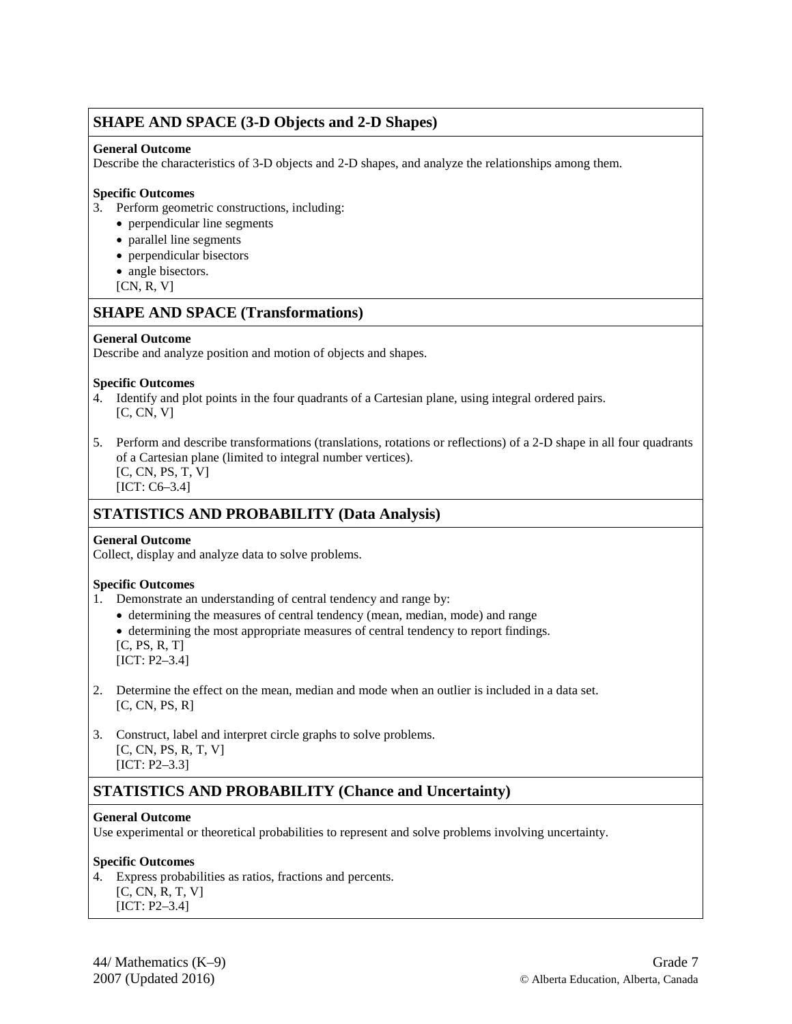### **SHAPE AND SPACE (3-D Objects and 2-D Shapes)**

### **General Outcome**

Describe the characteristics of 3-D objects and 2-D shapes, and analyze the relationships among them.

### **Specific Outcomes**

- 3. Perform geometric constructions, including:
	- perpendicular line segments
	- parallel line segments
	- perpendicular bisectors
	- angle bisectors.
	- [CN, R, V]

# **SHAPE AND SPACE (Transformations)**

### **General Outcome**

Describe and analyze position and motion of objects and shapes.

#### **Specific Outcomes**

- 4. Identify and plot points in the four quadrants of a Cartesian plane, using integral ordered pairs.  $[C, CN, V]$
- 5. Perform and describe transformations (translations, rotations or reflections) of a 2-D shape in all four quadrants of a Cartesian plane (limited to integral number vertices). [C, CN, PS, T, V]

[ICT: C6–3.4]

# **STATISTICS AND PROBABILITY (Data Analysis)**

#### **General Outcome**

Collect, display and analyze data to solve problems.

#### **Specific Outcomes**

- 1. Demonstrate an understanding of central tendency and range by:
	- determining the measures of central tendency (mean, median, mode) and range
	- determining the most appropriate measures of central tendency to report findings.
	- $[C, PS, R, T]$

[ICT: P2–3.4]

- 2. Determine the effect on the mean, median and mode when an outlier is included in a data set.  $[C, CN, PS, R]$
- 3. Construct, label and interpret circle graphs to solve problems. [C, CN, PS, R, T, V] [ICT: P2–3.3]

# **STATISTICS AND PROBABILITY (Chance and Uncertainty)**

#### **General Outcome**

Use experimental or theoretical probabilities to represent and solve problems involving uncertainty.

### **Specific Outcomes**

- 4. Express probabilities as ratios, fractions and percents.
	- [C, CN, R, T, V]
	- [ICT: P2–3.4]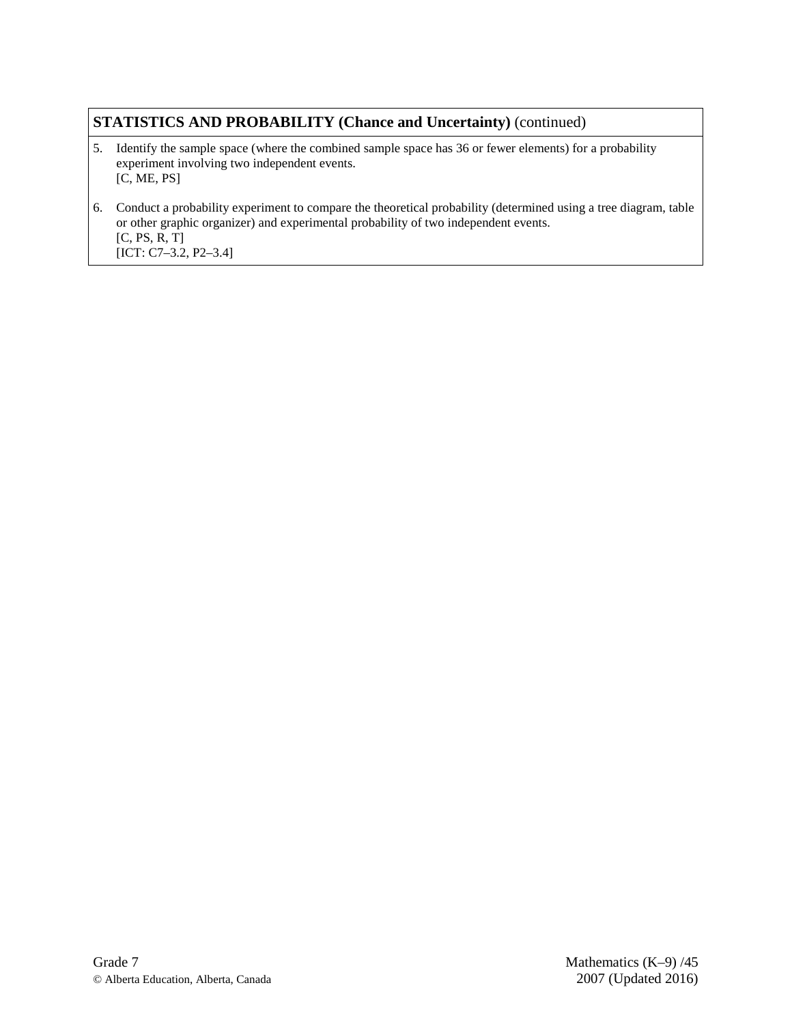# **STATISTICS AND PROBABILITY (Chance and Uncertainty)** (continued)

- 5. Identify the sample space (where the combined sample space has 36 or fewer elements) for a probability experiment involving two independent events. [C, ME, PS]
- 6. Conduct a probability experiment to compare the theoretical probability (determined using a tree diagram, table or other graphic organizer) and experimental probability of two independent events. [C, PS, R, T] [ICT: C7–3.2, P2–3.4]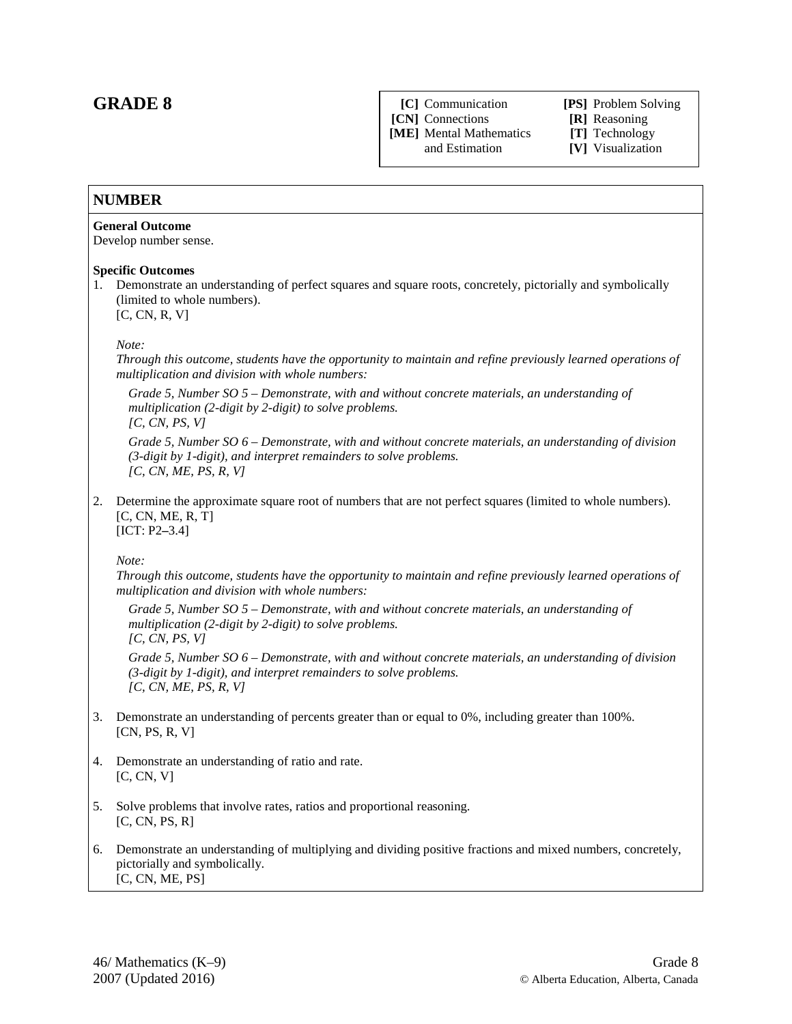# **GRADE 8**

**[CN]** Connections **[R]** Reasoning **[ME]** Mental Mathematics **[T]** Technology

**[C]** Communication **[PS]** Problem Solving

[V] Visualization

### **NUMBER**

#### **General Outcome**

Develop number sense.

#### **Specific Outcomes**

1. Demonstrate an understanding of perfect squares and square roots, concretely, pictorially and symbolically (limited to whole numbers). [C, CN, R, V]

#### *Note:*

*Through this outcome, students have the opportunity to maintain and refine previously learned operations of multiplication and division with whole numbers:*

*Grade 5, Number SO 5 – Demonstrate, with and without concrete materials, an understanding of multiplication (2-digit by 2-digit) to solve problems.* 

*[C, CN, PS, V]*

*Grade 5, Number SO 6 – Demonstrate, with and without concrete materials, an understanding of division (3-digit by 1-digit), and interpret remainders to solve problems. [C, CN, ME, PS, R, V]*

2. Determine the approximate square root of numbers that are not perfect squares (limited to whole numbers).  $[C, CN, ME, R, T]$ [ICT: P2**–**3.4]

*Note:* 

*Through this outcome, students have the opportunity to maintain and refine previously learned operations of multiplication and division with whole numbers:*

*Grade 5, Number SO 5 – Demonstrate, with and without concrete materials, an understanding of multiplication (2-digit by 2-digit) to solve problems. [C, CN, PS, V]*

*Grade 5, Number SO 6 – Demonstrate, with and without concrete materials, an understanding of division (3-digit by 1-digit), and interpret remainders to solve problems. [C, CN, ME, PS, R, V]*

- 3. Demonstrate an understanding of percents greater than or equal to 0%, including greater than 100%. [CN, PS, R, V]
- 4. Demonstrate an understanding of ratio and rate.  $[C, CN, V]$
- 5. Solve problems that involve rates, ratios and proportional reasoning.  $[C, CN, PS, R]$
- 6. Demonstrate an understanding of multiplying and dividing positive fractions and mixed numbers, concretely, pictorially and symbolically. [C, CN, ME, PS]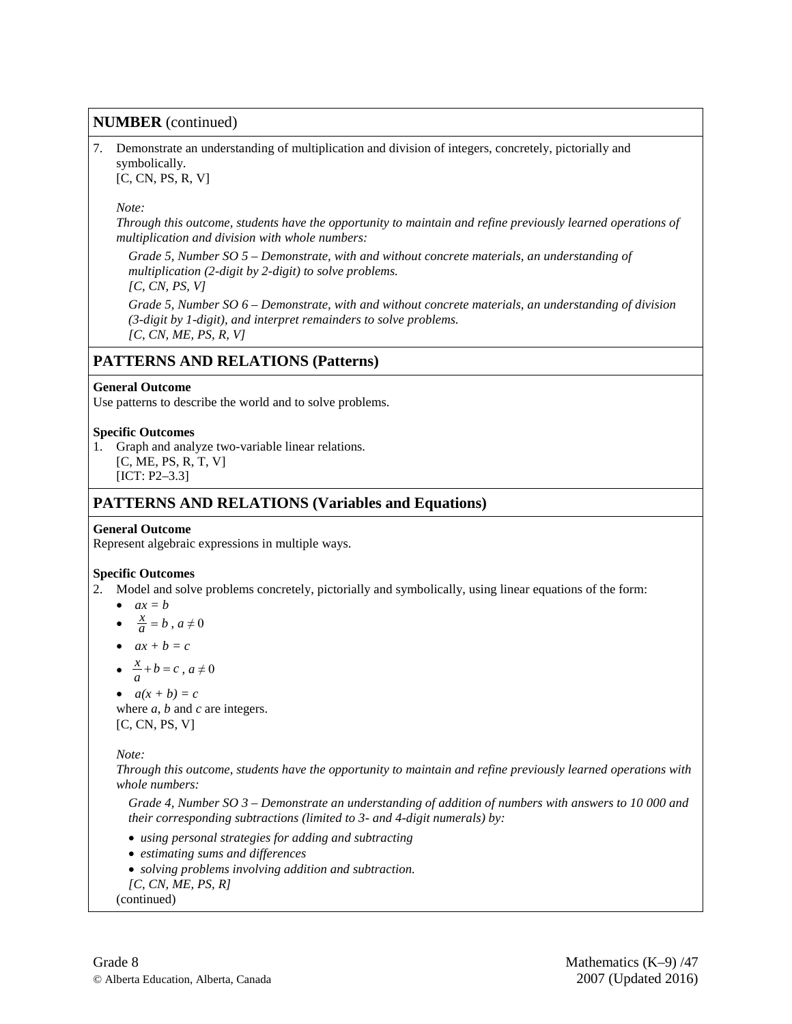### **NUMBER** (continued)

7. Demonstrate an understanding of multiplication and division of integers, concretely, pictorially and symbolically.

[C, CN, PS, R, V]

### *Note:*

*Through this outcome, students have the opportunity to maintain and refine previously learned operations of multiplication and division with whole numbers:*

*Grade 5, Number SO 5 – Demonstrate, with and without concrete materials, an understanding of multiplication (2-digit by 2-digit) to solve problems. [C, CN, PS, V]*

*Grade 5, Number SO 6 – Demonstrate, with and without concrete materials, an understanding of division (3-digit by 1-digit), and interpret remainders to solve problems. [C, CN, ME, PS, R, V]*

### **PATTERNS AND RELATIONS (Patterns)**

#### **General Outcome**

Use patterns to describe the world and to solve problems.

#### **Specific Outcomes**

- 1. Graph and analyze two-variable linear relations. [C, ME, PS, R, T, V]
	- [ICT: P2–3.3]

### **PATTERNS AND RELATIONS (Variables and Equations)**

#### **General Outcome**

Represent algebraic expressions in multiple ways.

#### **Specific Outcomes**

- 2. Model and solve problems concretely, pictorially and symbolically, using linear equations of the form:
	- $ax = b$
	- $\frac{x}{a} = b$ ,  $a \neq 0$
	- $ax + b = c$
	- $\frac{x}{a} + b = c$ ,  $a \neq 0$
	- $a(x + b) = c$

where *a*, *b* and *c* are integers. [C, CN, PS, V]

*Note:* 

*Through this outcome, students have the opportunity to maintain and refine previously learned operations with whole numbers:* 

*Grade 4, Number SO 3 – Demonstrate an understanding of addition of numbers with answers to 10 000 and their corresponding subtractions (limited to 3- and 4-digit numerals) by:*

- *using personal strategies for adding and subtracting*
- *estimating sums and differences*
- *solving problems involving addition and subtraction. [C, CN, ME, PS, R]*
- (continued)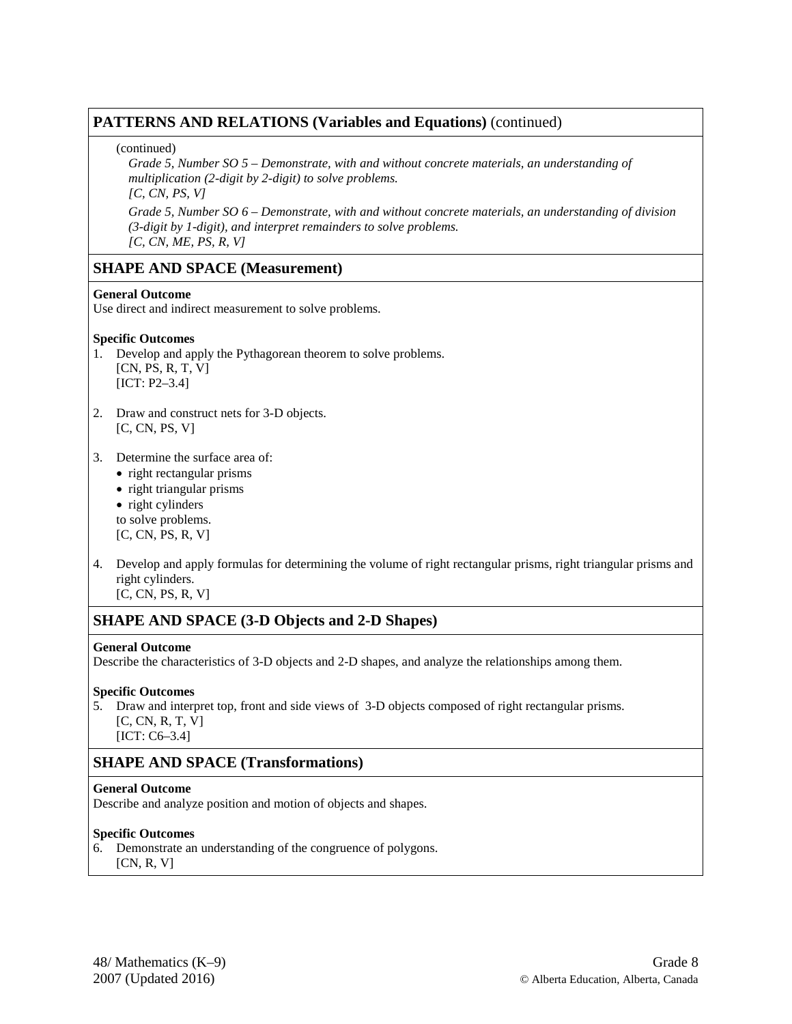### **PATTERNS AND RELATIONS (Variables and Equations)** (continued)

### (continued)

*Grade 5, Number SO 5 – Demonstrate, with and without concrete materials, an understanding of multiplication (2-digit by 2-digit) to solve problems.*

*[C, CN, PS, V]*

*Grade 5, Number SO 6 – Demonstrate, with and without concrete materials, an understanding of division (3-digit by 1-digit), and interpret remainders to solve problems. [C, CN, ME, PS, R, V]*

## **SHAPE AND SPACE (Measurement)**

### **General Outcome**

Use direct and indirect measurement to solve problems.

### **Specific Outcomes**

- 1. Develop and apply the Pythagorean theorem to solve problems. [CN, PS, R, T, V] [ICT: P2–3.4]
- 2. Draw and construct nets for 3-D objects. [C, CN, PS, V]
- 3. Determine the surface area of:
	- right rectangular prisms
	- right triangular prisms
	- right cylinders to solve problems.

[C, CN, PS, R, V]

4. Develop and apply formulas for determining the volume of right rectangular prisms, right triangular prisms and right cylinders.

[C, CN, PS, R, V]

# **SHAPE AND SPACE (3-D Objects and 2-D Shapes)**

### **General Outcome**

Describe the characteristics of 3-D objects and 2-D shapes, and analyze the relationships among them.

### **Specific Outcomes**

5. Draw and interpret top, front and side views of 3-D objects composed of right rectangular prisms. [C, CN, R, T, V] [ICT: C6–3.4]

# **SHAPE AND SPACE (Transformations)**

### **General Outcome**

Describe and analyze position and motion of objects and shapes.

### **Specific Outcomes**

6. Demonstrate an understanding of the congruence of polygons.

 $[CN, R, V]$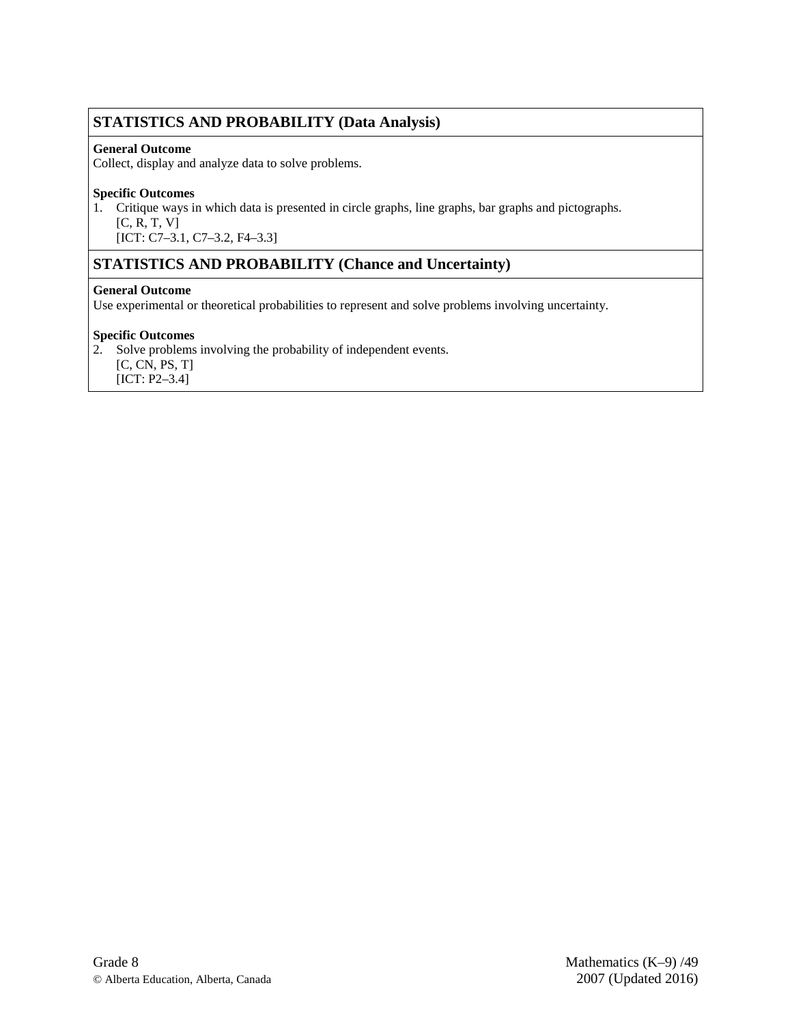# **STATISTICS AND PROBABILITY (Data Analysis)**

### **General Outcome**

Collect, display and analyze data to solve problems.

### **Specific Outcomes**

1. Critique ways in which data is presented in circle graphs, line graphs, bar graphs and pictographs.

- [C, R, T, V]
- [ICT: C7-3.1, C7-3.2, F4-3.3]

# **STATISTICS AND PROBABILITY (Chance and Uncertainty)**

### **General Outcome**

Use experimental or theoretical probabilities to represent and solve problems involving uncertainty.

### **Specific Outcomes**

2. Solve problems involving the probability of independent events.

[C, CN, PS, T]

[ICT: P2–3.4]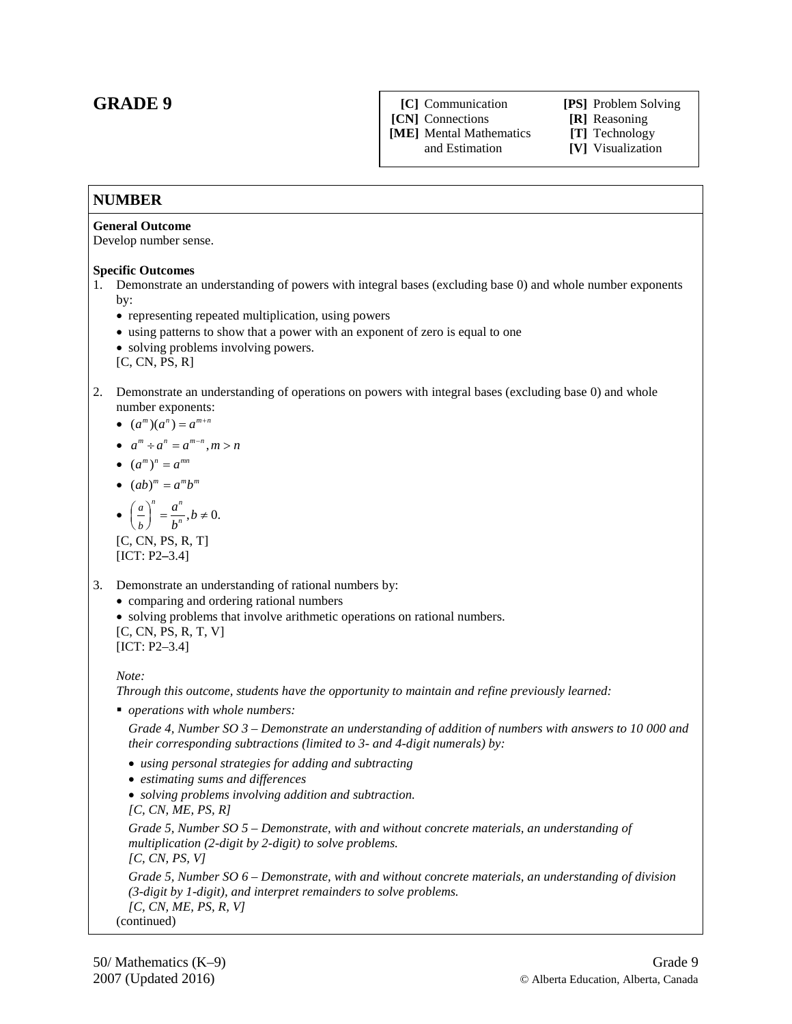# **GRADE 9**

**[C]** Communication **[PS]** Problem Solving **[CN]** Connections **[R]** Reasoning

**[ME]** Mental Mathematics **[T]** Technology

# [V] Visualization

### **NUMBER**

### **General Outcome**

Develop number sense.

#### **Specific Outcomes**

- 1. Demonstrate an understanding of powers with integral bases (excluding base 0) and whole number exponents by:
	- representing repeated multiplication, using powers
	- using patterns to show that a power with an exponent of zero is equal to one
	- solving problems involving powers.

[C, CN, PS, R]

- 2. Demonstrate an understanding of operations on powers with integral bases (excluding base 0) and whole number exponents:
	- $(a^m)(a^n) = a^{m+n}$
	- $a^m \div a^n = a^{m-n}, m > n$
	- $(a^m)^n = a^{mn}$

$$
\bullet \ \ (ab)^m = a^m b^m
$$

• 
$$
\left(\frac{a}{b}\right)^n = \frac{a^n}{b^n}, b \neq 0.
$$
  
[C, CN, PS, R, T]  
[ICT: P2–3.4]

3. Demonstrate an understanding of rational numbers by:

• comparing and ordering rational numbers

• solving problems that involve arithmetic operations on rational numbers.

[C, CN, PS, R, T, V] [ICT: P2–3.4]

*Note:* 

*Through this outcome, students have the opportunity to maintain and refine previously learned:* 

*operations with whole numbers:* 

*Grade 4, Number SO 3 – Demonstrate an understanding of addition of numbers with answers to 10 000 and their corresponding subtractions (limited to 3- and 4-digit numerals) by:*

- *using personal strategies for adding and subtracting*
- *estimating sums and differences*
- *solving problems involving addition and subtraction. [C, CN, ME, PS, R]*

*Grade 5, Number SO 5 – Demonstrate, with and without concrete materials, an understanding of multiplication (2-digit by 2-digit) to solve problems. [C, CN, PS, V] Grade 5, Number SO 6 – Demonstrate, with and without concrete materials, an understanding of division (3-digit by 1-digit), and interpret remainders to solve problems. [C, CN, ME, PS, R, V]*

(continued)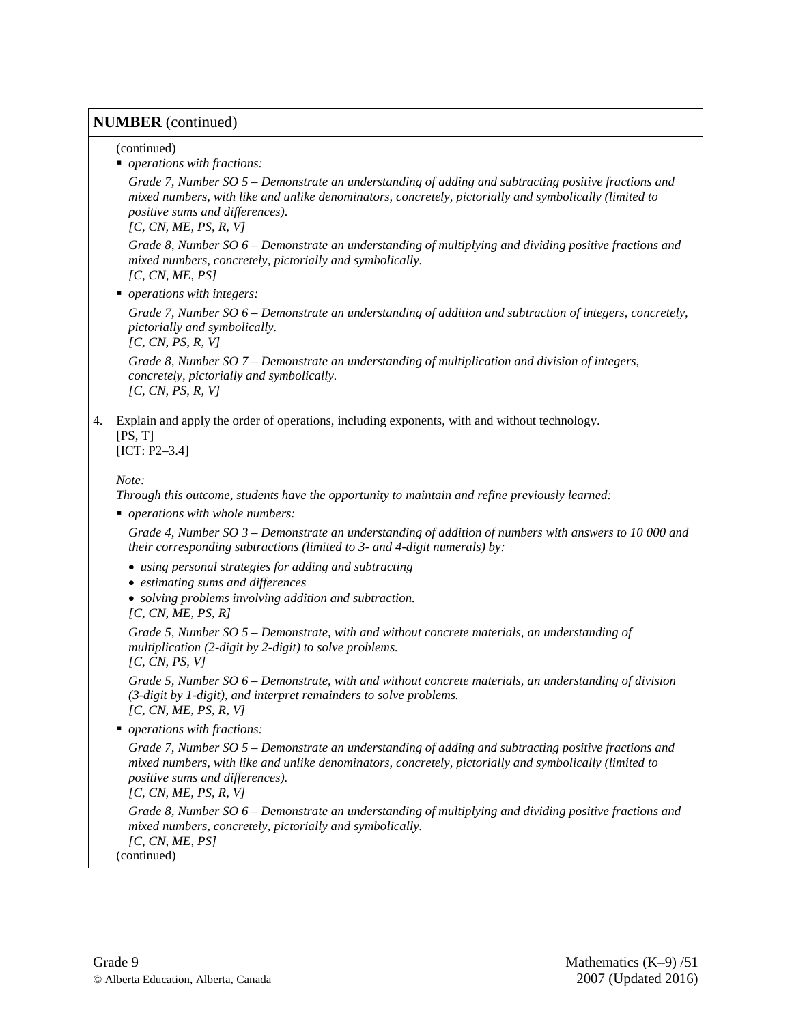### **NUMBER** (continued)

### (continued)

*operations with fractions:* 

*Grade 7, Number SO 5 – Demonstrate an understanding of adding and subtracting positive fractions and mixed numbers, with like and unlike denominators, concretely, pictorially and symbolically (limited to positive sums and differences).*

*[C, CN, ME, PS, R, V]*

*Grade 8, Number SO 6 – Demonstrate an understanding of multiplying and dividing positive fractions and mixed numbers, concretely, pictorially and symbolically. [C, CN, ME, PS]*

*operations with integers:* 

*Grade 7, Number SO 6 – Demonstrate an understanding of addition and subtraction of integers, concretely, pictorially and symbolically.* 

*[C, CN, PS, R, V]*

*Grade 8, Number SO 7 – Demonstrate an understanding of multiplication and division of integers, concretely, pictorially and symbolically. [C, CN, PS, R, V]*

4. Explain and apply the order of operations, including exponents, with and without technology.  $[PS, T]$ 

[ICT: P2–3.4]

### *Note:*

*Through this outcome, students have the opportunity to maintain and refine previously learned:* 

*operations with whole numbers:* 

*Grade 4, Number SO 3 – Demonstrate an understanding of addition of numbers with answers to 10 000 and their corresponding subtractions (limited to 3- and 4-digit numerals) by:*

- *using personal strategies for adding and subtracting*
- *estimating sums and differences*
- *solving problems involving addition and subtraction.*
- *[C, CN, ME, PS, R]*

*Grade 5, Number SO 5 – Demonstrate, with and without concrete materials, an understanding of multiplication (2-digit by 2-digit) to solve problems.*

*[C, CN, PS, V]*

*Grade 5, Number SO 6 – Demonstrate, with and without concrete materials, an understanding of division (3-digit by 1-digit), and interpret remainders to solve problems. [C, CN, ME, PS, R, V]*

*operations with fractions:* 

*Grade 7, Number SO 5 – Demonstrate an understanding of adding and subtracting positive fractions and mixed numbers, with like and unlike denominators, concretely, pictorially and symbolically (limited to positive sums and differences).*

*[C, CN, ME, PS, R, V]*

*Grade 8, Number SO 6 – Demonstrate an understanding of multiplying and dividing positive fractions and mixed numbers, concretely, pictorially and symbolically. [C, CN, ME, PS]*

(continued)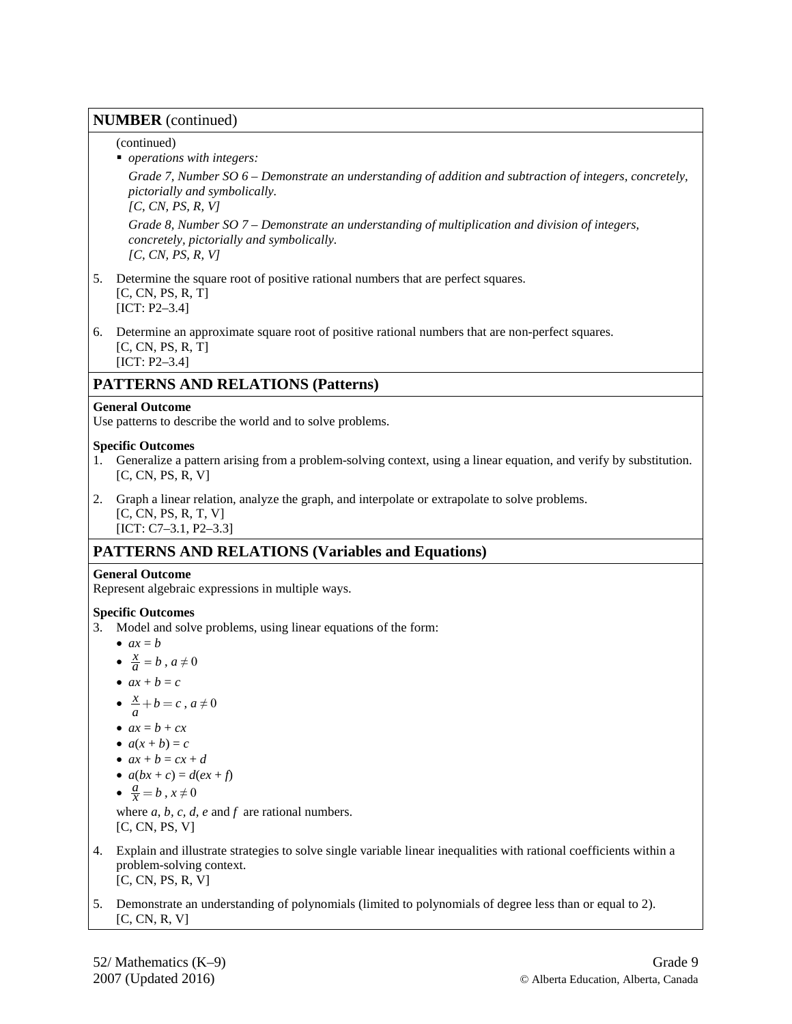### **NUMBER** (continued)

(continued)

*operations with integers:* 

*Grade 7, Number SO 6 – Demonstrate an understanding of addition and subtraction of integers, concretely, pictorially and symbolically.*

*[C, CN, PS, R, V]*

*Grade 8, Number SO 7 – Demonstrate an understanding of multiplication and division of integers, concretely, pictorially and symbolically. [C, CN, PS, R, V]*

- 5. Determine the square root of positive rational numbers that are perfect squares. [C, CN, PS, R, T] [ICT: P2–3.4]
- 6. Determine an approximate square root of positive rational numbers that are non-perfect squares. [C, CN, PS, R, T] [ICT: P2-3.4]

# **PATTERNS AND RELATIONS (Patterns)**

### **General Outcome**

Use patterns to describe the world and to solve problems.

### **Specific Outcomes**

1. Generalize a pattern arising from a problem-solving context, using a linear equation, and verify by substitution. [C, CN, PS, R, V]

2. Graph a linear relation, analyze the graph, and interpolate or extrapolate to solve problems. [C, CN, PS, R, T, V] [ICT: C7–3.1, P2–3.3]

# **PATTERNS AND RELATIONS (Variables and Equations)**

### **General Outcome**

Represent algebraic expressions in multiple ways.

### **Specific Outcomes**

- 3. Model and solve problems, using linear equations of the form:
	- $ax = b$
	- $\frac{x}{a} = b$ ,  $a \neq 0$
	- $ax + b = c$
	- $\frac{x}{a} + b = c$ ,  $a \neq 0$
	- $ax = b + cx$
	- $\bullet$   $a(x + b) = c$

• 
$$
ax + b = cx + d
$$

$$
a(bx+c) = d(ex+f)
$$

$$
\bullet \ \frac{a}{x} = b \ , x \neq 0
$$

where *a*, *b, c, d, e* and *f* are rational numbers. [C, CN, PS, V]

- 4. Explain and illustrate strategies to solve single variable linear inequalities with rational coefficients within a problem-solving context. [C, CN, PS, R, V]
- 5. Demonstrate an understanding of polynomials (limited to polynomials of degree less than or equal to 2). [C, CN, R, V]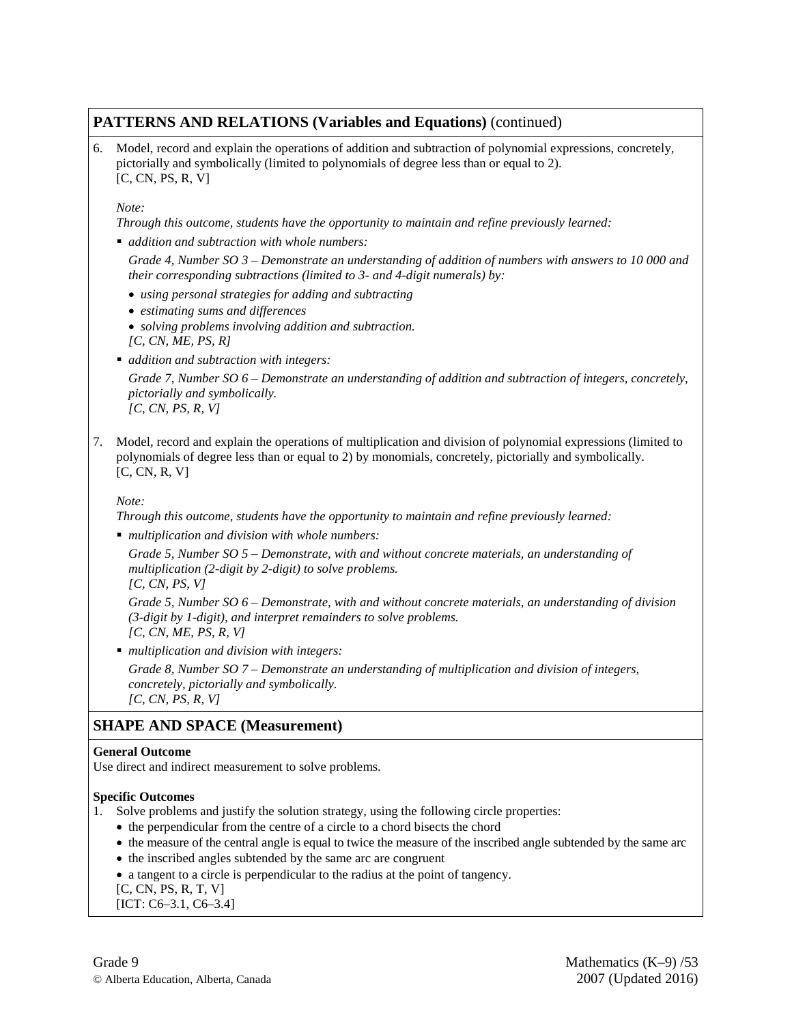## **PATTERNS AND RELATIONS (Variables and Equations)** (continued)

6. Model, record and explain the operations of addition and subtraction of polynomial expressions, concretely, pictorially and symbolically (limited to polynomials of degree less than or equal to 2). [C, CN, PS, R, V]

#### *Note:*

*Through this outcome, students have the opportunity to maintain and refine previously learned:* 

*addition and subtraction with whole numbers:* 

*Grade 4, Number SO 3 – Demonstrate an understanding of addition of numbers with answers to 10 000 and their corresponding subtractions (limited to 3- and 4-digit numerals) by:*

- *using personal strategies for adding and subtracting*
- *estimating sums and differences*
- *solving problems involving addition and subtraction. [C, CN, ME, PS, R]*
- *addition and subtraction with integers:*

*Grade 7, Number SO 6 – Demonstrate an understanding of addition and subtraction of integers, concretely, pictorially and symbolically. [C, CN, PS, R, V]*

7. Model, record and explain the operations of multiplication and division of polynomial expressions (limited to polynomials of degree less than or equal to 2) by monomials, concretely, pictorially and symbolically. [C, CN, R, V]

#### *Note:*

*Through this outcome, students have the opportunity to maintain and refine previously learned:* 

*multiplication and division with whole numbers:* 

*Grade 5, Number SO 5 – Demonstrate, with and without concrete materials, an understanding of multiplication (2-digit by 2-digit) to solve problems. [C, CN, PS, V]*

*Grade 5, Number SO 6 – Demonstrate, with and without concrete materials, an understanding of division (3-digit by 1-digit), and interpret remainders to solve problems. [C, CN, ME, PS, R, V]*

*multiplication and division with integers:* 

*Grade 8, Number SO 7 – Demonstrate an understanding of multiplication and division of integers, concretely, pictorially and symbolically. [C, CN, PS, R, V]*

# **SHAPE AND SPACE (Measurement)**

#### **General Outcome**

Use direct and indirect measurement to solve problems.

#### **Specific Outcomes**

- 1. Solve problems and justify the solution strategy, using the following circle properties:
	- the perpendicular from the centre of a circle to a chord bisects the chord
	- the measure of the central angle is equal to twice the measure of the inscribed angle subtended by the same arc
	- the inscribed angles subtended by the same arc are congruent
	- a tangent to a circle is perpendicular to the radius at the point of tangency.
	- [C, CN, PS, R, T, V]
	- [ICT: C6–3.1, C6–3.4]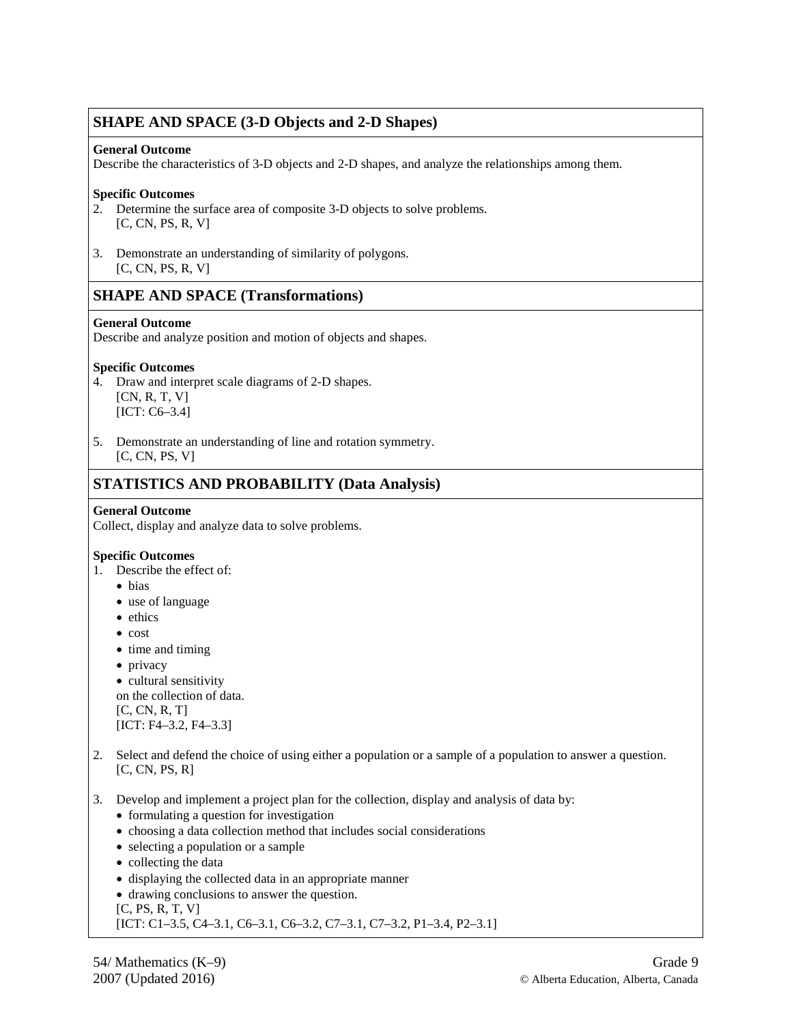## **SHAPE AND SPACE (3-D Objects and 2-D Shapes)**

### **General Outcome**

Describe the characteristics of 3-D objects and 2-D shapes, and analyze the relationships among them.

### **Specific Outcomes**

- 2. Determine the surface area of composite 3-D objects to solve problems. [C, CN, PS, R, V]
- 3. Demonstrate an understanding of similarity of polygons. [C, CN, PS, R, V]

### **SHAPE AND SPACE (Transformations)**

### **General Outcome**

Describe and analyze position and motion of objects and shapes.

### **Specific Outcomes**

- 4. Draw and interpret scale diagrams of 2-D shapes. [CN, R, T, V] [ICT: C6–3.4]
- 5. Demonstrate an understanding of line and rotation symmetry. [C, CN, PS, V]

# **STATISTICS AND PROBABILITY (Data Analysis)**

### **General Outcome**

Collect, display and analyze data to solve problems.

#### **Specific Outcomes**

- 1. Describe the effect of:
	- bias
	- use of language
	- ethics
	- cost
	- time and timing
	- privacy
	- cultural sensitivity
	- on the collection of data. [C, CN, R, T]

[ICT: F4-3.2, F4-3.3]

- 2. Select and defend the choice of using either a population or a sample of a population to answer a question. [C, CN, PS, R]
- 3. Develop and implement a project plan for the collection, display and analysis of data by:
	- formulating a question for investigation
	- choosing a data collection method that includes social considerations
	- selecting a population or a sample
	- collecting the data
	- displaying the collected data in an appropriate manner
	- drawing conclusions to answer the question.
	- [C, PS, R, T, V]
	- [ICT: C1–3.5, C4–3.1, C6–3.1, C6–3.2, C7–3.1, C7–3.2, P1–3.4, P2–3.1]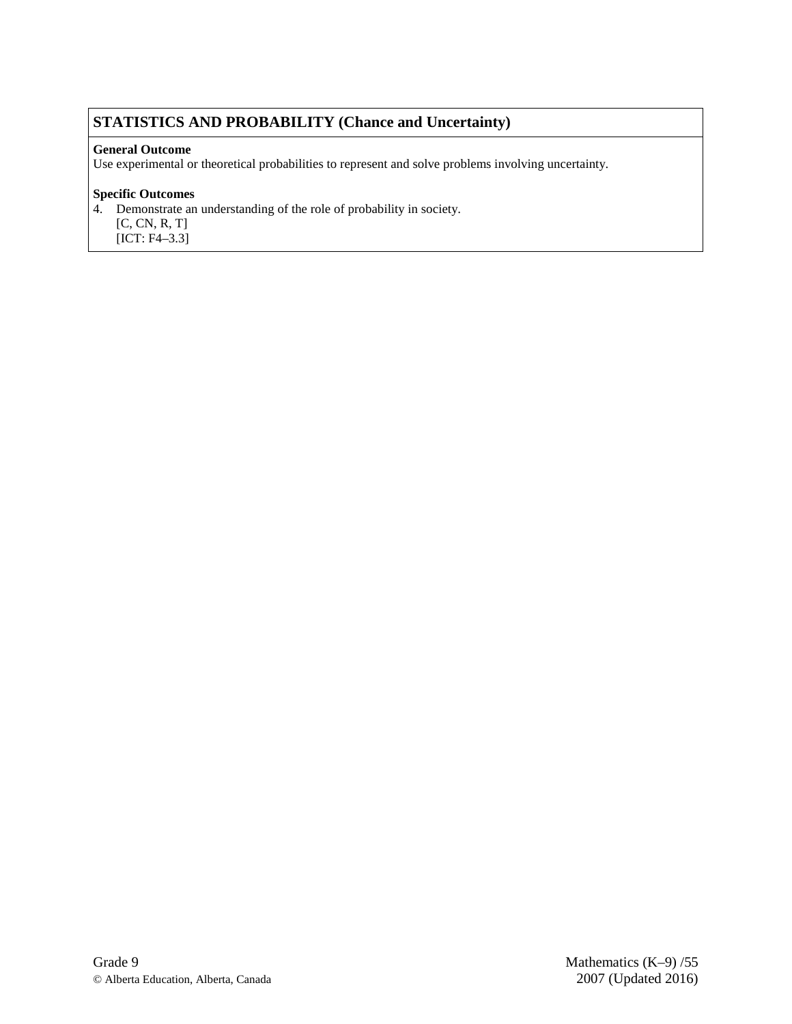# **STATISTICS AND PROBABILITY (Chance and Uncertainty)**

### **General Outcome**

Use experimental or theoretical probabilities to represent and solve problems involving uncertainty.

### **Specific Outcomes**

4. Demonstrate an understanding of the role of probability in society.

[C, CN, R, T]

[ICT: F4–3.3]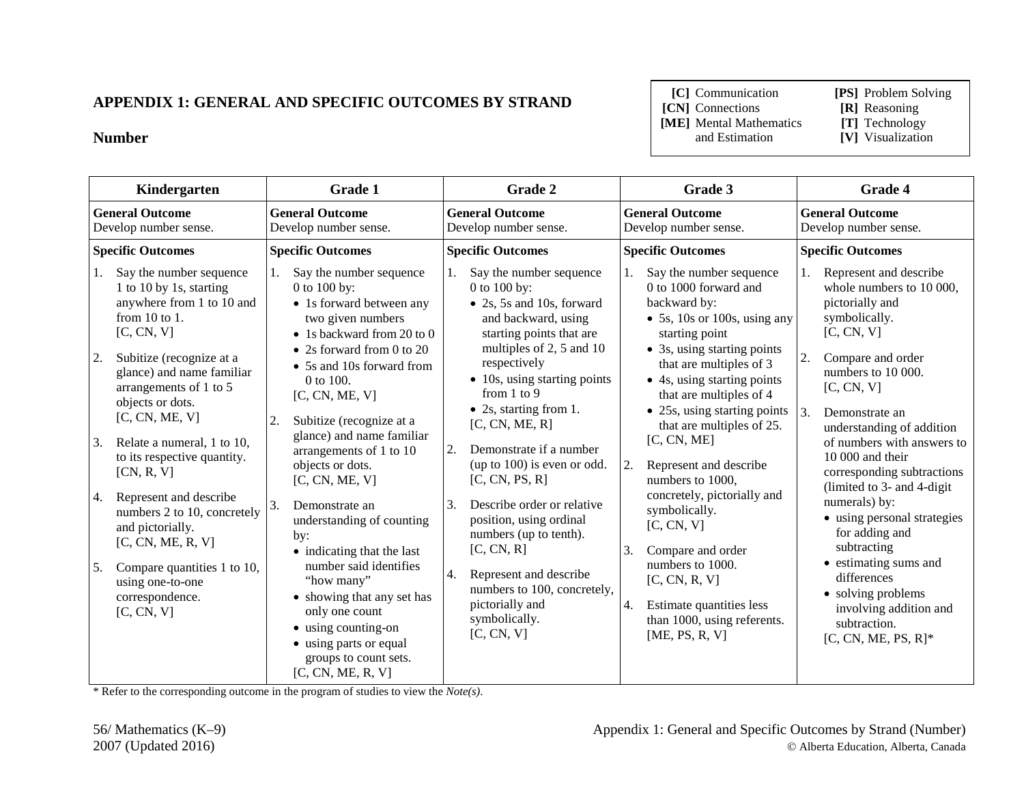# **APPENDIX 1: GENERAL AND SPECIFIC OUTCOMES BY STRAND**

### **Number**

**[C]** Communication **[PS]** Problem Solving

**[CN]** Connections **[R]** Reasoning

**[ME]** Mental Mathematics and Estimation

- 
- 
- **[V]** Visualization

| Kindergarten                                                                                                                                                                                                                                                                                                                                                                                                                                                                                                                                | Grade 1                                                                                                                                                                                                                                                                                                                                                                                                                                                                                                                                                                                                                          | Grade 2                                                                                                                                                                                                                                                                                                                                                                                                                                                                                                                                                                                            | Grade 3                                                                                                                                                                                                                                                                                                                                                                                                                                                                                                                                                                                 | Grade 4                                                                                                                                                                                                                                                                                                                                                                                                                                                                                                                                                          |
|---------------------------------------------------------------------------------------------------------------------------------------------------------------------------------------------------------------------------------------------------------------------------------------------------------------------------------------------------------------------------------------------------------------------------------------------------------------------------------------------------------------------------------------------|----------------------------------------------------------------------------------------------------------------------------------------------------------------------------------------------------------------------------------------------------------------------------------------------------------------------------------------------------------------------------------------------------------------------------------------------------------------------------------------------------------------------------------------------------------------------------------------------------------------------------------|----------------------------------------------------------------------------------------------------------------------------------------------------------------------------------------------------------------------------------------------------------------------------------------------------------------------------------------------------------------------------------------------------------------------------------------------------------------------------------------------------------------------------------------------------------------------------------------------------|-----------------------------------------------------------------------------------------------------------------------------------------------------------------------------------------------------------------------------------------------------------------------------------------------------------------------------------------------------------------------------------------------------------------------------------------------------------------------------------------------------------------------------------------------------------------------------------------|------------------------------------------------------------------------------------------------------------------------------------------------------------------------------------------------------------------------------------------------------------------------------------------------------------------------------------------------------------------------------------------------------------------------------------------------------------------------------------------------------------------------------------------------------------------|
| <b>General Outcome</b><br>Develop number sense.                                                                                                                                                                                                                                                                                                                                                                                                                                                                                             | <b>General Outcome</b><br>Develop number sense.                                                                                                                                                                                                                                                                                                                                                                                                                                                                                                                                                                                  | <b>General Outcome</b><br>Develop number sense.                                                                                                                                                                                                                                                                                                                                                                                                                                                                                                                                                    | <b>General Outcome</b><br>Develop number sense.                                                                                                                                                                                                                                                                                                                                                                                                                                                                                                                                         | <b>General Outcome</b><br>Develop number sense.                                                                                                                                                                                                                                                                                                                                                                                                                                                                                                                  |
| <b>Specific Outcomes</b>                                                                                                                                                                                                                                                                                                                                                                                                                                                                                                                    | <b>Specific Outcomes</b>                                                                                                                                                                                                                                                                                                                                                                                                                                                                                                                                                                                                         | <b>Specific Outcomes</b>                                                                                                                                                                                                                                                                                                                                                                                                                                                                                                                                                                           | <b>Specific Outcomes</b>                                                                                                                                                                                                                                                                                                                                                                                                                                                                                                                                                                | <b>Specific Outcomes</b>                                                                                                                                                                                                                                                                                                                                                                                                                                                                                                                                         |
| Say the number sequence<br>1.<br>1 to 10 by 1s, starting<br>anywhere from 1 to 10 and<br>from $10$ to $1$ .<br>[C, CN, V]<br>2.<br>Subitize (recognize at a<br>glance) and name familiar<br>arrangements of 1 to 5<br>objects or dots.<br>[C, CN, ME, V]<br>3.<br>Relate a numeral, 1 to 10,<br>to its respective quantity.<br>[CN, R, V]<br>Represent and describe<br>4.<br>numbers 2 to 10, concretely<br>and pictorially.<br>[C, CN, ME, R, V]<br>5.<br>Compare quantities 1 to 10,<br>using one-to-one<br>correspondence.<br>[C, CN, V] | Say the number sequence<br>0 to 100 by:<br>• 1s forward between any<br>two given numbers<br>• 1s backward from 20 to 0<br>• 2s forward from 0 to 20<br>• 5s and 10s forward from<br>0 to 100.<br>[C, CN, ME, V]<br>2.<br>Subitize (recognize at a<br>glance) and name familiar<br>arrangements of 1 to 10<br>objects or dots.<br>[C, CN, ME, V]<br>3.<br>Demonstrate an<br>understanding of counting<br>by:<br>• indicating that the last<br>number said identifies<br>"how many"<br>• showing that any set has<br>only one count<br>• using counting-on<br>• using parts or equal<br>groups to count sets.<br>[C, CN, ME, R, V] | Say the number sequence<br>1.<br>$0$ to $100$ by:<br>• 2s, 5s and 10s, forward<br>and backward, using<br>starting points that are<br>multiples of 2, 5 and 10<br>respectively<br>$\bullet$ 10s, using starting points<br>from 1 to 9<br>$\bullet$ 2s, starting from 1.<br>[C, CN, ME, R]<br>Demonstrate if a number<br>2.<br>(up to 100) is even or odd.<br>[C, CN, PS, R]<br>Describe order or relative<br>3.<br>position, using ordinal<br>numbers (up to tenth).<br>[C, CN, R]<br>4.<br>Represent and describe<br>numbers to 100, concretely,<br>pictorially and<br>symbolically.<br>[C, CN, V] | Say the number sequence<br>0 to 1000 forward and<br>backward by:<br>• 5s, 10s or 100s, using any<br>starting point<br>• 3s, using starting points<br>that are multiples of 3<br>• 4s, using starting points<br>that are multiples of 4<br>• 25s, using starting points<br>that are multiples of 25.<br>[C, CN, ME]<br>2.<br>Represent and describe<br>numbers to 1000,<br>concretely, pictorially and<br>symbolically.<br>[C, CN, V]<br>3.<br>Compare and order<br>numbers to 1000.<br>[C, CN, R, V]<br>Estimate quantities less<br>4.<br>than 1000, using referents.<br>[ME, PS, R, V] | Represent and describe<br>1.<br>whole numbers to 10 000,<br>pictorially and<br>symbolically.<br>[C, CN, V]<br>2.<br>Compare and order<br>numbers to 10 000.<br>[C, CN, V]<br>3.<br>Demonstrate an<br>understanding of addition<br>of numbers with answers to<br>10 000 and their<br>corresponding subtractions<br>(limited to 3- and 4-digit)<br>numerals) by:<br>• using personal strategies<br>for adding and<br>subtracting<br>• estimating sums and<br>differences<br>• solving problems<br>involving addition and<br>subtraction.<br>$[C, CN, ME, PS, R]^*$ |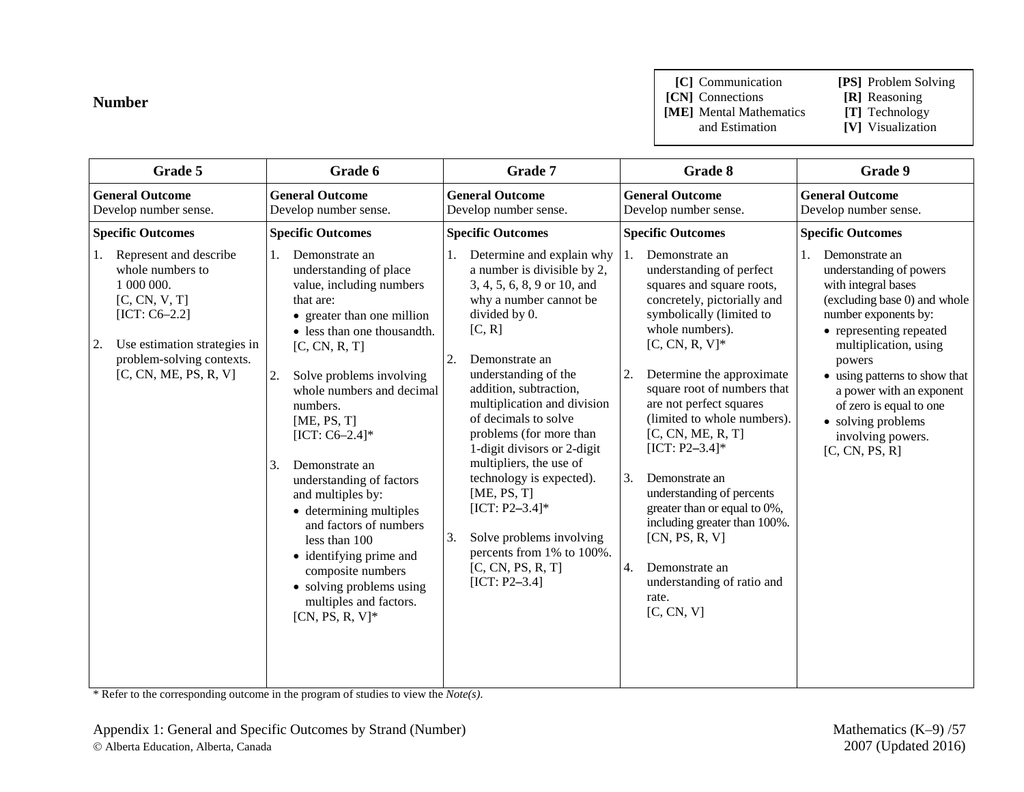## **Number**

**[C]** Communication **[PS]** Problem Solving

**[CN]** Connections **[R]** Reasoning

**[ME]** Mental Mathematics and Estimation

**[V]** Visualization

| Grade 5                                                                                                                                                                                        | Grade 6                                                                                                                                                                                                                                                                                                                                                                                                                                                                                                                                                        | Grade 7                                                                                                                                                                                                                                                                                                                                                                                                                                                                                                                                  | Grade 8                                                                                                                                                                                                                                                                                                                                                                                                                                                                                                                                                                   | Grade 9                                                                                                                                                                                                                                                                                                                                           |
|------------------------------------------------------------------------------------------------------------------------------------------------------------------------------------------------|----------------------------------------------------------------------------------------------------------------------------------------------------------------------------------------------------------------------------------------------------------------------------------------------------------------------------------------------------------------------------------------------------------------------------------------------------------------------------------------------------------------------------------------------------------------|------------------------------------------------------------------------------------------------------------------------------------------------------------------------------------------------------------------------------------------------------------------------------------------------------------------------------------------------------------------------------------------------------------------------------------------------------------------------------------------------------------------------------------------|---------------------------------------------------------------------------------------------------------------------------------------------------------------------------------------------------------------------------------------------------------------------------------------------------------------------------------------------------------------------------------------------------------------------------------------------------------------------------------------------------------------------------------------------------------------------------|---------------------------------------------------------------------------------------------------------------------------------------------------------------------------------------------------------------------------------------------------------------------------------------------------------------------------------------------------|
| <b>General Outcome</b><br>Develop number sense.                                                                                                                                                | <b>General Outcome</b><br>Develop number sense.                                                                                                                                                                                                                                                                                                                                                                                                                                                                                                                | <b>General Outcome</b><br>Develop number sense.                                                                                                                                                                                                                                                                                                                                                                                                                                                                                          | <b>General Outcome</b><br>Develop number sense.                                                                                                                                                                                                                                                                                                                                                                                                                                                                                                                           | <b>General Outcome</b><br>Develop number sense.                                                                                                                                                                                                                                                                                                   |
| <b>Specific Outcomes</b>                                                                                                                                                                       | <b>Specific Outcomes</b>                                                                                                                                                                                                                                                                                                                                                                                                                                                                                                                                       | <b>Specific Outcomes</b>                                                                                                                                                                                                                                                                                                                                                                                                                                                                                                                 | <b>Specific Outcomes</b>                                                                                                                                                                                                                                                                                                                                                                                                                                                                                                                                                  | <b>Specific Outcomes</b>                                                                                                                                                                                                                                                                                                                          |
| Represent and describe<br>1.<br>whole numbers to<br>1 000 000.<br>[C, CN, V, T]<br>$[ICT: C6-2.2]$<br>Use estimation strategies in<br>2.<br>problem-solving contexts.<br>[C, CN, ME, PS, R, V] | Demonstrate an<br>1.<br>understanding of place<br>value, including numbers<br>that are:<br>• greater than one million<br>• less than one thousandth.<br>[C, CN, R, T]<br>2.<br>Solve problems involving<br>whole numbers and decimal<br>numbers.<br>[ME, PS, T]<br>$[ICT: C6-2.4]*$<br>3.<br>Demonstrate an<br>understanding of factors<br>and multiples by:<br>• determining multiples<br>and factors of numbers<br>less than 100<br>• identifying prime and<br>composite numbers<br>• solving problems using<br>multiples and factors.<br>$[CN, PS, R, V]^*$ | Determine and explain why<br>a number is divisible by 2,<br>3, 4, 5, 6, 8, 9 or 10, and<br>why a number cannot be<br>divided by 0.<br>[C, R]<br>2.<br>Demonstrate an<br>understanding of the<br>addition, subtraction,<br>multiplication and division<br>of decimals to solve<br>problems (for more than<br>1-digit divisors or 2-digit<br>multipliers, the use of<br>technology is expected).<br>[ME, PS, T]<br>$[ICT: P2-3.4]*$<br>3.<br>Solve problems involving<br>percents from 1% to 100%.<br>[C, CN, PS, R, T]<br>$[ICT: P2-3.4]$ | Demonstrate an<br>1.<br>understanding of perfect<br>squares and square roots,<br>concretely, pictorially and<br>symbolically (limited to<br>whole numbers).<br>$[C, CN, R, V]^*$<br>2.<br>Determine the approximate<br>square root of numbers that<br>are not perfect squares<br>(limited to whole numbers).<br>[C, CN, ME, R, T]<br>$[ICT: P2-3.4]*$<br>3.<br>Demonstrate an<br>understanding of percents<br>greater than or equal to 0%,<br>including greater than 100%.<br>[CN, PS, R, V]<br>4.<br>Demonstrate an<br>understanding of ratio and<br>rate.<br>[C, CN, V] | Demonstrate an<br>1.<br>understanding of powers<br>with integral bases<br>(excluding base 0) and whole<br>number exponents by:<br>• representing repeated<br>multiplication, using<br>powers<br>• using patterns to show that<br>a power with an exponent<br>of zero is equal to one<br>• solving problems<br>involving powers.<br>[C, CN, PS, R] |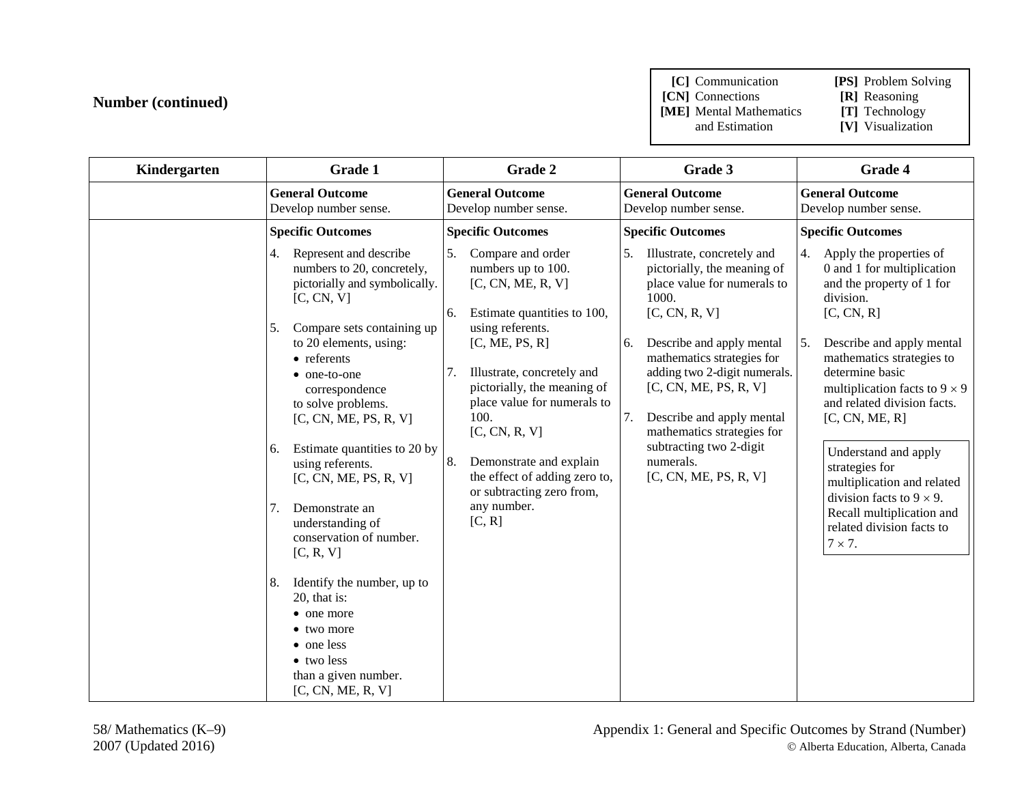**[C]** Communication **[PS]** Problem Solving

**[CN]** Connections **[R]** Reasoning<br> **[ME]** Mental Mathematics **[T]** Technology

**[ME]** Mental Mathematics and Estimation

[V] Visualization

| Kindergarten | Grade 1                                                                                                                                               | Grade 2                                                                                                                                   | Grade 3                                                                                                                                                                                 | Grade 4                                                                                                                                                                  |
|--------------|-------------------------------------------------------------------------------------------------------------------------------------------------------|-------------------------------------------------------------------------------------------------------------------------------------------|-----------------------------------------------------------------------------------------------------------------------------------------------------------------------------------------|--------------------------------------------------------------------------------------------------------------------------------------------------------------------------|
|              | <b>General Outcome</b><br>Develop number sense.                                                                                                       | <b>General Outcome</b><br>Develop number sense.                                                                                           | <b>General Outcome</b><br>Develop number sense.                                                                                                                                         | <b>General Outcome</b><br>Develop number sense.                                                                                                                          |
|              | <b>Specific Outcomes</b>                                                                                                                              | <b>Specific Outcomes</b>                                                                                                                  | <b>Specific Outcomes</b>                                                                                                                                                                | <b>Specific Outcomes</b>                                                                                                                                                 |
|              | Represent and describe<br>4.<br>numbers to 20, concretely,<br>pictorially and symbolically.<br>[C, CN, V]<br>5.<br>Compare sets containing up         | 5.<br>Compare and order<br>numbers up to 100.<br>[C, CN, ME, R, V]<br>Estimate quantities to 100,<br>6.<br>using referents.               | 5.<br>Illustrate, concretely and<br>pictorially, the meaning of<br>place value for numerals to<br>1000.<br>[C, CN, R, V]                                                                | 4.<br>Apply the properties of<br>0 and 1 for multiplication<br>and the property of 1 for<br>division.<br>[C, CN, R]                                                      |
|              | to 20 elements, using:<br>• referents<br>• one-to-one<br>correspondence<br>to solve problems.<br>[C, CN, ME, PS, R, V]                                | [C, ME, PS, R]<br>7.<br>Illustrate, concretely and<br>pictorially, the meaning of<br>place value for numerals to<br>100.<br>[C, CN, R, V] | Describe and apply mental<br>6.<br>mathematics strategies for<br>adding two 2-digit numerals.<br>[C, CN, ME, PS, R, V]<br>Describe and apply mental<br>7.<br>mathematics strategies for | Describe and apply mental<br>5.<br>mathematics strategies to<br>determine basic<br>multiplication facts to $9 \times 9$<br>and related division facts.<br>[C, CN, ME, R] |
|              | Estimate quantities to 20 by<br>6.<br>using referents.<br>[C, CN, ME, PS, R, V]                                                                       | 8.<br>Demonstrate and explain<br>the effect of adding zero to,<br>or subtracting zero from,                                               | subtracting two 2-digit<br>numerals.<br>[C, CN, ME, PS, R, V]                                                                                                                           | Understand and apply<br>strategies for<br>multiplication and related<br>division facts to $9 \times 9$ .                                                                 |
|              | 7.<br>Demonstrate an<br>understanding of<br>conservation of number.<br>[C, R, V]                                                                      | any number.<br>[C, R]                                                                                                                     |                                                                                                                                                                                         | Recall multiplication and<br>related division facts to<br>$7 \times 7$ .                                                                                                 |
|              | Identify the number, up to<br>8.<br>20, that is:<br>• one more<br>• two more<br>• one less<br>• two less<br>than a given number.<br>[C, CN, ME, R, V] |                                                                                                                                           |                                                                                                                                                                                         |                                                                                                                                                                          |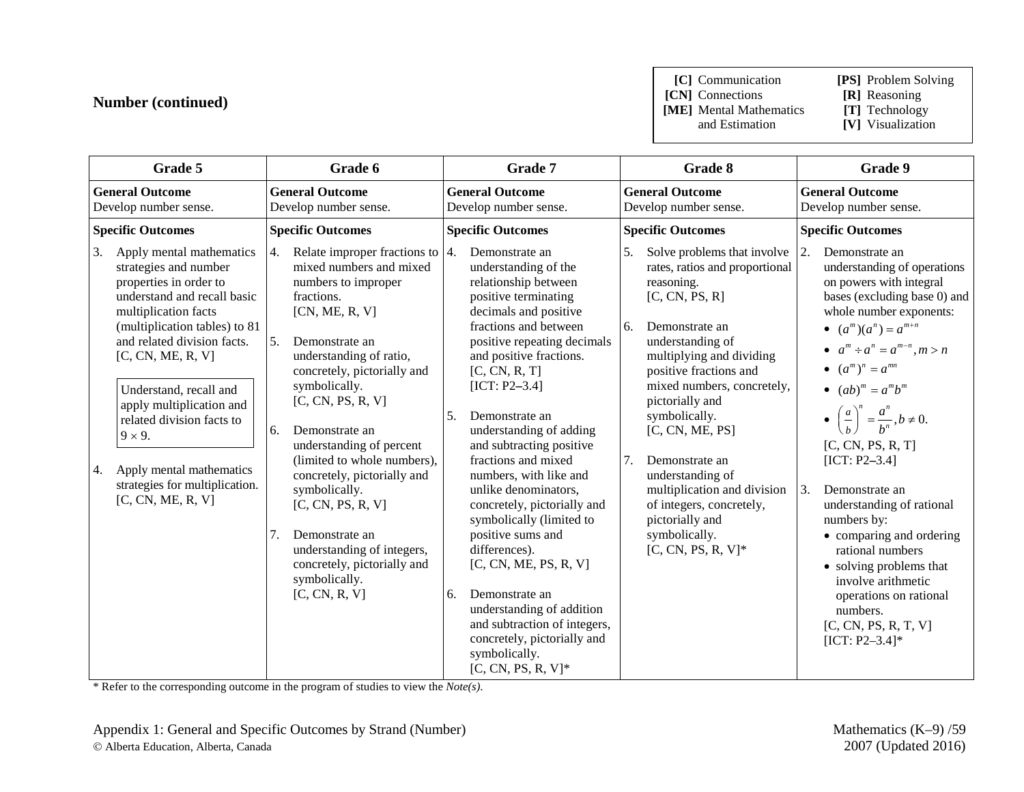**[C]** Communication **[PS]** Problem Solving

**[CN]** Connections **[R]** Reasoning<br> **[ME]** Mental Mathematics **[T]** Technology **[ME]** Mental Mathematics and Estimation

- 
- 
- **[V]** Visualization

| Grade 5                                                                                                                                                                                                                                                                                                                                                                                                                     | Grade 6                                                                                                                                                                                                                                                                                                                                                                                                                                                                                                                            | Grade 7                                                                                                                                                                                                                                                                                                                                                                                                                                                                                                                                                                                                                                                                                 | Grade 8                                                                                                                                                                                                                                                                                                                                                                                                                                                        | Grade 9                                                                                                                                                                                                                                                                                                                                                                                                                                                                                                                                                                                                                   |
|-----------------------------------------------------------------------------------------------------------------------------------------------------------------------------------------------------------------------------------------------------------------------------------------------------------------------------------------------------------------------------------------------------------------------------|------------------------------------------------------------------------------------------------------------------------------------------------------------------------------------------------------------------------------------------------------------------------------------------------------------------------------------------------------------------------------------------------------------------------------------------------------------------------------------------------------------------------------------|-----------------------------------------------------------------------------------------------------------------------------------------------------------------------------------------------------------------------------------------------------------------------------------------------------------------------------------------------------------------------------------------------------------------------------------------------------------------------------------------------------------------------------------------------------------------------------------------------------------------------------------------------------------------------------------------|----------------------------------------------------------------------------------------------------------------------------------------------------------------------------------------------------------------------------------------------------------------------------------------------------------------------------------------------------------------------------------------------------------------------------------------------------------------|---------------------------------------------------------------------------------------------------------------------------------------------------------------------------------------------------------------------------------------------------------------------------------------------------------------------------------------------------------------------------------------------------------------------------------------------------------------------------------------------------------------------------------------------------------------------------------------------------------------------------|
| <b>General Outcome</b><br>Develop number sense.                                                                                                                                                                                                                                                                                                                                                                             | <b>General Outcome</b><br>Develop number sense.                                                                                                                                                                                                                                                                                                                                                                                                                                                                                    | <b>General Outcome</b><br>Develop number sense.                                                                                                                                                                                                                                                                                                                                                                                                                                                                                                                                                                                                                                         | <b>General Outcome</b><br>Develop number sense.                                                                                                                                                                                                                                                                                                                                                                                                                | <b>General Outcome</b><br>Develop number sense.                                                                                                                                                                                                                                                                                                                                                                                                                                                                                                                                                                           |
| <b>Specific Outcomes</b>                                                                                                                                                                                                                                                                                                                                                                                                    | <b>Specific Outcomes</b>                                                                                                                                                                                                                                                                                                                                                                                                                                                                                                           | <b>Specific Outcomes</b>                                                                                                                                                                                                                                                                                                                                                                                                                                                                                                                                                                                                                                                                | <b>Specific Outcomes</b>                                                                                                                                                                                                                                                                                                                                                                                                                                       | <b>Specific Outcomes</b>                                                                                                                                                                                                                                                                                                                                                                                                                                                                                                                                                                                                  |
| Apply mental mathematics<br>3.<br>strategies and number<br>properties in order to<br>understand and recall basic<br>multiplication facts<br>(multiplication tables) to 81<br>and related division facts.<br>[C, CN, ME, R, V]<br>Understand, recall and<br>apply multiplication and<br>related division facts to<br>$9 \times 9$ .<br>Apply mental mathematics<br>4.<br>strategies for multiplication.<br>[C, CN, ME, R, V] | Relate improper fractions to $ 4$ .<br>4.<br>mixed numbers and mixed<br>numbers to improper<br>fractions.<br>[CN, ME, R, V]<br>5.<br>Demonstrate an<br>understanding of ratio,<br>concretely, pictorially and<br>symbolically.<br>[C, CN, PS, R, V]<br>6.<br>Demonstrate an<br>understanding of percent<br>(limited to whole numbers),<br>concretely, pictorially and<br>symbolically.<br>[C, CN, PS, R, V]<br>7.<br>Demonstrate an<br>understanding of integers,<br>concretely, pictorially and<br>symbolically.<br>[C, CN, R, V] | Demonstrate an<br>understanding of the<br>relationship between<br>positive terminating<br>decimals and positive<br>fractions and between<br>positive repeating decimals<br>and positive fractions.<br>[C, CN, R, T]<br>$[ICT: P2-3.4]$<br>.5.<br>Demonstrate an<br>understanding of adding<br>and subtracting positive<br>fractions and mixed<br>numbers, with like and<br>unlike denominators,<br>concretely, pictorially and<br>symbolically (limited to<br>positive sums and<br>differences).<br>[C, CN, ME, PS, R, V]<br>Demonstrate an<br>6.<br>understanding of addition<br>and subtraction of integers,<br>concretely, pictorially and<br>symbolically.<br>$[C, CN, PS, R, V]^*$ | Solve problems that involve<br>5.<br>rates, ratios and proportional<br>reasoning.<br>[C, CN, PS, R]<br>6.<br>Demonstrate an<br>understanding of<br>multiplying and dividing<br>positive fractions and<br>mixed numbers, concretely,<br>pictorially and<br>symbolically.<br>[C, CN, ME, PS]<br>7.<br>Demonstrate an<br>understanding of<br>multiplication and division<br>of integers, concretely,<br>pictorially and<br>symbolically.<br>$[C, CN, PS, R, V]^*$ | 2.<br>Demonstrate an<br>understanding of operations<br>on powers with integral<br>bases (excluding base 0) and<br>whole number exponents:<br>• $(a^m)(a^n) = a^{m+n}$<br>• $a^m \div a^n = a^{m-n}, m > n$<br>• $(a^m)^n = a^{mn}$<br>• $(ab)^m = a^m b^m$<br>• $\left(\frac{a}{b}\right)^n = \frac{a^n}{b^n}, b \neq 0.$<br>[C, CN, PS, R, T]<br>$[ICT: P2-3.4]$<br>3.<br>Demonstrate an<br>understanding of rational<br>numbers by:<br>• comparing and ordering<br>rational numbers<br>• solving problems that<br>involve arithmetic<br>operations on rational<br>numbers.<br>[C, CN, PS, R, T, V]<br>[ICT: $P2-3.4$ ]* |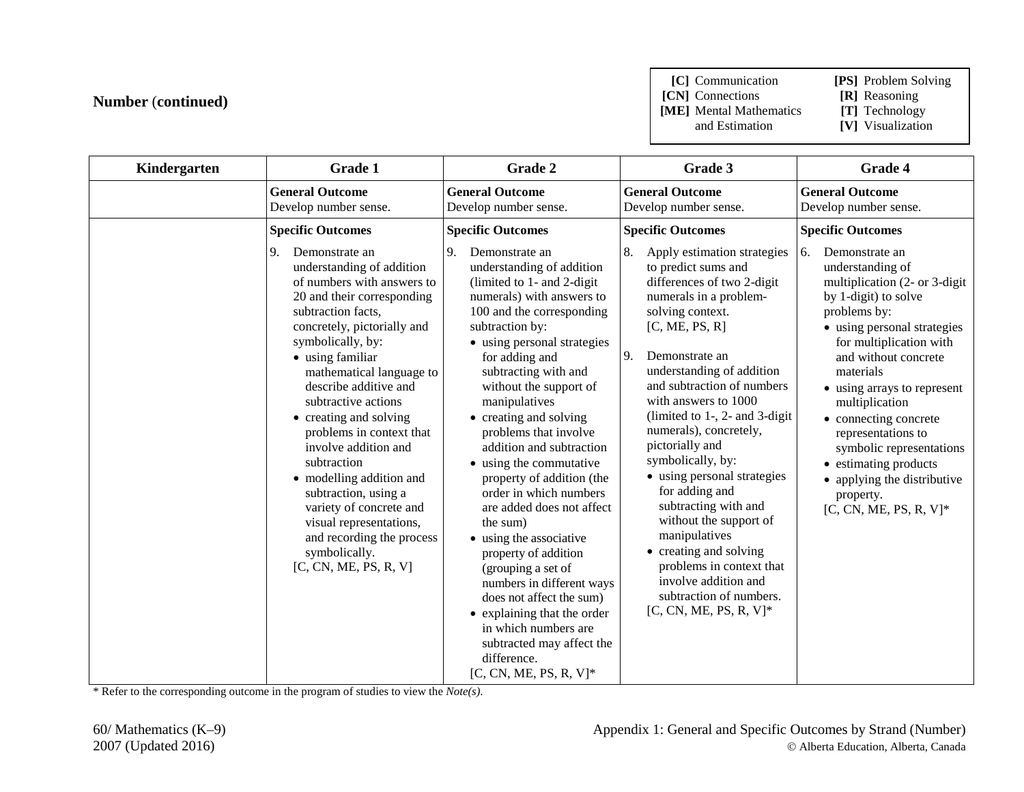**[C]** Communication **[PS]** Problem Solving

**[CN]** Connections **[R]** Reasoning<br> **[ME]** Mental Mathematics **[T]** Technology

**[ME]** Mental Mathematics and Estimation

**[V]** Visualization

| Kindergarten | Grade 1                                                                                                                                                                                                                                                                                                                                                                                                                                                                                                                                                               | Grade 2                                                                                                                                                                                                                                                                                                                                                                                                                                                                                                                                                                                                                                                                                                                                                      | Grade 3                                                                                                                                                                                                                                                                                                                                                                                                                                                                                                                                                                                                                           | Grade 4                                                                                                                                                                                                                                                                                                                                                                                                                                         |
|--------------|-----------------------------------------------------------------------------------------------------------------------------------------------------------------------------------------------------------------------------------------------------------------------------------------------------------------------------------------------------------------------------------------------------------------------------------------------------------------------------------------------------------------------------------------------------------------------|--------------------------------------------------------------------------------------------------------------------------------------------------------------------------------------------------------------------------------------------------------------------------------------------------------------------------------------------------------------------------------------------------------------------------------------------------------------------------------------------------------------------------------------------------------------------------------------------------------------------------------------------------------------------------------------------------------------------------------------------------------------|-----------------------------------------------------------------------------------------------------------------------------------------------------------------------------------------------------------------------------------------------------------------------------------------------------------------------------------------------------------------------------------------------------------------------------------------------------------------------------------------------------------------------------------------------------------------------------------------------------------------------------------|-------------------------------------------------------------------------------------------------------------------------------------------------------------------------------------------------------------------------------------------------------------------------------------------------------------------------------------------------------------------------------------------------------------------------------------------------|
|              | <b>General Outcome</b><br>Develop number sense.                                                                                                                                                                                                                                                                                                                                                                                                                                                                                                                       | <b>General Outcome</b><br>Develop number sense.                                                                                                                                                                                                                                                                                                                                                                                                                                                                                                                                                                                                                                                                                                              | <b>General Outcome</b><br>Develop number sense.                                                                                                                                                                                                                                                                                                                                                                                                                                                                                                                                                                                   | <b>General Outcome</b><br>Develop number sense.                                                                                                                                                                                                                                                                                                                                                                                                 |
|              | <b>Specific Outcomes</b>                                                                                                                                                                                                                                                                                                                                                                                                                                                                                                                                              | <b>Specific Outcomes</b>                                                                                                                                                                                                                                                                                                                                                                                                                                                                                                                                                                                                                                                                                                                                     | <b>Specific Outcomes</b>                                                                                                                                                                                                                                                                                                                                                                                                                                                                                                                                                                                                          | <b>Specific Outcomes</b>                                                                                                                                                                                                                                                                                                                                                                                                                        |
|              | 9.<br>Demonstrate an<br>understanding of addition<br>of numbers with answers to<br>20 and their corresponding<br>subtraction facts,<br>concretely, pictorially and<br>symbolically, by:<br>• using familiar<br>mathematical language to<br>describe additive and<br>subtractive actions<br>• creating and solving<br>problems in context that<br>involve addition and<br>subtraction<br>• modelling addition and<br>subtraction, using a<br>variety of concrete and<br>visual representations,<br>and recording the process<br>symbolically.<br>[C, CN, ME, PS, R, V] | 9.<br>Demonstrate an<br>understanding of addition<br>(limited to 1- and 2-digit<br>numerals) with answers to<br>100 and the corresponding<br>subtraction by:<br>• using personal strategies<br>for adding and<br>subtracting with and<br>without the support of<br>manipulatives<br>• creating and solving<br>problems that involve<br>addition and subtraction<br>• using the commutative<br>property of addition (the<br>order in which numbers<br>are added does not affect<br>the sum)<br>• using the associative<br>property of addition<br>(grouping a set of<br>numbers in different ways<br>does not affect the sum)<br>• explaining that the order<br>in which numbers are<br>subtracted may affect the<br>difference.<br>$[C, CN, ME, PS, R, V]^*$ | Apply estimation strategies<br>to predict sums and<br>differences of two 2-digit<br>numerals in a problem-<br>solving context.<br>[C, ME, PS, R]<br>9.<br>Demonstrate an<br>understanding of addition<br>and subtraction of numbers<br>with answers to 1000<br>(limited to $1-$ , $2-$ and $3$ -digit<br>numerals), concretely,<br>pictorially and<br>symbolically, by:<br>• using personal strategies<br>for adding and<br>subtracting with and<br>without the support of<br>manipulatives<br>• creating and solving<br>problems in context that<br>involve addition and<br>subtraction of numbers.<br>$[C, CN, ME, PS, R, V]^*$ | 6.<br>Demonstrate an<br>understanding of<br>multiplication (2- or 3-digit)<br>by 1-digit) to solve<br>problems by:<br>• using personal strategies<br>for multiplication with<br>and without concrete<br>materials<br>• using arrays to represent<br>multiplication<br>• connecting concrete<br>representations to<br>symbolic representations<br>• estimating products<br>• applying the distributive<br>property.<br>$[C, CN, ME, PS, R, V]^*$ |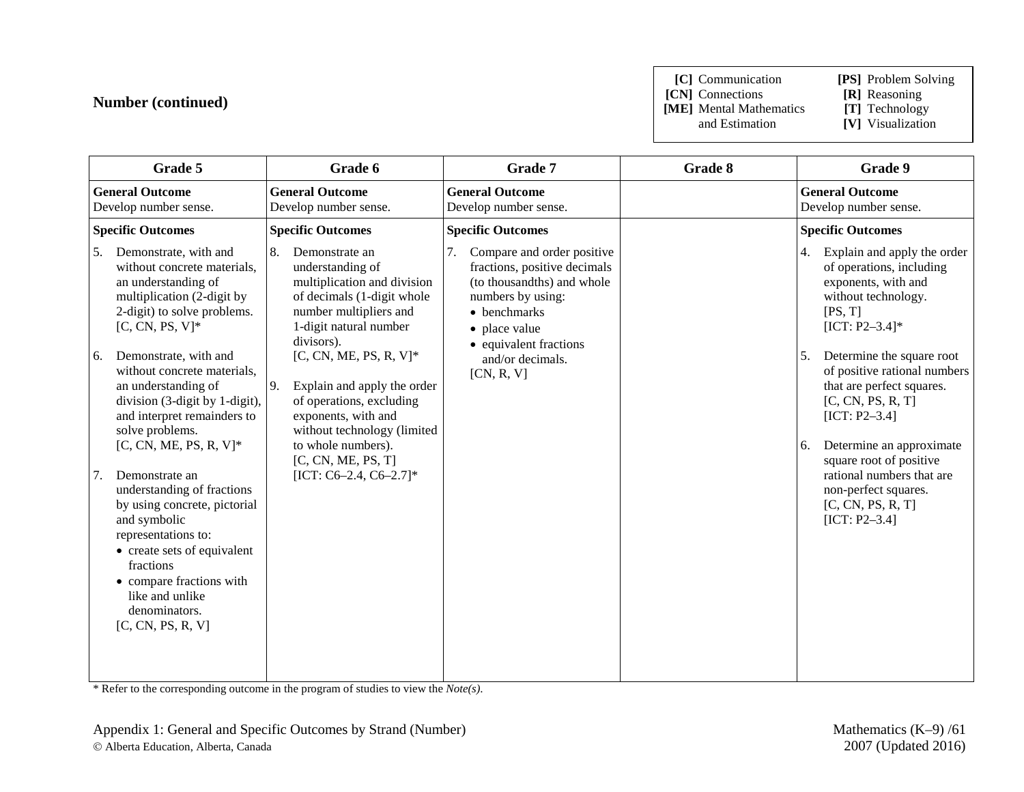**[C]** Communication **[PS]** Problem Solving

**[CN]** Connections **[R]** Reasoning<br> **[ME]** Mental Mathematics **[T]** Technology **[ME]** Mental Mathematics and Estimation

**[V]** Visualization

| Grade 5                                                                                                                                                                                                                                                                                                                                                                                                                                                                                                                                                                                                                            | Grade 6                                                                                                                                                                                                                                                                                                                                                                                           | Grade 7                                                                                                                                                                                                          | Grade 8 | Grade 9                                                                                                                                                                                                                                                                                                                                                                                                                                      |
|------------------------------------------------------------------------------------------------------------------------------------------------------------------------------------------------------------------------------------------------------------------------------------------------------------------------------------------------------------------------------------------------------------------------------------------------------------------------------------------------------------------------------------------------------------------------------------------------------------------------------------|---------------------------------------------------------------------------------------------------------------------------------------------------------------------------------------------------------------------------------------------------------------------------------------------------------------------------------------------------------------------------------------------------|------------------------------------------------------------------------------------------------------------------------------------------------------------------------------------------------------------------|---------|----------------------------------------------------------------------------------------------------------------------------------------------------------------------------------------------------------------------------------------------------------------------------------------------------------------------------------------------------------------------------------------------------------------------------------------------|
| <b>General Outcome</b><br>Develop number sense.                                                                                                                                                                                                                                                                                                                                                                                                                                                                                                                                                                                    | <b>General Outcome</b><br>Develop number sense.                                                                                                                                                                                                                                                                                                                                                   | <b>General Outcome</b><br>Develop number sense.                                                                                                                                                                  |         | <b>General Outcome</b><br>Develop number sense.                                                                                                                                                                                                                                                                                                                                                                                              |
| <b>Specific Outcomes</b>                                                                                                                                                                                                                                                                                                                                                                                                                                                                                                                                                                                                           | <b>Specific Outcomes</b>                                                                                                                                                                                                                                                                                                                                                                          | <b>Specific Outcomes</b>                                                                                                                                                                                         |         | <b>Specific Outcomes</b>                                                                                                                                                                                                                                                                                                                                                                                                                     |
| Demonstrate, with and<br>5.<br>without concrete materials,<br>an understanding of<br>multiplication (2-digit by<br>2-digit) to solve problems.<br>$[C, CN, PS, V]^*$<br>Demonstrate, with and<br>6.<br>without concrete materials,<br>an understanding of<br>division (3-digit by 1-digit),<br>and interpret remainders to<br>solve problems.<br>$[C, CN, ME, PS, R, V]^*$<br>Demonstrate an<br>understanding of fractions<br>by using concrete, pictorial<br>and symbolic<br>representations to:<br>• create sets of equivalent<br>fractions<br>• compare fractions with<br>like and unlike<br>denominators.<br>[C, CN, PS, R, V] | 8.<br>Demonstrate an<br>understanding of<br>multiplication and division<br>of decimals (1-digit whole<br>number multipliers and<br>1-digit natural number<br>divisors).<br>[C, CN, ME, PS, R, V] $*$<br>9.<br>Explain and apply the order<br>of operations, excluding<br>exponents, with and<br>without technology (limited<br>to whole numbers).<br>[C, CN, ME, PS, T]<br>[ICT: C6-2.4, C6-2.7]* | Compare and order positive<br>7.<br>fractions, positive decimals<br>(to thousandths) and whole<br>numbers by using:<br>• benchmarks<br>• place value<br>• equivalent fractions<br>and/or decimals.<br>[CN, R, V] |         | Explain and apply the order<br>4.<br>of operations, including<br>exponents, with and<br>without technology.<br>[PS, T]<br>$[ICT: P2-3.4]*$<br>Determine the square root<br>5.<br>of positive rational numbers<br>that are perfect squares.<br>[C, CN, PS, R, T]<br>$[ICT: P2-3.4]$<br>Determine an approximate<br>6.<br>square root of positive<br>rational numbers that are<br>non-perfect squares.<br>[C, CN, PS, R, T]<br>$[ICT: P2-3.4]$ |
|                                                                                                                                                                                                                                                                                                                                                                                                                                                                                                                                                                                                                                    |                                                                                                                                                                                                                                                                                                                                                                                                   |                                                                                                                                                                                                                  |         |                                                                                                                                                                                                                                                                                                                                                                                                                                              |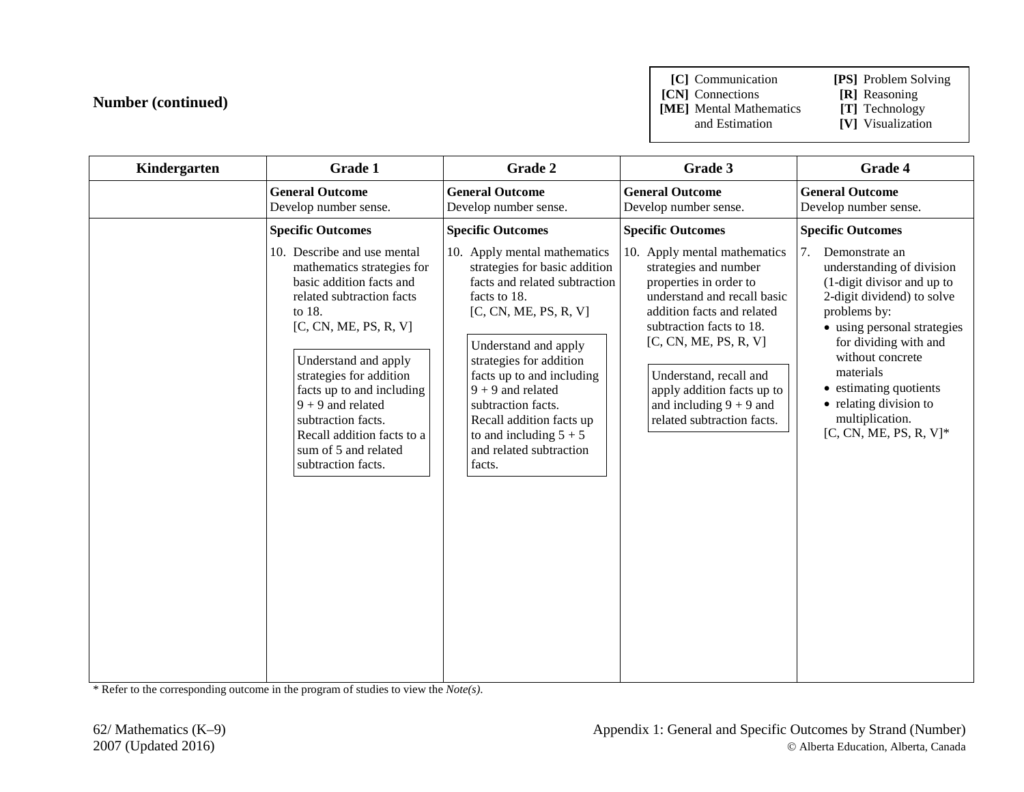**[C]** Communication **[PS]** Problem Solving

**[CN]** Connections **[R]** Reasoning<br>**[ME]** Mental Mathematics **[T]** Technology **[ME]** Mental Mathematics and Estimation

**[V]** Visualization

| Kindergarten | Grade 1                                                                                                                                                                                                                                                                                                                                                        | Grade 2                                                                                                                                                                                                                                                                                                                                                           | Grade 3                                                                                                                                                                                                                                                                                                              | Grade 4                                                                                                                                                                                                                                                                                                                    |
|--------------|----------------------------------------------------------------------------------------------------------------------------------------------------------------------------------------------------------------------------------------------------------------------------------------------------------------------------------------------------------------|-------------------------------------------------------------------------------------------------------------------------------------------------------------------------------------------------------------------------------------------------------------------------------------------------------------------------------------------------------------------|----------------------------------------------------------------------------------------------------------------------------------------------------------------------------------------------------------------------------------------------------------------------------------------------------------------------|----------------------------------------------------------------------------------------------------------------------------------------------------------------------------------------------------------------------------------------------------------------------------------------------------------------------------|
|              | <b>General Outcome</b><br>Develop number sense.                                                                                                                                                                                                                                                                                                                | <b>General Outcome</b><br>Develop number sense.                                                                                                                                                                                                                                                                                                                   | <b>General Outcome</b><br>Develop number sense.                                                                                                                                                                                                                                                                      | <b>General Outcome</b><br>Develop number sense.                                                                                                                                                                                                                                                                            |
|              | <b>Specific Outcomes</b>                                                                                                                                                                                                                                                                                                                                       | <b>Specific Outcomes</b>                                                                                                                                                                                                                                                                                                                                          | <b>Specific Outcomes</b>                                                                                                                                                                                                                                                                                             | <b>Specific Outcomes</b>                                                                                                                                                                                                                                                                                                   |
|              | 10. Describe and use mental<br>mathematics strategies for<br>basic addition facts and<br>related subtraction facts<br>to 18.<br>[C, CN, ME, PS, R, V]<br>Understand and apply<br>strategies for addition<br>facts up to and including<br>$9 + 9$ and related<br>subtraction facts.<br>Recall addition facts to a<br>sum of 5 and related<br>subtraction facts. | 10. Apply mental mathematics<br>strategies for basic addition<br>facts and related subtraction<br>facts to 18.<br>[C, CN, ME, PS, R, V]<br>Understand and apply<br>strategies for addition<br>facts up to and including<br>$9 + 9$ and related<br>subtraction facts.<br>Recall addition facts up<br>to and including $5 + 5$<br>and related subtraction<br>facts. | 10. Apply mental mathematics<br>strategies and number<br>properties in order to<br>understand and recall basic<br>addition facts and related<br>subtraction facts to 18.<br>[C, CN, ME, PS, R, V]<br>Understand, recall and<br>apply addition facts up to<br>and including $9 + 9$ and<br>related subtraction facts. | Demonstrate an<br>7.<br>understanding of division<br>(1-digit divisor and up to<br>2-digit dividend) to solve<br>problems by:<br>• using personal strategies<br>for dividing with and<br>without concrete<br>materials<br>• estimating quotients<br>• relating division to<br>multiplication.<br>$[C, CN, ME, PS, R, V]^*$ |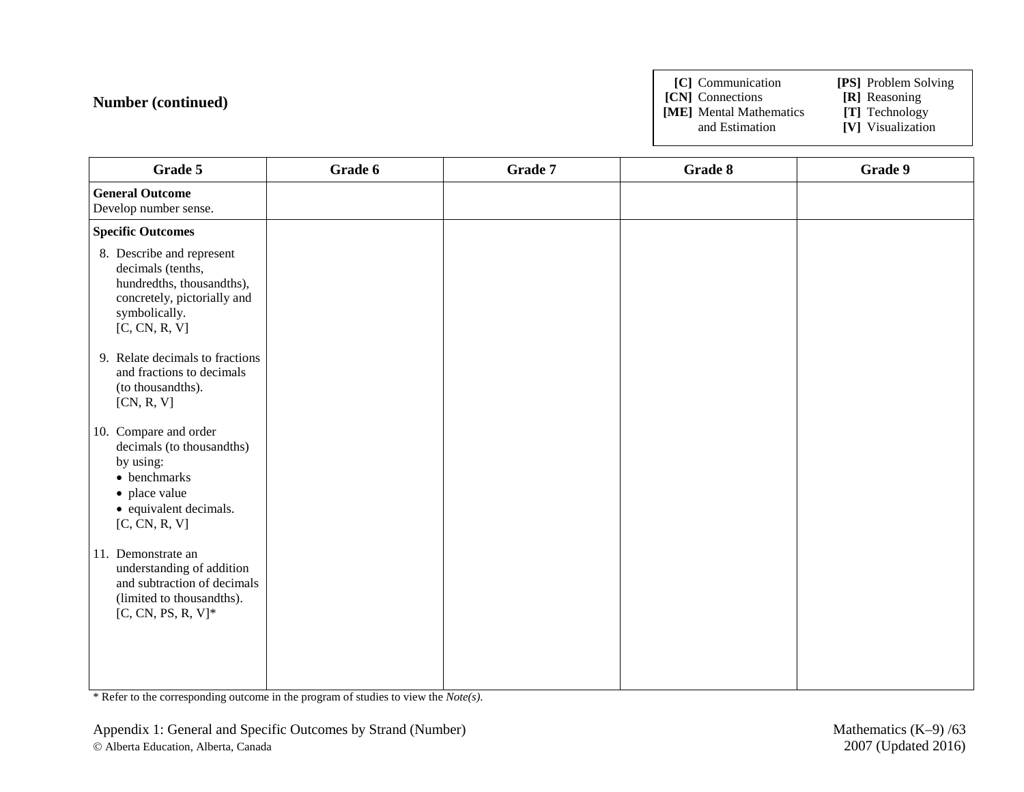**[C]** Communication **[PS]** Problem Solving

**[CN]** Connections **[R]** Reasoning

**[ME]** Mental Mathematics and Estimation

**[V]** Visualization

| Grade 5                                                                                                                                      | Grade 6 | Grade 7 | Grade 8 | Grade 9 |
|----------------------------------------------------------------------------------------------------------------------------------------------|---------|---------|---------|---------|
| <b>General Outcome</b><br>Develop number sense.                                                                                              |         |         |         |         |
| <b>Specific Outcomes</b>                                                                                                                     |         |         |         |         |
| 8. Describe and represent<br>decimals (tenths,<br>hundredths, thousandths),<br>concretely, pictorially and<br>symbolically.<br>[C, CN, R, V] |         |         |         |         |
| 9. Relate decimals to fractions<br>and fractions to decimals<br>(to thousandths).<br>[CN, R, V]                                              |         |         |         |         |
| 10. Compare and order<br>decimals (to thousandths)<br>by using:<br>• benchmarks<br>• place value<br>• equivalent decimals.<br>[C, CN, R, V]  |         |         |         |         |
| 11. Demonstrate an<br>understanding of addition<br>and subtraction of decimals<br>(limited to thousandths).<br>$[C, CN, PS, R, V]^*$         |         |         |         |         |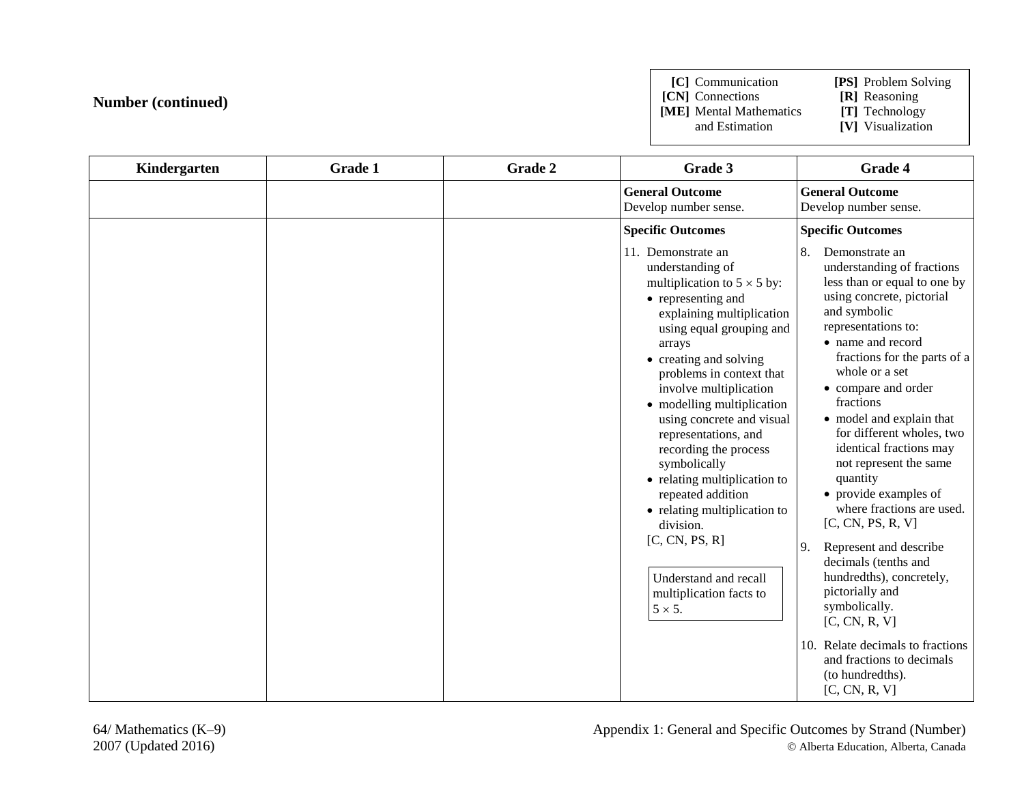**[C]** Communication **[PS]** Problem Solving

**[CN]** Connections **[R]** Reasoning<br> **[ME]** Mental Mathematics **[T]** Technology

**[ME]** Mental Mathematics and Estimation

[V] Visualization

| Kindergarten | <b>Grade 1</b> | Grade 2 | Grade 3                                                                                                                                                                                                                                                                                                                                                                                                                                                                                                                                                                     | Grade 4                                                                                                                                                                                                                                                                                                                                                                                                                                                                                                                                                                                                                                                                                                                             |
|--------------|----------------|---------|-----------------------------------------------------------------------------------------------------------------------------------------------------------------------------------------------------------------------------------------------------------------------------------------------------------------------------------------------------------------------------------------------------------------------------------------------------------------------------------------------------------------------------------------------------------------------------|-------------------------------------------------------------------------------------------------------------------------------------------------------------------------------------------------------------------------------------------------------------------------------------------------------------------------------------------------------------------------------------------------------------------------------------------------------------------------------------------------------------------------------------------------------------------------------------------------------------------------------------------------------------------------------------------------------------------------------------|
|              |                |         | <b>General Outcome</b><br>Develop number sense.                                                                                                                                                                                                                                                                                                                                                                                                                                                                                                                             | <b>General Outcome</b><br>Develop number sense.                                                                                                                                                                                                                                                                                                                                                                                                                                                                                                                                                                                                                                                                                     |
|              |                |         | <b>Specific Outcomes</b>                                                                                                                                                                                                                                                                                                                                                                                                                                                                                                                                                    | <b>Specific Outcomes</b>                                                                                                                                                                                                                                                                                                                                                                                                                                                                                                                                                                                                                                                                                                            |
|              |                |         | 11. Demonstrate an<br>understanding of<br>multiplication to $5 \times 5$ by:<br>• representing and<br>explaining multiplication<br>using equal grouping and<br>arrays<br>• creating and solving<br>problems in context that<br>involve multiplication<br>• modelling multiplication<br>using concrete and visual<br>representations, and<br>recording the process<br>symbolically<br>• relating multiplication to<br>repeated addition<br>• relating multiplication to<br>division.<br>[C, CN, PS, R]<br>Understand and recall<br>multiplication facts to<br>$5 \times 5$ . | 8.<br>Demonstrate an<br>understanding of fractions<br>less than or equal to one by<br>using concrete, pictorial<br>and symbolic<br>representations to:<br>• name and record<br>fractions for the parts of a<br>whole or a set<br>• compare and order<br>fractions<br>• model and explain that<br>for different wholes, two<br>identical fractions may<br>not represent the same<br>quantity<br>• provide examples of<br>where fractions are used.<br>[C, CN, PS, R, V]<br>Represent and describe<br><sup>9.</sup><br>decimals (tenths and<br>hundredths), concretely,<br>pictorially and<br>symbolically.<br>[C, CN, R, V]<br>Relate decimals to fractions<br>10.<br>and fractions to decimals<br>(to hundredths).<br>[C, CN, R, V] |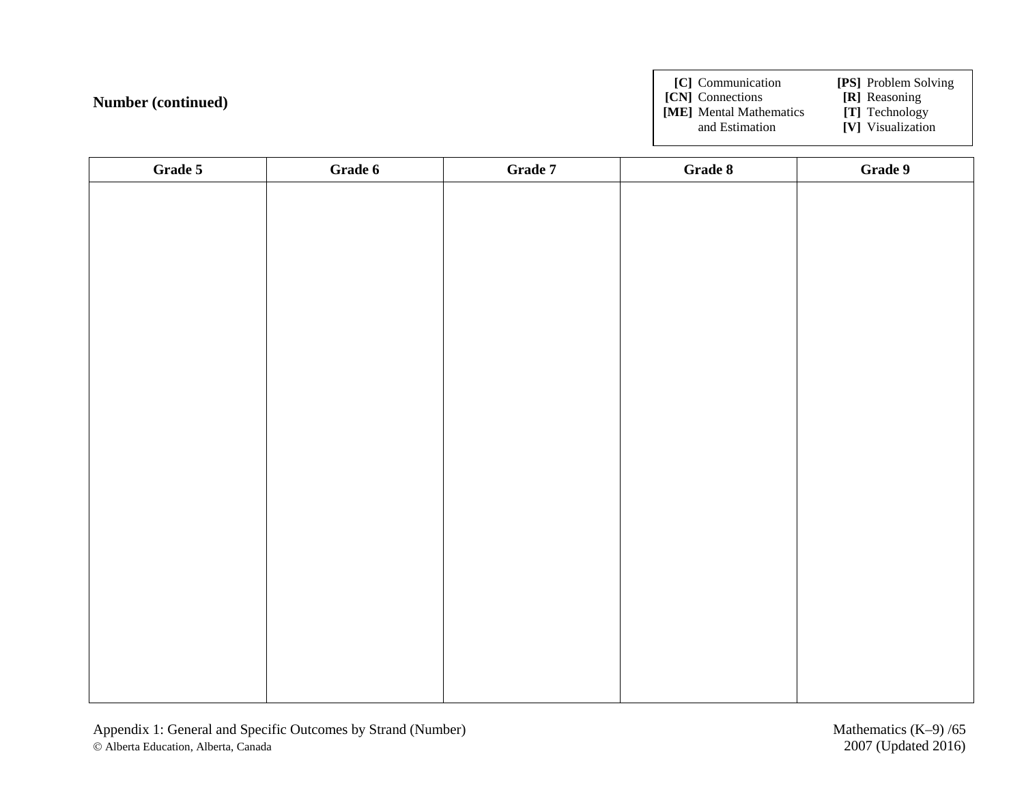**[C]** Communication **[PS]** Problem Solving

**[CN]** Connections **[R]** Reasoning

**[ME]** Mental Mathematics and Estimation

**[V]** Visualization

| Grade 5 | Grade 6 | Grade 7 | Grade 8 | Grade 9 |
|---------|---------|---------|---------|---------|
|         |         |         |         |         |
|         |         |         |         |         |
|         |         |         |         |         |
|         |         |         |         |         |
|         |         |         |         |         |
|         |         |         |         |         |
|         |         |         |         |         |
|         |         |         |         |         |
|         |         |         |         |         |
|         |         |         |         |         |
|         |         |         |         |         |
|         |         |         |         |         |
|         |         |         |         |         |
|         |         |         |         |         |
|         |         |         |         |         |
|         |         |         |         |         |
|         |         |         |         |         |
|         |         |         |         |         |
|         |         |         |         |         |
|         |         |         |         |         |
|         |         |         |         |         |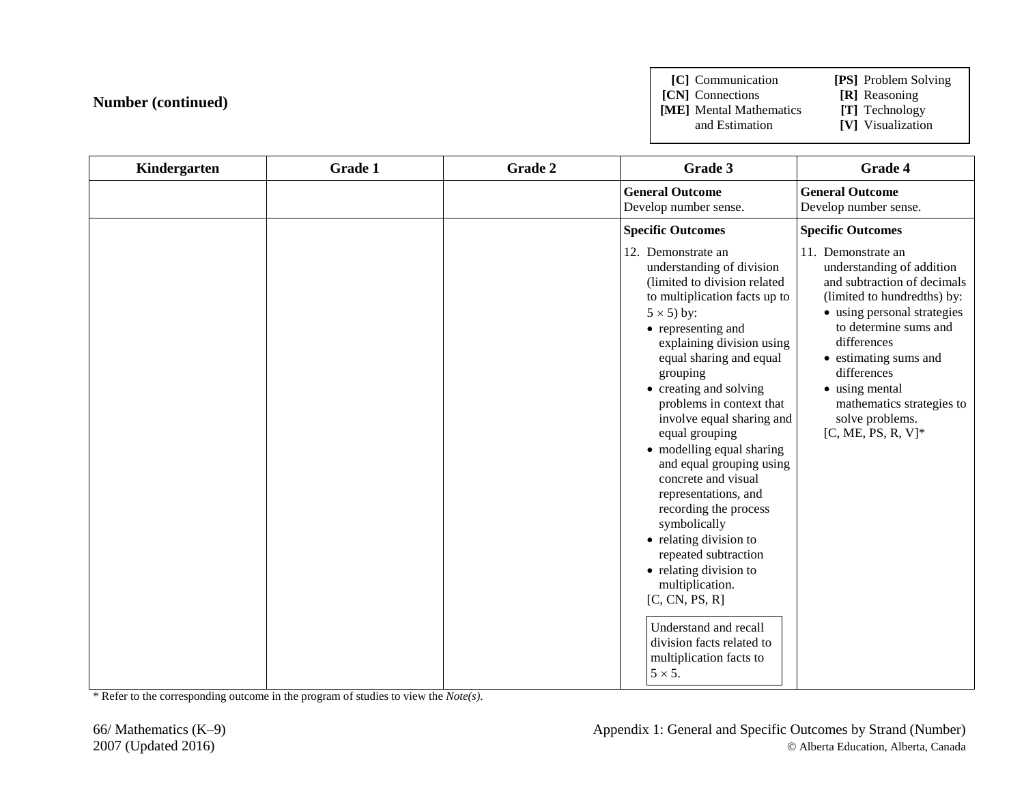**[C]** Communication **[PS]** Problem Solving

**[CN]** Connections **[R]** Reasoning<br>**[ME]** Mental Mathematics **[T]** Technology **[ME]** Mental Mathematics and Estimation

**[V]** Visualization

| Kindergarten | Grade 1 | Grade 2 | Grade 3                                                                                                                                                                                                                                                                                                                                                                                                                                                                                                                                                                                                                                                                                  | Grade 4                                                                                                                                                                                                                                                                                                                 |
|--------------|---------|---------|------------------------------------------------------------------------------------------------------------------------------------------------------------------------------------------------------------------------------------------------------------------------------------------------------------------------------------------------------------------------------------------------------------------------------------------------------------------------------------------------------------------------------------------------------------------------------------------------------------------------------------------------------------------------------------------|-------------------------------------------------------------------------------------------------------------------------------------------------------------------------------------------------------------------------------------------------------------------------------------------------------------------------|
|              |         |         | <b>General Outcome</b><br>Develop number sense.                                                                                                                                                                                                                                                                                                                                                                                                                                                                                                                                                                                                                                          | <b>General Outcome</b><br>Develop number sense.                                                                                                                                                                                                                                                                         |
|              |         |         | <b>Specific Outcomes</b>                                                                                                                                                                                                                                                                                                                                                                                                                                                                                                                                                                                                                                                                 | <b>Specific Outcomes</b>                                                                                                                                                                                                                                                                                                |
|              |         |         | 12. Demonstrate an<br>understanding of division<br>(limited to division related<br>to multiplication facts up to<br>$5 \times 5$ ) by:<br>• representing and<br>explaining division using<br>equal sharing and equal<br>grouping<br>• creating and solving<br>problems in context that<br>involve equal sharing and<br>equal grouping<br>• modelling equal sharing<br>and equal grouping using<br>concrete and visual<br>representations, and<br>recording the process<br>symbolically<br>• relating division to<br>repeated subtraction<br>• relating division to<br>multiplication.<br>[C, CN, PS, R]<br>Understand and recall<br>division facts related to<br>multiplication facts to | 11. Demonstrate an<br>understanding of addition<br>and subtraction of decimals<br>(limited to hundredths) by:<br>• using personal strategies<br>to determine sums and<br>differences<br>• estimating sums and<br>differences<br>• using mental<br>mathematics strategies to<br>solve problems.<br>$[C, ME, PS, R, V]^*$ |
|              |         |         | $5 \times 5$ .                                                                                                                                                                                                                                                                                                                                                                                                                                                                                                                                                                                                                                                                           |                                                                                                                                                                                                                                                                                                                         |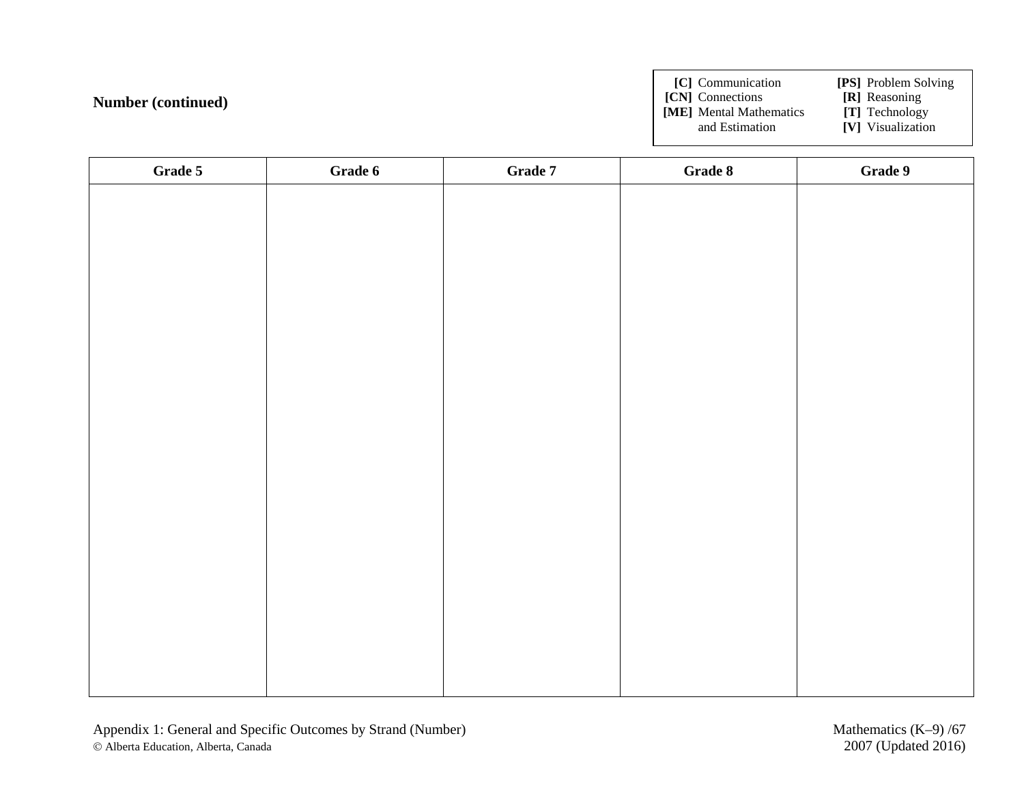**[C]** Communication **[PS]** Problem Solving

- **[CN]** Connections **[R]** Reasoning
- **[ME]** Mental Mathematics and Estimation

**[V]** Visualization

| Grade 5 | Grade 6 | Grade 7 | Grade 8 | Grade 9 |
|---------|---------|---------|---------|---------|
|         |         |         |         |         |
|         |         |         |         |         |
|         |         |         |         |         |
|         |         |         |         |         |
|         |         |         |         |         |
|         |         |         |         |         |
|         |         |         |         |         |
|         |         |         |         |         |
|         |         |         |         |         |
|         |         |         |         |         |
|         |         |         |         |         |
|         |         |         |         |         |
|         |         |         |         |         |
|         |         |         |         |         |
|         |         |         |         |         |
|         |         |         |         |         |
|         |         |         |         |         |
|         |         |         |         |         |
|         |         |         |         |         |
|         |         |         |         |         |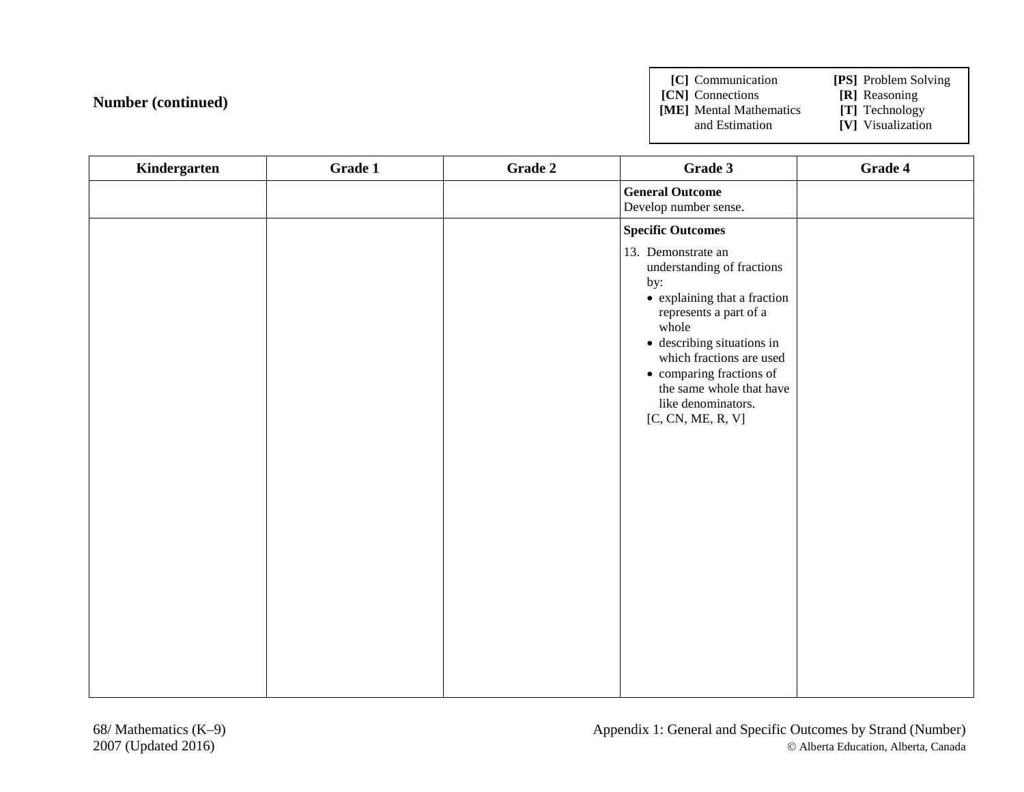**[C]** Communication **[PS]** Problem Solving **[CN]** Connections **[R]** Reasoning<br>**[ME]** Mental Mathematics **[T]** Technology **[ME]** Mental Mathematics and Estimation **[V]** Visualization

| Kindergarten | Grade 1 | Grade 2 | Grade 3                                                                                                                                                                                                                                                                                                     | Grade 4 |
|--------------|---------|---------|-------------------------------------------------------------------------------------------------------------------------------------------------------------------------------------------------------------------------------------------------------------------------------------------------------------|---------|
|              |         |         | <b>General Outcome</b><br>Develop number sense.                                                                                                                                                                                                                                                             |         |
|              |         |         | <b>Specific Outcomes</b>                                                                                                                                                                                                                                                                                    |         |
|              |         |         | 13. Demonstrate an<br>understanding of fractions<br>by:<br>• explaining that a fraction<br>represents a part of a<br>whole<br>$\bullet\,$ describing situations in<br>which fractions are used<br>$\bullet\,$ comparing fractions of<br>the same whole that have<br>like denominators.<br>[C, CN, ME, R, V] |         |
|              |         |         |                                                                                                                                                                                                                                                                                                             |         |
|              |         |         |                                                                                                                                                                                                                                                                                                             |         |
|              |         |         |                                                                                                                                                                                                                                                                                                             |         |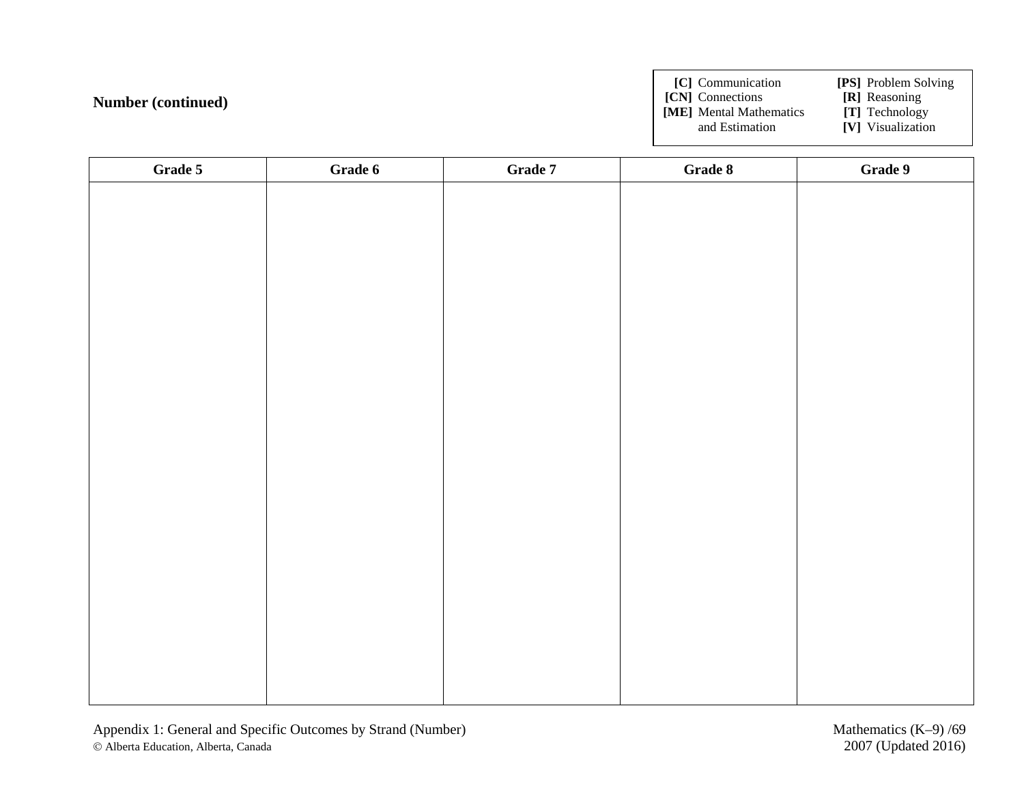**[C]** Communication **[PS]** Problem Solving

**[CN]** Connections **[R]** Reasoning

**[ME]** Mental Mathematics and Estimation

**[V]** Visualization

| Grade 5 | Grade 6 | Grade 7 | Grade 8 | Grade 9 |
|---------|---------|---------|---------|---------|
|         |         |         |         |         |
|         |         |         |         |         |
|         |         |         |         |         |
|         |         |         |         |         |
|         |         |         |         |         |
|         |         |         |         |         |
|         |         |         |         |         |
|         |         |         |         |         |
|         |         |         |         |         |
|         |         |         |         |         |
|         |         |         |         |         |
|         |         |         |         |         |
|         |         |         |         |         |
|         |         |         |         |         |
|         |         |         |         |         |
|         |         |         |         |         |
|         |         |         |         |         |
|         |         |         |         |         |
|         |         |         |         |         |
|         |         |         |         |         |
|         |         |         |         |         |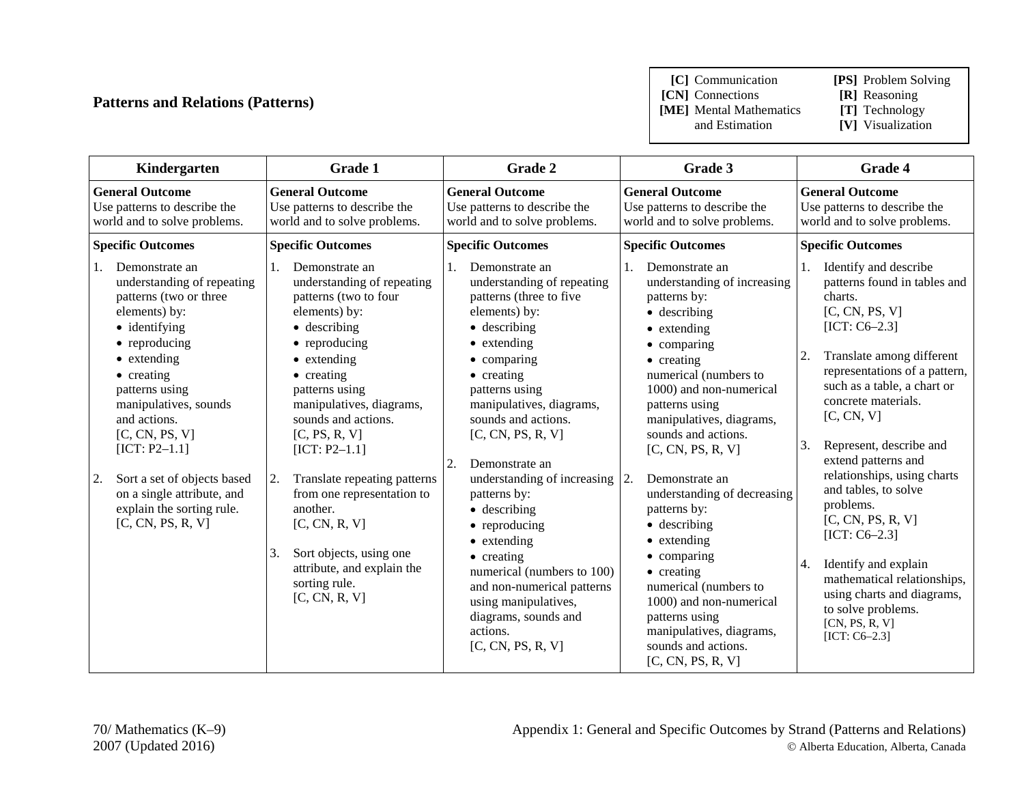# **Patterns and Relations (Patterns)**

**[C]** Communication **[PS]** Problem Solving

**[CN]** Connections **[R]** Reasoning<br>**[ME]** Mental Mathematics **[T]** Technology **[ME]** Mental Mathematics and Estimation

- 
- 
- **[V]** Visualization

| Kindergarten                                                                                                                                                                                                                                                                                                                                                                        | Grade 1                                                                                                                                                                                                                                                                                                                                                                                                                                                                                 | Grade 2                                                                                                                                                                                                                                                                                                                                                                                                                                                                                                                                                                         | Grade 3                                                                                                                                                                                                                                                                                                                                                                                                                                                                                                                                                                                          | <b>Grade 4</b>                                                                                                                                                                                                                                                                                                                                                                                                                                                                                                                                                                |
|-------------------------------------------------------------------------------------------------------------------------------------------------------------------------------------------------------------------------------------------------------------------------------------------------------------------------------------------------------------------------------------|-----------------------------------------------------------------------------------------------------------------------------------------------------------------------------------------------------------------------------------------------------------------------------------------------------------------------------------------------------------------------------------------------------------------------------------------------------------------------------------------|---------------------------------------------------------------------------------------------------------------------------------------------------------------------------------------------------------------------------------------------------------------------------------------------------------------------------------------------------------------------------------------------------------------------------------------------------------------------------------------------------------------------------------------------------------------------------------|--------------------------------------------------------------------------------------------------------------------------------------------------------------------------------------------------------------------------------------------------------------------------------------------------------------------------------------------------------------------------------------------------------------------------------------------------------------------------------------------------------------------------------------------------------------------------------------------------|-------------------------------------------------------------------------------------------------------------------------------------------------------------------------------------------------------------------------------------------------------------------------------------------------------------------------------------------------------------------------------------------------------------------------------------------------------------------------------------------------------------------------------------------------------------------------------|
| <b>General Outcome</b><br>Use patterns to describe the<br>world and to solve problems.                                                                                                                                                                                                                                                                                              | <b>General Outcome</b><br>Use patterns to describe the<br>world and to solve problems.                                                                                                                                                                                                                                                                                                                                                                                                  | <b>General Outcome</b><br>Use patterns to describe the<br>world and to solve problems.                                                                                                                                                                                                                                                                                                                                                                                                                                                                                          | <b>General Outcome</b><br>Use patterns to describe the<br>world and to solve problems.                                                                                                                                                                                                                                                                                                                                                                                                                                                                                                           | <b>General Outcome</b><br>Use patterns to describe the<br>world and to solve problems.                                                                                                                                                                                                                                                                                                                                                                                                                                                                                        |
| <b>Specific Outcomes</b>                                                                                                                                                                                                                                                                                                                                                            | <b>Specific Outcomes</b>                                                                                                                                                                                                                                                                                                                                                                                                                                                                | <b>Specific Outcomes</b>                                                                                                                                                                                                                                                                                                                                                                                                                                                                                                                                                        | <b>Specific Outcomes</b>                                                                                                                                                                                                                                                                                                                                                                                                                                                                                                                                                                         | <b>Specific Outcomes</b>                                                                                                                                                                                                                                                                                                                                                                                                                                                                                                                                                      |
| Demonstrate an<br>understanding of repeating<br>patterns (two or three<br>elements) by:<br>• identifying<br>• reproducing<br>$\bullet$ extending<br>• creating<br>patterns using<br>manipulatives, sounds<br>and actions.<br>[C, CN, PS, V]<br>$[ICT: P2-1.1]$<br>Sort a set of objects based<br>2.<br>on a single attribute, and<br>explain the sorting rule.<br>[C, CN, PS, R, V] | Demonstrate an<br>understanding of repeating<br>patterns (two to four<br>elements) by:<br>$\bullet$ describing<br>$\bullet$ reproducing<br>$\bullet$ extending<br>• creating<br>patterns using<br>manipulatives, diagrams,<br>sounds and actions.<br>[C, PS, R, V]<br>$[ICT: P2-1.1]$<br>Translate repeating patterns<br>2.<br>from one representation to<br>another.<br>[C, CN, R, V]<br>Sort objects, using one<br>3.<br>attribute, and explain the<br>sorting rule.<br>[C, CN, R, V] | Demonstrate an<br>understanding of repeating<br>patterns (three to five<br>elements) by:<br>$\bullet$ describing<br>$\bullet$ extending<br>$\bullet$ comparing<br>$\bullet$ creating<br>patterns using<br>manipulatives, diagrams,<br>sounds and actions.<br>[C, CN, PS, R, V]<br>2.<br>Demonstrate an<br>understanding of increasing $ 2$ .<br>patterns by:<br>$\bullet$ describing<br>• reproducing<br>• extending<br>• creating<br>numerical (numbers to 100)<br>and non-numerical patterns<br>using manipulatives,<br>diagrams, sounds and<br>actions.<br>[C, CN, PS, R, V] | Demonstrate an<br>1.<br>understanding of increasing<br>patterns by:<br>$\bullet$ describing<br>• extending<br>$\bullet$ comparing<br>$\bullet$ creating<br>numerical (numbers to<br>1000) and non-numerical<br>patterns using<br>manipulatives, diagrams,<br>sounds and actions.<br>[C, CN, PS, R, V]<br>Demonstrate an<br>understanding of decreasing<br>patterns by:<br>• describing<br>• extending<br>$\bullet$ comparing<br>$\bullet$ creating<br>numerical (numbers to<br>1000) and non-numerical<br>patterns using<br>manipulatives, diagrams,<br>sounds and actions.<br>[C, CN, PS, R, V] | Identify and describe<br>1.<br>patterns found in tables and<br>charts.<br>[C, CN, PS, V]<br>$[ICT: C6-2.3]$<br>Translate among different<br>2.<br>representations of a pattern,<br>such as a table, a chart or<br>concrete materials.<br>[C, CN, V]<br>Represent, describe and<br>3.<br>extend patterns and<br>relationships, using charts<br>and tables, to solve<br>problems.<br>[C, CN, PS, R, V]<br>$[ICT: C6-2.3]$<br>Identify and explain<br>4.<br>mathematical relationships,<br>using charts and diagrams,<br>to solve problems.<br>[CN, PS, R, V]<br>$[ICT: C6-2.3]$ |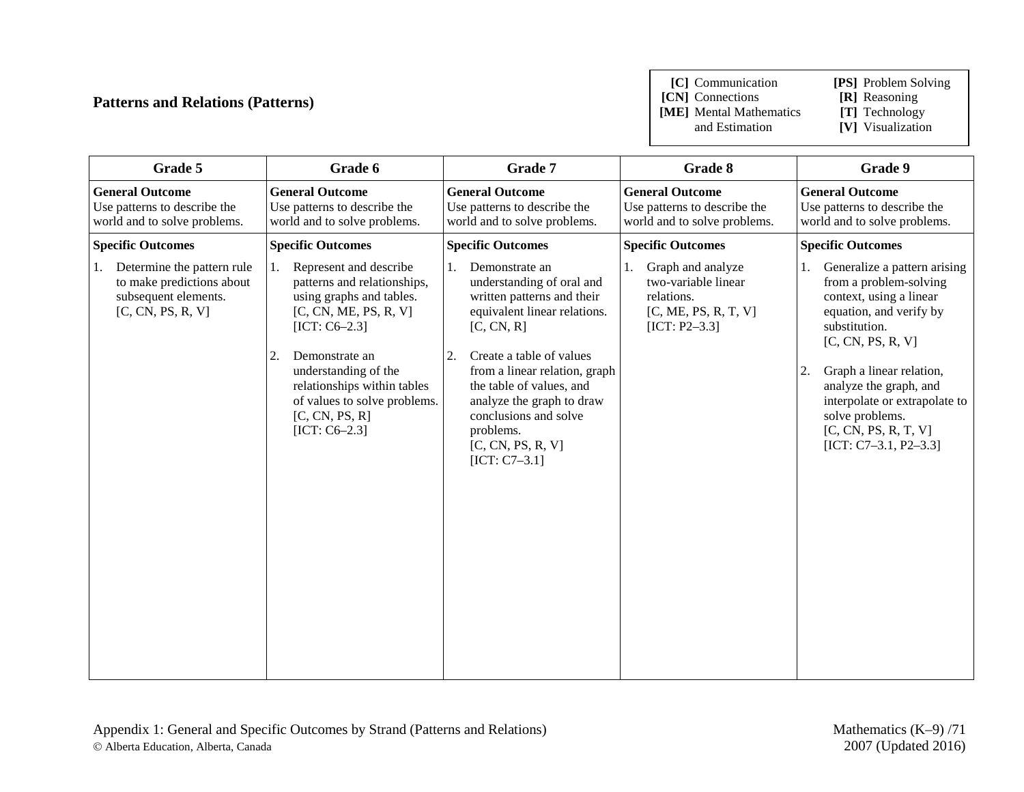# **Patterns and Relations (Patterns)**

**[C]** Communication **[PS]** Problem Solving

**[CN]** Connections **[R]** Reasoning

**[ME]** Mental Mathematics and Estimation

**[V]** Visualization

| Grade 5                                                                                                    | Grade 6                                                                                                                                                                                                                                                                                 | Grade 7                                                                                                                                                                                                                                                                                                                                 | Grade 8                                                                                           | Grade 9                                                                                                                                                                                                                                                                                                                     |
|------------------------------------------------------------------------------------------------------------|-----------------------------------------------------------------------------------------------------------------------------------------------------------------------------------------------------------------------------------------------------------------------------------------|-----------------------------------------------------------------------------------------------------------------------------------------------------------------------------------------------------------------------------------------------------------------------------------------------------------------------------------------|---------------------------------------------------------------------------------------------------|-----------------------------------------------------------------------------------------------------------------------------------------------------------------------------------------------------------------------------------------------------------------------------------------------------------------------------|
| <b>General Outcome</b><br>Use patterns to describe the<br>world and to solve problems.                     | <b>General Outcome</b><br>Use patterns to describe the<br>world and to solve problems.                                                                                                                                                                                                  | <b>General Outcome</b><br>Use patterns to describe the<br>world and to solve problems.                                                                                                                                                                                                                                                  | <b>General Outcome</b><br>Use patterns to describe the<br>world and to solve problems.            | <b>General Outcome</b><br>Use patterns to describe the<br>world and to solve problems.                                                                                                                                                                                                                                      |
| <b>Specific Outcomes</b>                                                                                   | <b>Specific Outcomes</b>                                                                                                                                                                                                                                                                | <b>Specific Outcomes</b>                                                                                                                                                                                                                                                                                                                | <b>Specific Outcomes</b>                                                                          | <b>Specific Outcomes</b>                                                                                                                                                                                                                                                                                                    |
| Determine the pattern rule<br>1.<br>to make predictions about<br>subsequent elements.<br>[C, CN, PS, R, V] | Represent and describe<br>1.<br>patterns and relationships,<br>using graphs and tables.<br>[C, CN, ME, PS, R, V]<br>$[ICT: C6-2.3]$<br>2.<br>Demonstrate an<br>understanding of the<br>relationships within tables<br>of values to solve problems.<br>[C, CN, PS, R]<br>$[ICT: C6-2.3]$ | Demonstrate an<br>1.<br>understanding of oral and<br>written patterns and their<br>equivalent linear relations.<br>[C, CN, R]<br>Create a table of values<br>2.<br>from a linear relation, graph<br>the table of values, and<br>analyze the graph to draw<br>conclusions and solve<br>problems.<br>[C, CN, PS, R, V]<br>$[ICT: C7-3.1]$ | Graph and analyze<br>two-variable linear<br>relations.<br>[C, ME, PS, R, T, V]<br>$[ICT: P2-3.3]$ | Generalize a pattern arising<br>1.<br>from a problem-solving<br>context, using a linear<br>equation, and verify by<br>substitution.<br>[C, CN, PS, R, V]<br>Graph a linear relation,<br>2.<br>analyze the graph, and<br>interpolate or extrapolate to<br>solve problems.<br>[C, CN, PS, R, T, V]<br>$[ICT: C7-3.1, P2-3.3]$ |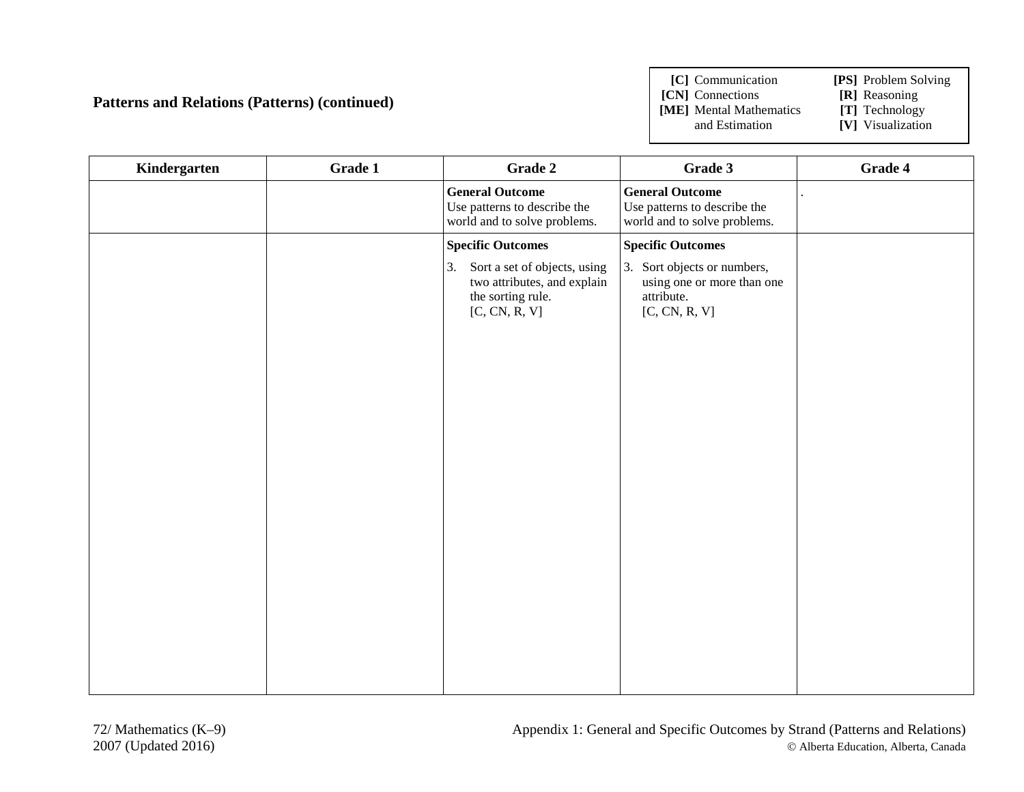# **Patterns and Relations (Patterns) (continued)**

**[C]** Communication **[PS]** Problem Solving

**[CN]** Connections **[R]** Reasoning<br>**[ME]** Mental Mathematics **[T]** Technology **[ME]** Mental Mathematics and Estimation

- 
- 
- **[V]** Visualization

| Kindergarten | Grade 1 | Grade 2                                                                                              | Grade 3                                                                                     | Grade 4 |
|--------------|---------|------------------------------------------------------------------------------------------------------|---------------------------------------------------------------------------------------------|---------|
|              |         | <b>General Outcome</b><br>Use patterns to describe the<br>world and to solve problems.               | <b>General Outcome</b><br>Use patterns to describe the<br>world and to solve problems.      |         |
|              |         | <b>Specific Outcomes</b>                                                                             | <b>Specific Outcomes</b>                                                                    |         |
|              |         | 3. Sort a set of objects, using<br>two attributes, and explain<br>the sorting rule.<br>[C, CN, R, V] | 3.<br>Sort objects or numbers,<br>using one or more than one<br>attribute.<br>[C, CN, R, V] |         |
|              |         |                                                                                                      |                                                                                             |         |
|              |         |                                                                                                      |                                                                                             |         |
|              |         |                                                                                                      |                                                                                             |         |
|              |         |                                                                                                      |                                                                                             |         |
|              |         |                                                                                                      |                                                                                             |         |
|              |         |                                                                                                      |                                                                                             |         |
|              |         |                                                                                                      |                                                                                             |         |
|              |         |                                                                                                      |                                                                                             |         |
|              |         |                                                                                                      |                                                                                             |         |
|              |         |                                                                                                      |                                                                                             |         |
|              |         |                                                                                                      |                                                                                             |         |
|              |         |                                                                                                      |                                                                                             |         |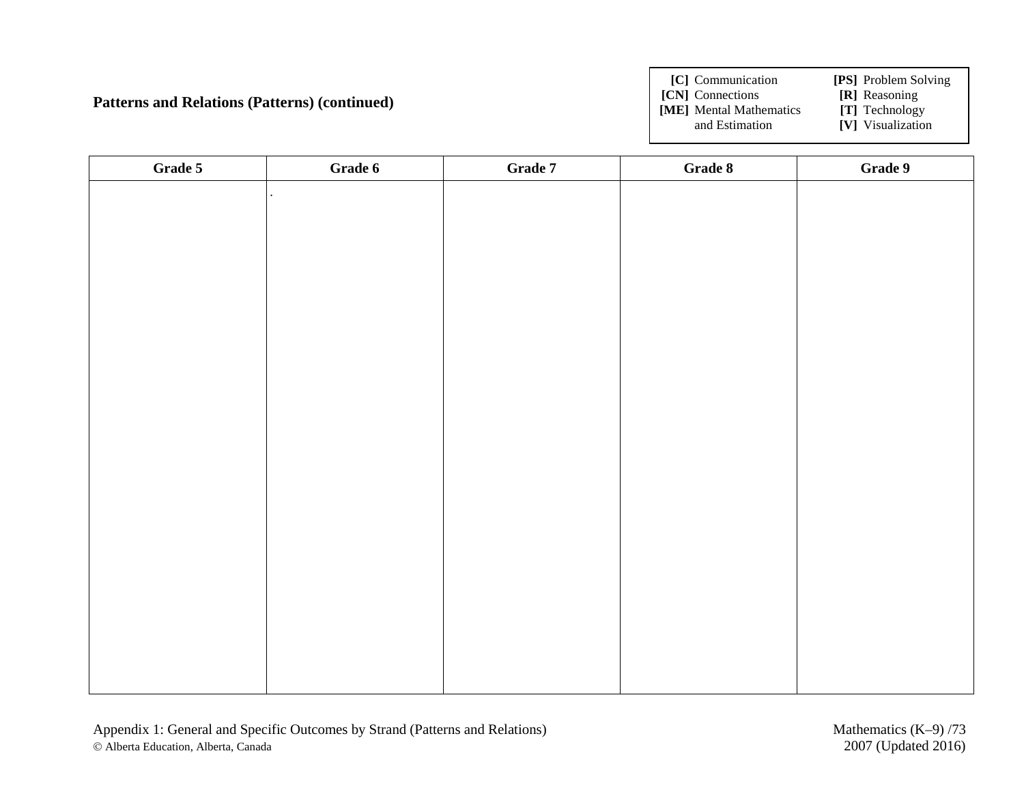### **Patterns and Relations (Patterns) (continued)**

**[C]** Communication **[PS]** Problem Solving **[CN]** Connections **[R]** Reasoning<br>**[ME]** Mental Mathematics **[T]** Technology **[ME]** Mental Mathematics and Estimation **[V]** Visualization

| Grade 5 | Grade 6              | Grade $7\,$ | Grade 8 | Grade 9 |
|---------|----------------------|-------------|---------|---------|
|         | $\ddot{\phantom{a}}$ |             |         |         |
|         |                      |             |         |         |
|         |                      |             |         |         |
|         |                      |             |         |         |
|         |                      |             |         |         |
|         |                      |             |         |         |
|         |                      |             |         |         |
|         |                      |             |         |         |
|         |                      |             |         |         |
|         |                      |             |         |         |
|         |                      |             |         |         |
|         |                      |             |         |         |
|         |                      |             |         |         |
|         |                      |             |         |         |
|         |                      |             |         |         |
|         |                      |             |         |         |
|         |                      |             |         |         |
|         |                      |             |         |         |
|         |                      |             |         |         |
|         |                      |             |         |         |
|         |                      |             |         |         |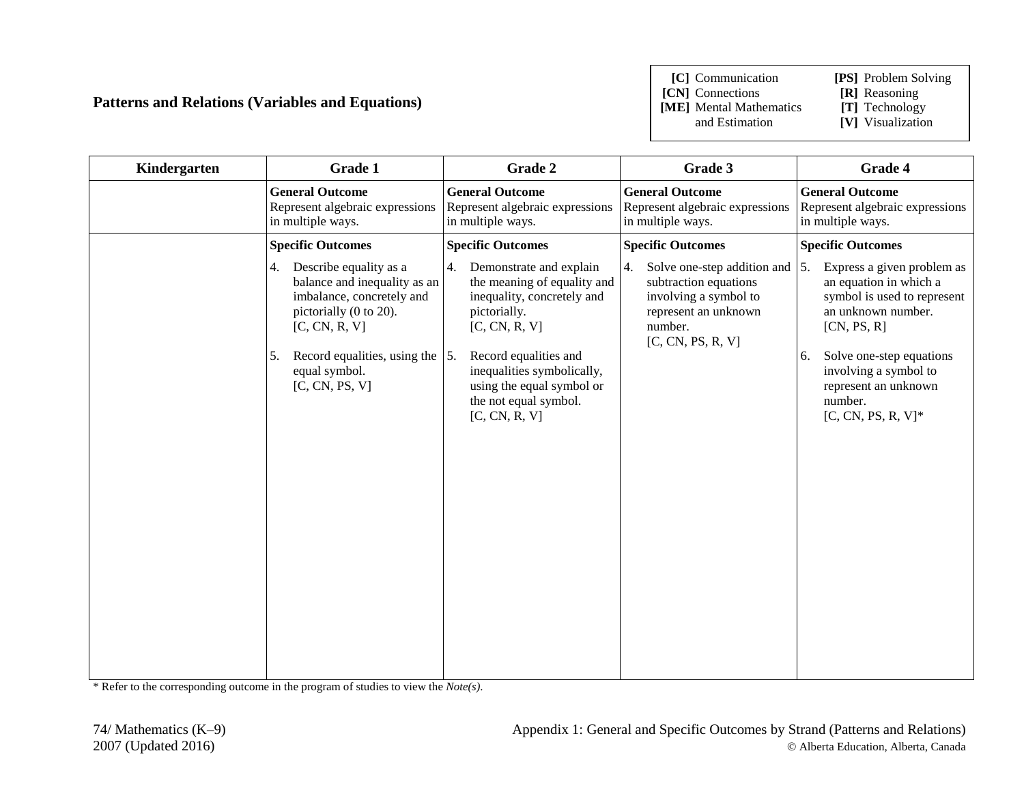### **Patterns and Relations (Variables and Equations)**

**[C]** Communication **[PS]** Problem Solving

**[CN]** Connections **[R]** Reasoning<br> **[ME]** Mental Mathematics **[T]** Technology **[ME]** Mental Mathematics

- 
- 
- and Estimation **[V]** Visualization

| Kindergarten | Grade 1                                                                                                                                                                                                            | Grade 2                                                                                                                                                                                                                                                | Grade 3                                                                                                                                     | Grade 4                                                                                                                                                                                                                                               |
|--------------|--------------------------------------------------------------------------------------------------------------------------------------------------------------------------------------------------------------------|--------------------------------------------------------------------------------------------------------------------------------------------------------------------------------------------------------------------------------------------------------|---------------------------------------------------------------------------------------------------------------------------------------------|-------------------------------------------------------------------------------------------------------------------------------------------------------------------------------------------------------------------------------------------------------|
|              | <b>General Outcome</b><br>Represent algebraic expressions<br>in multiple ways.                                                                                                                                     | <b>General Outcome</b><br>Represent algebraic expressions<br>in multiple ways.                                                                                                                                                                         | <b>General Outcome</b><br>Represent algebraic expressions<br>in multiple ways.                                                              | <b>General Outcome</b><br>Represent algebraic expressions<br>in multiple ways.                                                                                                                                                                        |
|              | <b>Specific Outcomes</b>                                                                                                                                                                                           | <b>Specific Outcomes</b>                                                                                                                                                                                                                               | <b>Specific Outcomes</b>                                                                                                                    | <b>Specific Outcomes</b>                                                                                                                                                                                                                              |
|              | 4. Describe equality as a<br>balance and inequality as an<br>imbalance, concretely and<br>pictorially (0 to 20).<br>[C, CN, R, V]<br>5. Record equalities, using the $\vert$ 5.<br>equal symbol.<br>[C, CN, PS, V] | 4. Demonstrate and explain<br>the meaning of equality and<br>inequality, concretely and<br>pictorially.<br>[C, CN, R, V]<br>Record equalities and<br>inequalities symbolically,<br>using the equal symbol or<br>the not equal symbol.<br>[C, CN, R, V] | 4.<br>Solve one-step addition and<br>subtraction equations<br>involving a symbol to<br>represent an unknown<br>number.<br>[C, CN, PS, R, V] | 5.<br>Express a given problem as<br>an equation in which a<br>symbol is used to represent<br>an unknown number.<br>[CN, PS, R]<br>Solve one-step equations<br>6.<br>involving a symbol to<br>represent an unknown<br>number.<br>$[C, CN, PS, R, V]^*$ |

\* Refer to the corresponding outcome in the program of studies to view the *Note(s)*.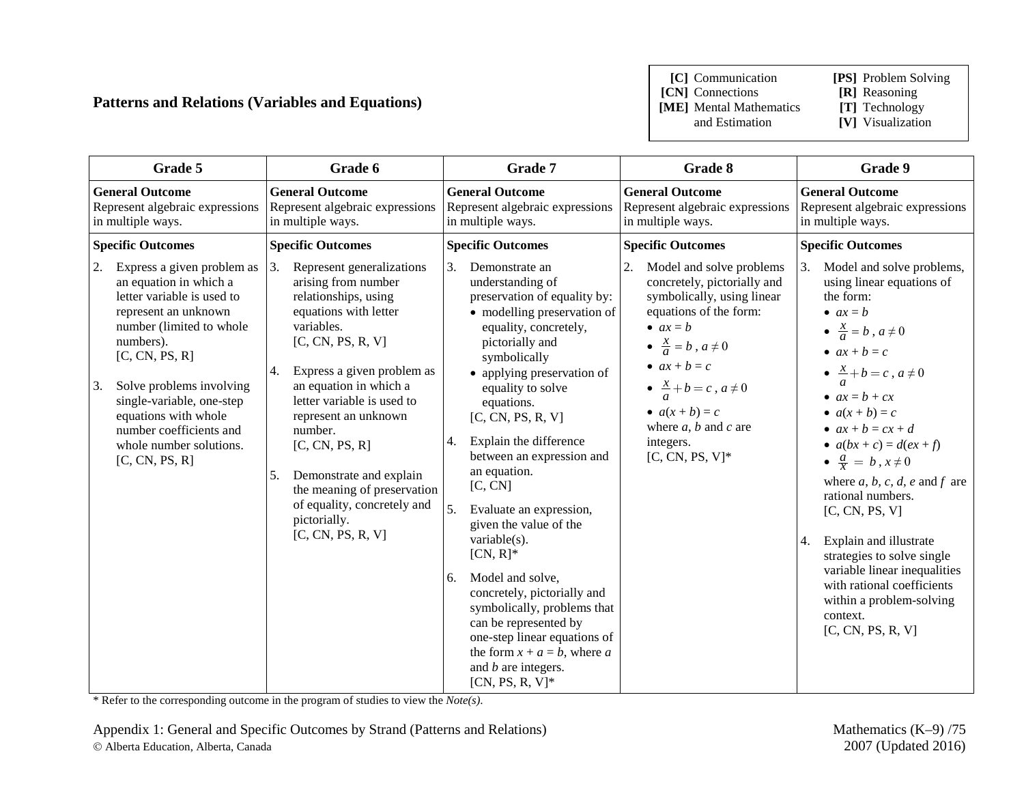### **Patterns and Relations (Variables and Equations)**

**[C]** Communication **[PS]** Problem Solving

**[CN]** Connections **[R]** Reasoning **[ME]** Mental Mathematics and Estimation

- 
- 
- [V] Visualization

| Grade 5                                                                                                                                                                                                                                                                                                                                    | Grade 6                                                                                                                                                                                                                                                                                                                                                                                                                         | Grade 7                                                                                                                                                                                                                                                                                                                                                                                                                                                                                                                                                                                                                                                                           | Grade 8                                                                                                                                                                                                                                                                                                                              | Grade 9                                                                                                                                                                                                                                                                                                                                                                                                                                                                                                                                                                                                      |
|--------------------------------------------------------------------------------------------------------------------------------------------------------------------------------------------------------------------------------------------------------------------------------------------------------------------------------------------|---------------------------------------------------------------------------------------------------------------------------------------------------------------------------------------------------------------------------------------------------------------------------------------------------------------------------------------------------------------------------------------------------------------------------------|-----------------------------------------------------------------------------------------------------------------------------------------------------------------------------------------------------------------------------------------------------------------------------------------------------------------------------------------------------------------------------------------------------------------------------------------------------------------------------------------------------------------------------------------------------------------------------------------------------------------------------------------------------------------------------------|--------------------------------------------------------------------------------------------------------------------------------------------------------------------------------------------------------------------------------------------------------------------------------------------------------------------------------------|--------------------------------------------------------------------------------------------------------------------------------------------------------------------------------------------------------------------------------------------------------------------------------------------------------------------------------------------------------------------------------------------------------------------------------------------------------------------------------------------------------------------------------------------------------------------------------------------------------------|
| <b>General Outcome</b><br>Represent algebraic expressions<br>in multiple ways.                                                                                                                                                                                                                                                             | <b>General Outcome</b><br>Represent algebraic expressions<br>in multiple ways.                                                                                                                                                                                                                                                                                                                                                  | <b>General Outcome</b><br>Represent algebraic expressions<br>in multiple ways.                                                                                                                                                                                                                                                                                                                                                                                                                                                                                                                                                                                                    | <b>General Outcome</b><br>Represent algebraic expressions<br>in multiple ways.                                                                                                                                                                                                                                                       | <b>General Outcome</b><br>Represent algebraic expressions<br>in multiple ways.                                                                                                                                                                                                                                                                                                                                                                                                                                                                                                                               |
| <b>Specific Outcomes</b>                                                                                                                                                                                                                                                                                                                   | <b>Specific Outcomes</b>                                                                                                                                                                                                                                                                                                                                                                                                        | <b>Specific Outcomes</b>                                                                                                                                                                                                                                                                                                                                                                                                                                                                                                                                                                                                                                                          | <b>Specific Outcomes</b>                                                                                                                                                                                                                                                                                                             | <b>Specific Outcomes</b>                                                                                                                                                                                                                                                                                                                                                                                                                                                                                                                                                                                     |
| Express a given problem as<br>2.<br>an equation in which a<br>letter variable is used to<br>represent an unknown<br>number (limited to whole<br>numbers).<br>[C, CN, PS, R]<br>Solve problems involving<br>3.<br>single-variable, one-step<br>equations with whole<br>number coefficients and<br>whole number solutions.<br>[C, CN, PS, R] | Represent generalizations<br>3.<br>arising from number<br>relationships, using<br>equations with letter<br>variables.<br>[C, CN, PS, R, V]<br>Express a given problem as<br>4.<br>an equation in which a<br>letter variable is used to<br>represent an unknown<br>number.<br>[C, CN, PS, R]<br>Demonstrate and explain<br>5.<br>the meaning of preservation<br>of equality, concretely and<br>pictorially.<br>[C, CN, PS, R, V] | 3.<br>Demonstrate an<br>understanding of<br>preservation of equality by:<br>• modelling preservation of<br>equality, concretely,<br>pictorially and<br>symbolically<br>• applying preservation of<br>equality to solve<br>equations.<br>[C, CN, PS, R, V]<br>Explain the difference<br>4.<br>between an expression and<br>an equation.<br>[C, CN]<br>5.<br>Evaluate an expression,<br>given the value of the<br>variable $(s)$ .<br>$[CN, R]^*$<br>Model and solve,<br>6.<br>concretely, pictorially and<br>symbolically, problems that<br>can be represented by<br>one-step linear equations of<br>the form $x + a = b$ , where a<br>and $b$ are integers.<br>$[CN, PS, R, V]^*$ | 2.<br>Model and solve problems<br>concretely, pictorially and<br>symbolically, using linear<br>equations of the form:<br>• $ax = b$<br>$\bullet \ \frac{x}{a} = b$ , $a \neq 0$<br>• $ax + b = c$<br>$\bullet \ \frac{x}{a} + b = c$ , $a \neq 0$<br>• $a(x + b) = c$<br>where $a, b$ and $c$ are<br>integers.<br>$[C, CN, PS, V]^*$ | Model and solve problems,<br>3.<br>using linear equations of<br>the form:<br>• $ax = b$<br>$\bullet \ \frac{x}{a} = b$ , $a \neq 0$<br>$ax + b = c$<br>$\bullet \ \frac{x}{a} + b = c$ , $a \neq 0$<br>• $ax = b + cx$<br>• $a(x + b) = c$<br>• $ax + b = cx + d$<br>• $a(bx + c) = d(ex + f)$<br>$\bullet$ $\frac{a}{x} = b, x \neq 0$<br>where $a, b, c, d, e$ and $f$ are<br>rational numbers.<br>[C, CN, PS, V]<br>Explain and illustrate<br>4.<br>strategies to solve single<br>variable linear inequalities<br>with rational coefficients<br>within a problem-solving<br>context.<br>[C, CN, PS, R, V] |

\* Refer to the corresponding outcome in the program of studies to view the *Note(s)*.

Appendix 1: General and Specific Outcomes by Strand (Patterns and Relations) Mathematics (K–9) /75 Alberta Education, Alberta, Canada 2007 (Updated 2016)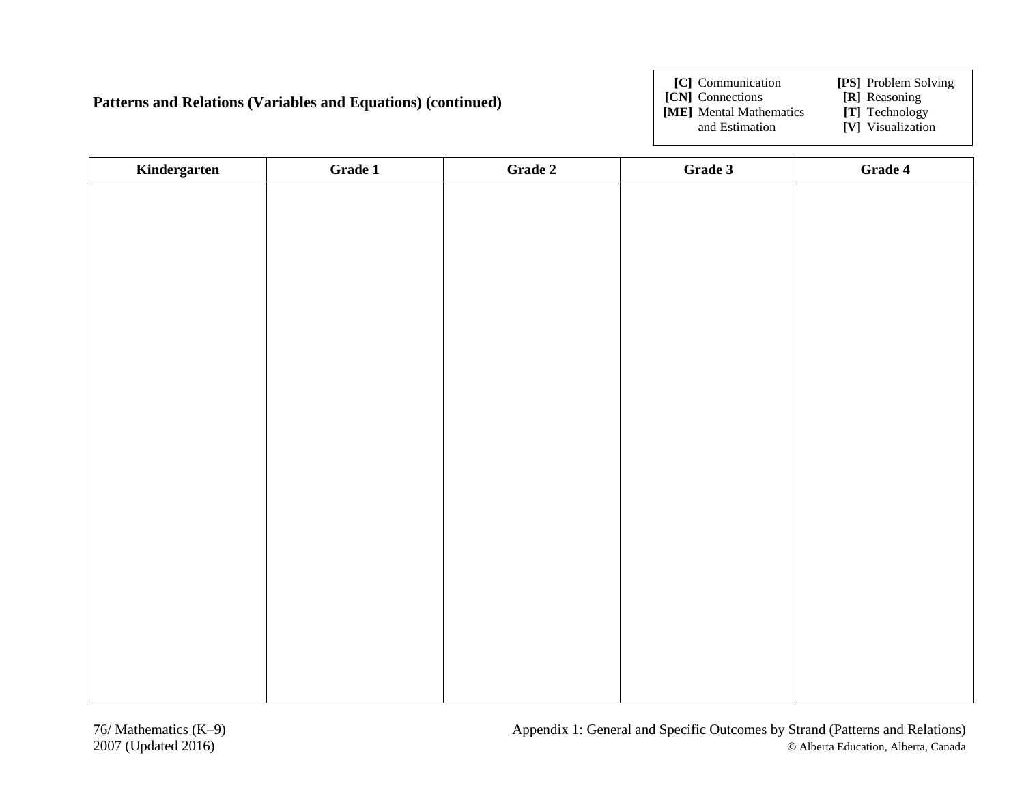#### **Patterns and Relations (Variables and Equations) (continued)**

**[C]** Communication **[PS]** Problem Solving

- **[CN]** Connections **[R]** Reasoning<br>**[ME]** Mental Mathematics **[T]** Technology
- **[ME]** Mental Mathematics and Estimation

- 
- **[V]** Visualization

| Kindergarten | Grade 1 | Grade 2 | Grade 3 | Grade 4 |
|--------------|---------|---------|---------|---------|
|              |         |         |         |         |
|              |         |         |         |         |
|              |         |         |         |         |
|              |         |         |         |         |
|              |         |         |         |         |
|              |         |         |         |         |
|              |         |         |         |         |
|              |         |         |         |         |
|              |         |         |         |         |
|              |         |         |         |         |
|              |         |         |         |         |
|              |         |         |         |         |
|              |         |         |         |         |
|              |         |         |         |         |
|              |         |         |         |         |
|              |         |         |         |         |
|              |         |         |         |         |
|              |         |         |         |         |
|              |         |         |         |         |
|              |         |         |         |         |
|              |         |         |         |         |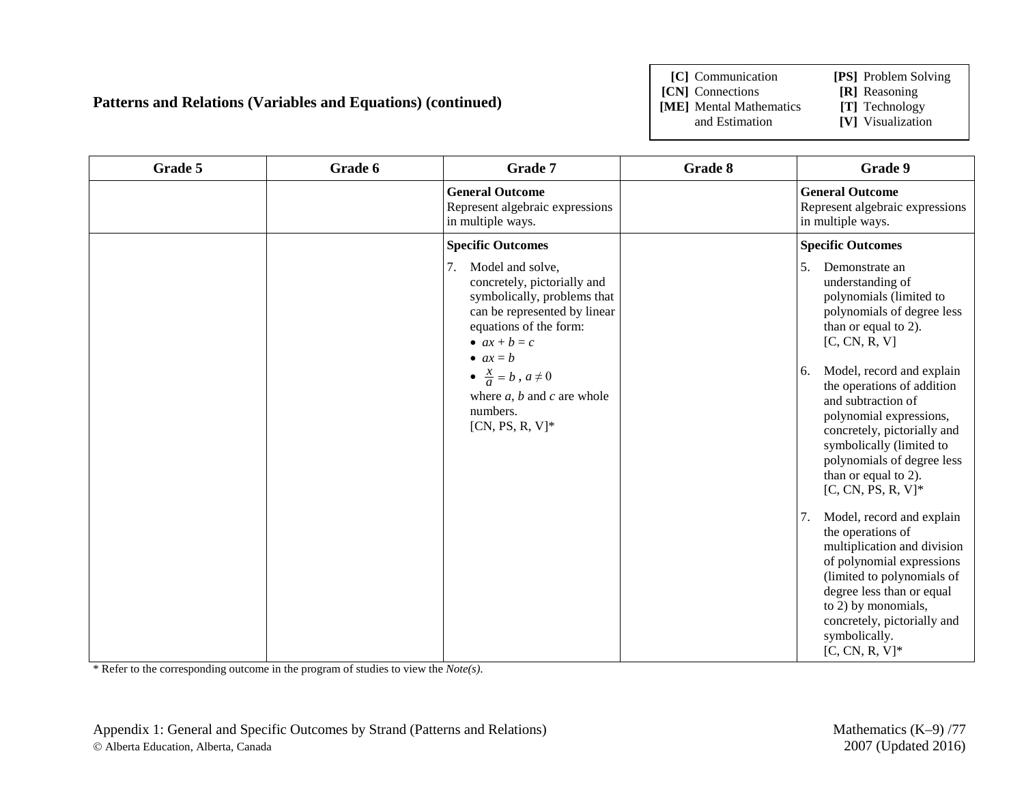### **Patterns and Relations (Variables and Equations) (continued)**

**[C]** Communication **[PS]** Problem Solving

**[CN]** Connections **[R]** Reasoning<br>**[ME]** Mental Mathematics **[T]** Technology **[ME]** Mental Mathematics and Estimation

- 
- [V] Visualization

| Grade 5 | Grade 6 | Grade 7                                                                                                                                                                                                                                                                                        | Grade 8 | Grade 9                                                                                                                                                                                                                                                                                                                                                                                                                                                                                                                                                                                                                                                      |
|---------|---------|------------------------------------------------------------------------------------------------------------------------------------------------------------------------------------------------------------------------------------------------------------------------------------------------|---------|--------------------------------------------------------------------------------------------------------------------------------------------------------------------------------------------------------------------------------------------------------------------------------------------------------------------------------------------------------------------------------------------------------------------------------------------------------------------------------------------------------------------------------------------------------------------------------------------------------------------------------------------------------------|
|         |         | <b>General Outcome</b><br>Represent algebraic expressions<br>in multiple ways.                                                                                                                                                                                                                 |         | <b>General Outcome</b><br>Represent algebraic expressions<br>in multiple ways.                                                                                                                                                                                                                                                                                                                                                                                                                                                                                                                                                                               |
|         |         | <b>Specific Outcomes</b>                                                                                                                                                                                                                                                                       |         | <b>Specific Outcomes</b>                                                                                                                                                                                                                                                                                                                                                                                                                                                                                                                                                                                                                                     |
|         |         | 7.<br>Model and solve,<br>concretely, pictorially and<br>symbolically, problems that<br>can be represented by linear<br>equations of the form:<br>• $ax + b = c$<br>• $ax = b$<br>$\bullet \ \frac{x}{a} = b$ , $a \neq 0$<br>where $a, b$ and $c$ are whole<br>numbers.<br>$[CN, PS, R, V]^*$ |         | 5.<br>Demonstrate an<br>understanding of<br>polynomials (limited to<br>polynomials of degree less<br>than or equal to 2).<br>[C, CN, R, V]<br>Model, record and explain<br>6.<br>the operations of addition<br>and subtraction of<br>polynomial expressions,<br>concretely, pictorially and<br>symbolically (limited to<br>polynomials of degree less<br>than or equal to 2).<br>$[C, CN, PS, R, V]^*$<br>Model, record and explain<br>7.<br>the operations of<br>multiplication and division<br>of polynomial expressions<br>(limited to polynomials of<br>degree less than or equal<br>to 2) by monomials,<br>concretely, pictorially and<br>symbolically. |
|         |         |                                                                                                                                                                                                                                                                                                |         | $[C, CN, R, V]^*$                                                                                                                                                                                                                                                                                                                                                                                                                                                                                                                                                                                                                                            |

\* Refer to the corresponding outcome in the program of studies to view the *Note(s)*.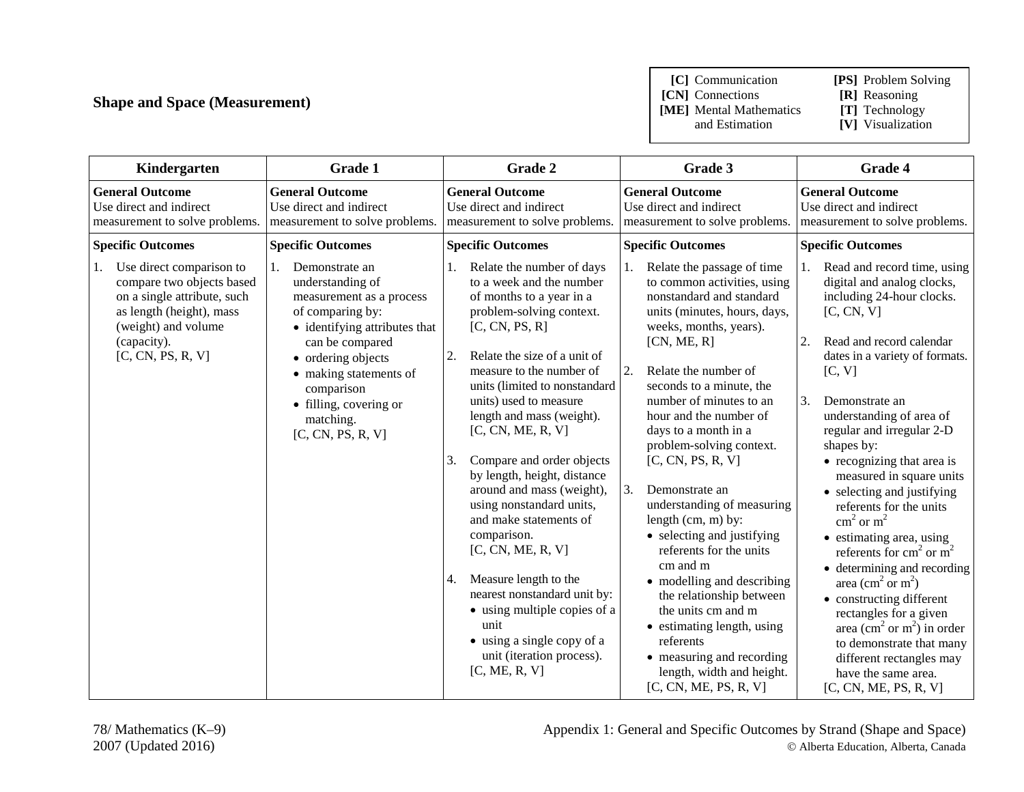# **Shape and Space (Measurement)**

**[C]** Communication **[PS]** Problem Solving

**[ME]** Mental Mathematics and Estimation

- **[CN]** Connections **[R]** Reasoning<br> **[ME]** Mental Mathematics **[T]** Technology
	-
	- **[V]** Visualization

| Kindergarten                                                                                                                                                                | <b>Grade 1</b>                                                                                                                                                                                                                                                         | Grade 2                                                                                                                                                                                                                                                                                                                                                                                                                                                                                                                                                                                                                                                                                    | Grade 3                                                                                                                                                                                                                                                                                                                                                                                                                                                                                                                                                                                                                                                                                                                 | Grade 4                                                                                                                                                                                                                                                                                                                                                                                                                                                                                                                                                                                                                                                                                                                                                                                                |
|-----------------------------------------------------------------------------------------------------------------------------------------------------------------------------|------------------------------------------------------------------------------------------------------------------------------------------------------------------------------------------------------------------------------------------------------------------------|--------------------------------------------------------------------------------------------------------------------------------------------------------------------------------------------------------------------------------------------------------------------------------------------------------------------------------------------------------------------------------------------------------------------------------------------------------------------------------------------------------------------------------------------------------------------------------------------------------------------------------------------------------------------------------------------|-------------------------------------------------------------------------------------------------------------------------------------------------------------------------------------------------------------------------------------------------------------------------------------------------------------------------------------------------------------------------------------------------------------------------------------------------------------------------------------------------------------------------------------------------------------------------------------------------------------------------------------------------------------------------------------------------------------------------|--------------------------------------------------------------------------------------------------------------------------------------------------------------------------------------------------------------------------------------------------------------------------------------------------------------------------------------------------------------------------------------------------------------------------------------------------------------------------------------------------------------------------------------------------------------------------------------------------------------------------------------------------------------------------------------------------------------------------------------------------------------------------------------------------------|
| <b>General Outcome</b><br>Use direct and indirect<br>measurement to solve problems.                                                                                         | <b>General Outcome</b><br>Use direct and indirect<br>measurement to solve problems.                                                                                                                                                                                    | <b>General Outcome</b><br>Use direct and indirect<br>measurement to solve problems.                                                                                                                                                                                                                                                                                                                                                                                                                                                                                                                                                                                                        | <b>General Outcome</b><br>Use direct and indirect<br>measurement to solve problems.                                                                                                                                                                                                                                                                                                                                                                                                                                                                                                                                                                                                                                     | <b>General Outcome</b><br>Use direct and indirect<br>measurement to solve problems.                                                                                                                                                                                                                                                                                                                                                                                                                                                                                                                                                                                                                                                                                                                    |
| <b>Specific Outcomes</b>                                                                                                                                                    | <b>Specific Outcomes</b>                                                                                                                                                                                                                                               | <b>Specific Outcomes</b>                                                                                                                                                                                                                                                                                                                                                                                                                                                                                                                                                                                                                                                                   | <b>Specific Outcomes</b>                                                                                                                                                                                                                                                                                                                                                                                                                                                                                                                                                                                                                                                                                                | <b>Specific Outcomes</b>                                                                                                                                                                                                                                                                                                                                                                                                                                                                                                                                                                                                                                                                                                                                                                               |
| Use direct comparison to<br>compare two objects based<br>on a single attribute, such<br>as length (height), mass<br>(weight) and volume<br>(capacity).<br>[C, CN, PS, R, V] | 1.<br>Demonstrate an<br>understanding of<br>measurement as a process<br>of comparing by:<br>• identifying attributes that<br>can be compared<br>• ordering objects<br>• making statements of<br>comparison<br>• filling, covering or<br>matching.<br>[C, CN, PS, R, V] | Relate the number of days<br>to a week and the number<br>of months to a year in a<br>problem-solving context.<br>[C, CN, PS, R]<br>2.<br>Relate the size of a unit of<br>measure to the number of<br>units (limited to nonstandard<br>units) used to measure<br>length and mass (weight).<br>[C, CN, ME, R, V]<br>Compare and order objects<br>3.<br>by length, height, distance<br>around and mass (weight),<br>using nonstandard units,<br>and make statements of<br>comparison.<br>[C, CN, ME, R, V]<br>Measure length to the<br>4.<br>nearest nonstandard unit by:<br>• using multiple copies of a<br>unit<br>• using a single copy of a<br>unit (iteration process).<br>[C, ME, R, V] | Relate the passage of time<br>to common activities, using<br>nonstandard and standard<br>units (minutes, hours, days,<br>weeks, months, years).<br>[CN, ME, R]<br>Relate the number of<br>2.<br>seconds to a minute, the<br>number of minutes to an<br>hour and the number of<br>days to a month in a<br>problem-solving context.<br>[C, CN, PS, R, V]<br>3.<br>Demonstrate an<br>understanding of measuring<br>length $(cm, m)$ by:<br>• selecting and justifying<br>referents for the units<br>cm and m<br>• modelling and describing<br>the relationship between<br>the units cm and m<br>• estimating length, using<br>referents<br>• measuring and recording<br>length, width and height.<br>[C, CN, ME, PS, R, V] | Read and record time, using<br>1.<br>digital and analog clocks,<br>including 24-hour clocks.<br>[C, CN, V]<br>Read and record calendar<br>2.<br>dates in a variety of formats.<br>[C, V]<br>3.<br>Demonstrate an<br>understanding of area of<br>regular and irregular 2-D<br>shapes by:<br>• recognizing that area is<br>measured in square units<br>• selecting and justifying<br>referents for the units<br>$\text{cm}^2$ or $\text{m}^2$<br>• estimating area, using<br>referents for $cm2$ or $m2$<br>• determining and recording<br>area (cm <sup>2</sup> or m <sup>2</sup> )<br>• constructing different<br>rectangles for a given<br>area (cm <sup>2</sup> or m <sup>2</sup> ) in order<br>to demonstrate that many<br>different rectangles may<br>have the same area.<br>[C, CN, ME, PS, R, V] |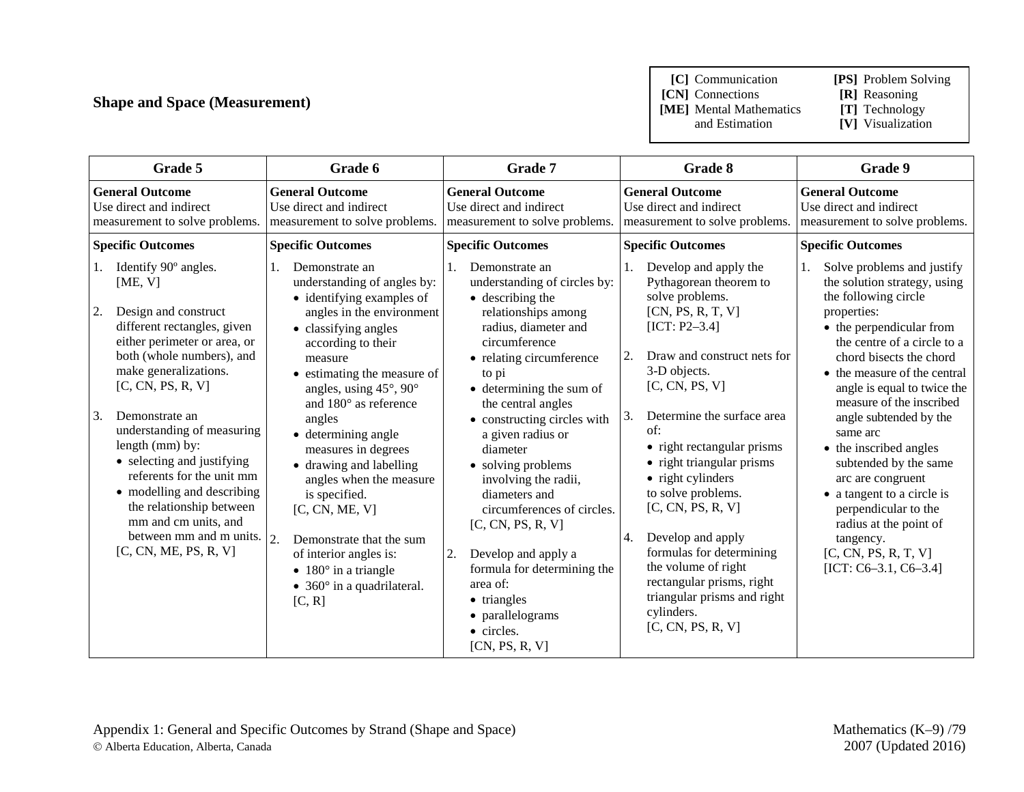# **Shape and Space (Measurement)**

**[C]** Communication **[PS]** Problem Solving

**[CN]** Connections **[R]** Reasoning<br>**[ME]** Mental Mathematics **[T]** Technology **[ME]** Mental Mathematics and Estimation

- 
- 
- **[V]** Visualization

| Grade 5                                                                                                                                                                                                                                                                                                                                                                                                                                                                                 | Grade 6                                                                                                                                                                                                                                                                                                                                                                                                                                                                                                                                                                                  | <b>Grade 7</b>                                                                                                                                                                                                                                                                                                                                                                                                                                                                                                                                                         | Grade 8                                                                                                                                                                                                                                                                                                                                                                                                                                                                                                                                    | Grade 9                                                                                                                                                                                                                                                                                                                                                                                                                                                                                                                                              |
|-----------------------------------------------------------------------------------------------------------------------------------------------------------------------------------------------------------------------------------------------------------------------------------------------------------------------------------------------------------------------------------------------------------------------------------------------------------------------------------------|------------------------------------------------------------------------------------------------------------------------------------------------------------------------------------------------------------------------------------------------------------------------------------------------------------------------------------------------------------------------------------------------------------------------------------------------------------------------------------------------------------------------------------------------------------------------------------------|------------------------------------------------------------------------------------------------------------------------------------------------------------------------------------------------------------------------------------------------------------------------------------------------------------------------------------------------------------------------------------------------------------------------------------------------------------------------------------------------------------------------------------------------------------------------|--------------------------------------------------------------------------------------------------------------------------------------------------------------------------------------------------------------------------------------------------------------------------------------------------------------------------------------------------------------------------------------------------------------------------------------------------------------------------------------------------------------------------------------------|------------------------------------------------------------------------------------------------------------------------------------------------------------------------------------------------------------------------------------------------------------------------------------------------------------------------------------------------------------------------------------------------------------------------------------------------------------------------------------------------------------------------------------------------------|
| <b>General Outcome</b><br>Use direct and indirect<br>measurement to solve problems.                                                                                                                                                                                                                                                                                                                                                                                                     | <b>General Outcome</b><br>Use direct and indirect<br>measurement to solve problems.                                                                                                                                                                                                                                                                                                                                                                                                                                                                                                      | <b>General Outcome</b><br>Use direct and indirect<br>measurement to solve problems.                                                                                                                                                                                                                                                                                                                                                                                                                                                                                    | <b>General Outcome</b><br>Use direct and indirect<br>measurement to solve problems.                                                                                                                                                                                                                                                                                                                                                                                                                                                        | <b>General Outcome</b><br>Use direct and indirect<br>measurement to solve problems.                                                                                                                                                                                                                                                                                                                                                                                                                                                                  |
| <b>Specific Outcomes</b>                                                                                                                                                                                                                                                                                                                                                                                                                                                                | <b>Specific Outcomes</b>                                                                                                                                                                                                                                                                                                                                                                                                                                                                                                                                                                 | <b>Specific Outcomes</b>                                                                                                                                                                                                                                                                                                                                                                                                                                                                                                                                               | <b>Specific Outcomes</b>                                                                                                                                                                                                                                                                                                                                                                                                                                                                                                                   | <b>Specific Outcomes</b>                                                                                                                                                                                                                                                                                                                                                                                                                                                                                                                             |
| Identify 90° angles.<br>1.<br>[ME, V]<br>2.<br>Design and construct<br>different rectangles, given<br>either perimeter or area, or<br>both (whole numbers), and<br>make generalizations.<br>[C, CN, PS, R, V]<br>3.<br>Demonstrate an<br>understanding of measuring<br>length (mm) by:<br>• selecting and justifying<br>referents for the unit mm<br>• modelling and describing<br>the relationship between<br>mm and cm units, and<br>between mm and m units.<br>[C, CN, ME, PS, R, V] | Demonstrate an<br>1.<br>understanding of angles by:<br>• identifying examples of<br>angles in the environment<br>• classifying angles<br>according to their<br>measure<br>• estimating the measure of<br>angles, using $45^{\circ}$ , $90^{\circ}$<br>and $180^\circ$ as reference<br>angles<br>• determining angle<br>measures in degrees<br>• drawing and labelling<br>angles when the measure<br>is specified.<br>[C, CN, ME, V]<br>2.<br>Demonstrate that the sum<br>of interior angles is:<br>$\bullet$ 180 $^{\circ}$ in a triangle<br>• $360^\circ$ in a quadrilateral.<br>[C, R] | Demonstrate an<br>understanding of circles by:<br>$\bullet$ describing the<br>relationships among<br>radius, diameter and<br>circumference<br>• relating circumference<br>to pi<br>$\bullet$ determining the sum of<br>the central angles<br>• constructing circles with<br>a given radius or<br>diameter<br>• solving problems<br>involving the radii,<br>diameters and<br>circumferences of circles.<br>[C, CN, PS, R, V]<br>2.<br>Develop and apply a<br>formula for determining the<br>area of:<br>• triangles<br>• parallelograms<br>• circles.<br>[CN, PS, R, V] | Develop and apply the<br>1.<br>Pythagorean theorem to<br>solve problems.<br>[CN, PS, R, T, V]<br>$[ICT: P2-3.4]$<br>2.<br>Draw and construct nets for<br>3-D objects.<br>[C, CN, PS, V]<br>3.<br>Determine the surface area<br>of:<br>• right rectangular prisms<br>• right triangular prisms<br>• right cylinders<br>to solve problems.<br>[C, CN, PS, R, V]<br>Develop and apply<br>4.<br>formulas for determining<br>the volume of right<br>rectangular prisms, right<br>triangular prisms and right<br>cylinders.<br>[C, CN, PS, R, V] | Solve problems and justify<br>the solution strategy, using<br>the following circle<br>properties:<br>• the perpendicular from<br>the centre of a circle to a<br>chord bisects the chord<br>• the measure of the central<br>angle is equal to twice the<br>measure of the inscribed<br>angle subtended by the<br>same arc<br>• the inscribed angles<br>subtended by the same<br>arc are congruent<br>• a tangent to a circle is<br>perpendicular to the<br>radius at the point of<br>tangency.<br>[C, CN, PS, R, T, V]<br>[ICT: $C6-3.1$ , $C6-3.4$ ] |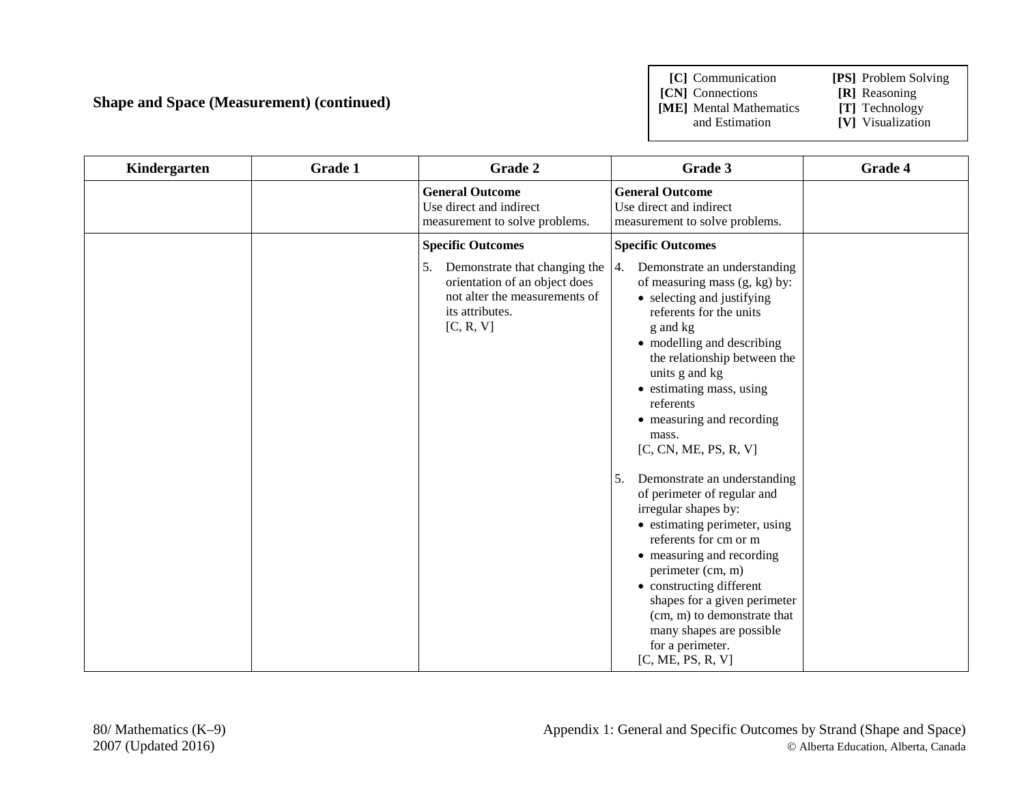### **Shape and Space (Measurement) (continued)**

**[C]** Communication **[PS]** Problem Solving **[CN]** Connections **[R]** Reasoning<br>**[ME]** Mental Mathematics **[T]** Technology **[ME]** Mental Mathematics and Estimation

- 
- **[V]** Visualization
- 

| Kindergarten | <b>Grade 1</b> | Grade 2                                                                                                                               | Grade 3                                                                                                                                                                                                                                                                                                                                                                                                                                                                                                                                                                                                                                                          | Grade 4 |
|--------------|----------------|---------------------------------------------------------------------------------------------------------------------------------------|------------------------------------------------------------------------------------------------------------------------------------------------------------------------------------------------------------------------------------------------------------------------------------------------------------------------------------------------------------------------------------------------------------------------------------------------------------------------------------------------------------------------------------------------------------------------------------------------------------------------------------------------------------------|---------|
|              |                | <b>General Outcome</b><br>Use direct and indirect<br>measurement to solve problems.                                                   | <b>General Outcome</b><br>Use direct and indirect<br>measurement to solve problems.                                                                                                                                                                                                                                                                                                                                                                                                                                                                                                                                                                              |         |
|              |                | <b>Specific Outcomes</b>                                                                                                              | <b>Specific Outcomes</b>                                                                                                                                                                                                                                                                                                                                                                                                                                                                                                                                                                                                                                         |         |
|              |                | Demonstrate that changing the<br>5.<br>orientation of an object does<br>not alter the measurements of<br>its attributes.<br>[C, R, V] | Demonstrate an understanding<br>4.<br>of measuring mass (g, kg) by:<br>• selecting and justifying<br>referents for the units<br>g and kg<br>• modelling and describing<br>the relationship between the<br>units g and kg<br>• estimating mass, using<br>referents<br>• measuring and recording<br>mass.<br>[C, CN, ME, PS, R, V]<br>Demonstrate an understanding<br>5.<br>of perimeter of regular and<br>irregular shapes by:<br>• estimating perimeter, using<br>referents for cm or m<br>• measuring and recording<br>perimeter (cm, m)<br>• constructing different<br>shapes for a given perimeter<br>(cm, m) to demonstrate that<br>many shapes are possible |         |
|              |                |                                                                                                                                       | for a perimeter.<br>[C, ME, PS, R, V]                                                                                                                                                                                                                                                                                                                                                                                                                                                                                                                                                                                                                            |         |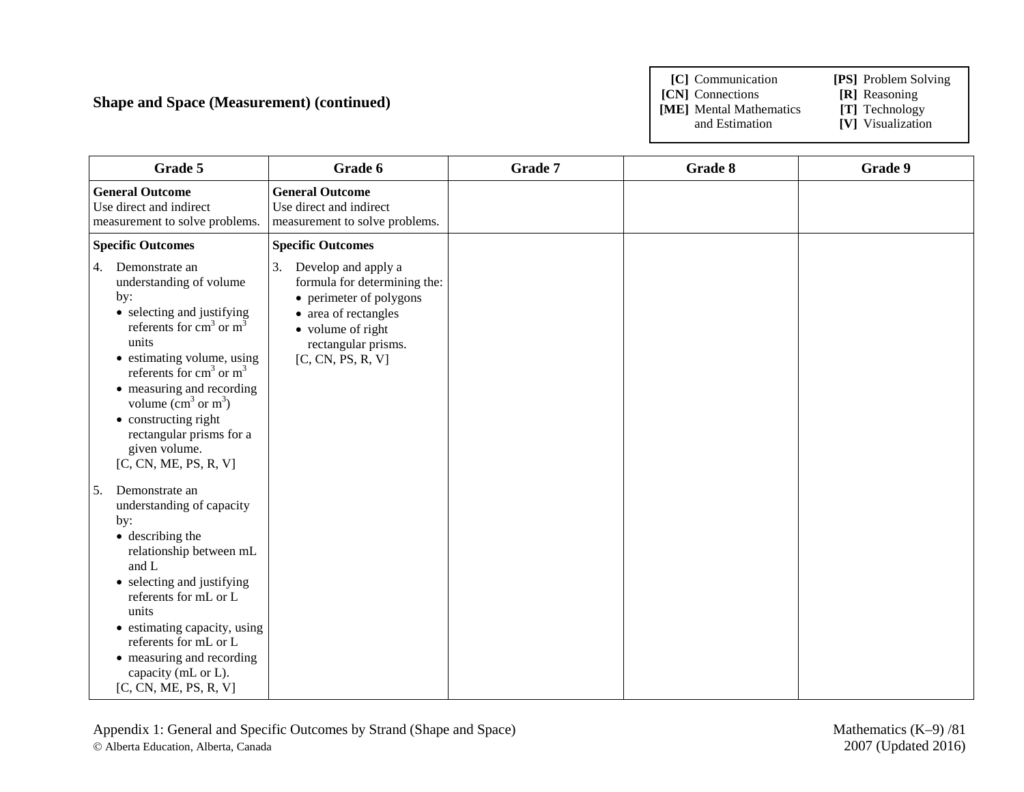### **Shape and Space (Measurement) (continued)**

**[C]** Communication **[PS]** Problem Solving **[CN]** Connections **[R]** Reasoning<br> **[ME]** Mental Mathematics **[T]** Technology **[ME]** Mental Mathematics and Estimation

- 
- 
- **[V]** Visualization

| Grade 5                                                                                                                                                                                                                                                                                                                                                                                                                                                                                                                                                                                                                                                                                  | Grade 6                                                                                                                                                                       | Grade 7 | Grade 8 | Grade 9 |
|------------------------------------------------------------------------------------------------------------------------------------------------------------------------------------------------------------------------------------------------------------------------------------------------------------------------------------------------------------------------------------------------------------------------------------------------------------------------------------------------------------------------------------------------------------------------------------------------------------------------------------------------------------------------------------------|-------------------------------------------------------------------------------------------------------------------------------------------------------------------------------|---------|---------|---------|
| <b>General Outcome</b><br>Use direct and indirect<br>measurement to solve problems.                                                                                                                                                                                                                                                                                                                                                                                                                                                                                                                                                                                                      | <b>General Outcome</b><br>Use direct and indirect<br>measurement to solve problems.                                                                                           |         |         |         |
| <b>Specific Outcomes</b>                                                                                                                                                                                                                                                                                                                                                                                                                                                                                                                                                                                                                                                                 | <b>Specific Outcomes</b>                                                                                                                                                      |         |         |         |
| Demonstrate an<br>4.<br>understanding of volume<br>by:<br>• selecting and justifying<br>referents for $cm3$ or $m3$<br>units<br>• estimating volume, using<br>referents for $cm3$ or $m3$<br>• measuring and recording<br>volume $\text{cm}^3$ or $\text{m}^3$ )<br>• constructing right<br>rectangular prisms for a<br>given volume.<br>[C, CN, ME, PS, R, V]<br>5.<br>Demonstrate an<br>understanding of capacity<br>by:<br>• describing the<br>relationship between mL<br>and L<br>• selecting and justifying<br>referents for mL or L<br>units<br>• estimating capacity, using<br>referents for mL or L<br>• measuring and recording<br>capacity (mL or L).<br>[C, CN, ME, PS, R, V] | 3.<br>Develop and apply a<br>formula for determining the:<br>• perimeter of polygons<br>• area of rectangles<br>• volume of right<br>rectangular prisms.<br>[C, CN, PS, R, V] |         |         |         |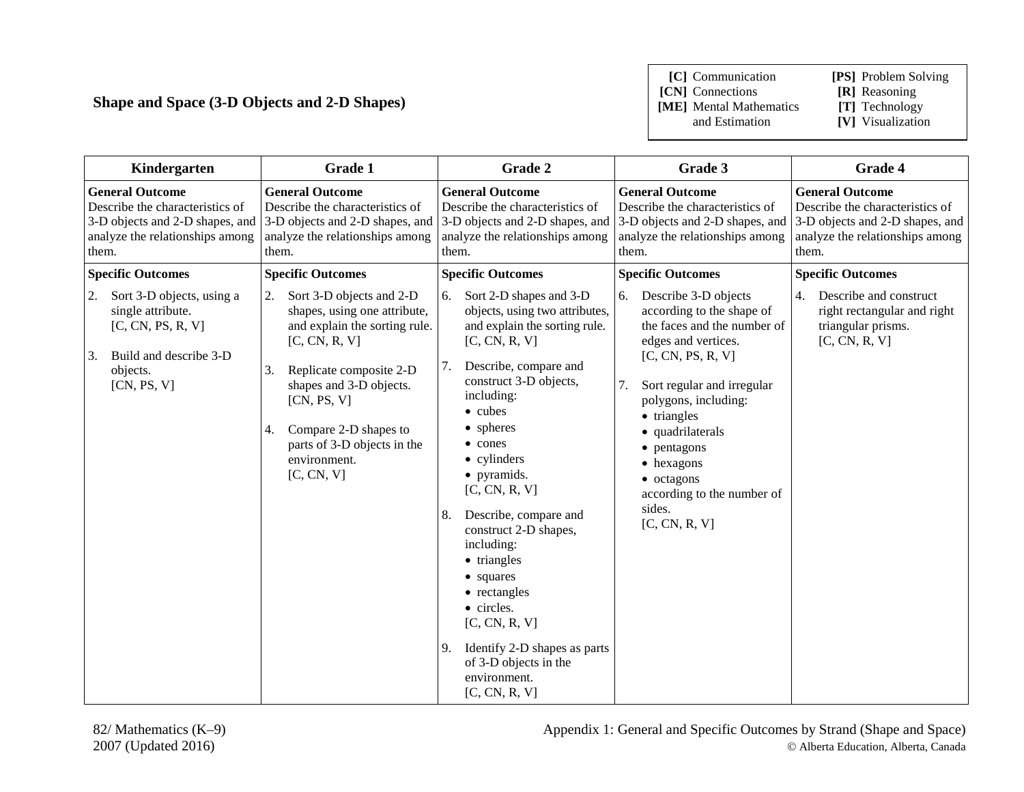### **Shape and Space (3-D Objects and 2-D Shapes)**

**[C]** Communication **[PS]** Problem Solving **[CN]** Connections **[R]** Reasoning<br>**[ME]** Mental Mathematics **[T]** Technology **[ME]** Mental Mathematics and Estimation

| Kindergarten                                                                                                                                    | Grade 1                                                                                                                                                                                                                                                                                 | Grade 2                                                                                                                                                                                                                                                                                                                                                                                                                                                                                                                     | Grade 3                                                                                                                                                                                                                                                                                                                                       | Grade 4                                                                                                                                  |
|-------------------------------------------------------------------------------------------------------------------------------------------------|-----------------------------------------------------------------------------------------------------------------------------------------------------------------------------------------------------------------------------------------------------------------------------------------|-----------------------------------------------------------------------------------------------------------------------------------------------------------------------------------------------------------------------------------------------------------------------------------------------------------------------------------------------------------------------------------------------------------------------------------------------------------------------------------------------------------------------------|-----------------------------------------------------------------------------------------------------------------------------------------------------------------------------------------------------------------------------------------------------------------------------------------------------------------------------------------------|------------------------------------------------------------------------------------------------------------------------------------------|
| <b>General Outcome</b><br>Describe the characteristics of<br>analyze the relationships among<br>them.                                           | <b>General Outcome</b><br>Describe the characteristics of<br>3-D objects and 2-D shapes, and 3-D objects and 2-D shapes, and<br>analyze the relationships among<br>them.                                                                                                                | <b>General Outcome</b><br>Describe the characteristics of<br>analyze the relationships among<br>them.                                                                                                                                                                                                                                                                                                                                                                                                                       | <b>General Outcome</b><br>Describe the characteristics of<br>3-D objects and 2-D shapes, and 3-D objects and 2-D shapes, and<br>analyze the relationships among<br>them.                                                                                                                                                                      | <b>General Outcome</b><br>Describe the characteristics of<br>3-D objects and 2-D shapes, and<br>analyze the relationships among<br>them. |
| <b>Specific Outcomes</b>                                                                                                                        | <b>Specific Outcomes</b>                                                                                                                                                                                                                                                                | <b>Specific Outcomes</b>                                                                                                                                                                                                                                                                                                                                                                                                                                                                                                    | <b>Specific Outcomes</b>                                                                                                                                                                                                                                                                                                                      | <b>Specific Outcomes</b>                                                                                                                 |
| Sort 3-D objects, using a<br>2.<br>single attribute.<br>[C, CN, PS, R, V]<br>Build and describe 3-D<br><sup>3.</sup><br>objects.<br>[CN, PS, V] | 2.<br>Sort 3-D objects and 2-D<br>shapes, using one attribute,<br>and explain the sorting rule.<br>[C, CN, R, V]<br>3.<br>Replicate composite 2-D<br>shapes and 3-D objects.<br>[CN, PS, V]<br>Compare 2-D shapes to<br>4.<br>parts of 3-D objects in the<br>environment.<br>[C, CN, V] | Sort 2-D shapes and 3-D<br>6.<br>objects, using two attributes,<br>and explain the sorting rule.<br>[C, CN, R, V]<br>Describe, compare and<br>7.<br>construct 3-D objects,<br>including:<br>• cubes<br>• spheres<br>• cones<br>• cylinders<br>• pyramids.<br>[C, CN, R, V]<br>Describe, compare and<br>8.<br>construct 2-D shapes,<br>including:<br>• triangles<br>• squares<br>• rectangles<br>• circles.<br>[C, CN, R, V]<br>Identify 2-D shapes as parts<br>9.<br>of 3-D objects in the<br>environment.<br>[C, CN, R, V] | 6.<br>Describe 3-D objects<br>according to the shape of<br>the faces and the number of<br>edges and vertices.<br>[C, CN, PS, R, V]<br>7.<br>Sort regular and irregular<br>polygons, including:<br>• triangles<br>• quadrilaterals<br>• pentagons<br>• hexagons<br>$\bullet$ octagons<br>according to the number of<br>sides.<br>[C, CN, R, V] | Describe and construct<br>4.<br>right rectangular and right<br>triangular prisms.<br>[C, CN, R, V]                                       |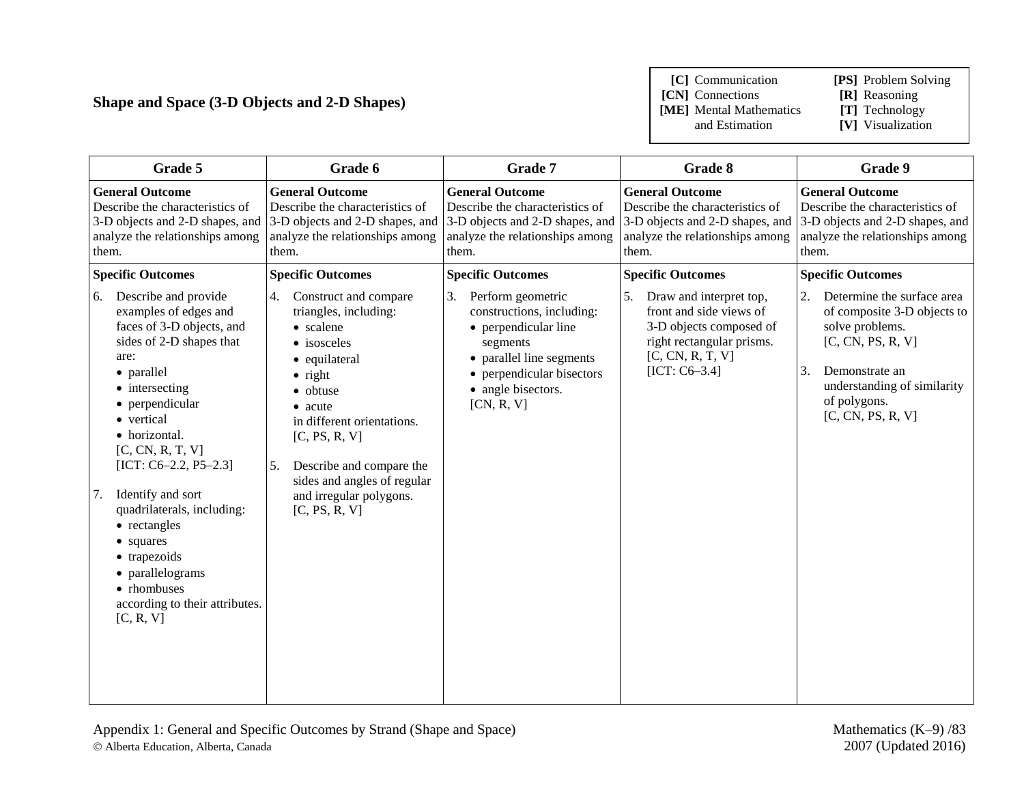### **Shape and Space (3-D Objects and 2-D Shapes)**

**[C]** Communication **[PS]** Problem Solving

**[CN]** Connections **[R]** Reasoning<br> **[ME]** Mental Mathematics **[T]** Technology

**[ME]** Mental Mathematics and Estimation

| Grade 5                                                                                                                                                                                                                                                                                                                                                                                                                                     | Grade 6                                                                                                                                                                                                                                                                                                 | Grade 7                                                                                                                                                                                                  | Grade 8                                                                                                                                                 | Grade 9                                                                                                                                                                                             |
|---------------------------------------------------------------------------------------------------------------------------------------------------------------------------------------------------------------------------------------------------------------------------------------------------------------------------------------------------------------------------------------------------------------------------------------------|---------------------------------------------------------------------------------------------------------------------------------------------------------------------------------------------------------------------------------------------------------------------------------------------------------|----------------------------------------------------------------------------------------------------------------------------------------------------------------------------------------------------------|---------------------------------------------------------------------------------------------------------------------------------------------------------|-----------------------------------------------------------------------------------------------------------------------------------------------------------------------------------------------------|
| <b>General Outcome</b><br>Describe the characteristics of<br>3-D objects and 2-D shapes, and<br>analyze the relationships among<br>them.                                                                                                                                                                                                                                                                                                    | <b>General Outcome</b><br>Describe the characteristics of<br>analyze the relationships among<br>them.                                                                                                                                                                                                   | <b>General Outcome</b><br>Describe the characteristics of<br>3-D objects and 2-D shapes, and 3-D objects and 2-D shapes, and 3-D objects and 2-D shapes, and<br>analyze the relationships among<br>them. | <b>General Outcome</b><br>Describe the characteristics of<br>analyze the relationships among<br>them.                                                   | <b>General Outcome</b><br>Describe the characteristics of<br>3-D objects and 2-D shapes, and<br>analyze the relationships among<br>them.                                                            |
| <b>Specific Outcomes</b>                                                                                                                                                                                                                                                                                                                                                                                                                    | <b>Specific Outcomes</b>                                                                                                                                                                                                                                                                                | <b>Specific Outcomes</b>                                                                                                                                                                                 | <b>Specific Outcomes</b>                                                                                                                                | <b>Specific Outcomes</b>                                                                                                                                                                            |
| Describe and provide<br>6.<br>examples of edges and<br>faces of 3-D objects, and<br>sides of 2-D shapes that<br>are:<br>• parallel<br>• intersecting<br>• perpendicular<br>• vertical<br>• horizontal.<br>[C, CN, R, T, V]<br>[ICT: C6-2.2, P5-2.3]<br>Identify and sort<br>7.<br>quadrilaterals, including:<br>• rectangles<br>• squares<br>• trapezoids<br>• parallelograms<br>• rhombuses<br>according to their attributes.<br>[C, R, V] | 4.<br>Construct and compare<br>triangles, including:<br>• scalene<br>• isosceles<br>• equilateral<br>$\bullet$ right<br>· obtuse<br>• acute<br>in different orientations.<br>[C, PS, R, V]<br>5.<br>Describe and compare the<br>sides and angles of regular<br>and irregular polygons.<br>[C, PS, R, V] | Perform geometric<br>3.<br>constructions, including:<br>• perpendicular line<br>segments<br>• parallel line segments<br>• perpendicular bisectors<br>• angle bisectors.<br>[CN, R, V]                    | 5.<br>Draw and interpret top,<br>front and side views of<br>3-D objects composed of<br>right rectangular prisms.<br>[C, CN, R, T, V]<br>$[ICT: C6-3.4]$ | 2.<br>Determine the surface area<br>of composite 3-D objects to<br>solve problems.<br>[C, CN, PS, R, V]<br>3.<br>Demonstrate an<br>understanding of similarity<br>of polygons.<br>[C, CN, PS, R, V] |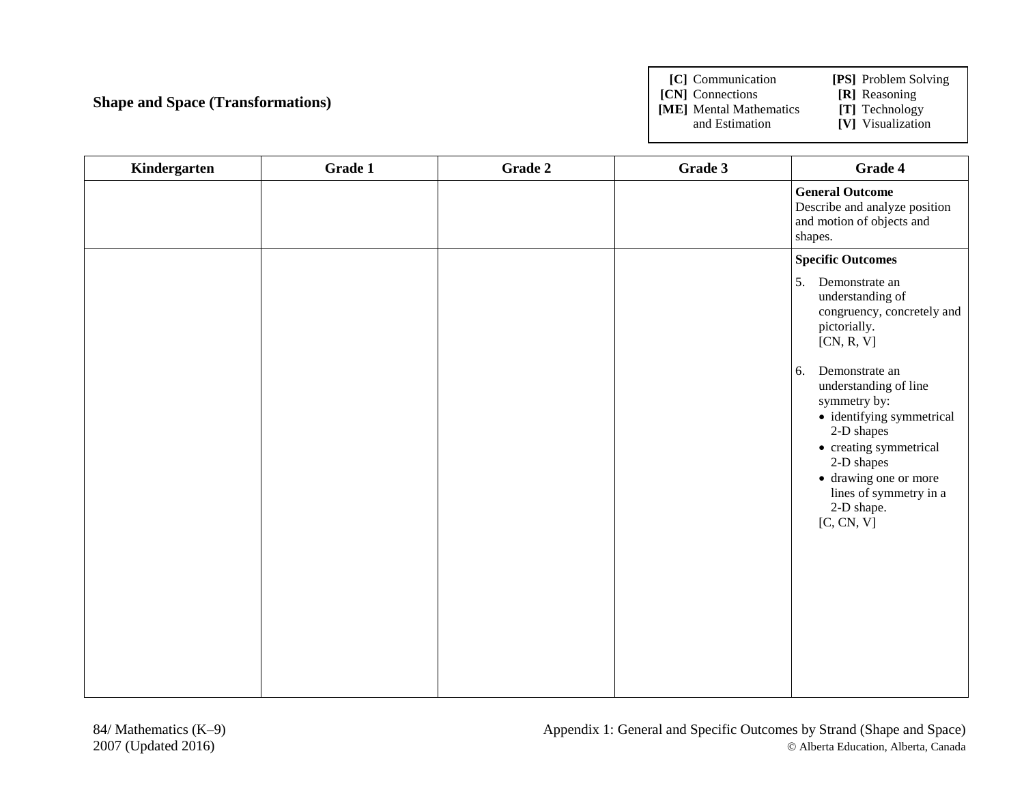# **Shape and Space (Transformations)**

**[C]** Communication **[PS]** Problem Solving **[CN]** Connections **[R]** Reasoning<br> **[ME]** Mental Mathematics **[T]** Technology **[ME]** Mental Mathematics and Estimation **[V]** Visualization

| Kindergarten | Grade 1 | Grade 2 | Grade 3 | Grade 4                                                                                                                                                                                                                         |
|--------------|---------|---------|---------|---------------------------------------------------------------------------------------------------------------------------------------------------------------------------------------------------------------------------------|
|              |         |         |         | <b>General Outcome</b><br>Describe and analyze position<br>and motion of objects and<br>shapes.                                                                                                                                 |
|              |         |         |         | <b>Specific Outcomes</b>                                                                                                                                                                                                        |
|              |         |         |         | 5.<br>Demonstrate an<br>understanding of<br>congruency, concretely and<br>pictorially.<br>[CN, R, V]                                                                                                                            |
|              |         |         |         | Demonstrate an<br>6.<br>understanding of line<br>symmetry by:<br>· identifying symmetrical<br>2-D shapes<br>• creating symmetrical<br>2-D shapes<br>• drawing one or more<br>lines of symmetry in a<br>2-D shape.<br>[C, CN, V] |
|              |         |         |         |                                                                                                                                                                                                                                 |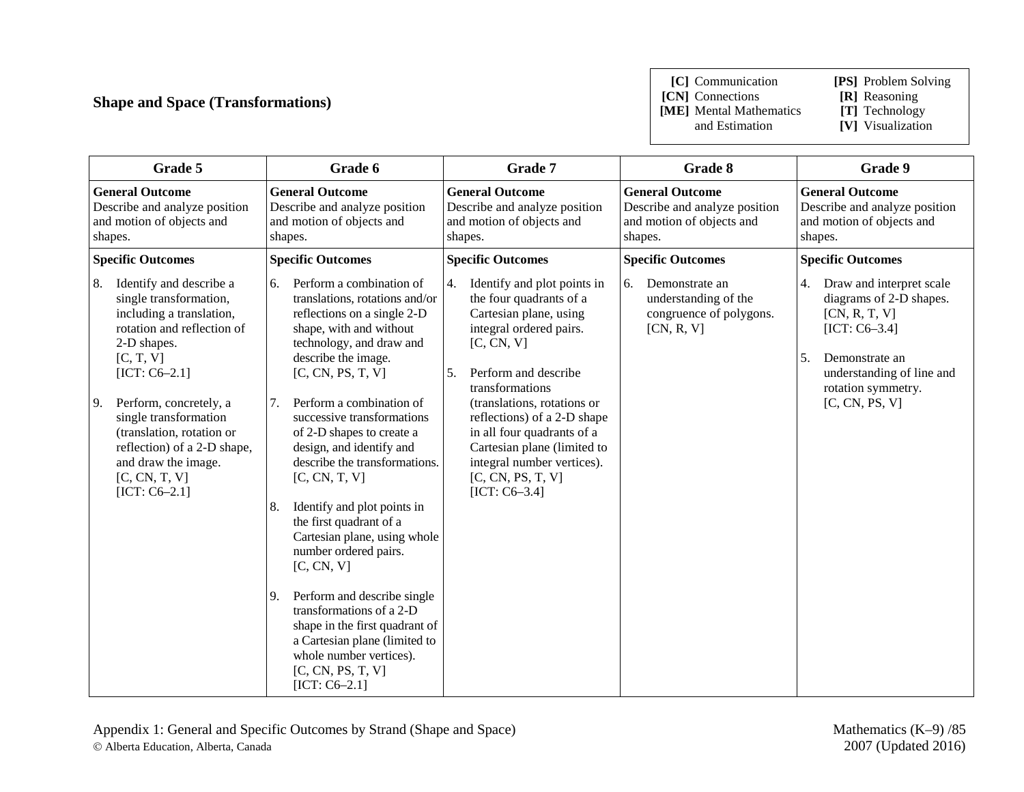# **Shape and Space (Transformations)**

**[C]** Communication **[PS]** Problem Solving

**[CN]** Connections **[ME]** Mental Mathematics and Estimation

**[T]** Technology<br>**[V]** Visualization

| Grade 5                                                                                         |                                                                                                                                                                        |          | Grade 6                                                                                                                                                                                                                                                                                            |                                                                                                                                                                                               | Grade 7                                                                                                                                                              |                | Grade 8                                                                                         |          | Grade 9                                                                                                                                                      |
|-------------------------------------------------------------------------------------------------|------------------------------------------------------------------------------------------------------------------------------------------------------------------------|----------|----------------------------------------------------------------------------------------------------------------------------------------------------------------------------------------------------------------------------------------------------------------------------------------------------|-----------------------------------------------------------------------------------------------------------------------------------------------------------------------------------------------|----------------------------------------------------------------------------------------------------------------------------------------------------------------------|----------------|-------------------------------------------------------------------------------------------------|----------|--------------------------------------------------------------------------------------------------------------------------------------------------------------|
| <b>General Outcome</b><br>Describe and analyze position<br>and motion of objects and<br>shapes. |                                                                                                                                                                        |          | <b>General Outcome</b><br>Describe and analyze position<br>and motion of objects and<br>shapes.                                                                                                                                                                                                    |                                                                                                                                                                                               | <b>General Outcome</b><br>Describe and analyze position<br>and motion of objects and<br>shapes.                                                                      |                | <b>General Outcome</b><br>Describe and analyze position<br>and motion of objects and<br>shapes. |          | <b>General Outcome</b><br>Describe and analyze position<br>and motion of objects and<br>shapes.                                                              |
| <b>Specific Outcomes</b>                                                                        |                                                                                                                                                                        |          | <b>Specific Outcomes</b>                                                                                                                                                                                                                                                                           |                                                                                                                                                                                               | <b>Specific Outcomes</b>                                                                                                                                             |                | <b>Specific Outcomes</b>                                                                        |          | <b>Specific Outcomes</b>                                                                                                                                     |
| 8.                                                                                              | Identify and describe a<br>single transformation,<br>including a translation,<br>rotation and reflection of<br>2-D shapes.<br>[C, T, V]<br>$[ICT: C6-2.1]$             | 6.       | Perform a combination of<br>translations, rotations and/or<br>reflections on a single 2-D<br>shape, with and without<br>technology, and draw and<br>describe the image.<br>[C, CN, PS, T, V]                                                                                                       | 4.<br>5.                                                                                                                                                                                      | Identify and plot points in<br>the four quadrants of a<br>Cartesian plane, using<br>integral ordered pairs.<br>[C, CN, V]<br>Perform and describe<br>transformations | 6.             | Demonstrate an<br>understanding of the<br>congruence of polygons.<br>[CN, R, V]                 | 4.<br>5. | Draw and interpret scale<br>diagrams of 2-D shapes.<br>[CN, R, T, V]<br>$[ICT: C6-3.4]$<br>Demonstrate an<br>understanding of line and<br>rotation symmetry. |
| 9.                                                                                              | Perform, concretely, a<br>single transformation<br>(translation, rotation or<br>reflection) of a 2-D shape,<br>and draw the image.<br>[C, CN, T, V]<br>$[ICT: C6-2.1]$ | 7.<br>8. | Perform a combination of<br>successive transformations<br>of 2-D shapes to create a<br>design, and identify and<br>describe the transformations.<br>[C, CN, T, V]<br>Identify and plot points in<br>the first quadrant of a<br>Cartesian plane, using whole<br>number ordered pairs.<br>[C, CN, V] | (translations, rotations or<br>reflections) of a 2-D shape<br>in all four quadrants of a<br>Cartesian plane (limited to<br>integral number vertices).<br>[C, CN, PS, T, V]<br>$[ICT: C6-3.4]$ |                                                                                                                                                                      | [C, CN, PS, V] |                                                                                                 |          |                                                                                                                                                              |
|                                                                                                 |                                                                                                                                                                        | 9.       | Perform and describe single<br>transformations of a 2-D<br>shape in the first quadrant of<br>a Cartesian plane (limited to<br>whole number vertices).<br>[C, CN, PS, T, V]<br>$[ICT: C6-2.1]$                                                                                                      |                                                                                                                                                                                               |                                                                                                                                                                      |                |                                                                                                 |          |                                                                                                                                                              |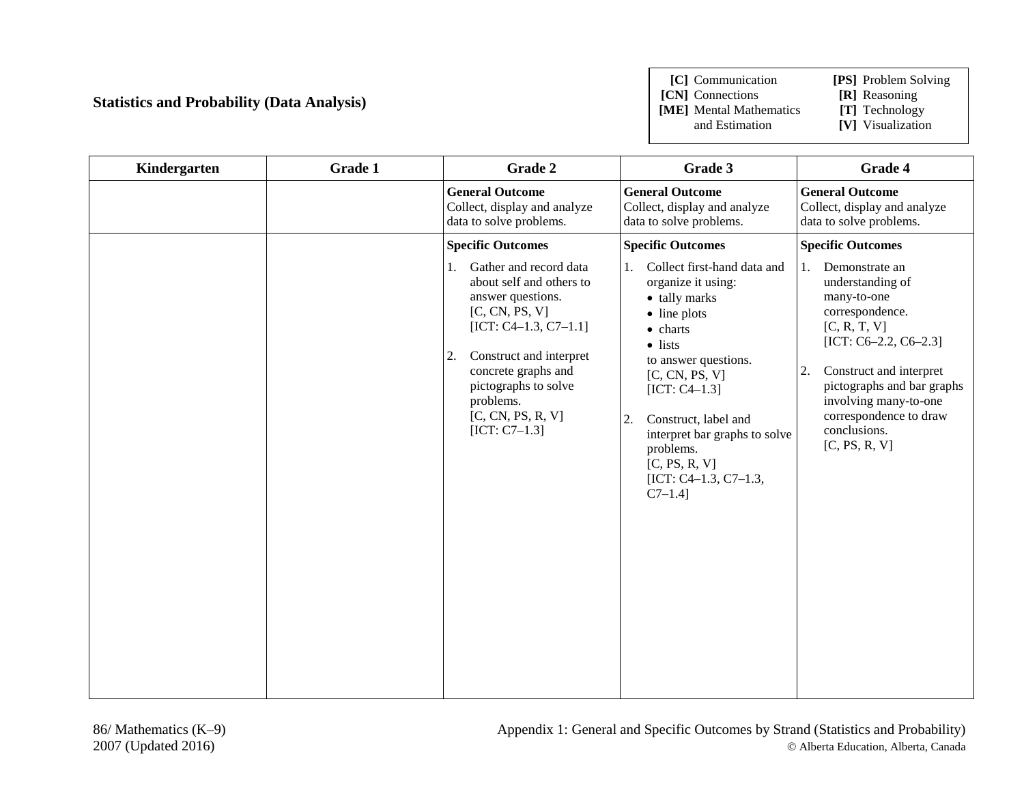### **Statistics and Probability (Data Analysis)**

**[C]** Communication **[PS]** Problem Solving

**[CN]** Connections **[R]** Reasoning **[ME]** Mental Mathematics and Estimation

- 
- 
- **[V]** Visualization

| Kindergarten | Grade 1 | Grade 2                                                                                                                                                                                                                                                         | Grade 3                                                                                                                                                                                                                                                                                                                  | Grade 4                                                                                                                                                                                                                                                                      |
|--------------|---------|-----------------------------------------------------------------------------------------------------------------------------------------------------------------------------------------------------------------------------------------------------------------|--------------------------------------------------------------------------------------------------------------------------------------------------------------------------------------------------------------------------------------------------------------------------------------------------------------------------|------------------------------------------------------------------------------------------------------------------------------------------------------------------------------------------------------------------------------------------------------------------------------|
|              |         | <b>General Outcome</b><br>Collect, display and analyze<br>data to solve problems.                                                                                                                                                                               | <b>General Outcome</b><br>Collect, display and analyze<br>data to solve problems.                                                                                                                                                                                                                                        | <b>General Outcome</b><br>Collect, display and analyze<br>data to solve problems.                                                                                                                                                                                            |
|              |         | <b>Specific Outcomes</b>                                                                                                                                                                                                                                        | <b>Specific Outcomes</b>                                                                                                                                                                                                                                                                                                 | <b>Specific Outcomes</b>                                                                                                                                                                                                                                                     |
|              |         | Gather and record data<br>1.<br>about self and others to<br>answer questions.<br>[C, CN, PS, V]<br>$[ICT: C4-1.3, C7-1.1]$<br>2.<br>Construct and interpret<br>concrete graphs and<br>pictographs to solve<br>problems.<br>[C, CN, PS, R, V]<br>$[ICT: C7-1.3]$ | Collect first-hand data and<br>1.<br>organize it using:<br>• tally marks<br>• line plots<br>• charts<br>$\bullet$ lists<br>to answer questions.<br>[C, CN, PS, V]<br>$[ICT: C4-1.3]$<br>Construct, label and<br>2.<br>interpret bar graphs to solve<br>problems.<br>[C, PS, R, V]<br>[ICT: C4-1.3, C7-1.3,<br>$C7-1.4$ ] | Demonstrate an<br>1.<br>understanding of<br>many-to-one<br>correspondence.<br>[C, R, T, V]<br>[ICT: $C6-2.2$ , $C6-2.3$ ]<br>Construct and interpret<br>2.<br>pictographs and bar graphs<br>involving many-to-one<br>correspondence to draw<br>conclusions.<br>[C, PS, R, V] |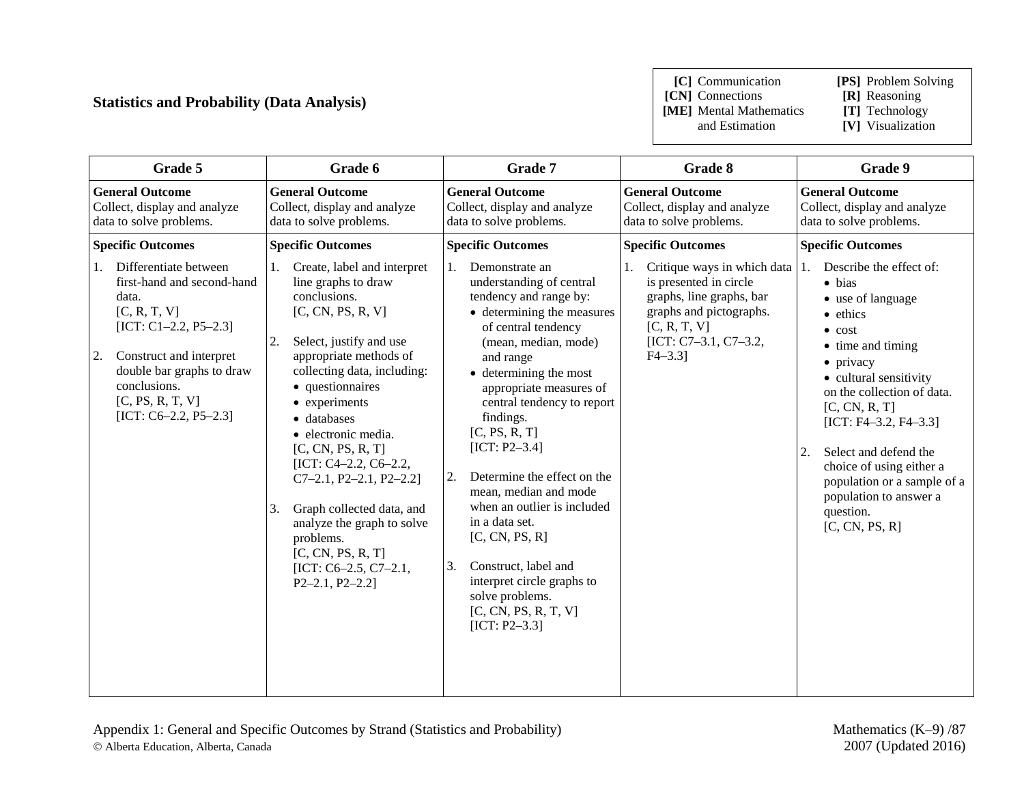### **Statistics and Probability (Data Analysis)**

**[C]** Communication **[PS]** Problem Solving

**[CN]** Connections **[ME]** Mental Mathematics and Estimation

**[T]** Technology<br>**[V]** Visualization

| Grade 5                                                                                                                                                                                                                                    | Grade 6                                                                                                                                                                                                                                                                                                                                                                                                                                                                                            | Grade 7                                                                                                                                                                                                                                                                                                                                                                                                                                                                                                                                                             | Grade 8                                                                                                                                                             | Grade 9                                                                                                                                                                                                                                                                                                                                                                                     |
|--------------------------------------------------------------------------------------------------------------------------------------------------------------------------------------------------------------------------------------------|----------------------------------------------------------------------------------------------------------------------------------------------------------------------------------------------------------------------------------------------------------------------------------------------------------------------------------------------------------------------------------------------------------------------------------------------------------------------------------------------------|---------------------------------------------------------------------------------------------------------------------------------------------------------------------------------------------------------------------------------------------------------------------------------------------------------------------------------------------------------------------------------------------------------------------------------------------------------------------------------------------------------------------------------------------------------------------|---------------------------------------------------------------------------------------------------------------------------------------------------------------------|---------------------------------------------------------------------------------------------------------------------------------------------------------------------------------------------------------------------------------------------------------------------------------------------------------------------------------------------------------------------------------------------|
| <b>General Outcome</b><br>Collect, display and analyze<br>data to solve problems.                                                                                                                                                          | <b>General Outcome</b><br>Collect, display and analyze<br>data to solve problems.                                                                                                                                                                                                                                                                                                                                                                                                                  | <b>General Outcome</b><br>Collect, display and analyze<br>data to solve problems.                                                                                                                                                                                                                                                                                                                                                                                                                                                                                   | <b>General Outcome</b><br>Collect, display and analyze<br>data to solve problems.                                                                                   | <b>General Outcome</b><br>Collect, display and analyze<br>data to solve problems.                                                                                                                                                                                                                                                                                                           |
| <b>Specific Outcomes</b><br><b>Specific Outcomes</b>                                                                                                                                                                                       |                                                                                                                                                                                                                                                                                                                                                                                                                                                                                                    | <b>Specific Outcomes</b>                                                                                                                                                                                                                                                                                                                                                                                                                                                                                                                                            | <b>Specific Outcomes</b>                                                                                                                                            | <b>Specific Outcomes</b>                                                                                                                                                                                                                                                                                                                                                                    |
| Differentiate between<br>1.<br>first-hand and second-hand<br>data.<br>[C, R, T, V]<br>$[ICT: C1-2.2, P5-2.3]$<br>Construct and interpret<br>2.<br>double bar graphs to draw<br>conclusions.<br>[C, PS, R, T, V]<br>$[ICT: C6-2.2, P5-2.3]$ | Create, label and interpret<br>1.<br>line graphs to draw<br>conclusions.<br>[C, CN, PS, R, V]<br>Select, justify and use<br>2.<br>appropriate methods of<br>collecting data, including:<br>• questionnaires<br>• experiments<br>· databases<br>· electronic media.<br>[C, CN, PS, R, T]<br>[ICT: C4-2.2, C6-2.2,<br>$C7-2.1, P2-2.1, P2-2.2$<br>Graph collected data, and<br>3.<br>analyze the graph to solve<br>problems.<br>[C, CN, PS, R, T]<br>[ICT: $C6-2.5$ , $C7-2.1$ ,<br>$P2-2.1, P2-2.2$ | Demonstrate an<br>1.<br>understanding of central<br>tendency and range by:<br>• determining the measures<br>of central tendency<br>(mean, median, mode)<br>and range<br>• determining the most<br>appropriate measures of<br>central tendency to report<br>findings.<br>[C, PS, R, T]<br>$[ICT: P2-3.4]$<br>Determine the effect on the<br>2.<br>mean, median and mode<br>when an outlier is included<br>in a data set.<br>[C, CN, PS, R]<br>Construct, label and<br>3.<br>interpret circle graphs to<br>solve problems.<br>[C, CN, PS, R, T, V]<br>$[ICT: P2-3.3]$ | Critique ways in which data<br>is presented in circle<br>graphs, line graphs, bar<br>graphs and pictographs.<br>[C, R, T, V]<br>[ICT: C7-3.1, C7-3.2,<br>$F4 - 3.3$ | Describe the effect of:<br>1.<br>$\bullet$ bias<br>• use of language<br>• ethics<br>$\bullet$ cost<br>• time and timing<br>• privacy<br>• cultural sensitivity<br>on the collection of data.<br>[C, CN, R, T]<br>$[ICT: F4-3.2, F4-3.3]$<br>Select and defend the<br>2.<br>choice of using either a<br>population or a sample of a<br>population to answer a<br>question.<br>[C, CN, PS, R] |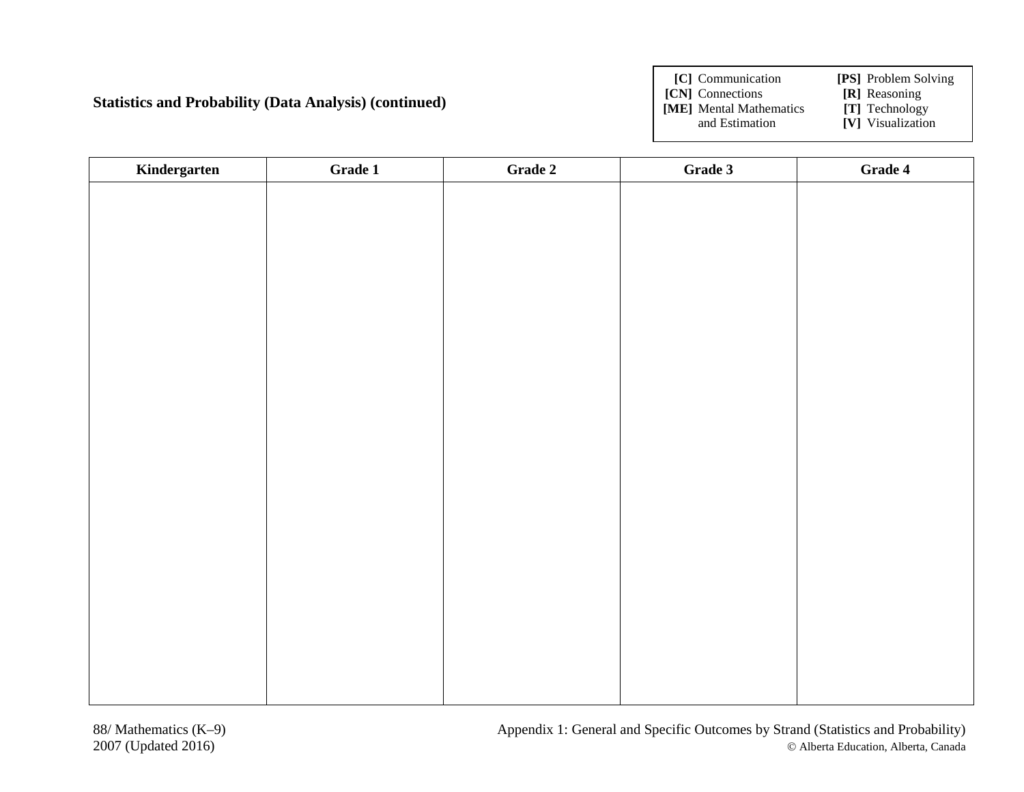**Statistics and Probability (Data Analysis) (continued)** 

**[C]** Communication **[PS]** Problem Solving

**[CN]** Connections **[R]** Reasoning<br> **[ME]** Mental Mathematics **[T]** Technology **[ME]** Mental Mathematics and Estimation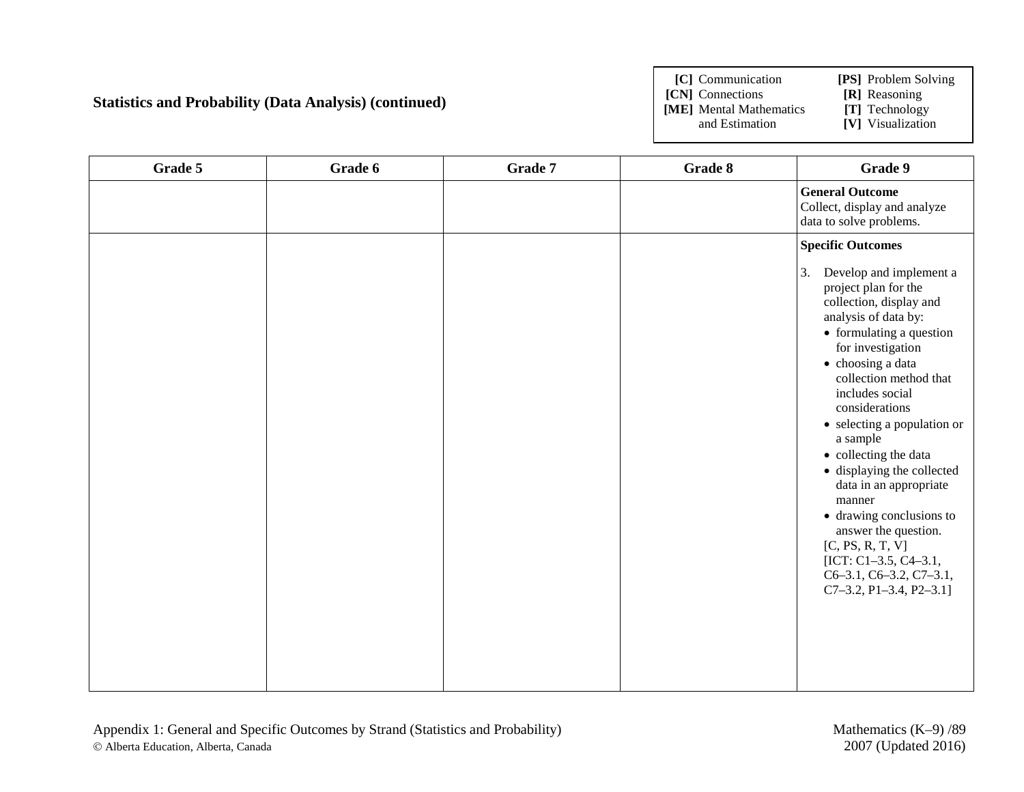#### **Statistics and Probability (Data Analysis) (continued)**

**[C]** Communication **[PS]** Problem Solving

**[CN]** Connections **[R]** Reasoning

**[ME]** Mental Mathematics and Estimation

| Grade 5 | Grade 6 | Grade 7 | Grade 8 | Grade 9                                                                                                                                                                                                                                                                                                                                                                                                                                                                                                                                             |
|---------|---------|---------|---------|-----------------------------------------------------------------------------------------------------------------------------------------------------------------------------------------------------------------------------------------------------------------------------------------------------------------------------------------------------------------------------------------------------------------------------------------------------------------------------------------------------------------------------------------------------|
|         |         |         |         | <b>General Outcome</b><br>Collect, display and analyze<br>data to solve problems.                                                                                                                                                                                                                                                                                                                                                                                                                                                                   |
|         |         |         |         | <b>Specific Outcomes</b>                                                                                                                                                                                                                                                                                                                                                                                                                                                                                                                            |
|         |         |         |         | 3.<br>Develop and implement a<br>project plan for the<br>collection, display and<br>analysis of data by:<br>• formulating a question<br>for investigation<br>• choosing a data<br>collection method that<br>includes social<br>considerations<br>• selecting a population or<br>a sample<br>• collecting the data<br>· displaying the collected<br>data in an appropriate<br>manner<br>• drawing conclusions to<br>answer the question.<br>[C, PS, R, T, V]<br>[ICT: $C1-3.5$ , $C4-3.1$ ,<br>C6-3.1, C6-3.2, C7-3.1,<br>$C7-3.2$ , P1-3.4, P2-3.1] |
|         |         |         |         |                                                                                                                                                                                                                                                                                                                                                                                                                                                                                                                                                     |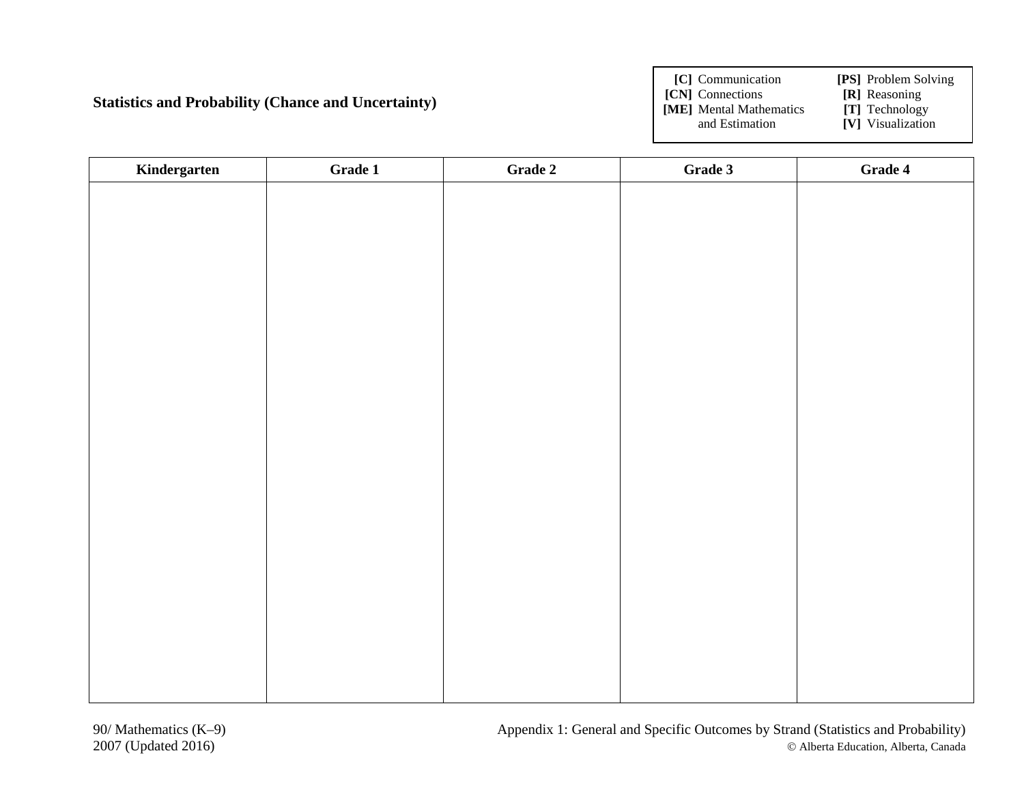**Statistics and Probability (Chance and Uncertainty)**

**[C]** Communication **[PS]** Problem Solving

**[CN]** Connections **[R]** Reasoning<br> **[ME]** Mental Mathematics **[T]** Technology

**[ME]** Mental Mathematics and Estimation

| Kindergarten | Grade 1 | Grade 2 | Grade 3 | Grade 4 |
|--------------|---------|---------|---------|---------|
|              |         |         |         |         |
|              |         |         |         |         |
|              |         |         |         |         |
|              |         |         |         |         |
|              |         |         |         |         |
|              |         |         |         |         |
|              |         |         |         |         |
|              |         |         |         |         |
|              |         |         |         |         |
|              |         |         |         |         |
|              |         |         |         |         |
|              |         |         |         |         |
|              |         |         |         |         |
|              |         |         |         |         |
|              |         |         |         |         |
|              |         |         |         |         |
|              |         |         |         |         |
|              |         |         |         |         |
|              |         |         |         |         |
|              |         |         |         |         |
|              |         |         |         |         |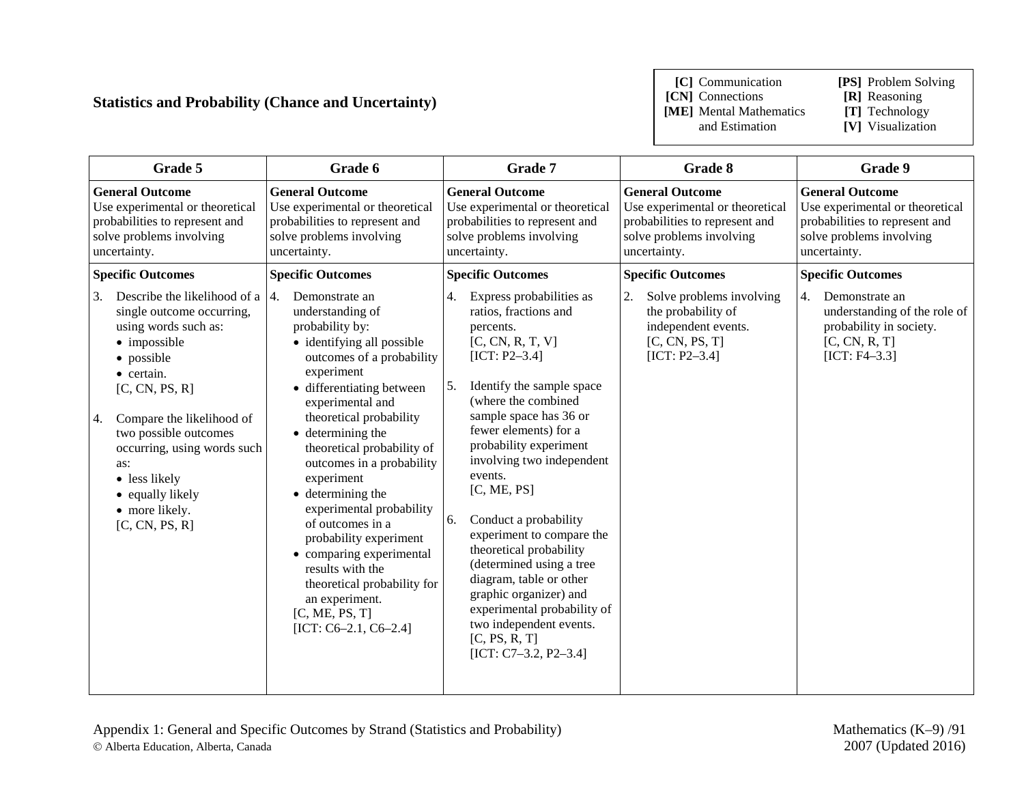### **Statistics and Probability (Chance and Uncertainty)**

**[C]** Communication **[PS]** Problem Solving

**[CN]** Connections **[R]** Reasoning<br>**[ME]** Mental Mathematics **[T]** Technology **[ME]** Mental Mathematics and Estimation

| Grade 5                                                                                                                                                                                                                                                                                                                                                          | Grade 6                                                                                                                                                                                                                                                                                                                                                                                                                                                                                                                                                                   | Grade 7                                                                                                                                                                                                                                                                                                                                                                                                                                                                                                                                                                               | Grade 8                                                                                                                                 | Grade 9                                                                                                                                 |
|------------------------------------------------------------------------------------------------------------------------------------------------------------------------------------------------------------------------------------------------------------------------------------------------------------------------------------------------------------------|---------------------------------------------------------------------------------------------------------------------------------------------------------------------------------------------------------------------------------------------------------------------------------------------------------------------------------------------------------------------------------------------------------------------------------------------------------------------------------------------------------------------------------------------------------------------------|---------------------------------------------------------------------------------------------------------------------------------------------------------------------------------------------------------------------------------------------------------------------------------------------------------------------------------------------------------------------------------------------------------------------------------------------------------------------------------------------------------------------------------------------------------------------------------------|-----------------------------------------------------------------------------------------------------------------------------------------|-----------------------------------------------------------------------------------------------------------------------------------------|
| <b>General Outcome</b><br>Use experimental or theoretical<br>probabilities to represent and<br>solve problems involving<br>uncertainty.                                                                                                                                                                                                                          | <b>General Outcome</b><br>Use experimental or theoretical<br>probabilities to represent and<br>solve problems involving<br>uncertainty.                                                                                                                                                                                                                                                                                                                                                                                                                                   | <b>General Outcome</b><br>Use experimental or theoretical<br>probabilities to represent and<br>solve problems involving<br>uncertainty.                                                                                                                                                                                                                                                                                                                                                                                                                                               | <b>General Outcome</b><br>Use experimental or theoretical<br>probabilities to represent and<br>solve problems involving<br>uncertainty. | <b>General Outcome</b><br>Use experimental or theoretical<br>probabilities to represent and<br>solve problems involving<br>uncertainty. |
| <b>Specific Outcomes</b>                                                                                                                                                                                                                                                                                                                                         | <b>Specific Outcomes</b>                                                                                                                                                                                                                                                                                                                                                                                                                                                                                                                                                  | <b>Specific Outcomes</b>                                                                                                                                                                                                                                                                                                                                                                                                                                                                                                                                                              | <b>Specific Outcomes</b>                                                                                                                | <b>Specific Outcomes</b>                                                                                                                |
| $\overline{3}$ .<br>Describe the likelihood of a $ 4$ .<br>single outcome occurring,<br>using words such as:<br>• impossible<br>• possible<br>• certain.<br>[C, CN, PS, R]<br>Compare the likelihood of<br><sup>4.</sup><br>two possible outcomes<br>occurring, using words such<br>as:<br>• less likely<br>• equally likely<br>• more likely.<br>[C, CN, PS, R] | Demonstrate an<br>understanding of<br>probability by:<br>• identifying all possible<br>outcomes of a probability<br>experiment<br>• differentiating between<br>experimental and<br>theoretical probability<br>$\bullet$ determining the<br>theoretical probability of<br>outcomes in a probability<br>experiment<br>$\bullet$ determining the<br>experimental probability<br>of outcomes in a<br>probability experiment<br>• comparing experimental<br>results with the<br>theoretical probability for<br>an experiment.<br>[C, ME, PS, T]<br>[ICT: $C6-2.1$ , $C6-2.4$ ] | Express probabilities as<br>4.<br>ratios, fractions and<br>percents.<br>[C, CN, R, T, V]<br>$[ICT: P2-3.4]$<br>Identify the sample space<br>5.<br>(where the combined<br>sample space has 36 or<br>fewer elements) for a<br>probability experiment<br>involving two independent<br>events.<br>[C, ME, PS]<br>Conduct a probability<br>6.<br>experiment to compare the<br>theoretical probability<br>(determined using a tree<br>diagram, table or other<br>graphic organizer) and<br>experimental probability of<br>two independent events.<br>[C, PS, R, T]<br>[ICT: C7-3.2, P2-3.4] | Solve problems involving<br>the probability of<br>independent events.<br>[C, CN, PS, T]<br>$[ICT: P2-3.4]$                              | 4.<br>Demonstrate an<br>understanding of the role of<br>probability in society.<br>[C, CN, R, T]<br>$[ICT: F4-3.3]$                     |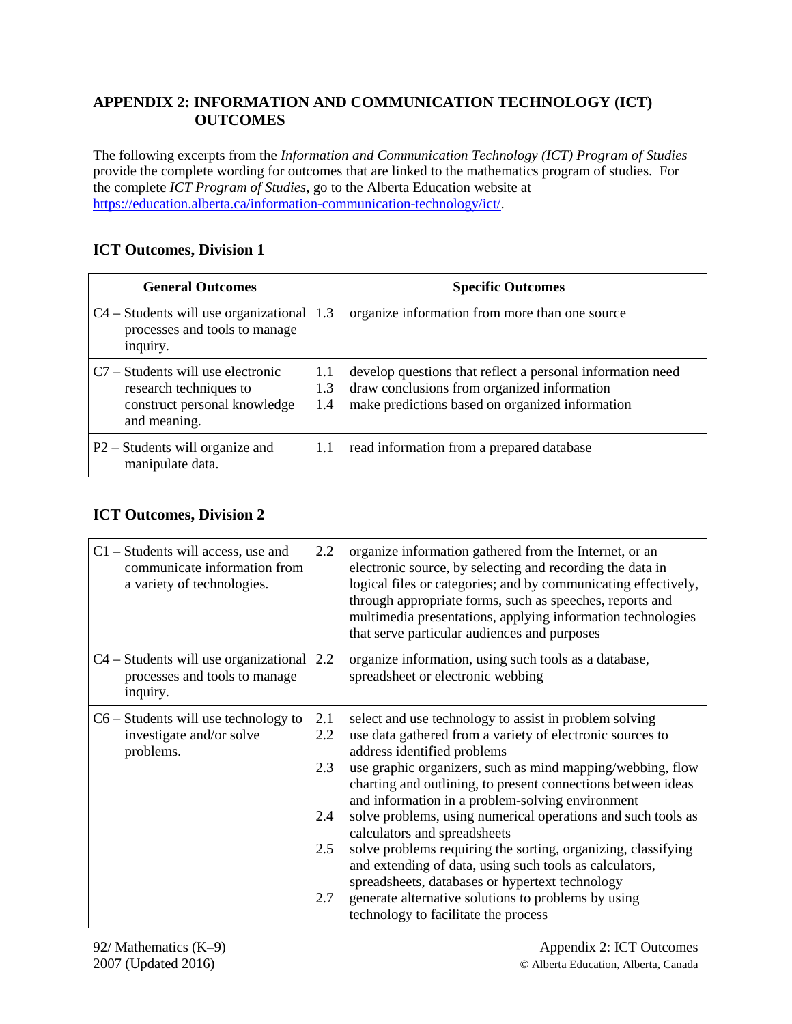### **APPENDIX 2: INFORMATION AND COMMUNICATION TECHNOLOGY (ICT) OUTCOMES**

The following excerpts from the *Information and Communication Technology (ICT) Program of Studies* provide the complete wording for outcomes that are linked to the mathematics program of studies. For the complete *ICT Program of Studies*, go to the Alberta Education website at [https://education.alberta.ca/information-communication-technology/ict/.](https://education.alberta.ca/information-communication-technology/ict/)

### **ICT Outcomes, Division 1**

| <b>General Outcomes</b>                                                                                       |                   | <b>Specific Outcomes</b>                                                                                                                                     |  |  |  |
|---------------------------------------------------------------------------------------------------------------|-------------------|--------------------------------------------------------------------------------------------------------------------------------------------------------------|--|--|--|
| $C4$ – Students will use organizational $\vert 1.3 \rangle$<br>processes and tools to manage<br>inquiry.      |                   | organize information from more than one source                                                                                                               |  |  |  |
| $C7 -$ Students will use electronic<br>research techniques to<br>construct personal knowledge<br>and meaning. | 1.1<br>1.3<br>1.4 | develop questions that reflect a personal information need<br>draw conclusions from organized information<br>make predictions based on organized information |  |  |  |
| P2 – Students will organize and<br>manipulate data.                                                           | 1.1               | read information from a prepared database                                                                                                                    |  |  |  |

### **ICT Outcomes, Division 2**

| $C1$ – Students will access, use and<br>communicate information from<br>a variety of technologies. | 2.2                                    | organize information gathered from the Internet, or an<br>electronic source, by selecting and recording the data in<br>logical files or categories; and by communicating effectively,<br>through appropriate forms, such as speeches, reports and<br>multimedia presentations, applying information technologies<br>that serve particular audiences and purposes                                                                                                                                                                                                                                                                                                                                                   |
|----------------------------------------------------------------------------------------------------|----------------------------------------|--------------------------------------------------------------------------------------------------------------------------------------------------------------------------------------------------------------------------------------------------------------------------------------------------------------------------------------------------------------------------------------------------------------------------------------------------------------------------------------------------------------------------------------------------------------------------------------------------------------------------------------------------------------------------------------------------------------------|
| $C4 - Students$ will use organizational 2.2<br>processes and tools to manage<br>inquiry.           |                                        | organize information, using such tools as a database,<br>spreadsheet or electronic webbing                                                                                                                                                                                                                                                                                                                                                                                                                                                                                                                                                                                                                         |
| $C6$ – Students will use technology to<br>investigate and/or solve<br>problems.                    | 2.1<br>2.2<br>2.3<br>2.4<br>2.5<br>2.7 | select and use technology to assist in problem solving<br>use data gathered from a variety of electronic sources to<br>address identified problems<br>use graphic organizers, such as mind mapping/webbing, flow<br>charting and outlining, to present connections between ideas<br>and information in a problem-solving environment<br>solve problems, using numerical operations and such tools as<br>calculators and spreadsheets<br>solve problems requiring the sorting, organizing, classifying<br>and extending of data, using such tools as calculators,<br>spreadsheets, databases or hypertext technology<br>generate alternative solutions to problems by using<br>technology to facilitate the process |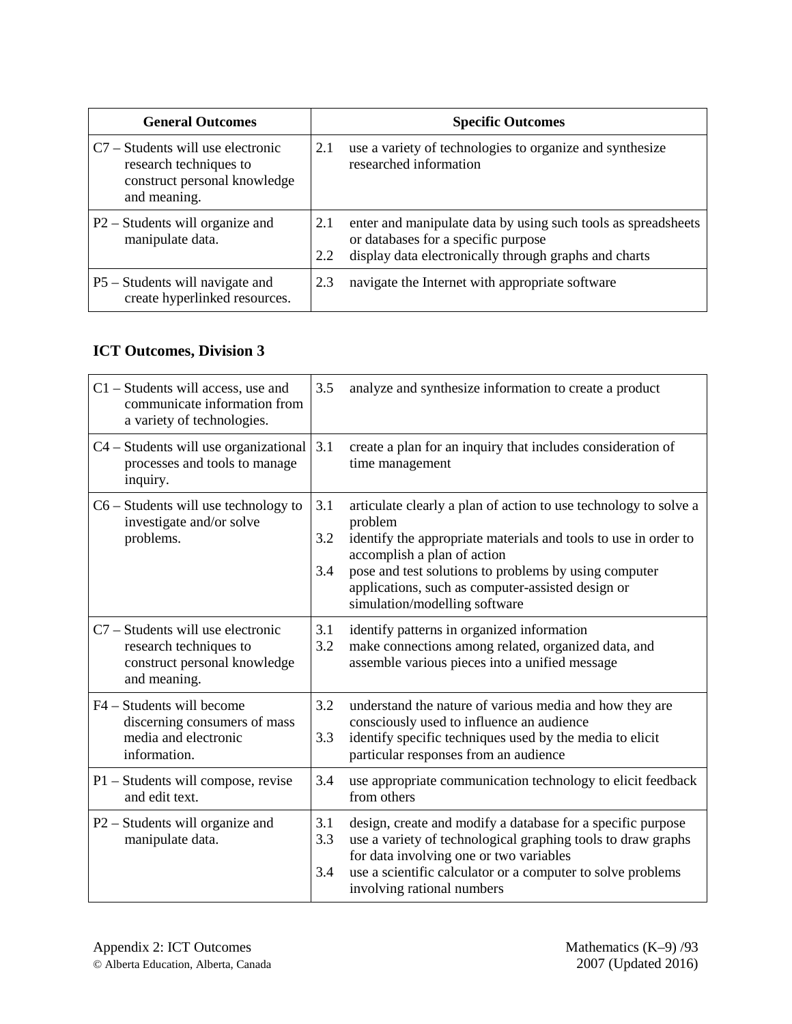| <b>General Outcomes</b>                                                                                       | <b>Specific Outcomes</b>                                                                                                                                                    |
|---------------------------------------------------------------------------------------------------------------|-----------------------------------------------------------------------------------------------------------------------------------------------------------------------------|
| $C7 -$ Students will use electronic<br>research techniques to<br>construct personal knowledge<br>and meaning. | use a variety of technologies to organize and synthesize<br>2.1<br>researched information                                                                                   |
| P2 – Students will organize and<br>manipulate data.                                                           | enter and manipulate data by using such tools as spreadsheets<br>2.1<br>or databases for a specific purpose<br>display data electronically through graphs and charts<br>2.2 |
| P5 – Students will navigate and<br>create hyperlinked resources.                                              | navigate the Internet with appropriate software<br>2.3                                                                                                                      |

## **ICT Outcomes, Division 3**

| C1 - Students will access, use and<br>communicate information from<br>a variety of technologies.            | 3.5               | analyze and synthesize information to create a product                                                                                                                                                                                                                                                                       |
|-------------------------------------------------------------------------------------------------------------|-------------------|------------------------------------------------------------------------------------------------------------------------------------------------------------------------------------------------------------------------------------------------------------------------------------------------------------------------------|
| C4 – Students will use organizational<br>processes and tools to manage<br>inquiry.                          | 3.1               | create a plan for an inquiry that includes consideration of<br>time management                                                                                                                                                                                                                                               |
| $C6$ – Students will use technology to<br>investigate and/or solve<br>problems.                             | 3.1<br>3.2<br>3.4 | articulate clearly a plan of action to use technology to solve a<br>problem<br>identify the appropriate materials and tools to use in order to<br>accomplish a plan of action<br>pose and test solutions to problems by using computer<br>applications, such as computer-assisted design or<br>simulation/modelling software |
| C7 – Students will use electronic<br>research techniques to<br>construct personal knowledge<br>and meaning. | 3.1<br>3.2        | identify patterns in organized information<br>make connections among related, organized data, and<br>assemble various pieces into a unified message                                                                                                                                                                          |
| F4 – Students will become<br>discerning consumers of mass<br>media and electronic<br>information.           | 3.2<br>3.3        | understand the nature of various media and how they are<br>consciously used to influence an audience<br>identify specific techniques used by the media to elicit<br>particular responses from an audience                                                                                                                    |
| P1 – Students will compose, revise<br>and edit text.                                                        | 3.4               | use appropriate communication technology to elicit feedback<br>from others                                                                                                                                                                                                                                                   |
| P2 – Students will organize and<br>manipulate data.                                                         | 3.1<br>3.3<br>3.4 | design, create and modify a database for a specific purpose<br>use a variety of technological graphing tools to draw graphs<br>for data involving one or two variables<br>use a scientific calculator or a computer to solve problems<br>involving rational numbers                                                          |